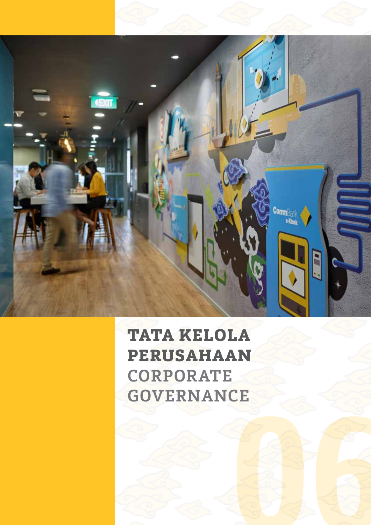

# **TATA KELOLA Perusahaan CORPORATE GOVERNANCE**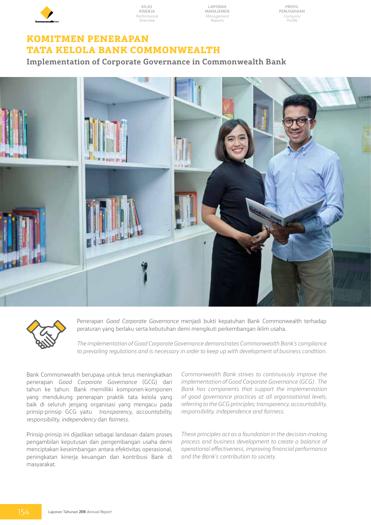

**Laporan Manajemen** *Management Reports*

**Profil Perusahaan** *Company Profile*

### **KOMITMEN PENERAPAN TATA KELOLA BANK COMMONWEALTH**

**Implementation of Corporate Governance in Commonwealth Bank**



Penerapan *Good Corporate Governance* menjadi bukti kepatuhan Bank Commonwealth terhadap peraturan yang berlaku serta kebutuhan demi mengikuti perkembangan iklim usaha.

*The implementation of Good Corporate Governance demonstrates Commonwealth Bank's compliance to prevailing regulations and is necessary in order to keep up with development of business condition.* 

Bank Commonwealth berupaya untuk terus meningkatkan penerapan *Good Corporate Governance* (GCG) dari tahun ke tahun. Bank memilliki komponen-komponen yang mendukung penerapan praktik tata kelola yang baik di seluruh jenjang organisasi yang mengacu pada prinsip-prinsip GCG yaitu *transparency, accountability, responsibility, independency* dan *fairness*.

Prinsip-prinsip ini dijadikan sebagai landasan dalam proses pengambilan keputusan dan pengembangan usaha demi menciptakan keseimbangan antara efektivitas operasional, peningkatan kinerja keuangan dan kontribusi Bank di masyarakat.

*Commonwealth Bank strives to continuously improve the implementation of Good Corporate Governance (GCG) . The Bank has components that support the implementation of good governance practices at all organisational levels, referring to the GCG principles; transparency, accountability, responsibility, independence and fairness.*

*These principles act as a foundation in the decision-making process and business development to create a balance of operational effectiveness, improving financial performance and the Bank's contribution to society.*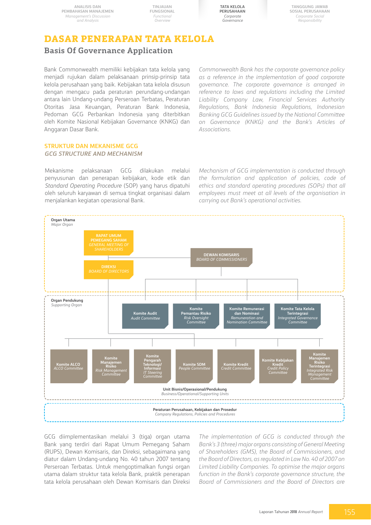**TINJAUAN FUNGSIONAL** *Functional Overview*



**Tanggung Jawab Sosial Perusahaan** *Corporate Social Responsibility*

### **DASAR PENERAPAN TATA KELOLA**

### **Basis Of Governance Application**

Bank Commonwealth memiliki kebijakan tata kelola yang menjadi rujukan dalam pelaksanaan prinsip-prinsip tata kelola perusahaan yang baik. Kebijakan tata kelola disusun dengan mengacu pada peraturan perundang-undangan antara lain Undang-undang Perseroan Terbatas, Peraturan Otoritas Jasa Keuangan, Peraturan Bank Indonesia, Pedoman GCG Perbankan Indonesia yang diterbitkan oleh Komite Nasional Kebijakan Governance (KNKG) dan Anggaran Dasar Bank.

*Commonwealth Bank has the corporate governance policy as a reference in the implementation of good corporate governance. The corporate governance is arranged in reference to laws and regulations including the Limited Liability Company Law, Financial Services Authority Regulations, Bank Indonesia Regulations, Indonesian Banking GCG Guidelines issued by the National Committee on Governance (KNKG) and the Bank's Articles of Associations.*

#### **STRUKTUR DAN MEKANISME GCG** *GCG STRUCTURE AND MECHANISM*

Mekanisme pelaksanaan GCG dilakukan melalui penyusunan dan penerapan kebijakan, kode etik dan *Standard Operating Procedure* (SOP) yang harus dipatuhi oleh seluruh karyawan di semua tingkat organisasi dalam menjalankan kegiatan operasional Bank.

*Mechanism of GCG implementation is conducted through the formulation and application of policies, code of ethics and standard operating procedures (SOPs) that all employees must meet at all levels of the organisation in carrying out Bank's operational activities.*



GCG diimplementasikan melalui 3 (tiga) organ utama Bank yang terdiri dari Rapat Umum Pemegang Saham (RUPS), Dewan Komisaris, dan Direksi, sebagaimana yang diatur dalam Undang-undang No. 40 tahun 2007 tentang Perseroan Terbatas. Untuk mengoptimalkan fungsi organ utama dalam struktur tata kelola Bank, praktik penerapan tata kelola perusahaan oleh Dewan Komisaris dan Direksi *The implementation of GCG is conducted through the Bank's 3 (three) major organs consisting of General Meeting of Shareholders (GMS), the Board of Commissioners, and the Board of Directors, as regulated in Law No. 40 of 2007 on Limited Liability Companies. To optimise the major organs function in the Bank's corporate governance structure, the Board of Commissioners and the Board of Directors are*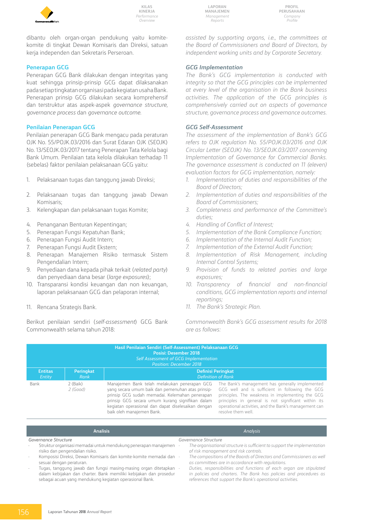

**Laporan Manajemen** *Management Reports*

**Profil Perusahaan** *Company Profile*

dibantu oleh organ-organ pendukung yaitu komitekomite di tingkat Dewan Komisaris dan Direksi, satuan kerja independen dan Sekretaris Perseroan.

#### **Penerapan GCG**

Penerapan GCG Bank dilakukan dengan integritas yang kuat sehingga prinsip-prinsip GCG dapat dilaksanakan pada setiap tingkatan organisasi pada kegiatan usaha Bank. Penerapan prinsip GCG dilakukan secara komprehensif dan terstruktur atas aspek-aspek *governance structure, governance process* dan *governance outcome*.

#### **Penilaian Penerapan GCG**

Penilaian penerapan GCG Bank mengacu pada peraturan OJK No. 55/POJK.03/2016 dan Surat Edaran OJK (SEOJK) No. 13/SEOJK.03/2017 tentang Penerapan Tata Kelola bagi Bank Umum. Penilaian tata kelola dilakukan terhadap 11 (sebelas) faktor penilaian pelaksanaan GCG yaitu:

- 1. Pelaksanaan tugas dan tanggung jawab Direksi;
- 2. Pelaksanaan tugas dan tanggung jawab Dewan Komisaris;
- 3. Kelengkapan dan pelaksanaan tugas Komite;
- 4. Penanganan Benturan Kepentingan;
- 5. Penerapan Fungsi Kepatuhan Bank;
- 6. Penerapan Fungsi Audit Intern;
- 7. Penerapan Fungsi Audit Ekstern;
- 8. Penerapan Manajemen Risiko termasuk Sistem Pengendalian Intern;
- 9. Penyediaan dana kepada pihak terkait (*related party*) dan penyediaan dana besar (*large exposures*);
- 10. Transparansi kondisi keuangan dan non keuangan, laporan pelaksanaan GCG dan pelaporan internal;
- 11. Rencana Strategis Bank.

Berikut penilaian sendiri (*self-assessment*) GCG Bank Commonwealth selama tahun 2018:

*assisted by supporting organs, i.e., the committees at the Board of Commissioners and Board of Directors, by independent working units and by Corporate Secretary.*

#### *GCG Implementation*

*The Bank's GCG implementation is conducted with integrity so that the GCG principles can be implemented at every level of the organisation in the Bank business activities. The application of the GCG principles is comprehensively carried out on aspects of governance structure, governance process and governance outcomes.* 

#### *GCG Self-Assessment*

*The assessment of the implementation of Bank's GCG refers to OJK regulation No. 55/POJK.03/2016 and OJK Circular Letter (SEOJK) No. 13/SEOJK.03/2017 concerning Implementation of Governance for Commercial Banks. The governance assessment is conducted on 11 (eleven) evaluation factors for GCG implementation, namely:*

- *1. Implementation of duties and responsibilities of the Board of Directors;*
- *2. Implementation of duties and responsibilities of the Board of Commissioners;*
- *3. Completeness and performance of the Committee's duties;*
- *4. Handling of Conflict of Interest;*
- *5. Implementation of the Bank Compliance Function;*
- *6. Implementation of the Internal Audit Function;*
- *7. Implementation of the External Audit Function;*
- *8. Implementation of Risk Management, including Internal Control Systems;*
- *9. Provision of funds to related parties and large exposures;*
- *10. Transparency of financial and non-financial conditions, GCG implementation reports and internal reportings;*
- *11. The Bank's Strategic Plan.*

*Commonwealth Bank's GCG assessment results for 2018 are as follows:*

*references that support the Bank's operational activities.*

| Hasil Penilaian Sendiri (Self-Assessment) Pelaksanaan GCG<br><b>Posisi: Desember 2018</b><br>Self Assessment of GCG Implementation<br><b>Position: December 2018</b> |                          |                                                                                                                                                                                                                                                                                           |                                                                                                                                                                                                                                                                                              |  |  |  |  |  |
|----------------------------------------------------------------------------------------------------------------------------------------------------------------------|--------------------------|-------------------------------------------------------------------------------------------------------------------------------------------------------------------------------------------------------------------------------------------------------------------------------------------|----------------------------------------------------------------------------------------------------------------------------------------------------------------------------------------------------------------------------------------------------------------------------------------------|--|--|--|--|--|
| <b>Entitas</b><br>Entity                                                                                                                                             | <b>Peringkat</b><br>Rank | <b>Definisi Peringkat</b><br><b>Definition of Rank</b>                                                                                                                                                                                                                                    |                                                                                                                                                                                                                                                                                              |  |  |  |  |  |
| Bank                                                                                                                                                                 | 2 (Baik)<br>2(Good)      | Manajemen Bank telah melakukan penerapan GCG<br>yang secara umum baik dan pemenuhan atas prinsip-<br>prinsip GCG sudah memadai. Kelemahan penerapan<br>prinsip GCG secara umum kurang signifikan dalam<br>kegiatan operasional dan dapat diselesaikan dengan<br>baik oleh manajemen Bank. | The Bank's management has generally implemented<br>GCG well and is sufficient in following the GCG<br>principles. The weakness in implementing the GCG<br>principles in general is not significant within its<br>operational activities, and the Bank's management can<br>resolve them well. |  |  |  |  |  |

|        | <b>Analisis</b>                                                   | Analysis                                                                 |
|--------|-------------------------------------------------------------------|--------------------------------------------------------------------------|
|        | Governance Structure                                              | Governance Structure                                                     |
|        | Struktur organisasi memadai untuk mendukung penerapan manajemen   | The organisational structure is sufficient to support the implementation |
|        | risiko dan pengendalian risiko.                                   | of risk management and risk controls.                                    |
| $\sim$ | Komposisi Direksi, Dewan Komisaris dan komite-komite memadai dan  | The compositions of the Boards of Directors and Commissioners as well    |
|        | sesuai dengan peraturan.                                          | as committees are in accordance with regulations.                        |
| $\sim$ | Tugas, tanggung jawab dan fungsi masing-masing organ ditetapkan   | Duties, responsibilities and functions of each organ are stipulated      |
|        | dalam kebijakan dan charter. Bank memiliki kebijakan dan prosedur | in policies and charters. The Bank has policies and procedures as        |

sebagai acuan yang mendukung kegiatan operasional Bank.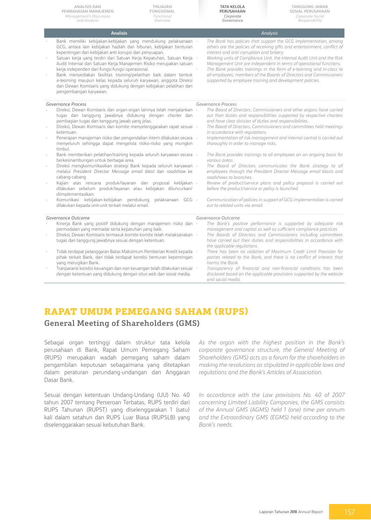| <b>ANALISIS DAN</b><br>TINJAUAN<br>PEMBAHASAN MANAJEMEN<br><b>FUNGSIONAL</b><br>Management's Discussion<br>Functional<br>and Analysis<br>Overview                                                                                                                                                                                                                                                                                                                                                                                                                                                                                   | <b>TATA KELOLA</b><br>PERUSAHAAN<br>Corporate<br>Governance                                           | <b>TANGGUNG JAWAB</b><br>SOSIAL PERUSAHAAN<br>Corporate Social<br>Responsibility                                                                                                                                                                                                                                                                                                                                                              |
|-------------------------------------------------------------------------------------------------------------------------------------------------------------------------------------------------------------------------------------------------------------------------------------------------------------------------------------------------------------------------------------------------------------------------------------------------------------------------------------------------------------------------------------------------------------------------------------------------------------------------------------|-------------------------------------------------------------------------------------------------------|-----------------------------------------------------------------------------------------------------------------------------------------------------------------------------------------------------------------------------------------------------------------------------------------------------------------------------------------------------------------------------------------------------------------------------------------------|
| <b>Analisis</b>                                                                                                                                                                                                                                                                                                                                                                                                                                                                                                                                                                                                                     |                                                                                                       | Analysis                                                                                                                                                                                                                                                                                                                                                                                                                                      |
| Bank memiliki kebijakan-kebijakan yang mendukung pelaksanaan -<br>GCG, antara lain kebijakan hadiah dan hiburan, kebijakan benturan<br>kepentingan dan kebijakan anti korupsi dan penyuapan.<br>Satuan kerja yang terdiri dari Satuan Kerja Kepatuhan, Satuan Kerja -<br>Audit Internal dan Satuan Kerja Manajemen Risiko merupakan satuan<br>kerja independen dari fungsi-fungsi operasional.<br>Bank menyediakan fasilitas training/pelatihan baik dalam bentuk<br>e-learning maupun kelas kepada seluruh karyawan, anggota Direksi<br>dan Dewan Komisaris yang didukung dengan kebijakan pelatihan dan<br>pengembangan karyawan. | interest and anti-corruption and bribery.<br>supported by employee training and development policies. | The Bank has policies that support the GCG implementation, among<br>others are the policies of receiving gifts and entertainment, conflict of<br>Working units of Compliance Unit, the Internal Audit Unit and the Risk<br>Management Unit are independent in terms of operational functions.<br>The Bank provides trainings in the form of e-learning and in-class to<br>all employees, members of the Boards of Directors and Commissioners |
| <b>Governance Process</b>                                                                                                                                                                                                                                                                                                                                                                                                                                                                                                                                                                                                           | Governance Process                                                                                    |                                                                                                                                                                                                                                                                                                                                                                                                                                               |
| Direksi, Dewan Komisaris dan organ-organ lainnya telah menjalankan -<br>tugas dan tanggung jawabnya didukung dengan charter dan<br>pembagian tugas dan tanggung jawab yang jelas.                                                                                                                                                                                                                                                                                                                                                                                                                                                   | and have clear division of duties and responsibilities.                                               | The Board of Directors, Commissioners and other organs have carried<br>out their duties and responsibilities supported by respective charters                                                                                                                                                                                                                                                                                                 |
| Direksi, Dewan Komisaris dan komite menyelenggarakan rapat sesuai -<br>ketentuan.                                                                                                                                                                                                                                                                                                                                                                                                                                                                                                                                                   | in accordance with regulations.                                                                       | The Board of Directors, Commissioners and committees held meetings                                                                                                                                                                                                                                                                                                                                                                            |
| Penerapan manajeman risiko dan pengendalian intern dilakukan secara -<br>menyeluruh sehingga dapat mengelola risiko-risiko yang mungkin<br>timbul.                                                                                                                                                                                                                                                                                                                                                                                                                                                                                  | thoroughly in order to manage risks.                                                                  | Implementation of risk management and internal control is carried out                                                                                                                                                                                                                                                                                                                                                                         |
| Bank memberikan pelatihan/training kepada seluruh karyawan secara -<br>berkesinambungan untuk berbagai area.                                                                                                                                                                                                                                                                                                                                                                                                                                                                                                                        | various areas.                                                                                        | The Bank provides trainings to all employees on an ongoing basis for                                                                                                                                                                                                                                                                                                                                                                          |
| Direksi mengkomunikasikan strategi Bank kepada seluruh karyawan -<br>melalui President Director Message email blast dan roadshow ke<br>cabang-cabang.                                                                                                                                                                                                                                                                                                                                                                                                                                                                               | roadshows to branches.                                                                                | The Board of Directors communicates the Bank strategy to all<br>employees through the President Director Message email blasts and                                                                                                                                                                                                                                                                                                             |
| Kajian atas rencana produk/layanan dan proposal kebijakan -<br>dilakukan sebelum produk/layanan atau kebijakan diluncurkan/<br>diimplementasikan.                                                                                                                                                                                                                                                                                                                                                                                                                                                                                   | before the product/service or policy is launched.                                                     | Review of product/service plans and policy proposal is carried out                                                                                                                                                                                                                                                                                                                                                                            |
| Komunikasi kebijakan-kebijakan pendukung pelaksanaan GCG -<br>dilakukan kepada unit-unit terkait melalui email.                                                                                                                                                                                                                                                                                                                                                                                                                                                                                                                     | out to related units via email.                                                                       | Communication of policies in support of GCG implementation is carried                                                                                                                                                                                                                                                                                                                                                                         |
| Governance Outcome                                                                                                                                                                                                                                                                                                                                                                                                                                                                                                                                                                                                                  | Governance Outcome                                                                                    |                                                                                                                                                                                                                                                                                                                                                                                                                                               |
| Kinerja Bank yang positif didukung dengan manajemen risiko dan -                                                                                                                                                                                                                                                                                                                                                                                                                                                                                                                                                                    |                                                                                                       | The Bank's positive performance is supported by adequate risk                                                                                                                                                                                                                                                                                                                                                                                 |
| permodalan yang memadai serta kepatuhan yang baik.<br>Direksi. Dewan Komisaris termasuk komite-komite telah melaksanakan -                                                                                                                                                                                                                                                                                                                                                                                                                                                                                                          |                                                                                                       | management and capital as well as sufficient compliance practices.<br>The Boards of Directors and Commissioners including committees                                                                                                                                                                                                                                                                                                          |
| tugas dan tanggung jawabnya sesuai dengan ketentuan.                                                                                                                                                                                                                                                                                                                                                                                                                                                                                                                                                                                | the applicable regulations.                                                                           | have carried out their duties and responsibilities in accordance with                                                                                                                                                                                                                                                                                                                                                                         |
| Tidak terdapat pelanggaran Batas Maksimum Pemberian Kredit kepada -<br>pihak terkait Bank, dan tidak terdapat kondisi benturan kepentingan<br>yang merugikan Bank.                                                                                                                                                                                                                                                                                                                                                                                                                                                                  | harms the Bank.                                                                                       | There has been no violation of Maximum Credit Limit Provision for<br>parties related to the Bank, and there is no conflict of interest that                                                                                                                                                                                                                                                                                                   |
| Tranparansi kondisi keuangan dan non keuangan telah dilakukan sesuai -<br>dengan ketentuan yang didukung dengan situs web dan sosial media.                                                                                                                                                                                                                                                                                                                                                                                                                                                                                         | and social media.                                                                                     | Transparency of financial and non-financial conditions has been<br>disclosed based on the applicable provisions supported by the website                                                                                                                                                                                                                                                                                                      |

## **Rapat Umum Pemegang Saham (RUPS)**

#### **General Meeting of Shareholders (GMS)**

Sebagai organ tertinggi dalam struktur tata kelola perusahaan di Bank, Rapat Umum Pemegang Saham (RUPS) merupakan wadah pemegang saham dalam pengambilan keputusan sebagaimana yang ditetapkan dalam peraturan perundang-undangan dan Anggaran Dasar Bank.

Sesuai dengan ketentuan Undang-Undang (UU) No. 40 tahun 2007 tentang Perseroan Terbatas, RUPS terdiri dari RUPS Tahunan (RUPST) yang diselenggarakan 1 (satu) kali dalam setahun dan RUPS Luar Biasa (RUPSLB) yang diselenggarakan sesuai kebutuhan Bank.

*As the organ with the highest position in the Bank's corporate governance structure, the General Meeting of Shareholders (GMS) acts as a forum for the shareholders in making the resolutions as stipulated in applicable laws and regulations and the Bank's Articles of Association.* 

*In accordance with the Law provisions No. 40 of 2007 concerning Limited Liability Companies, the GMS consists of the Annual GMS (AGMS) held 1 (one) time per annum and the Extraordinary GMS (EGMS) held according to the Bank's needs.*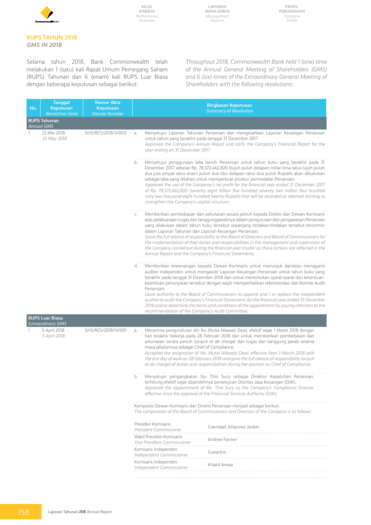

#### **RUPS TAHUN 2018** *GMS IN 2018*

Selama tahun 2018, Bank Commonwealth telah melakukan 1 (satu) kali Rapat Umum Pemegang Saham (RUPS) Tahunan dan 6 (enam) kali RUPS Luar Biasa dengan beberapa keputusan sebagai berikut:

*Throughout 2018, Commonwealth Bank held 1 (one) time of the Annual General Meeting of Shareholders (GMS) and 6 (six) times of the Extraordinary General Meeting of Shareholders with the following resolutions:* 

| No. | <b>Tanggal</b><br>Keputusan<br><b>Resolution Date</b>                           | <b>Nomor Akta</b><br>Keputusan<br><b>Decree Number</b> | <b>Ringkasan Keputusan</b><br><b>Summary of Resolution</b>                                                                                                                                                                                                                                                                                                                                                                                                                                                                                                                                                                                                                                                                      |
|-----|---------------------------------------------------------------------------------|--------------------------------------------------------|---------------------------------------------------------------------------------------------------------------------------------------------------------------------------------------------------------------------------------------------------------------------------------------------------------------------------------------------------------------------------------------------------------------------------------------------------------------------------------------------------------------------------------------------------------------------------------------------------------------------------------------------------------------------------------------------------------------------------------|
|     | <b>RUPS Tahunan</b><br><b>Annual GMS</b>                                        |                                                        |                                                                                                                                                                                                                                                                                                                                                                                                                                                                                                                                                                                                                                                                                                                                 |
|     | 23 Mei 2018<br>23 May 2018                                                      | SHS/RES/2018/V/003                                     | Menyetujui Laporan Tahunan Perseroan dan mengesahkan Laporan Keuangan Perseroan<br>a.<br>untuk tahun yang berakhir pada tanggal 31 Desember 2017<br>Approved the Company's Annual Report and ratify the Company's Financial Report for the<br>year ending on 31 December 2017                                                                                                                                                                                                                                                                                                                                                                                                                                                   |
|     |                                                                                 |                                                        | Menyetujui penggunaan laba bersih Perseroan untuk tahun buku yang berakhir pada 31<br>b.<br>Desember 2017 sebesar Rp. 78,572,462,820 (tujuh puluh delapan miliar lima ratus tujuh puluh<br>dua juta empat ratus enam puluh dua ribu delapan ratus dua puluh Rupiah) akan dibukukan<br>sebagai laba yang ditahan untuk memperkuat struktur permodalan Perseroan;<br>Approved the use of the Company's net profit for the financial year ended 31 December 2017<br>of Rp. 78,572,462,820 (seventy eight billion five hundred seventy two million four hundred<br>sixty two thousand eight hundred twenty Rupiah) that will be recorded as retained earning to<br>strengthen the Company's capital structure;                      |
|     |                                                                                 |                                                        | Memberikan pembebasan dan pelunasan secara penuh kepada Direksi dan Dewan Komisaris<br>C.<br>atas pelaksanaan tugas dan tanggungjawabnya dalam pengurusan dan pengawasan Perseroan<br>yang dilakukan dalam tahun buku tersebut sepanjang tindakan-tindakan tersebut tercermin<br>dalam Laporan Tahunan dan Laporan Keuangan Perseroan;<br>Gave the full release of responsibility to the Board of Directors and Board of Commissioners for<br>the implementation of their duties and responsibilities in the management and supervision of<br>the Company carried out during the financial year insofar as these actions are reflected in the<br>Annual Report and the Company's Financial Statements;                          |
|     |                                                                                 |                                                        | Memberikan kewenangan kepada Dewan Komisaris untuk menunjuk dan/atau mengganti<br>d.<br>auditor independen untuk mengaudit Laporan Keuangan Perseroan untuk tahun buku yang<br>berakhir pada tanggal 31 Desember 2018 dan untuk menentukan syarat-syarat dan ketentuan-<br>ketentuan penunjukan tersebut dengan wajib memperhatikan rekomendasi dari Komite Audit<br>Perseroan;<br>Gave authority to the Board of Commissioners to appoint and / or replace the independent<br>auditor to audit the Company's Financial Statements for the financial year ended 31 December<br>2018 and to determine the terms and conditions of the appointment by paying attention to the<br>recommendation of the Company's Audit Committee; |
|     | <b>RUPS Luar Biasa</b>                                                          |                                                        |                                                                                                                                                                                                                                                                                                                                                                                                                                                                                                                                                                                                                                                                                                                                 |
|     | <b>Extraordinary GMS</b><br>5 April 2018<br>SHS/RES/2018/IV/001<br>5 April 2018 |                                                        | Menerima pengunduran diri Ibu Mutia Nilawati Dewi, efektif sejak 1 Maret 2018 dengan<br>a.<br>hari terakhir bekerja pada 28 Februari 2018 dan untuk memberikan pembebasan dan<br>pelunasan secara penuh (acquit et de charge) dari tugas dan tanggung jawab selama<br>masa jabatannya sebagai Chief of Compliance;<br>Accepted the resignation of Ms. Mutia Nilawati Dewi, effective from 1 March 2018 with<br>the last day of work on 28 February 2018 and gave the full release of responsibility (acquit<br>et de charge) of duties and responsibilities during her position as Chief of Compliance;<br>Menyetujui pengangkatan Ibu Thio Sucy sebagai Direktur Kepatuhan Perseroan,<br>b.                                    |
|     |                                                                                 |                                                        | terhitung efektif sejak diperolehnya persetujuan Otoritas Jasa Keuangan (OJK);<br>Approved the appointment of Ms. Thio Sucy as the Company's Compliance Director,<br>effective since the approval of the Financial Services Authority (OJK);                                                                                                                                                                                                                                                                                                                                                                                                                                                                                    |
|     |                                                                                 |                                                        | Komposisi Dewan Komisaris dan Direksi Perseroan menjadi sebagai berikut:<br>The composition of the Board of Commissioners and Directors of the Company is as follows:                                                                                                                                                                                                                                                                                                                                                                                                                                                                                                                                                           |
|     |                                                                                 |                                                        | Presiden Komisaris<br>Coenraad Johannes Jonker<br>President Commissioner                                                                                                                                                                                                                                                                                                                                                                                                                                                                                                                                                                                                                                                        |
|     |                                                                                 |                                                        | Wakil Presiden Komisaris<br><b>Andrew Farmer</b><br>Vice President Commissioner                                                                                                                                                                                                                                                                                                                                                                                                                                                                                                                                                                                                                                                 |
|     |                                                                                 |                                                        | Komisaris Independen<br>Suwartini<br>Independent Commissioner                                                                                                                                                                                                                                                                                                                                                                                                                                                                                                                                                                                                                                                                   |
|     |                                                                                 |                                                        | Komisaris Independen<br>Khairil Anwar<br>Independent Commissioner                                                                                                                                                                                                                                                                                                                                                                                                                                                                                                                                                                                                                                                               |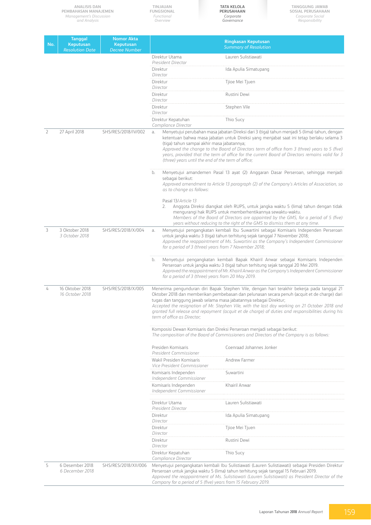|                | <b>ANALISIS DAN</b><br>PEMBAHASAN MANAJEMEN<br><b>Management's Discussion</b><br>and Analysis |                                                        | TINJAUAN<br><b>FUNGSIONAL</b><br>Functional<br>Overview                                                                                                                                                                                                                                                                                                                                                                                                                                                | <b>TATA KELOLA</b><br>PERUSAHAAN<br>Corporate<br>Governance                                                                                                           | <b>TANGGUNG JAWAB</b><br>SOSIAL PERUSAHAAN<br>Corporate Social<br>Responsibility                                                                                                                                                                                                                                                                                                                                                                                                                                                                                                |  |
|----------------|-----------------------------------------------------------------------------------------------|--------------------------------------------------------|--------------------------------------------------------------------------------------------------------------------------------------------------------------------------------------------------------------------------------------------------------------------------------------------------------------------------------------------------------------------------------------------------------------------------------------------------------------------------------------------------------|-----------------------------------------------------------------------------------------------------------------------------------------------------------------------|---------------------------------------------------------------------------------------------------------------------------------------------------------------------------------------------------------------------------------------------------------------------------------------------------------------------------------------------------------------------------------------------------------------------------------------------------------------------------------------------------------------------------------------------------------------------------------|--|
| No.            | <b>Tanggal</b><br><b>Keputusan</b><br><b>Resolution Date</b>                                  | <b>Nomor Akta</b><br>Keputusan<br><b>Decree Number</b> |                                                                                                                                                                                                                                                                                                                                                                                                                                                                                                        | <b>Ringkasan Keputusan</b><br><b>Summary of Resolution</b>                                                                                                            |                                                                                                                                                                                                                                                                                                                                                                                                                                                                                                                                                                                 |  |
|                |                                                                                               |                                                        | Direktur Utama                                                                                                                                                                                                                                                                                                                                                                                                                                                                                         | Lauren Sulistiawati                                                                                                                                                   |                                                                                                                                                                                                                                                                                                                                                                                                                                                                                                                                                                                 |  |
|                |                                                                                               |                                                        | President Director<br>Direktur                                                                                                                                                                                                                                                                                                                                                                                                                                                                         | Ida Apulia Simatupang                                                                                                                                                 |                                                                                                                                                                                                                                                                                                                                                                                                                                                                                                                                                                                 |  |
|                |                                                                                               |                                                        | Director<br>Direktur                                                                                                                                                                                                                                                                                                                                                                                                                                                                                   | Tjioe Mei Tjuen                                                                                                                                                       |                                                                                                                                                                                                                                                                                                                                                                                                                                                                                                                                                                                 |  |
|                |                                                                                               |                                                        | Director<br>Direktur                                                                                                                                                                                                                                                                                                                                                                                                                                                                                   | Rustini Dewi                                                                                                                                                          |                                                                                                                                                                                                                                                                                                                                                                                                                                                                                                                                                                                 |  |
|                |                                                                                               |                                                        | Director<br>Direktur                                                                                                                                                                                                                                                                                                                                                                                                                                                                                   | Stephen Vile                                                                                                                                                          |                                                                                                                                                                                                                                                                                                                                                                                                                                                                                                                                                                                 |  |
|                |                                                                                               |                                                        | Director                                                                                                                                                                                                                                                                                                                                                                                                                                                                                               |                                                                                                                                                                       |                                                                                                                                                                                                                                                                                                                                                                                                                                                                                                                                                                                 |  |
|                |                                                                                               |                                                        | Direktur Kepatuhan<br>Compliance Director                                                                                                                                                                                                                                                                                                                                                                                                                                                              | Thio Sucy                                                                                                                                                             |                                                                                                                                                                                                                                                                                                                                                                                                                                                                                                                                                                                 |  |
| $\overline{2}$ | 27 April 2018                                                                                 | SHS/RES/2018/IV/002                                    | a.<br>(tiga) tahun sampai akhir masa jabatannya;<br>b.<br>sebagai berikut:<br>as to change as follows:                                                                                                                                                                                                                                                                                                                                                                                                 | (three) years until the end of the term of office;                                                                                                                    | Menyetujui perubahan masa jabatan Direksi dari 3 (tiga) tahun menjadi 5 (lima) tahun, dengan<br>ketentuan bahwa masa jabatan untuk Direksi yang menjabat saat ini tetap berlaku selama 3<br>Approved the change to the Board of Directors term of office from 3 (three) years to 5 (five)<br>years, provided that the term of office for the current Board of Directors remains valid for 3<br>Menyetujui amandemen Pasal 13 ayat (2) Anggaran Dasar Perseroan, sehingga menjadi<br>Approved amendment to Article 13 paragraph (2) of the Company's Articles of Association, so |  |
|                |                                                                                               |                                                        | Pasal 13/Article 13<br>2.                                                                                                                                                                                                                                                                                                                                                                                                                                                                              | mengurangi hak RUPS untuk memberhentikannya sewaktu-waktu.<br>years without reducing to the right of the GMS to dismiss them at any time.                             | Anggota Direksi diangkat oleh RUPS, untuk jangka waktu 5 (lima) tahun dengan tidak<br>Members of the Board of Directors are appointed by the GMS, for a period of 5 (five)                                                                                                                                                                                                                                                                                                                                                                                                      |  |
| 3              | 3 Oktober 2018<br>3 October 2018                                                              | SHS/RES/2018/X/004                                     | a.                                                                                                                                                                                                                                                                                                                                                                                                                                                                                                     | untuk jangka waktu 3 (tiga) tahun terhitung sejak tanggal 7 November 2018;<br>for a period of 3 (three) years from 7 November 2018;                                   | Menyetujui pengangkatan kembali Ibu Suwartini sebagai Komisaris Independen Perseroan<br>Approved the reappointment of Ms. Suwartini as the Company's Independent Commissioner                                                                                                                                                                                                                                                                                                                                                                                                   |  |
|                |                                                                                               |                                                        | b.                                                                                                                                                                                                                                                                                                                                                                                                                                                                                                     | Perseroan untuk jangka waktu 3 (tiga) tahun terhitung sejak tanggal 20 Mei 2019.<br>for a period of 3 (three) years from 20 May 2019.                                 | Menyetujui pengangkatan kembali Bapak Khairil Anwar sebagai Komisaris Independen<br>Approved the reappointment of Mr. Khairil Anwar as the Company's Independent Commissioner                                                                                                                                                                                                                                                                                                                                                                                                   |  |
|                | 16 Oktober 2018<br>16 October 2018                                                            | SHS/RES/2018/X/005                                     | Menerima pengunduran diri Bapak Stephen Vile, dengan hari terakhir bekerja pada tanggal 21<br>Oktober 2018 dan memberikan pembebasan dan pelunasan secara penuh (acquit et de charge) dari<br>tugas dan tanggung jawab selama masa jabatannya sebagai Direktur;<br>Accepted the resignation of Mr. Stephen Vile, with the last day working on 21 October 2018 and<br>granted full release and repayment (acquit et de charge) of duties and responsibilities during his<br>term of office as Director; |                                                                                                                                                                       |                                                                                                                                                                                                                                                                                                                                                                                                                                                                                                                                                                                 |  |
|                |                                                                                               |                                                        |                                                                                                                                                                                                                                                                                                                                                                                                                                                                                                        | Komposisi Dewan Komisaris dan Direksi Perseroan menjadi sebagai berikut:<br>The composition of the Board of Commissioners and Directors of the Company is as follows: |                                                                                                                                                                                                                                                                                                                                                                                                                                                                                                                                                                                 |  |
|                |                                                                                               |                                                        | Presiden Komisaris                                                                                                                                                                                                                                                                                                                                                                                                                                                                                     | Coenraad Johannes Jonker                                                                                                                                              |                                                                                                                                                                                                                                                                                                                                                                                                                                                                                                                                                                                 |  |
|                |                                                                                               |                                                        | President Commissioner<br>Wakil Presiden Komisaris                                                                                                                                                                                                                                                                                                                                                                                                                                                     | Andrew Farmer                                                                                                                                                         |                                                                                                                                                                                                                                                                                                                                                                                                                                                                                                                                                                                 |  |
|                |                                                                                               |                                                        | Vice President Commissioner<br>Komisaris Independen                                                                                                                                                                                                                                                                                                                                                                                                                                                    | Suwartini                                                                                                                                                             |                                                                                                                                                                                                                                                                                                                                                                                                                                                                                                                                                                                 |  |
|                |                                                                                               |                                                        | Independent Commissioner                                                                                                                                                                                                                                                                                                                                                                                                                                                                               |                                                                                                                                                                       |                                                                                                                                                                                                                                                                                                                                                                                                                                                                                                                                                                                 |  |
|                |                                                                                               |                                                        | Komisaris Independen<br>Independent Commissioner                                                                                                                                                                                                                                                                                                                                                                                                                                                       | Khairil Anwar                                                                                                                                                         |                                                                                                                                                                                                                                                                                                                                                                                                                                                                                                                                                                                 |  |
|                |                                                                                               |                                                        | Direktur Utama<br>President Director                                                                                                                                                                                                                                                                                                                                                                                                                                                                   | Lauren Sulistiawati                                                                                                                                                   |                                                                                                                                                                                                                                                                                                                                                                                                                                                                                                                                                                                 |  |
|                |                                                                                               |                                                        | Direktur<br>Director                                                                                                                                                                                                                                                                                                                                                                                                                                                                                   | Ida Apulia Simatupang                                                                                                                                                 |                                                                                                                                                                                                                                                                                                                                                                                                                                                                                                                                                                                 |  |
|                |                                                                                               |                                                        | Direktur<br>Director                                                                                                                                                                                                                                                                                                                                                                                                                                                                                   | Tjioe Mei Tjuen                                                                                                                                                       |                                                                                                                                                                                                                                                                                                                                                                                                                                                                                                                                                                                 |  |
|                |                                                                                               |                                                        | Direktur<br>Director                                                                                                                                                                                                                                                                                                                                                                                                                                                                                   | Rustini Dewi                                                                                                                                                          |                                                                                                                                                                                                                                                                                                                                                                                                                                                                                                                                                                                 |  |
|                |                                                                                               |                                                        | Direktur Kepatuhan                                                                                                                                                                                                                                                                                                                                                                                                                                                                                     | Thio Sucy                                                                                                                                                             |                                                                                                                                                                                                                                                                                                                                                                                                                                                                                                                                                                                 |  |
| 5              | 6 Desember 2018<br>6 December 2018                                                            | SHS/RES/2018/XII/006                                   | Compliance Director                                                                                                                                                                                                                                                                                                                                                                                                                                                                                    | Perseroan untuk jangka waktu 5 (lima) tahun terhitung sejak tanggal 15 Februari 2019.<br>Company for a period of 5 (five) years from 15 February 2019.                | Menyetujui pengangkatan kembali Ibu Sulistiawati (Lauren Sulistiawati) sebagai Presiden Direktur<br>Approved the reappointment of Ms. Sulistiawati (Lauren Sulistiawati) as President Director of the                                                                                                                                                                                                                                                                                                                                                                           |  |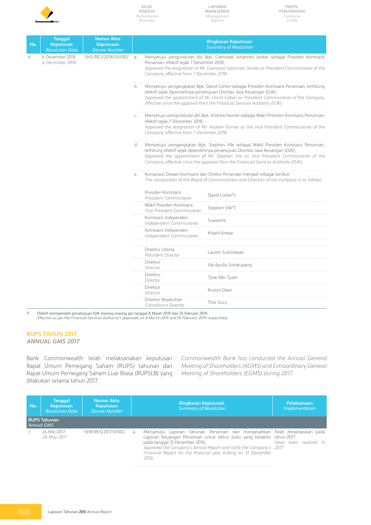

**Laporan Manajemen** *Management Reports*

| No. | Tanggal<br><b>Keputusan</b><br><b>Resolution Date</b> | <b>Nomor Akta</b><br>Keputusan<br><b>Decree Number</b> |                |                                                                                                                                                                                                                                                                                                                                                     | <b>Ringkasan Keputusan</b><br><b>Summary of Resolution</b>                                                                                                                            |  |  |  |  |  |  |                                                         |                |  |  |  |  |  |  |  |  |  |  |  |  |  |  |  |  |  |                                      |                     |                                                  |           |  |  |  |
|-----|-------------------------------------------------------|--------------------------------------------------------|----------------|-----------------------------------------------------------------------------------------------------------------------------------------------------------------------------------------------------------------------------------------------------------------------------------------------------------------------------------------------------|---------------------------------------------------------------------------------------------------------------------------------------------------------------------------------------|--|--|--|--|--|--|---------------------------------------------------------|----------------|--|--|--|--|--|--|--|--|--|--|--|--|--|--|--|--|--|--------------------------------------|---------------------|--------------------------------------------------|-----------|--|--|--|
| 6   | 6 Desember 2018<br>6 December 2018                    | SHS/RES/2018/XII/007                                   | a <sub>x</sub> | Perseroan, efektif sejak 7 Desember 2018;<br>Company, effective from 7 December 2018;                                                                                                                                                                                                                                                               | Menyetujui pengunduran diri Bpk. Coenraad Johannes Jonker sebagai Presiden Komisaris<br>Approved the resignation of Mr. Coenraad Johannes Jonker as President Commissioner of the     |  |  |  |  |  |  |                                                         |                |  |  |  |  |  |  |  |  |  |  |  |  |  |  |  |  |  |                                      |                     |                                                  |           |  |  |  |
|     |                                                       |                                                        |                | Menyetujui pengangkatan Bpk. David Cohen sebagai Presiden Komisaris Perseroan, terhitung<br>b.<br>efektif sejak diperolehnya persetujuan Otoritas Jasa Keuangan (OJK);<br>Approved the appointment of Mr. David Cohen as President Commissioner of the Company,<br>effective since the approval from the Financial Services Authority (OJK);        |                                                                                                                                                                                       |  |  |  |  |  |  |                                                         |                |  |  |  |  |  |  |  |  |  |  |  |  |  |  |  |  |  |                                      |                     |                                                  |           |  |  |  |
|     |                                                       |                                                        | $\mathsf{C}$ . | efektif sejak 7 Desember 2018;<br>Company, effective from 7 December 2018;                                                                                                                                                                                                                                                                          | Menyetujui pengunduran diri Bpk. Andrew Farmer sebagai Wakil Presiden Komisaris Perseroan,<br>Approved the resignation of Mr. Andrew Farmer as the Vice President Commissioner of the |  |  |  |  |  |  |                                                         |                |  |  |  |  |  |  |  |  |  |  |  |  |  |  |  |  |  |                                      |                     |                                                  |           |  |  |  |
|     |                                                       |                                                        | d.             | Menyetujui pengangkatan Bpk. Stephen Vile sebagai Wakil Presiden Komisaris Perseroan,<br>terhitung efektif sejak diperolehnya persetujuan Otoritas Jasa Keuangan (OJK);<br>Approved the appointment of Mr. Stephen Vile as Vice President Commissioner of the<br>Company, effective since the approval from the Financial Services Authority (OJK); |                                                                                                                                                                                       |  |  |  |  |  |  |                                                         |                |  |  |  |  |  |  |  |  |  |  |  |  |  |  |  |  |  |                                      |                     |                                                  |           |  |  |  |
|     |                                                       |                                                        | е.             |                                                                                                                                                                                                                                                                                                                                                     | Komposisi Dewan Komisaris dan Direksi Perseroan menjadi sebagai berikut:<br>The composition of the Board of Commissioners and Directors of the Company is as follows:                 |  |  |  |  |  |  |                                                         |                |  |  |  |  |  |  |  |  |  |  |  |  |  |  |  |  |  |                                      |                     |                                                  |           |  |  |  |
|     |                                                       |                                                        |                | Presiden Komisaris<br>President Commissioner                                                                                                                                                                                                                                                                                                        | David Cohen*)                                                                                                                                                                         |  |  |  |  |  |  |                                                         |                |  |  |  |  |  |  |  |  |  |  |  |  |  |  |  |  |  |                                      |                     |                                                  |           |  |  |  |
|     |                                                       |                                                        |                |                                                                                                                                                                                                                                                                                                                                                     |                                                                                                                                                                                       |  |  |  |  |  |  | Wakil Presiden Komisaris<br>Vice President Commissioner | Stephen Vile*) |  |  |  |  |  |  |  |  |  |  |  |  |  |  |  |  |  |                                      |                     |                                                  |           |  |  |  |
|     |                                                       |                                                        |                |                                                                                                                                                                                                                                                                                                                                                     |                                                                                                                                                                                       |  |  |  |  |  |  |                                                         |                |  |  |  |  |  |  |  |  |  |  |  |  |  |  |  |  |  |                                      |                     | Komisaris Independen<br>Independent Commissioner | Suwartini |  |  |  |
|     |                                                       |                                                        |                |                                                                                                                                                                                                                                                                                                                                                     |                                                                                                                                                                                       |  |  |  |  |  |  |                                                         |                |  |  |  |  |  |  |  |  |  |  |  |  |  |  |  |  |  |                                      |                     |                                                  |           |  |  |  |
|     |                                                       |                                                        |                |                                                                                                                                                                                                                                                                                                                                                     |                                                                                                                                                                                       |  |  |  |  |  |  |                                                         |                |  |  |  |  |  |  |  |  |  |  |  |  |  |  |  |  |  | Direktur Utama<br>President Director | Lauren Sulistiawati |                                                  |           |  |  |  |
|     |                                                       |                                                        |                | Direktur<br>Director                                                                                                                                                                                                                                                                                                                                | Ida Apulia Simatupang                                                                                                                                                                 |  |  |  |  |  |  |                                                         |                |  |  |  |  |  |  |  |  |  |  |  |  |  |  |  |  |  |                                      |                     |                                                  |           |  |  |  |
|     |                                                       |                                                        |                | Direktur<br>Director                                                                                                                                                                                                                                                                                                                                | Tjioe Mei Tjuen                                                                                                                                                                       |  |  |  |  |  |  |                                                         |                |  |  |  |  |  |  |  |  |  |  |  |  |  |  |  |  |  |                                      |                     |                                                  |           |  |  |  |
|     |                                                       |                                                        |                | Direktur<br>Director                                                                                                                                                                                                                                                                                                                                | Rustini Dewi                                                                                                                                                                          |  |  |  |  |  |  |                                                         |                |  |  |  |  |  |  |  |  |  |  |  |  |  |  |  |  |  |                                      |                     |                                                  |           |  |  |  |
|     |                                                       |                                                        |                | Direktur Kepatuhan<br>Compliance Director                                                                                                                                                                                                                                                                                                           | Thio Sucy                                                                                                                                                                             |  |  |  |  |  |  |                                                         |                |  |  |  |  |  |  |  |  |  |  |  |  |  |  |  |  |  |                                      |                     |                                                  |           |  |  |  |

\*) Efektif memperoleh persetujuan OJK masing-masing per tanggal 8 Maret 2019 dan 25 Februari 2019. *Effective as per the Financial Services Authority's approvals on 8 March 2019 and 25 February 2019 respectively.*

#### **RUPS TAHUN 2017** *Annual GMS 2017*

Bank Commonwealth telah melaksanakan keputusan Rapat Umum Pemegang Saham (RUPS) tahunan dan Rapat Umum Pemegang Saham Luar Biasa (RUPSLB) yang dilakukan selama tahun 2017.

*Commonwealth Bank has conducted the Annual General Meeting of Shareholders (AGMS) and Extraordinary General Meeting of Shareholders (EGMS) during 2017.*

| No. | <b>Tanggal</b><br>Keputusan<br><b>Resolution Date</b> | Nomor Akta<br>Keputusan<br>Decree Number |              | <b>Ringkasan Keputusan</b><br><b>Summary of Resolution</b>                                                                                                                                                                                                                                                                               | Pelaksanaan<br><i>Implementation</i> |
|-----|-------------------------------------------------------|------------------------------------------|--------------|------------------------------------------------------------------------------------------------------------------------------------------------------------------------------------------------------------------------------------------------------------------------------------------------------------------------------------------|--------------------------------------|
|     | <b>RUPS Tahunan</b><br>Annual GMS                     |                                          |              |                                                                                                                                                                                                                                                                                                                                          |                                      |
|     | 24 Mei 2017<br>24 May 2017                            | SHR/RES/2017/V/002                       | $\partial$ . | Menyetujui Laporan Tahunan Perseroan dan mengesahkan Telah direalisasikan pada<br>Laporan Keuangan Perseroan untuk tahun buku yang berakhir tahun 2017<br>pada tanggal 31 Desember 2016;<br>Approved the Company's Annual Report and ratify the Company's 2017<br>Financial Report for the financial year ending on 31 December<br>2016: | Have been realized in                |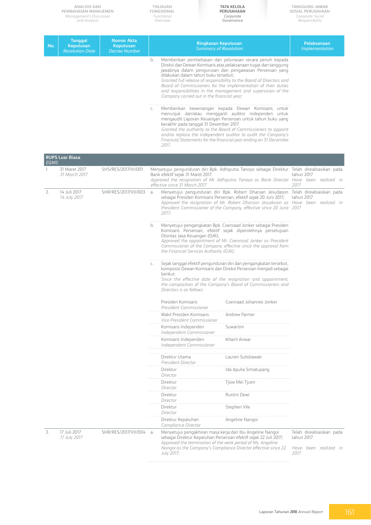|             | <b>ANALISIS DAN</b><br>PEMBAHASAN MANAJEMEN<br>Management's Discussion<br>and Analysis |                                                        | TINJAUAN<br><b>FUNGSIONAL</b><br>Functional<br>Overview |                                                                                                                               | <b>TATA KELOLA</b><br>PERUSAHAAN<br>Corporate<br>Governance                                                                                                                                                                                                                                                                                                                                                                                                                                                                                                                                                                                   | TANGGUNG JAWAB<br>SOSIAL PERUSAHAAN<br>Corporate Social<br>Responsibility |  |
|-------------|----------------------------------------------------------------------------------------|--------------------------------------------------------|---------------------------------------------------------|-------------------------------------------------------------------------------------------------------------------------------|-----------------------------------------------------------------------------------------------------------------------------------------------------------------------------------------------------------------------------------------------------------------------------------------------------------------------------------------------------------------------------------------------------------------------------------------------------------------------------------------------------------------------------------------------------------------------------------------------------------------------------------------------|---------------------------------------------------------------------------|--|
| No.         | <b>Tanggal</b><br>Keputusan<br><b>Resolution Date</b>                                  | <b>Nomor Akta</b><br><b>Keputusan</b><br>Decree Number |                                                         | <b>Ringkasan Keputusan</b><br><b>Summary of Resolution</b>                                                                    |                                                                                                                                                                                                                                                                                                                                                                                                                                                                                                                                                                                                                                               | Pelaksanaan<br><i>Implementation</i>                                      |  |
|             |                                                                                        |                                                        | b.<br>C.                                                | dilakukan dalam tahun buku tersebut;<br>Company carried out in the financial year;<br>berakhir pada tanggal 31 Desember 2017. | Memberikan pembebasan dan pelunasan secara penuh kepada<br>Direksi dan Dewan Komisaris atas pelaksanaan tugas dan tanggung<br>jawabnya dalam pengurusan dan pengawasan Perseroan yang<br>Granted full release of responsibility to the Board of Directors and<br>Board of Commissioners for the implementation of their duties<br>and responsibilities in the management and supervision of the<br>Memberikan kewenangan kepada Dewan Komisaris untuk<br>menunjuk dan/atau mengganti auditor independen untuk<br>mengaudit Laporan Keuangan Perseroan untuk tahun buku yang<br>Granted the authority to the Board of Commissioners to appoint |                                                                           |  |
|             |                                                                                        |                                                        | 2017.                                                   |                                                                                                                               | and/or replace the independent auditor to audit the Company's<br>Financial Statements for the financial year ending on 31 December                                                                                                                                                                                                                                                                                                                                                                                                                                                                                                            |                                                                           |  |
| <b>EGMS</b> | <b>RUPS Luar Biasa</b>                                                                 |                                                        |                                                         |                                                                                                                               |                                                                                                                                                                                                                                                                                                                                                                                                                                                                                                                                                                                                                                               |                                                                           |  |
| Ъ.          | 31 Maret 2017<br>31 March 2017                                                         | SHS/RES/2017/III/001                                   | Bank efektif sejak 31 Maret 2017                        |                                                                                                                               | Menyetujui pengunduran diri Bpk. Adhiputra Tanoyo sebagai Direktur Telah direalisasikan pada<br>Approved the resignation of Mr. Adhiputra Tanoyo as Bank Director Have been realized in                                                                                                                                                                                                                                                                                                                                                                                                                                                       | tahun 2017                                                                |  |
|             |                                                                                        |                                                        | effective since 31 March 2017                           |                                                                                                                               |                                                                                                                                                                                                                                                                                                                                                                                                                                                                                                                                                                                                                                               | 2017                                                                      |  |
| 2.          | 14 Juli 2017<br>14 July 2017                                                           | SHR/RES/2017/VII/003                                   | a.<br>2017;                                             |                                                                                                                               | Menyetujui pengunduran diri Bpk. Robert Dharsan Jesudason Telah direalisasikan pada<br>sebagai Presiden Komisaris Perseroan, efektif sejak 20 Juni 2017;<br>Approved the resignation of Mr. Robert Dharsan Jesudason as Have been realized in<br>President Commissioner of the Company, effective since 20 June 2017                                                                                                                                                                                                                                                                                                                          | tahun 2017                                                                |  |
|             |                                                                                        |                                                        | b.                                                      | Otoritas Jasa Keuangan (OJK);<br>the Financial Services Authority (OJK);                                                      | Menyetujui pengangkatan Bpk. Coenraad Jonker sebagai Presiden<br>Komisaris Perseroan, efektif sejak diperolehnya persetujuan<br>Approved the appointment of Mr. Coenraad Jonker as President<br>Commissioner of the Company, effective since the approval from                                                                                                                                                                                                                                                                                                                                                                                |                                                                           |  |
|             |                                                                                        |                                                        | С.<br>berikut:<br>Directors is as follows:              |                                                                                                                               | Sejak tanggal efektif pengunduran diri dan pengangkatan tersebut,<br>komposisi Dewan Komisaris dan Direksi Perseroan menjadi sebagai<br>Since the effective date of the resignation and appointment,<br>the composition of the Company's Board of Commissioners and                                                                                                                                                                                                                                                                                                                                                                           |                                                                           |  |
|             |                                                                                        |                                                        | Presiden Komisaris                                      | President Commissioner                                                                                                        | Coenraad Johannes Jonker                                                                                                                                                                                                                                                                                                                                                                                                                                                                                                                                                                                                                      |                                                                           |  |
|             |                                                                                        |                                                        |                                                         | Wakil Presiden Komisaris<br>Vice President Commissioner                                                                       | Andrew Farmer                                                                                                                                                                                                                                                                                                                                                                                                                                                                                                                                                                                                                                 |                                                                           |  |
|             |                                                                                        |                                                        | Komisaris Independen                                    | Independent Commissioner                                                                                                      | Suwartini                                                                                                                                                                                                                                                                                                                                                                                                                                                                                                                                                                                                                                     |                                                                           |  |
|             |                                                                                        |                                                        | Komisaris Independen                                    | Independent Commissioner                                                                                                      | Khairil Anwar                                                                                                                                                                                                                                                                                                                                                                                                                                                                                                                                                                                                                                 |                                                                           |  |
|             |                                                                                        |                                                        | Direktur Utama<br>President Director                    |                                                                                                                               | Lauren Sulistiawati                                                                                                                                                                                                                                                                                                                                                                                                                                                                                                                                                                                                                           |                                                                           |  |
|             |                                                                                        |                                                        | Direktur<br>Director                                    |                                                                                                                               | Ida Apulia Simatupang                                                                                                                                                                                                                                                                                                                                                                                                                                                                                                                                                                                                                         |                                                                           |  |
|             |                                                                                        |                                                        | Direktur<br>Director                                    |                                                                                                                               | Tjioe Mei Tjuen                                                                                                                                                                                                                                                                                                                                                                                                                                                                                                                                                                                                                               |                                                                           |  |
|             |                                                                                        |                                                        | Direktur<br>Director                                    |                                                                                                                               | Rustini Dewi                                                                                                                                                                                                                                                                                                                                                                                                                                                                                                                                                                                                                                  |                                                                           |  |
|             |                                                                                        |                                                        | Direktur<br>Director                                    |                                                                                                                               | Stephen Vile                                                                                                                                                                                                                                                                                                                                                                                                                                                                                                                                                                                                                                  |                                                                           |  |
|             |                                                                                        |                                                        | Direktur Kepatuhan<br>Compliance Director               |                                                                                                                               | Angeline Nangoi                                                                                                                                                                                                                                                                                                                                                                                                                                                                                                                                                                                                                               |                                                                           |  |
| 3.          | 17 Juli 2017<br>17 July 2017                                                           | SHR/RES/2017/VII/004                                   | a.                                                      |                                                                                                                               | Menyetujui pengakhiran masa kerja dari Ibu Angeline Nangoi<br>sebagai Direktur Kepatuhan Perseroan efektif sejak 22 Juli 2017;                                                                                                                                                                                                                                                                                                                                                                                                                                                                                                                | Telah direalisasikan pada<br>tahun 2017                                   |  |
|             |                                                                                        |                                                        | July 2017;                                              |                                                                                                                               | Approved the termination of the work period of Ms. Angeline<br>Nangoi as the Company's Compliance Director effective since 22                                                                                                                                                                                                                                                                                                                                                                                                                                                                                                                 | Have been realized in<br>2017                                             |  |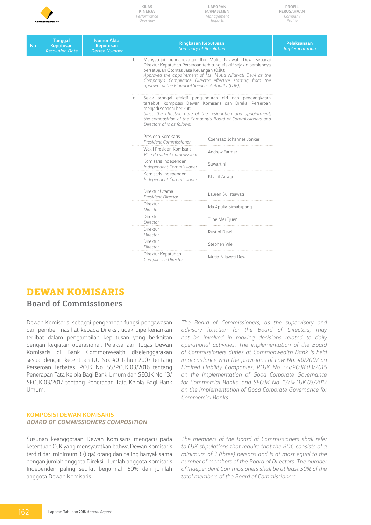

**Laporan Manajemen** *Management Reports*

**Profil Perusahaan** *Company Profile*

| No. | <b>Tanggal</b><br>Keputusan | <b>Nomor Akta</b><br><b>Keputusan</b>                            | <b>Ringkasan Keputusan</b><br><b>Summary of Resolution</b>                                                                                                                                                                                                                                                                                                        | <b>Pelaksanaan</b><br>Implementation                                           |  |  |  |
|-----|-----------------------------|------------------------------------------------------------------|-------------------------------------------------------------------------------------------------------------------------------------------------------------------------------------------------------------------------------------------------------------------------------------------------------------------------------------------------------------------|--------------------------------------------------------------------------------|--|--|--|
|     | <b>Resolution Date</b>      | <b>Decree Number</b>                                             | Menyetujui pengangkatan Ibu Mutia Nilawati Dewi sebagai<br>b.<br>Direktur Kepatuhan Perseroan terhitung efektif sejak diperolehnya<br>persetujuan Otoritas Jasa Keuangan (OJK);<br>Approved the appointment of Ms. Mutia Nilawati Dewi as the<br>Company's Compliance Director effective starting from the<br>approval of the Financial Services Authority (OJK); |                                                                                |  |  |  |
|     |                             |                                                                  | Sejak tanggal efektif pengunduran diri dan pengangkatan<br>$\mathsf{C}$ .<br>tersebut, komposisi Dewan Komisaris dan Direksi Perseroan<br>menjadi sebagai berikut:<br>Since the effective date of the resignation and appointment,<br>the composition of the Company's Board of Commissioners and<br>Directors of is as follows:                                  |                                                                                |  |  |  |
|     |                             |                                                                  | Presiden Komisaris<br>President Commissioner                                                                                                                                                                                                                                                                                                                      |                                                                                |  |  |  |
|     |                             |                                                                  | Wakil Presiden Komisaris<br>Vice President Commissioner                                                                                                                                                                                                                                                                                                           | Andrew Farmer                                                                  |  |  |  |
|     |                             |                                                                  | Komisaris Independen<br>Independent Commissioner                                                                                                                                                                                                                                                                                                                  | Suwartini<br>Komisaris Independen<br>Khairil Anwar<br>Independent Commissioner |  |  |  |
|     |                             |                                                                  |                                                                                                                                                                                                                                                                                                                                                                   |                                                                                |  |  |  |
|     |                             |                                                                  | Direktur Utama<br>President Director                                                                                                                                                                                                                                                                                                                              | Lauren Sulistiawati                                                            |  |  |  |
|     |                             |                                                                  | Direktur<br>Director                                                                                                                                                                                                                                                                                                                                              | Ida Apulia Simatupang                                                          |  |  |  |
|     |                             |                                                                  | Direktur<br>Director                                                                                                                                                                                                                                                                                                                                              | Tjioe Mei Tjuen                                                                |  |  |  |
|     |                             |                                                                  | Direktur<br>Rustini Dewi<br>Director                                                                                                                                                                                                                                                                                                                              |                                                                                |  |  |  |
|     |                             |                                                                  | Direktur<br>Stephen Vile<br>Director                                                                                                                                                                                                                                                                                                                              |                                                                                |  |  |  |
|     |                             | Direktur Kepatuhan<br>Mutia Nilawati Dewi<br>Compliance Director |                                                                                                                                                                                                                                                                                                                                                                   |                                                                                |  |  |  |

### **Dewan Komisaris**

### **Board of Commissioners**

Dewan Komisaris, sebagai pengemban fungsi pengawasan dan pemberi nasihat kepada Direksi, tidak diperkenankan terlibat dalam pengambilan keputusan yang berkaitan dengan kegiatan operasional. Pelaksanaan tugas Dewan Komisaris di Bank Commonwealth diselenggarakan sesuai dengan ketentuan UU No. 40 Tahun 2007 tentang Perseroan Terbatas, POJK No. 55/POJK.03/2016 tentang Penerapan Tata Kelola Bagi Bank Umum dan SEOJK No. 13/ SEOJK.03/2017 tentang Penerapan Tata Kelola Bagi Bank Umum.

*The Board of Commissioners, as the supervisory and advisory function for the Board of Directors, may not be involved in making decisions related to daily operational activities. The implementation of the Board of Commissioners duties at Commonwealth Bank is held in accordance with the provisions of Law No. 40/2007 on Limited Liability Companies, POJK No. 55/POJK.03/2016 on the Implementation of Good Corporate Governance for Commercial Banks, and SEOJK No. 13/SEOJK.03/2017 on the Implementation of Good Corporate Governance for Commercial Banks.*

#### **Komposisi Dewan Komisaris** *Board of Commissioners Composition*

Susunan keanggotaan Dewan Komisaris mengacu pada ketentuan OJK yang mensyaratkan bahwa Dewan Komisaris terdiri dari minimum 3 (tiga) orang dan paling banyak sama dengan jumlah anggota Direksi. Jumlah anggota Komisaris Independen paling sedikit berjumlah 50% dari jumlah anggota Dewan Komisaris.

*The members of the Board of Commissioners shall refer to OJK stipulations that require that the BOC consists of a minimum of 3 (three) persons and is at most equal to the number of members of the Board of Directors. The number of Independent Commissioners shall be at least 50% of the total members of the Board of Commissioners.*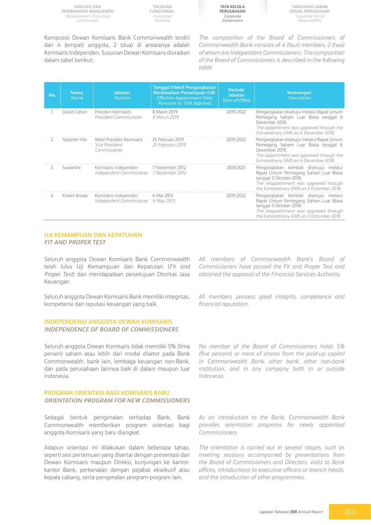**TINJAUAN FUNGSIONAL** *Functional Overview*

**Tata Kelola Perusahaan** *Corporate Governance*

**Tanggung Jawab Sosial Perusahaan** *Corporate Social Responsibility*

Komposisi Dewan Komisaris Bank Commonwealth terdiri dari 4 (empat) anggota, 2 (dua) di antaranya adalah Komisaris Independen. Susunan Dewan Komisaris diuraikan dalam tabel berikut:

*The composition of the Board of Commissioners of Commonwealth Bank consists of 4 (four) members, 2 (two) of whom are Independent Commissioners. The composition of the Board of Commissioners is described in the following table:*

| No. | <b>Nama</b><br><b>Name</b> | <b>Jabatan</b><br><b>Position</b>                                | <b>Tanggal Efektif Pengangkatan</b><br>Berdasarkan Persetujuan OJK<br><b>Effective Appointment Date</b><br><b>Pursuant to OJK Approval</b> | <b>Periode</b><br><b>Jabatan</b><br><b>Term of Office</b> | Keterangan<br><b>Description</b>                                                                                                                                                                 |
|-----|----------------------------|------------------------------------------------------------------|--------------------------------------------------------------------------------------------------------------------------------------------|-----------------------------------------------------------|--------------------------------------------------------------------------------------------------------------------------------------------------------------------------------------------------|
| 1.  | David Cohen                | Presiden Komisaris<br>President Commissioner                     | 8 Maret 2019<br>8 March 2019                                                                                                               | 2019-2022                                                 | Pengangkatan disetujui melalui Rapat Umum<br>Pemegang Saham Luar Biasa tanggal 6<br>Desember 2018.<br>The appointment was approved through the<br>Extraordinary GMS on 6 December 2018.          |
| 2.  | Stephen Vile               | Wakil Presiden Komisaris<br>Vice President<br>Commissioner       | 25 Februari 2019<br>25 February 2019                                                                                                       | 2019-2022                                                 | Pengangkatan disetujui melalui Rapat Umum<br>Pemegang Saham Luar Biasa tanggal 6<br>Desember 2018<br>The appointment was approved through the<br>Extraordinary GMS on 6 December 2018.           |
| 3.  | Suwartini                  | Komisaris Independen<br>Independent Commissioner 7 November 2012 | 7 November 2012                                                                                                                            | 2018-2021                                                 | Pengangkatan kembali disetujui melalui<br>Rapat Umum Pemegang Saham Luar Biasa<br>tanggal 3 Oktober 2018.<br>The reappointment was approved through<br>the Extraordinary GMS on 3 Octomber 2018. |
| 4.  | Khairil Anwar              | Komisaris Independen<br>Independent Commissioner 6 May 2013      | 6 Mei 2013                                                                                                                                 | 2019-2022                                                 | Pengangkatan kembali disetujui melalui<br>Rapat Umum Pemegang Saham Luar Biasa<br>tanggal 3 Oktober 2018.<br>The reappointment was approved through<br>the Extraordinary GMS on 3 Octomber 2018. |

#### **UJI KEMAMPUAN DAN KEPATUHAN** *FIT AND PROPER TEST*

Seluruh anggota Dewan Komisaris Bank Commonwealth telah lulus Uji Kemampuan dan Kepatutan (*Fit and Proper Test*) dan mendapatkan persetujuan Otoritas Jasa Keuangan.

Seluruh anggota Dewan Komisaris Bank memiliki integritas, kompetensi dan reputasi keuangan yang baik.

#### **INDEPENDENSI ANGGOTA DEWAN KOMISARIS** *Independence of board of COMMISSIONERS*

Seluruh anggota Dewan Komisaris tidak memiliki 5% (lima persen) saham atau lebih dari modal disetor pada Bank Commonwealth, bank lain, lembaga keuangan non-Bank, dan pada perusahaan lainnya baik di dalam maupun luar Indonesia.

#### **PROGRAM ORIENTASI BAGI KOMISARIS BARU** *ORIENTATION PROGRAM FOR NEW COMMISSIONERS*

Sebagai bentuk pengenalan terhadap Bank, Bank Commonwealth memberikan program orientasi bagi anggota Komisaris yang baru diangkat.

Adapun orientasi ini dilakukan dalam beberapa tahap, seperti sesi pertemuan yang disertai dengan presentasi dari Dewan Komisaris maupun Direksi, kunjungan ke kantorkantor Bank, perkenalan dengan pejabat eksekutif atau kepala cabang, serta pengenalan program-program lain.

*All members of Commonwealth Bank's Board of Commissioners have passed the Fit and Proper Test and obtained the approval of the Financial Services Authority.*

*All members possess good integrity, competence and financial reputation.* 

*No member of the Board of Commissioners holds 5% (five percent) or more of shares from the paid-up capital in Commonwealth Bank, other bank, other non-bank institution, and in any company both in or outside Indonesia.*

*As an introduction to the Bank, Commonwealth Bank provides orientation programs for newly appointed Commissioners.*

*The orientation is carried out in several stages, such as meeting sessions accompanied by presentations from the Board of Commissioners and Directors, visits to Bank offices, introductions to executive officers or branch heads, and the introduction of other programmes.*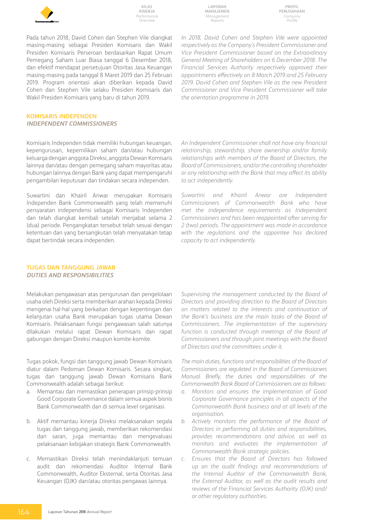

**Laporan Manajemen** *Management Reports*

*the orientation programme in 2019.*

**Profil Perusahaan** *Company Profile*

Pada tahun 2018, David Cohen dan Stephen Vile diangkat masing-masing sebagai Presiden Komisaris dan Wakil Presiden Komisaris Perseroan berdasarkan Rapat Umum Pemegang Saham Luar Biasa tanggal 6 Desember 2018, dan efektif mendapat persetujuan Otoritas Jasa Keuangan masing-masing pada tanggal 8 Maret 2019 dan 25 Februari 2019. Program orientasi akan diberikan kepada David Cohen dan Stephen Vile selaku Presiden Komisaris dan Wakil Presiden Komisaris yang baru di tahun 2019.

#### **KOMISARIS INDEPENDEN** *INDEPENDENT COMMISSIONERS*

Komisaris Independen tidak memiliki hubungan keuangan, kepengurusan, kepemilikan saham dan/atau hubungan keluarga dengan anggota Direksi, anggota Dewan Komisaris lainnya dan/atau dengan pemegang saham mayoritas atau hubungan lainnya dengan Bank yang dapat mempengaruhi pengambilan keputusan dan tindakan secara independen.

Suwartini dan Khairil Anwar merupakan Komisaris Independen Bank Commonwealth yang telah memenuhi persyaratan independensi sebagai Komisaris Independen dan telah diangkat kembali setelah menjabat selama 2 (dua) periode. Pengangkatan tersebut telah sesuai dengan ketentuan dan yang bersangkutan telah menyatakan tetap dapat bertindak secara independen.

*An Independent Commissioner shall not have any financial relationship, stewardship, share ownership and/or family relationships with members of the Board of Directors, the Board of Commissioners, and/or the controlling shareholder or any relationship with the Bank that may affect its ability to act independently.*

*In 2018, David Cohen and Stephen Vile were appointed respectively as the Company's President Commissioner and Vice President Commissioner based on the Extraordinary General Meeting of Shareholders on 6 December 2018. The Financial Services Authority respectively approved their appointments effectively on 8 March 2019 and 25 February 2019. David Cohen and Stephen Vile as the new President Commissioner and Vice President Commissioner will take* 

*Suwartini and Khairil Anwar are Independent Commissioners of Commonwealth Bank who have met the independence requirements as Independent Commissioners and has been reappointed after serving for 2 (two) periods. The appointment was made in accordance with the regulations and the appointee has declared capacity to act independently.*

#### **TUGAS DAN TANGGUNG JAWAB** *DUTIES AND RESPONSIBILITIES*

Melakukan pengawasan atas pengurusan dan pengelolaan usaha oleh Direksi serta memberikan arahan kepada Direksi mengenai hal-hal yang berkaitan dengan kepentingan dan kelanjutan usaha Bank merupakan tugas utama Dewan Komisaris. Pelaksanaan fungsi pengawasan salah satunya dilakukan melalui rapat Dewan Komisaris dan rapat gabungan dengan Direksi maupun komite-komite.

Tugas pokok, fungsi dan tanggung jawab Dewan Komisaris diatur dalam Pedoman Dewan Komisaris. Secara singkat, tugas dan tanggung jawab Dewan Komisaris Bank Commonwealth adalah sebagai berikut:

- a. Memantau dan memastikan penerapan prinsip-prinsip Good Corporate Governance dalam semua aspek bisnis Bank Commonwealth dan di semua level organisasi.
- b. Aktif memantau kinerja Direksi melaksanakan segala tugas dan tanggung jawab, memberikan rekomendasi dan saran, juga memantau dan mengevaluasi pelaksanaan kebijakan strategis Bank Commonwealth.
- c. Memastikan Direksi telah menindaklanjuti temuan audit dan rekomendasi Auditor Internal Bank Commonwealth, Auditor Eksternal, serta Otoritas Jasa Keuangan (OJK) dan/atau otoritas pengawas lainnya.

*Supervising the management conducted by the Board of Directors and providing direction to the Board of Directors on matters related to the interests and continuation of the Bank's business are the main tasks of the Board of Commissioners. The implementation of the supervisory function is conducted through meetings of the Board of Commissioners and through joint meetings with the Board of Directors and the committees under it.* 

*The main duties, functions and responsibilities of the Board of Commissioners are regulated in the Board of Commissioners Manual. Briefly, the duties and responsibilities of the Commonwealth Bank Board of Commissioners are as follows:* 

- *a. Monitors and ensures the implementation of Good Corporate Governance principles in all aspects of the Commonwealth Bank business and at all levels of the organisation.*
- *b. Actively monitors the performance of the Board of Directors in performing all duties and responsibilities, provides recommendations and advice, as well as monitors and evaluates the implementation of Commonwealth Bank strategic policies.*
- *c. Ensures that the Board of Directors has followed up on the audit findings and recommendations of the Internal Auditor of the Commonwealth Bank, the External Auditor, as well as the audit results and reviews of the Financial Services Authority (OJK) and/ or other regulatory authorities.*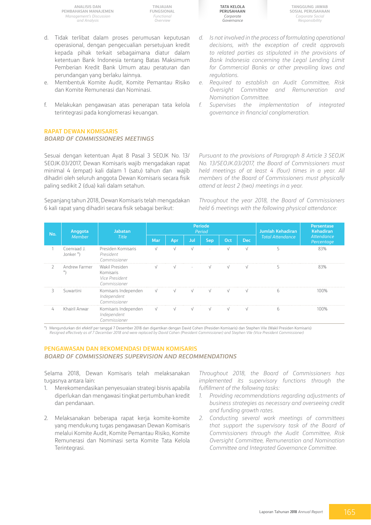**TINJAUAN FUNGSIONAL** *Functional Overview*

- d. Tidak terlibat dalam proses perumusan keputusan operasional, dengan pengecualian persetujuan kredit kepada pihak terkait sebagaimana diatur dalam ketentuan Bank Indonesia tentang Batas Maksimum Pemberian Kredit Bank Umum atau peraturan dan perundangan yang berlaku lainnya.
- e. Membentuk Komite Audit, Komite Pemantau Risiko dan Komite Remunerasi dan Nominasi.
- f. Melakukan pengawasan atas penerapan tata kelola terintegrasi pada konglomerasi keuangan.

#### **RAPAT DEWAN KOMISARIS** *BOARD OF COMMISSIONERS MEETINGS*

Sesuai dengan ketentuan Ayat 8 Pasal 3 SEOJK No. 13/ SEOJK.03/2017, Dewan Komisaris wajib mengadakan rapat minimal 4 (empat) kali dalam 1 (satu) tahun dan wajib dihadiri oleh seluruh anggota Dewan Komisaris secara fisik paling sedikit 2 (dua) kali dalam setahun.

Sepanjang tahun 2018, Dewan Komisaris telah mengadakan 6 kali rapat yang dihadiri secara fisik sebagai berikut:



**Tanggung Jawab Sosial Perusahaan** *Corporate Social Responsibility*

- *d. Is not involved in the process of formulating operational decisions, with the exception of credit approvals to related parties as stipulated in the provisions of Bank Indonesia concerning the Legal Lending Limit for Commercial Banks or other prevailing laws and regulations.*
- *e. Required to establish an Audit Committee, Risk Oversight Committee and Remuneration and Nomination Committee.*
- *f. Supervises the implementation of integrated governance in financial conglomeration.*

*Pursuant to the provisions of Paragraph 8 Article 3 SEOJK No. 13/SEOJK.03/2017, the Board of Commissioners must held meetings of at least 4 (four) times in a year. All members of the Board of Commissioners must physically attend at least 2 (two) meetings in a year.* 

*Throughout the year 2018, the Board of Commissioners held 6 meetings with the following physical attendance:*

| No. | Anggota<br>Member        | <b>Jabatan</b><br><b>Title</b>                                | Periode<br>Period |           |            |                          |            |            | Jumlah Kehadiran        | <b>Persentase</b><br>Kehadiran |
|-----|--------------------------|---------------------------------------------------------------|-------------------|-----------|------------|--------------------------|------------|------------|-------------------------|--------------------------------|
|     |                          |                                                               | Mar               | Apr       | Jul        | <b>Sep</b>               | Oct        | <b>Dec</b> | <b>Total Attendance</b> | Attendance<br>Percentage       |
|     | Coenraad J.<br>Jonker *) | Presiden Komisaris<br>President<br>Commissioner               | $\sqrt{ }$        | $\sqrt{}$ | $\sqrt{ }$ | $\overline{\phantom{a}}$ | $\sqrt{ }$ | $\sqrt{ }$ |                         | 83%                            |
|     | Andrew Farmer            | Wakil Presiden<br>Komisaris<br>Vice President<br>Commissioner |                   | V         |            | V                        | $\sqrt{ }$ |            | C.                      | 83%                            |
| 3   | Suwartini                | Komisaris Independen<br>Independent<br>Commissioner           | $\sqrt{ }$        | V         |            |                          |            |            |                         | 100%                           |
| 4   | Khairil Anwar            | Komisaris Independen<br>Independent<br>^ommissioner           | $\sqrt{}$         | V         |            |                          |            |            |                         |                                |

\*) Mengundurkan diri efektif per tanggal 7 Desember 2018 dan digantikan dengan David Cohen (Presiden Komisaris) dan Stephen Vile (Wakil Presiden Komisaris) *Resigned effectively as of 7 December 2018 and were replaced by David Cohen (President Commissioner) and Stephen Vile (Vice President Commissioner)*

#### **PENGAWASAN DAN REKOMENDASI DEWAN KOMISARIS** *BOARD OF COMMISSIONERS SUPERVISION AND RECOMMENDATIONS*

Selama 2018, Dewan Komisaris telah melaksanakan tugasnya antara lain:

- 1. Merekomendasikan penyesuaian strategi bisnis apabila diperlukan dan mengawasi tingkat pertumbuhan kredit dan pendanaan.
- 2. Melaksanakan beberapa rapat kerja komite-komite yang mendukung tugas pengawasan Dewan Komisaris melalui Komite Audit, Komite Pemantau Risiko, Komite Remunerasi dan Nominasi serta Komite Tata Kelola Terintegrasi.

*Throughout 2018, the Board of Commissioners has implemented its supervisory functions through the fulfillment of the following tasks:* 

- *1. Providing recommendations regarding adjustments of business strategies as necessary and overseeing credit and funding growth rates.*
- *2. Conducting several work meetings of committees that support the supervisory task of the Board of Commissioners through the Audit Committee, Risk Oversight Committee, Remuneration and Nomination Committee and Integrated Governance Committee.*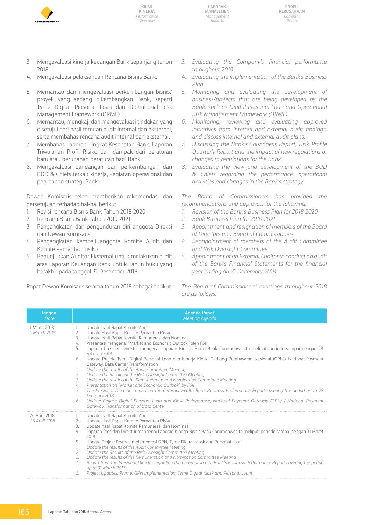

**Laporan Manajemen** *Management Reports*



- 3. Mengevaluasi kinerja keuangan Bank sepanjang tahun 2018.
- 4. Mengevaluasi pelaksanaan Rencana Bisnis Bank.
- 5. Memantau dan mengevaluasi perkembangan bisnis/ proyek yang sedang dikembangkan Bank, seperti Tyme Digital Personal Loan dan Operational Risk Management Framework (ORMF).
- 6. Memantau, mengkaji dan mengevaluasi tindakan yang disetujui dari hasil temuan audit internal dan eksternal, serta membahas rencana audit internal dan eksternal.
- 7. Membahas Laporan Tingkat Kesehatan Bank, Laporan Triwulanan Profil Risiko dan dampak dari peraturan baru atau perubahan peraturan bagi Bank.
- 8. Mengevaluasi pandangan dan perkembangan dari BOD & Chiefs terkait kinerja, kegiatan operasional dan perubahan strategi Bank.

Dewan Komisaris telah memberikan rekomendasi dan persetujuan terhadap hal-hal berikut:

- 1. Revisi rencana Bisnis Bank Tahun 2018-2020
- 2. Rencana Bisnis Bank Tahun 2019-2021
- 3. Pengangkatan dan pengunduran diri anggota Direksi dan Dewan Komisaris
- 4. Pengangkatan kembali anggota Komite Audit dan Komite Pemantau Risiko
- 5. Penunjukkan Auditor Eksternal untuk melakukan audit atas Laporan Keuangan Bank untuk Tahun buku yang berakhir pada tanggal 31 Desember 2018.
- *3. Evaluating the Company's financial performance throughout 2018.*
- *4. Evaluating the implementation of the Bank's Business Plan.*
- *5. Monitoring and evaluating the development of business/projects that are being developed by the Bank, such as Digital Personal Loan and Operational Risk Management Framework (ORMF).*
- *6. Monitoring, reviewing and evaluating approved initiatives from internal and external audit findings, and discuss internal and external audit plans.*
- *7. Discussing the Bank's Soundness Report, Risk Profile Quarterly Report and the impact of new regulations or changes to regulations for the Bank.*
- *8. Evaluating the view and development of the BOD & Chiefs regarding the performance, operational activities and changes in the Bank's strategy.*

*The Board of Commissioners has provided the recommendations and approvals for the following:*

- *1. Revision of the Bank's Business Plan for 2018-2020*
- *2. Bank Business Plan for 2019-2021*
- *3. Appointment and resignation of members of the Board of Directors and Board of Commissioners*
- *4. Reappointment of members of the Audit Committee and Risk Oversight Committee*
- *5. Appointment of an External Auditor to conduct an audit of the Bank's Financial Statements for the financial year ending on 31 December 2018.*

Rapat Dewan Komisaris selama tahun 2018 sebagai berikut.

*The Board of Commissioners' meetings throughout 2018 are as follows:* 

| Tanggal<br>Date                | <b>Agenda Rapat</b><br><b>Meeting Agenda</b>                                                                                                                                                                                                                                                                                                                                                                                                                                                                                                                                                                                                                                                                                                                                                                                                                                                                                                                                                                                                                                                                                   |
|--------------------------------|--------------------------------------------------------------------------------------------------------------------------------------------------------------------------------------------------------------------------------------------------------------------------------------------------------------------------------------------------------------------------------------------------------------------------------------------------------------------------------------------------------------------------------------------------------------------------------------------------------------------------------------------------------------------------------------------------------------------------------------------------------------------------------------------------------------------------------------------------------------------------------------------------------------------------------------------------------------------------------------------------------------------------------------------------------------------------------------------------------------------------------|
| 1 Maret 2018<br>1 March 2018   | Update hasil Rapat Komite Audit<br>1.<br>Update Hasil Rapat Komite Pemantau Risiko<br>2.<br>3.<br>Update hasil Rapat Komite Remunerasi dan Nominasi<br>Presentasi mengenai "Market and Economic Outlook" oleh FSII<br>4.<br>5.<br>Laporan Presiden Direktur mengenai Laporan Kinerja Bisnis Bank Commonwealth meliputi periode sampai dengan 28<br>Februari 2018<br>Update Projek: Tyme Digital Personal Loan dan Kinerja Kiosk, Gerbang Pembayaran Nasional (GPN)/ National Payment<br>6.<br>Gateway, Data Center Transformation<br>Update the results of the Audit Committee Meeting<br>1.<br>Update the Results of the Risk Oversight Committee Meeting<br>2.<br>3.<br>Update the results of the Remuneration and Nomination Committee Meeting<br>Presentation on "Market and Economic Outlook" by FSII<br>4.<br>The President Director's report on the Commonwealth Bank Business Performance Report covering the period up to 28<br>5.<br>February 2018<br>Update Project: Digital Personal Loan and Kiosk Performance, National Payment Gateway (GPN) / National Payment<br>6.<br>Gateway, Transformation of Data Center |
| 26 April 2018<br>26 April 2018 | Update hasil Rapat Komite Audit<br>Ъ.<br>Update Hasil Rapat Komite Pemantau Risiko<br>2.<br>3.<br>Update hasil Rapat Komite Remunerasi dan Nominasi<br>Laporan Presiden Direktur mengenai Laporan Kinerja Bisnis Bank Commonwealth meliputi periode sampai dengan 31 Maret<br>4.<br>2018<br>5.<br>Update Projek: Pryme, Implementasi GPN, Tyme Digital Kiosk and Personal Loan<br>Update the results of the Audit Committee Meeting<br>1.<br>Update the Results of the Risk Oversight Committee Meeting<br>2.<br>3.<br>Update the results of the Remuneration and Nomination Committee Meeting<br>Report from the President Director regarding the Commonwealth Bank's Business Performance Report covering the period<br>4.<br>up to 31 March 2018<br>Project Updates: Pryme, GPN Implementation, Tyme Digital Kiosk and Personal Loans<br>5.                                                                                                                                                                                                                                                                                 |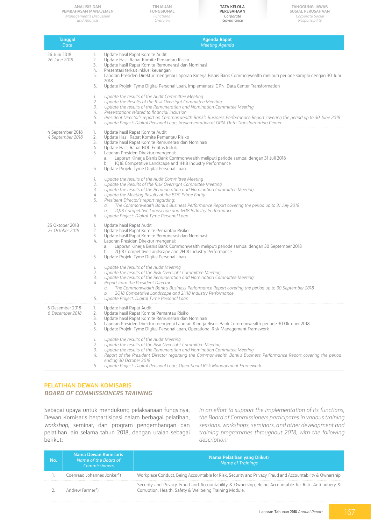**TINJAUAN FUNGSIONAL** *Functional Overview*

**Tata Kelola Perusahaan** *Corporate Governance*

| <b>Tanggal</b>                       | <b>Agenda Rapat</b>                                                                                                                                                                                                                                                                                                                                                                                                                                                                                                                                                                                                                                                                                                                                                                                                                                                                                                                                                                                                  |
|--------------------------------------|----------------------------------------------------------------------------------------------------------------------------------------------------------------------------------------------------------------------------------------------------------------------------------------------------------------------------------------------------------------------------------------------------------------------------------------------------------------------------------------------------------------------------------------------------------------------------------------------------------------------------------------------------------------------------------------------------------------------------------------------------------------------------------------------------------------------------------------------------------------------------------------------------------------------------------------------------------------------------------------------------------------------|
| Date                                 | <b>Meeting Agenda</b>                                                                                                                                                                                                                                                                                                                                                                                                                                                                                                                                                                                                                                                                                                                                                                                                                                                                                                                                                                                                |
| 26 Juni 2018<br>26 June 2018         | Update hasil Rapat Komite Audit<br>1.<br>2.<br>Update Hasil Rapat Komite Pemantau Risiko<br>3.<br>Update hasil Rapat Komite Remunerasi dan Nominasi<br>Presentasi terkait inklusi keuangan<br>4.<br>Laporan Presiden Direktur mengenai Laporan Kinerja Bisnis Bank Commonwealth meliputi periode sampai dengan 30 Juni<br>5.<br>2018<br>Update Projek: Tyme Digital Personal Loan, implementasi GPN, Data Center Transformation<br>6.<br>Update the results of the Audit Committee Meeting<br>1.<br>2.<br>Update the Results of the Risk Oversight Committee Meeting<br>Update the results of the Remuneration and Nomination Committee Meeting<br>3.<br>4.<br>Presentations related to financial inclusion<br>President Director's report on Commonwealth Bank's Business Performance Report covering the period up to 30 June 2018<br>5.<br>Update Project: Digital Personal Loan, implementation of GPN, Data Transformation Center<br>6.                                                                         |
| 4 September 2018<br>4 September 2018 | Update hasil Rapat Komite Audit<br>1.<br>2.<br>Update Hasil Rapat Komite Pemantau Risiko<br>3.<br>Update hasil Rapat Komite Remunerasi dan Nominasi<br>Update Hasil Rapat BOC Entitas Induk<br>4.<br>Laporan Presiden Direktur mengenai:<br>5.<br>a. Laporan Kinerja Bisnis Bank Commonwealth meliputi periode sampai dengan 31 Juli 2018<br>1Q18 Competitive Landscape and 1H18 Industry Performance<br>b.<br>Update Projek: Tyme Digital Personal Loan<br>6.<br>Update the results of the Audit Committee Meeting<br>1.<br>Update the Results of the Risk Oversight Committee Meeting<br>2.<br>Update the results of the Remuneration and Nomination Committee Meeting<br>3.<br>4.<br>Update the Meeting Results of the BOC Prime Entity<br>President Director's report regarding:<br>5.<br>The Commonwealth Bank's Business Performance Report covering the period up to 31 July 2018<br>а.<br>1Q18 Competitive Landscape and 1H18 Industry Performance<br>b.<br>Update Project: Digital Tyme Personal Loan<br>6. |
| 25 Oktober 2018<br>25 October 2018   | Update hasil Rapat Audit<br>1.<br>2.<br>Update hasil Rapat Komite Pemantau Risiko<br>Update hasil Rapat Komite Remunerasi dan Nominasi<br>3.<br>Laporan Presiden Direktur mengenai:<br>4.<br>Laporan Kinerja Bisnis Bank Commonwealth meliputi periode sampai dengan 30 September 2018<br>a.<br>2Q18 Competitive Landscape and 2H18 Industry Performance<br>b.<br>Update Projek: Tyme Digital Personal Loan<br>5.<br>Update the results of the Audit Meeting<br>1.<br>Update the results of the Risk Oversight Committee Meeting<br>2.<br>Update the results of the Remuneration and Nomination Committee Meeting<br>3.<br>4.<br>Report from the President Director:<br>The Commonwealth Bank's Business Performance Report covering the period up to 30 September 2018<br>а.<br>2Q18 Competitive Landscape and 2H18 Industry Performance<br>b.<br>Update Project: Digital Tyme Personal Loan<br>5.                                                                                                                  |
| 6 Desember 2018<br>6 December 2018   | Update hasil Rapat Audit<br>1.<br>2.<br>Update hasil Rapat Komite Pemantau Risiko<br>3.<br>Update hasil Rapat Komite Remunerasi dan Nominasi<br>Laporan Presiden Direktur mengenai Laporan Kinerja Bisnis Bank Commonwealth periode 30 Oktober 2018<br>4.<br>Update Projek: Tyme Digital Personal Loan, Operational Risk Management Framework<br>5.<br>1.<br>Update the results of the Audit Meeting<br>Update the results of the Risk Oversight Committee Meeting<br>2.<br>Update the results of the Remuneration and Nomination Committee Meeting<br>3.<br>Report of the President Director regarding the Commonwealth Bank's Business Performance Report covering the period<br>4.<br>ending 30 October 2018<br>Update Project: Digital Personal Loan, Operational Risk Management Framework<br>5.                                                                                                                                                                                                                |

#### **PELATIHAN DEWAN KOMISARIS** *BOARD OF COMMISSIONERS TRAINING*

Sebagai upaya untuk mendukung pelaksanaan fungsinya, Dewan Komisaris berpartisipasi dalam berbagai pelatihan, *workshop*, seminar, dan program pengembangan dan pelatihan lain selama tahun 2018, dengan uraian sebagai berikut:

*In an effort to support the implementation of its functions, the Board of Commissioners participates in various training sessions, workshops, seminars, and other development and training programmes throughout 2018, with the following description:*

| No. | Nama Dewan Komisaris<br>Name of the Board of<br><b>Commissioners</b> | Nama Pelatihan yang Diikuti<br><b>Name of Trainings</b>                                                                                                           |
|-----|----------------------------------------------------------------------|-------------------------------------------------------------------------------------------------------------------------------------------------------------------|
|     | Coenraad Johannes Jonker*)                                           | Workplace Conduct, Being Accountable for Risk, Security and Privacy, Fraud and Accountability & Ownership                                                         |
|     | Andrew Farmer*)                                                      | Security and Privacy, Fraud and Accountability & Ownership, Being Accountable for Risk, Anti-bribery &<br>Corruption, Health, Safety & Wellbeing Training Module. |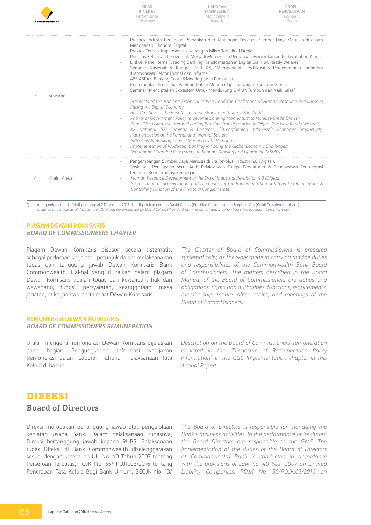|    | Componwealth Ray | <b>KILAS</b><br>KINERJA<br>Performance<br>Overview                                                                                                                                                                                                                                                                        | LAPORAN<br>MANAJEMEN<br>Management<br>Reports                                                                                                                                                                                                                                                                                                                                                                                                                                                                                                                                                                                                                                                                                                                                                                                                                                                                                                                                                                                                                                                                                                                                                                                                                                    | <b>PROFIL</b><br>PERUSAHAAN<br>Company<br>Profile |
|----|------------------|---------------------------------------------------------------------------------------------------------------------------------------------------------------------------------------------------------------------------------------------------------------------------------------------------------------------------|----------------------------------------------------------------------------------------------------------------------------------------------------------------------------------------------------------------------------------------------------------------------------------------------------------------------------------------------------------------------------------------------------------------------------------------------------------------------------------------------------------------------------------------------------------------------------------------------------------------------------------------------------------------------------------------------------------------------------------------------------------------------------------------------------------------------------------------------------------------------------------------------------------------------------------------------------------------------------------------------------------------------------------------------------------------------------------------------------------------------------------------------------------------------------------------------------------------------------------------------------------------------------------|---------------------------------------------------|
| 3. | Suwartini        | Menghadapi Ekonomi Digital<br>$\overline{\phantom{a}}$<br>:Harmonisasi Sektor Formal dan Informal"<br>48 <sup>th</sup> ASEAN Banking Council Meeting (with Perbanas)<br>$\overline{\phantom{a}}$<br>Facing the Digital Economy<br>$\overline{\phantom{a}}$<br>$\sim$<br>Harmonization of the Formal and Informal Sectors" | Prospek Industri Keuangan Perbankan dan Tantangan Kesiapan Sumber Daya Manusia di dalam<br>Praktek Terbaik Implementasi Keuangan Mikro Terbaik di Dunia<br>Prioritas Kebijakan Pemerintah Menjadi Momentum Perbankan Meningkatkan Pertumbuhan Kredit.<br>Diskusi Panel, tema "Leading Banking Transformation in Digital Era: How Ready We are?"<br>Seminar Nasional & Kongres ISEI XX, "Memperkuat Produktivitas Perekonomian Indonesia<br>Implementasi Prudential Banking Dalam Menghadapi Tantangan Ekonomi Global;<br>Seminar "Menciptakan Ekosistem Untuk Mendukung UMKM Tumbuh dan Naik Kelas"<br>Prospects of the Banking Financial Industry and the Challenges of Human Resource Readiness in<br>Best Practices in the Best Microfinance Implementation in the World<br>Priority of Government Policy to Become Banking Momentum to Increase Credit Growth.<br>Panel Discussion, the theme "Leading Banking Transformation in Digital Era: How Ready We are?<br>XX National ISEI Seminar & Congress, "Strengthening Indonesia's Economic Productivity:<br>48th ASEAN Banking Council Meeting (with Perbanas)<br>Implementation of Prudential Banking in Facing the Global Economic Challenges;<br>Seminar on "Creating Ecosystems to Support Growing and Upgrading MSMEs" |                                                   |
| 4. | Khairil Anwar    | terhadap Konglomerasi Keuangan.<br>Controlling Function of the Financial Conglomerate.                                                                                                                                                                                                                                    | Pengembangan Sumber Daya Manusia di Era Revolusi Industri 4.0 (Digital).<br>Sosialisasi Pencapaian serta Arah Pelaksanaan Fungsi Pengaturan & Pengawasan Terintegrasi<br>Human Resource Development in the Era of Industrial Revolution 4.0 (Digital).<br>Socialisation of Achievements and Directions for the Implementation of Integrated Regulations &                                                                                                                                                                                                                                                                                                                                                                                                                                                                                                                                                                                                                                                                                                                                                                                                                                                                                                                        |                                                   |

\*) mengundurkan diri efektif per tanggal 7 Desember 2018 dan digantikan dengan David Cohen (Presiden Komisaris) dan Stephen Vile (Wakil Presiden Komisaris) *resigned effectively as of 7 December 2018 and were replaced by David Cohen (President Commissioner) and Stephen Vile (Vice President Commissioner)*

#### **PIAGAM DEWAN KOMISARIS** *BOARD OF COMMISSIONEERS CHARTER*

Piagam Dewan Komisaris disusun secara sistematis, sebagai pedoman kerja atau petunjuk dalam melaksanakan tugas dan tanggung jawab Dewan Komisaris Bank Commonwealth. Hal-hal yang diuraikan dalam piagam Dewan Komisaris adalah tugas dan kewajiban, hak dan wewenang, fungsi, persyaratan, keanggotaan, masa jabatan, etika jabatan, serta rapat Dewan Komisaris.

*The Charter of Board of Commissioners is prepared systematically, as the work guide in carrying out the duties and responsibilities of the Commonwealth Bank Board of Commissioners. The matters described in the Board Manual of the Board of Commissioners are duties and obligations, rights and authorities, functions, requirements, membership, tenure, office ethics, and meetings of the Board of Commissioners.*

#### **REMUNERASI DEWAN KOMISARIS** *BOARD OF COMMISSIONERS REMUNERATION*

Uraian mengenai remunerasi Dewan Komisaris dijelaskan pada bagian Pengungkapan Informasi Kebijakan Remunerasi dalam Laporan Tahunan Pelaksanaan Tata Kelola di bab ini.

*Description on the Board of Commissioners' remuneration is listed in the "Disclosure of Remuneration Policy Information" in the CGC Implementation chapter in this Annual Report.*

### **Direksi**

### **Board of Directors**

Direksi merupakan penanggung jawab atas pengelolaan kegiatan usaha Bank. Dalam pelaksanaan tugasnya, Direksi bertanggung jawab kepada RUPS. Pelaksanaan tugas Direksi di Bank Commonwealth diselenggarakan sesuai dengan ketentuan UU No. 40 Tahun 2007 tentang Perseroan Terbatas, POJK No. 55/ POJK.03/2016 tentang Penerapan Tata Kelola Bagi Bank Umum, SEOJK No. 13/

*The Board of Directors is responsible for managing the Bank's business activities. In the performance of its duties, the Board Directors are responsible to the GMS. The implementation of the duties of the Board of Directors at Commonwealth Bank is conducted in accordance with the provisions of Law No. 40 Year 2007 on Limited Liability Companies, POJK No. 55/POJK.03/2016 on*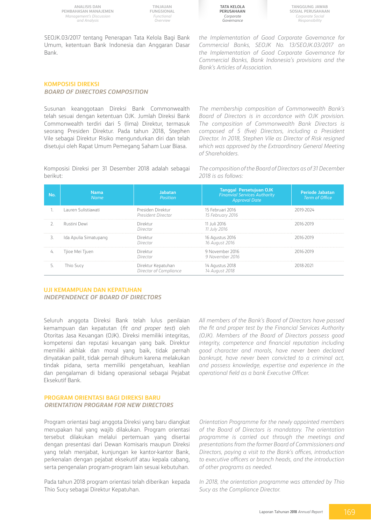**TINJAUAN FUNGSIONAL** *Functional Overview*

**Tata Kelola Perusahaan** *Corporate Governance*

**Tanggung Jawab Sosial Perusahaan** *Corporate Social Responsibility*

SEOJK.03/2017 tentang Penerapan Tata Kelola Bagi Bank Umum, ketentuan Bank Indonesia dan Anggaran Dasar Bank.

*the Implementation of Good Corporate Governance for Commercial Banks, SEOJK No. 13/SEOJK.03/2017 on the Implementation of Good Corporate Governance for Commercial Banks, Bank Indonesia's provisions and the Bank's Articles of Association.*

#### **KOMPOSISI DIREKSI** *BOARD OF DIRECTORS COMPOSITION*

Susunan keanggotaan Direksi Bank Commonwealth telah sesuai dengan ketentuan OJK. Jumlah Direksi Bank Commonwealth terdiri dari 5 (lima) Direktur, termasuk seorang Presiden Direktur. Pada tahun 2018, Stephen Vile sebagai Direktur Risiko mengundurkan diri dan telah disetujui oleh Rapat Umum Pemegang Saham Luar Biasa.

*The membership composition of Commonwealth Bank's Board of Directors is in accordance with OJK provision. The composition of Commonwealth Bank Directors is composed of 5 (five) Directors, including a President Director. In 2018, Stephen Vile as Director of Risk resigned which was approved by the Extraordinary General Meeting of Shareholders.*

Komposisi Direksi per 31 Desember 2018 adalah sebagai berikut:

*The composition of the Board of Directors as of 31 December 2018 is as follows:*

| No. | <b>Nama</b><br><b>Name</b> | Jabatan<br><b>Position</b>                   | <b>Tanggal Persetujuan OJK</b><br><b>Finanvial Services Authority</b><br><b>Approval Date</b> | <b>Periode Jabatan</b><br><b>Term of Office</b> |
|-----|----------------------------|----------------------------------------------|-----------------------------------------------------------------------------------------------|-------------------------------------------------|
|     | Lauren Sulistiawati        | Presiden Direktur<br>President Director      | 15 Februari 2016<br>15 February 2016                                                          |                                                 |
|     | Rustini Dewi               | Direktur<br>Director                         | 11 Juli 2016<br>11 July 2016                                                                  | 2016-2019                                       |
| 3.  | Ida Apulia Simatupang      | Direktur<br>Director                         | 16 Agustus 2016<br>16 August 2016                                                             | 2016-2019                                       |
| 4.  | Tjioe Mei Tjuen            | Direktur<br>Director                         | 9 November 2016<br>9 November 2016                                                            | 2016-2019                                       |
|     | Thio Sucy                  | Direktur Kepatuhan<br>Director of Compliance | 14 Agustus 2018<br>14 August 2018                                                             |                                                 |

#### **UJI KEMAMPUAN DAN KEPATUHAN** *INDEPENDENCE OF BOARD OF DIRECTORS*

Seluruh anggota Direksi Bank telah lulus penilaian kemampuan dan kepatutan (*fit and proper test*) oleh Otoritas Jasa Keuangan (OJK). Direksi memiliki integritas, kompetensi dan reputasi keuangan yang baik. Direktur memiliki akhlak dan moral yang baik, tidak pernah dinyatakan pailit, tidak pernah dihukum karena melakukan tindak pidana, serta memiliki pengetahuan, keahlian dan pengalaman di bidang operasional sebagai Pejabat Eksekutif Bank.

### **PROGRAM ORIENTASI BAGI DIREKSI BARU** *ORIENTATION PROGRAM FOR NEW DIRECTORS*

Program orientasi bagi anggota Direksi yang baru diangkat merupakan hal yang wajib dilakukan. Program orientasi tersebut dilakukan melalui pertemuan yang disertai dengan presentasi dari Dewan Komisaris maupun Direksi yang telah menjabat, kunjungan ke kantor-kantor Bank, perkenalan dengan pejabat eksekutif atau kepala cabang, serta pengenalan program-program lain sesuai kebutuhan.

Pada tahun 2018 program orientasi telah diberikan kepada Thio Sucy sebagai Direktur Kepatuhan.

*All members of the Bank's Board of Directors have passed the fit and proper test by the Financial Services Authority (OJK). Members of the Board of Directors possess good integrity, competence and financial reputation including good character and morals, have never been declared bankrupt, have never been convicted to a criminal act, and possess knowledge, expertise and experience in the operational field as a bank Executive Officer.*

*Orientation Programme for the newly appointed members of the Board of Directors is mandatory. The orientation programme is carried out through the meetings and presentations from the former Board of Commissioners and Directors, paying a visit to the Bank's offices, introduction to executive officers or branch heads, and the introduction of other programs as needed.*

*In 2018, the orientation programme was attended by Thio Sucy as the Compliance Director.*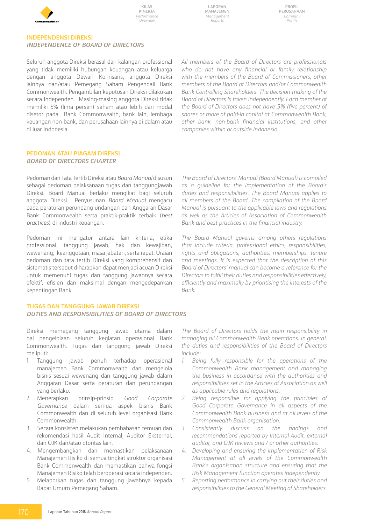

**Profil Perusahaan** *Company Profile*

#### **INDEPENDENSI DIREKSI** *INDEPENDENCE OF BOARD OF DIRECTORS*

Seluruh anggota Direksi berasal dari kalangan professional yang tidak memiliki hubungan keuangan atau keluarga dengan anggota Dewan Komisaris, anggota Direksi lainnya dan/atau Pemegang Saham Pengendali Bank Commonwealth. Pengambilan keputusan Direksi dilakukan secara independen. Masing-masing anggota Direksi tidak memiliki 5% (lima persen) saham atau lebih dari modal disetor pada Bank Commonwealth, bank lain, lembaga keuangan non-bank, dan perusahaan lainnya di dalam atau di luar Indonesia.

*All members of the Board of Directors are professionals who do not have any financial or family relationship with the members of the Board of Commissioners, other members of the Board of Directors and/or Commonwealth Bank Controlling Shareholders. The decision-making of the Board of Directors is taken independently. Each member of the Board of Directors does not have 5% (five percent) of shares or more of paid-in capital at Commonwealth Bank, other bank, non-bank financial institutions, and other companies within or outside Indonesia.*

#### **PEDOMAN ATAU PIAGAM DIREKSI** *BOARD OF DIRECTORS CHARTER*

Pedoman dan Tata Tertib Direksi atau *Board Manual* disusun sebagai pedoman pelaksanaan tugas dan tanggungjawab Direksi. Board Manual berlaku mengikat bagi seluruh anggota Direksi. Penyusunan *Board Manual* mengacu pada peraturan perundang-undangan dan Anggaran Dasar Bank Commonwealth serta praktik-praktik terbaik (*best practices*) di industri keuangan.

Pedoman ini mengatur antara lain kriteria, etika professional, tanggung jawab, hak dan kewajiban, wewenang, keanggotaan, masa jabatan, serta rapat. Uraian pedoman dan tata tertib Direksi yang komprehensif dan sistematis tersebut diharapkan dapat menjadi acuan Direksi untuk memenuhi tugas dan tanggung jawabnya secara efektif, efisien dan maksimal dengan mengedepankan kepentingan Bank.

#### **TUGAS DAN TANGGUNG JAWAB DIREKSI**

#### *DUTIES AND RESPONSIBILITIES OF BOARD OF DIRECTORS*

Direksi memegang tanggung jawab utama dalam hal pengelolaan seluruh kegiatan operasional Bank Commonwealth. Tugas dan tanggung jawab Direksi meliputi:

- 1. Tanggung jawab penuh terhadap operasional manajemen Bank Commonwealth dan mengelola bisnis sesuai wewenang dan tanggung jawab dalam Anggaran Dasar serta peraturan dan perundangan yang berlaku.
- 2. Menerapkan prinsip-prinsip *Good Corporate Governance* dalam semua aspek bisnis Bank Commonwealth dan di seluruh level organisasi Bank Commonwealth.
- 3. Secara konsisten melakukan pembahasan temuan dan rekomendasi hasil Audit Internal, Auditor Eksternal, dan OJK dan/atau otoritas lain.
- 4. Mengembangkan dan memastikan pelaksanaan Manajemen Risiko di semua tingkat struktur organisasi Bank Commonwealth dan memastikan bahwa fungsi Manajemen Risiko telah beroperasi secara independen.
- 5. Melaporkan tugas dan tanggung jawabnya kepada Rapat Umum Pemegang Saham.

*The Board of Directors' Manual (Board Manual) is compiled as a guideline for the implementation of the Board's duties and responsibilities. The Board Manual applies to all members of the Board. The compilation of the Board Manual is pursuant to the applicable laws and regulations as well as the Articles of Association of Commonwealth Bank and best practices in the financial industry.*

*The Board Manual governs among others regulations that include criteria, professional ethics, responsibilities, rights and obligations, authorities, memberships, tenure and meetings. It is expected that the description of this Board of Directors' manual can become a reference for the Directors to fulfill their duties and responsibilities effectively, efficiently and maximally by prioritising the interests of the Bank.*

*The Board of Directors holds the main responsibility in managing all Commonwealth Bank operations. In general, the duties and responsibilities of the Board of Directors include:*

- *1. Being fully responsible for the operations of the Commonwealth Bank management and managing the business in accordance with the authorities and responsibilities set in the Articles of Association as well as applicable rules and regulations.*
- *2. Being responsible for applying the principles of Good Corporate Governance in all aspects of the Commonwealth Bank business and at all levels of the Commonwealth Bank organisation.*
- *3. Consistently discuss on the findings and recommendations reported by Internal Audit, external auditor, and OJK reviews and / or other authorities.*
- *4. Developing and ensuring the implementation of Risk Management at all levels of the Commonwealth Bank's organisation structure and ensuring that the Risk Management function operates independently.*
- *5. Reporting performance in carrying out their duties and responsibilities to the General Meeting of Shareholders.*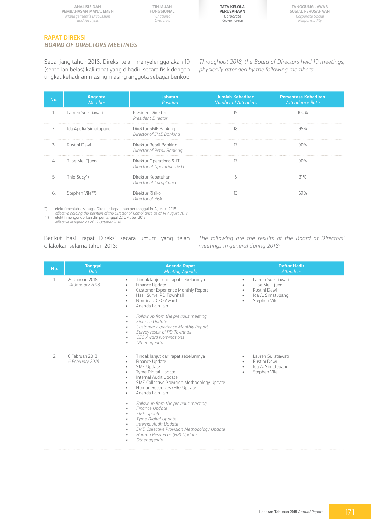

#### **RAPAT DIREKSI** *BOARD OF DIRECTORS MEETINGS*

Sepanjang tahun 2018, Direksi telah menyelenggarakan 19 (sembilan belas) kali rapat yang dihadiri secara fisik dengan tingkat kehadiran masing-masing anggota sebagai berikut: *Throughout 2018, the Board of Directors held 19 meetings, physically attended by the following members:* 

| No. | Anggota<br>Member     | Jabatan<br>Position                                     | Jumlah Kehadiran<br><b>Number of Attendees</b> | <b>Persentase Kehadiran</b><br>Attendance Rate |
|-----|-----------------------|---------------------------------------------------------|------------------------------------------------|------------------------------------------------|
|     | Lauren Sulistiawati   | Presiden Direktur<br>President Director                 | 19                                             | 100%                                           |
| 2.  | Ida Apulia Simatupang | Direktur SME Banking<br>Director of SME Banking         | 18                                             | 95%                                            |
| 3.  | Rustini Dewi          | Direktur Retail Banking<br>Director of Retail Banking   | 17                                             | 90%                                            |
| 4.  | Tjioe Mei Tjuen       | Direktur Operations & IT<br>Director of Operations & IT | 17                                             | 90%                                            |
| 5.  | Thio Sucy*)           | Direktur Kepatuhan<br>Director of Compliance            | h                                              | 31%                                            |
| 6.  | Stephen Vile**)       | Direktur Risiko<br>Director of Risk                     | 13                                             |                                                |

\*) efektif menjabat sebagai Direktur Kepatuhan per tanggal 14 Agustus 2018

*effective holding the position of the Director of Compliance as of 14 August 2018* \*\*) efektif mengundurkan diri per tanggal 22 Oktober 2018 *effective resigned as of 22 October 2018*

Berikut hasil rapat Direksi secara umum yang telah dilakukan selama tahun 2018:

*The following are the results of the Board of Directors' meetings in general during 2018:*

| No. | <b>Tanggal</b><br><b>Date</b>      | <b>Agenda Rapat</b><br><b>Meeting Agenda</b>                                                                                                                                                                                                                                                                                                                                                                                                                                                                  | <b>Daftar Hadir</b><br>Attendees                                                            |
|-----|------------------------------------|---------------------------------------------------------------------------------------------------------------------------------------------------------------------------------------------------------------------------------------------------------------------------------------------------------------------------------------------------------------------------------------------------------------------------------------------------------------------------------------------------------------|---------------------------------------------------------------------------------------------|
|     | 24 Januari 2018<br>24 January 2018 | Tindak lanjut dari rapat sebelumnya<br>Finance Update<br>Customer Experience Monthly Report<br>Hasil Survei PD Townhall<br>Nominasi CEO Award<br>Agenda Lain-lain<br>Follow up from the previous meeting<br>۰<br>Finance Update<br>۰<br>Customer Experience Monthly Report<br>۰<br>Survey result of PD Townhall<br>۰<br><b>CEO Award Nominations</b><br>٠<br>Other agenda<br>۰                                                                                                                                | Lauren Sulistiawati<br>Tjioe Mei Tjuen<br>Rustini Dewi<br>Ida A. Simatupang<br>Stephen Vile |
| 2   | 6 Februari 2018<br>6 February 2018 | Tindak lanjut dari rapat sebelumnya<br>Finance Update<br>$\bullet$<br><b>SME Update</b><br>Tyme Digital Update<br>Internal Audit Update<br>SME Collective Provision Methodology Update<br>Human Resources (HR) Update<br>Agenda Lain-lain<br>Follow up from the previous meeting<br>۰<br>Finance Update<br>۰<br><b>SME Update</b><br>۰<br>Tyme Digital Update<br>۰<br>Internal Audit Update<br>۰<br>SME Collective Provision Methodology Update<br>۰<br>Human Resources (HR) Update<br>۰<br>Other agenda<br>٠ | Lauren Sulistiawati<br>Rustini Dewi<br>٠<br>Ida A. Simatupang<br>٠<br>Stephen Vile          |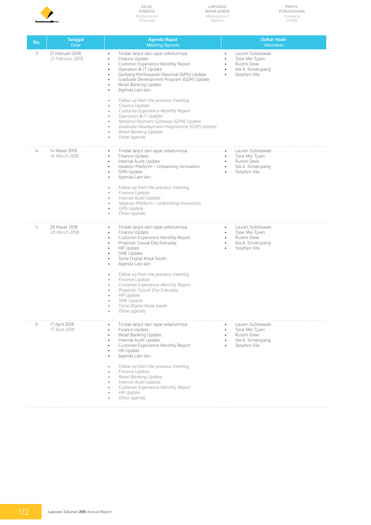

**Laporan Manajemen** *Management Reports*

**Profil Perusahaan** *Company Profile*

| No. | <b>Tanggal</b><br><b>Date</b>        | <b>Agenda Rapat</b><br><b>Meeting Agenda</b>                                                                                                                                                                                                                                                                                                                                                                                                                                                                                                                                                                                                                                               | <b>Daftar Hadir</b><br><b>Attendees</b>                                                                                                                        |
|-----|--------------------------------------|--------------------------------------------------------------------------------------------------------------------------------------------------------------------------------------------------------------------------------------------------------------------------------------------------------------------------------------------------------------------------------------------------------------------------------------------------------------------------------------------------------------------------------------------------------------------------------------------------------------------------------------------------------------------------------------------|----------------------------------------------------------------------------------------------------------------------------------------------------------------|
| 3   | 21 Februari 2018<br>21 February 2018 | Tindak lanjut dari rapat sebelumnya<br>$\bullet$<br>Finance Update<br>$\bullet$<br><b>Customer Experience Monthly Report</b><br>$\bullet$<br>Operation & IT Update<br>$\bullet$<br>Gerbang Pembayaran Nasional (GPN) Update<br>۰<br>Graduate Development Program (GDP) Update<br>$\bullet$<br>Retail Banking Update<br>٠<br>Agenda Lain-lain<br>$\bullet$<br>Follow up from the previous meeting<br>٠<br>Finance Update<br>$\bullet$<br>Customer Experience Monthly Report<br>$\bullet$<br>Operation & IT Update<br>٠<br>National Payment Gateway (GPN) Update<br>٠<br>Graduate Development Programme (GDP) Update<br>٠<br>Retail Banking Update<br>$\bullet$<br>Other agenda<br>$\bullet$ | Lauren Sulistiawati<br>$\bullet$<br>Tjioe Mei Tjuen<br>$\bullet$<br>Rustini Dewi<br>$\bullet$<br>Ida A. Simatupang<br>Stephen Vile<br>٠                        |
| 4   | 14 Maret 2018<br>14 March 2018       | Tindak lanjut dari rapat sebelumnya<br>$\bullet$<br>Finance Update<br>$\bullet$<br>Internal Audit Update<br>$\bullet$<br>Ideation Platform - Unleashing Innovation<br>$\bullet$<br><b>GPN Update</b><br>$\bullet$<br>Agenda Lain-lain<br>$\bullet$<br>Follow up from the previous meeting<br>٠<br>Finance Update<br>$\bullet$<br>Internal Audit Update<br>٠<br>Ideation Platform - Unleashing Innovation<br>$\bullet$<br><b>GPN Update</b><br>$\bullet$<br>Other agenda<br>$\bullet$                                                                                                                                                                                                       | $\bullet$ .<br>Lauren Sulistiawati<br>Tjioe Mei Tjuen<br>$\bullet$<br>Rustini Dewi<br>$\bullet$<br>Ida A. Simatupang<br>$\bullet$<br>Stephen Vile<br>$\bullet$ |
| 5   | 28 Maret 2018<br>28 March 2018       | Tindak lanjut dari rapat sebelumnya<br>$\bullet$<br>Finance Update<br>$\bullet$<br>Customer Experience Monthly Report<br>$\bullet$<br>Proposal: Casual Day Everyday<br>$\bullet$<br><b>HR Update</b><br>$\bullet$<br><b>SME Update</b><br>٠<br>Tyme Digital Kiosk booth<br>۰<br>Agenda Lain-lain<br>٠<br>Follow up from the previous meeting<br>$\bullet$<br>Finance Update<br>٠<br>Customer Experience Monthly Report<br>٠<br>Proposal: Casual Day Everyday<br>٠<br><b>HR</b> Update<br><b>SME Update</b><br>Tyme Digital Kiosk booth<br>Other agenda                                                                                                                                     | $\bullet$ .<br>Lauren Sulistiawati<br>$\bullet$<br>Tjioe Mei Tjuen<br>Rustini Dewi<br>$\bullet$<br>Ida A. Simatupang<br>$\bullet$<br>Stephen Vile<br>$\bullet$ |
| 6   | 17 April 2018<br>17 April 2018       | Tindak lanjut dari rapat sebelumnya<br>$\bullet$<br>Finance Update<br>$\bullet$<br>Retail Banking Update<br>$\bullet$<br>Internal Audit Update<br>٠<br>Customer Experience Monthly Report<br>٠<br>HR Update<br>٠<br>Agenda Lain-lain<br>٠<br>Follow up from the previous meeting<br>Finance Update<br>۰<br>Retail Banking Update<br>٠<br>Internal Audit Update<br>Customer Experience Monthly Report<br><b>HR Update</b><br>Other agenda                                                                                                                                                                                                                                                   | Lauren Sulistiawati<br>$\bullet$ .<br>Tijoe Mei Tiuen<br>$\bullet$<br>Rustini Dewi<br>$\bullet$<br>Ida A. Simatupang<br>Stephen Vile<br>$\bullet$              |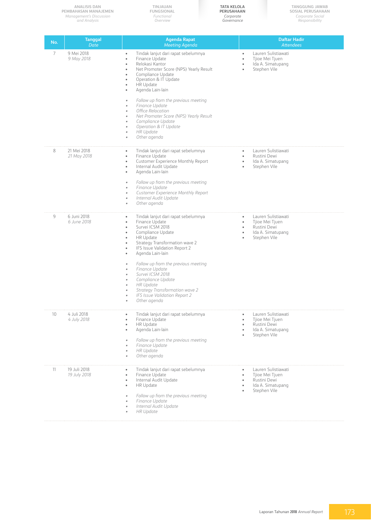|     | <b>ANALISIS DAN</b><br>PEMBAHASAN MANAJEMEN<br>Management's Discussion<br>and Analysis | TINJAUAN<br>FUNGSIONAL<br>Functional<br>Overview                                                                                                                                                                                                                                                                                                                                                  | <b>TATA KELOLA</b><br>PERUSAHAAN<br>Corporate<br>Governance   | <b>TANGGUNG JAWAB</b><br>SOSIAL PERUSAHAAN<br>Corporate Social<br>Responsibility            |
|-----|----------------------------------------------------------------------------------------|---------------------------------------------------------------------------------------------------------------------------------------------------------------------------------------------------------------------------------------------------------------------------------------------------------------------------------------------------------------------------------------------------|---------------------------------------------------------------|---------------------------------------------------------------------------------------------|
| No. | <b>Tanggal</b><br>Date                                                                 | <b>Agenda Rapat</b><br><b>Meeting Agenda</b>                                                                                                                                                                                                                                                                                                                                                      |                                                               | <b>Daftar Hadir</b><br><b>Attendees</b>                                                     |
| 7   | 9 Mei 2018<br>9 May 2018                                                               | Tindak lanjut dari rapat sebelumnya<br>$\bullet$<br>Finance Update<br>$\bullet$<br>Relokasi Kantor<br>$\bullet$<br>Net Promoter Score (NPS) Yearly Result<br>$\bullet$<br>Compliance Update<br>۰<br>Operation & IT Update<br>$\bullet$<br>HR Update<br>$\bullet$<br>Agenda Lain-lain<br>٠                                                                                                         | $\bullet$<br>$\bullet$<br>$\bullet$                           | Lauren Sulistiawati<br>Tjioe Mei Tjuen<br>Ida A. Simatupang<br>Stephen Vile                 |
|     |                                                                                        | Follow up from the previous meeting<br>۰<br>Finance Update<br>٠<br>Office Relocation<br>۰<br>Net Promoter Score (NPS) Yearly Result<br>۰<br>Compliance Update<br>۰<br>Operation & IT Update<br>۰<br><b>HR Update</b><br>۰<br>Other agenda<br>٠                                                                                                                                                    |                                                               |                                                                                             |
| 8   | 21 Mei 2018<br>21 May 2018                                                             | Tindak lanjut dari rapat sebelumnya<br>$\bullet$<br>Finance Update<br>$\bullet$<br>Customer Experience Monthly Report<br>$\bullet$<br>Internal Audit Update<br>$\bullet$<br>Agenda Lain-lain<br>$\bullet$<br>Follow up from the previous meeting<br>$\bullet$                                                                                                                                     | $\bullet$<br>$\bullet$<br>$\bullet$<br>$\bullet$              | Lauren Sulistiawati<br>Rustini Dewi<br>Ida A. Simatupang<br>Stephen Vile                    |
|     |                                                                                        | Finance Update<br>۰<br>Customer Experience Monthly Report<br>۰<br>Internal Audit Update<br>٠<br>Other agenda<br>٠                                                                                                                                                                                                                                                                                 |                                                               |                                                                                             |
| 9   | 6 Juni 2018<br>6 June 2018                                                             | Tindak lanjut dari rapat sebelumnya<br>$\bullet$<br>Finance Update<br>$\bullet$<br>Survei ICSM 2018<br>$\bullet$<br>Compliance Update<br>$\bullet$<br>HR Update<br>$\bullet$<br>Strategy Transformation wave 2<br>$\bullet$<br>IFS Issue Validation Report 2<br>٠<br>Agenda Lain-lain<br>٠<br>Follow up from the previous meeting<br>۰<br>Finance Update<br>Survei ICSM 2018<br>Compliance Update | $\bullet$<br>$\bullet$<br>$\bullet$<br>$\bullet$<br>$\bullet$ | Lauren Sulistiawati<br>Tjioe Mei Tjuen<br>Rustini Dewi<br>Ida A. Simatupang<br>Stephen Vile |
|     |                                                                                        | <b>HR Update</b><br>Strategy Transformation wave 2<br>IFS Issue Validation Report 2<br>Other agenda                                                                                                                                                                                                                                                                                               |                                                               |                                                                                             |
| 10  | 4 Juli 2018<br>4 July 2018                                                             | Tindak lanjut dari rapat sebelumnya<br>$\bullet$<br>Finance Update<br>$\bullet$<br><b>HR Update</b><br>٠<br>Agenda Lain-lain<br>Follow up from the previous meeting<br>Finance Update<br><b>HR Update</b><br>Other agenda                                                                                                                                                                         | $\bullet$<br>$\bullet$<br>$\bullet$<br>$\bullet$              | Lauren Sulistiawati<br>Tjioe Mei Tjuen<br>Rustini Dewi<br>Ida A. Simatupang<br>Stephen Vile |
| 11  | 19 Juli 2018<br>19 July 2018                                                           | Tindak lanjut dari rapat sebelumnya<br>٠<br>Finance Update<br>$\bullet$<br>Internal Audit Update<br>٠<br>HR Update<br>$\bullet$<br>Follow up from the previous meeting<br>۰<br>Finance Update<br>Internal Audit Update<br><b>HR Update</b>                                                                                                                                                        | $\bullet$<br>$\bullet$<br>$\bullet$<br>$\bullet$              | Lauren Sulistiawati<br>Tjioe Mei Tjuen<br>Rustini Dewi<br>Ida A. Simatupang<br>Stephen Vile |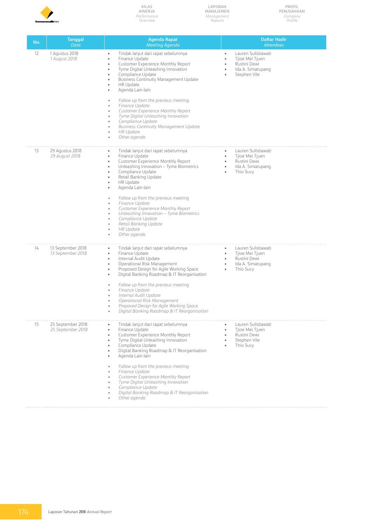

**Laporan Manajemen** *Management Reports*

| PROFIL     |
|------------|
| PERUSAHAAN |
| Company    |
| Profile    |

| No. | <b>Tanggal</b><br>Date                 | <b>Agenda Rapat</b><br><b>Meeting Agenda</b>                                                                                                                                                                                                                                                                                                                                                                                                                                                                                                                                                                   | <b>Daftar Hadir</b><br><b>Attendees</b>                                                                                                                     |
|-----|----------------------------------------|----------------------------------------------------------------------------------------------------------------------------------------------------------------------------------------------------------------------------------------------------------------------------------------------------------------------------------------------------------------------------------------------------------------------------------------------------------------------------------------------------------------------------------------------------------------------------------------------------------------|-------------------------------------------------------------------------------------------------------------------------------------------------------------|
| 12  | 1 Agustus 2018<br>1 August 2018        | Tindak lanjut dari rapat sebelumnya<br>$\bullet$<br>Finance Update<br>$\bullet$<br>Customer Experience Monthly Report<br>$\bullet$<br>Tyme Digital Unleashing Innovation<br>$\bullet$<br>Compliance Update<br>$\bullet$<br><b>Business Continuity Management Update</b><br>$\bullet$<br>HR Update<br>Agenda Lain-lain<br>٠<br>Follow up from the previous meeting<br>٠<br>Finance Update<br>٠<br>Customer Experience Monthly Report<br>٠<br>Tyme Digital Unleashing Innovation<br>Compliance Update<br><b>Business Continuity Management Update</b><br>٠<br><b>HR Update</b><br>٠<br>Other agenda<br>$\bullet$ | Lauren Sulistiawati<br>$\bullet$<br>Tjioe Mei Tjuen<br>$\bullet$<br>Rustini Dewi<br>$\bullet$<br>Ida A. Simatupang<br>٠<br>Stephen Vile<br>٠                |
| 13  | 29 Agustus 2018<br>29 August 2018      | Tindak lanjut dari rapat sebelumnya<br>$\bullet$<br>Finance Update<br>$\bullet$<br>Customer Experience Monthly Report<br>$\bullet$<br>Unleashing Innovation - Tyme Biometrics<br>$\bullet$<br>Compliance Update<br>$\bullet$<br>Retail Banking Update<br>٠<br>HR Update<br>$\bullet$<br>Agenda Lain-lain<br>Follow up from the previous meeting<br>Finance Update<br>۰<br>Customer Experience Monthly Report<br>٠<br>Unleashing Innovation - Tyme Biometrics<br>Compliance Update<br>٠<br>Retail Banking Update<br><b>HR Update</b><br>۰<br>Other agenda<br>٠                                                  | $\bullet$ .<br>Lauren Sulistiawati<br>Tjioe Mei Tjuen<br>$\bullet$<br>Rustini Dewi<br>$\bullet$<br>Ida A. Simatupang<br>$\bullet$<br>Thio Sucy<br>$\bullet$ |
| 14  | 13 September 2018<br>13 September 2018 | Tindak lanjut dari rapat sebelumnya<br>$\bullet$<br>Finance Update<br>$\bullet$<br>Internal Audit Update<br>$\bullet$<br>Operational Risk Management<br>$\bullet$<br>Proposed Design for Agile Working Space<br>Digital Banking Roadmap & IT Reorganisation<br>$\bullet$<br>Follow up from the previous meeting<br>Finance Update<br>$\bullet$<br>Internal Audit Update<br>Operational Risk Management<br>Proposed Design for Agile Working Space<br>$\bullet$<br>Digital Banking Roadmap & IT Reorganisation                                                                                                  | Lauren Sulistiawati<br>$\bullet$<br>Tjioe Mei Tjuen<br>$\bullet$<br>Rustini Dewi<br>$\bullet$<br>Ida A. Simatupang<br>$\bullet$<br>Thio Sucy                |
| 15  | 25 September 2018<br>25 September 2018 | Tindak lanjut dari rapat sebelumnya<br>$\bullet$<br>Finance Update<br>$\bullet$<br>Customer Experience Monthly Report<br>٠<br>Tyme Digital Unleashing Innovation<br>$\bullet$<br>Compliance Update<br>٠<br>Digital Banking Roadmap & IT Reorganisation<br>٠<br>Agenda Lain-lain<br>٠<br>Follow up from the previous meeting<br>$\bullet$<br>Finance Update<br>$\bullet$<br>Customer Experience Monthly Report<br>۰<br>Tyme Digital Unleashing Innovation<br>Compliance Update<br>۰<br>Digital Banking Roadmap & IT Reorganisation<br>Other agenda<br>۰                                                         | Lauren Sulistiawati<br>$\bullet$<br>Tjioe Mei Tjuen<br>$\bullet$<br>Rustini Dewi<br>$\bullet$<br>Stephen Vile<br>$\bullet$<br>Thio Sucy<br>٠                |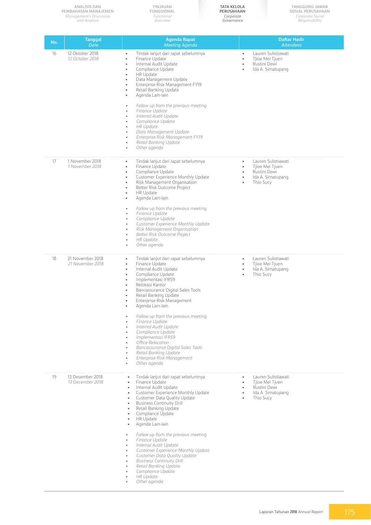|     | <b>ANALISIS DAN</b><br>PEMBAHASAN MANAJEMEN<br>Management's Discussion<br>and Analysis | TINJAUAN<br><b>FUNGSIONAL</b><br>Functional<br>Overview                                                                                                                                                                                                                                                                                                                                                                                                                                                                                                                                                                                                                                                                                                                                                            | <b>TATA KELOLA</b><br>PERUSAHAAN<br>Corporate<br>Governance   | <b>TANGGUNG JAWAB</b><br>SOSIAL PERUSAHAAN<br>Corporate Social<br>Responsibility         |
|-----|----------------------------------------------------------------------------------------|--------------------------------------------------------------------------------------------------------------------------------------------------------------------------------------------------------------------------------------------------------------------------------------------------------------------------------------------------------------------------------------------------------------------------------------------------------------------------------------------------------------------------------------------------------------------------------------------------------------------------------------------------------------------------------------------------------------------------------------------------------------------------------------------------------------------|---------------------------------------------------------------|------------------------------------------------------------------------------------------|
| No. | <b>Tanggal</b><br><b>Date</b>                                                          | <b>Agenda Rapat</b><br><b>Meeting Agenda</b>                                                                                                                                                                                                                                                                                                                                                                                                                                                                                                                                                                                                                                                                                                                                                                       |                                                               | <b>Daftar Hadir</b><br><b>Attendees</b>                                                  |
| 16  | 12 Oktober 2018<br>12 October 2018                                                     | Tindak lanjut dari rapat sebelumnya<br>$\bullet$<br>Finance Update<br>$\bullet$<br>Internal Audit Update<br>$\bullet$<br>Compliance Update<br>$\bullet$<br>HR Update<br>$\bullet$<br>Data Management Update<br>$\bullet$<br>Enterprise Risk Management FY19<br>$\bullet$<br>Retail Banking Update<br>$\bullet$<br>Agenda Lain-lain<br>۰<br>Follow up from the previous meeting<br>$\bullet$<br>Finance Update<br>$\bullet$<br>Internal Audit Update<br>$\bullet$<br>Compliance Update<br>$\bullet$                                                                                                                                                                                                                                                                                                                 | ٠<br>٠<br>$\bullet$                                           | Lauren Sulistiawati<br>Tjioe Mei Tjuen<br>Rustini Dewi<br>Ida A. Simatupang              |
|     |                                                                                        | <b>HR Update</b><br>$\bullet$<br>Data Management Update<br>$\bullet$<br>Enterprise Risk Management FY19<br>$\bullet$<br>Retail Banking Update<br>$\bullet$<br>Other agenda<br>$\bullet$                                                                                                                                                                                                                                                                                                                                                                                                                                                                                                                                                                                                                            |                                                               |                                                                                          |
| 17  | 1 November 2018<br>1 November 2018                                                     | Tindak lanjut dari rapat sebelumnya<br>$\bullet$<br>Finance Update<br>$\bullet$<br>Compliance Update<br>$\bullet$<br>Customer Experience Monthly Update<br>$\bullet$<br>Risk Management Organisation<br>$\bullet$<br>Better Risk Outcome Project<br>$\bullet$<br><b>HR Update</b><br>$\bullet$<br>Agenda Lain-lain<br>$\bullet$                                                                                                                                                                                                                                                                                                                                                                                                                                                                                    | $\bullet$<br>$\bullet$<br>$\bullet$<br>$\bullet$<br>$\bullet$ | Lauren Sulistiawati<br>Tjioe Mei Tjuen<br>Rustini Dewi<br>Ida A. Simatupang<br>Thio Sucy |
|     |                                                                                        | Follow up from the previous meeting<br>$\bullet$<br>Finance Update<br>$\bullet$<br>Compliance Update<br>$\bullet$<br>Customer Experience Monthly Update<br>$\bullet$<br>Risk Management Organisation<br>$\bullet$<br>Better Risk Outcome Project<br>$\bullet$<br><b>HR Update</b><br>$\bullet$<br>Other agenda<br>٠                                                                                                                                                                                                                                                                                                                                                                                                                                                                                                |                                                               |                                                                                          |
| 18  | 21 November 2018<br>21 November 2018                                                   | Tindak lanjut dari rapat sebelumnya<br>$\bullet$<br>Finance Update<br>$\bullet$<br>Internal Audit Update<br>$\bullet$<br>Compliance Update<br>$\bullet$<br>Implementasi IFRS9<br>٠<br>Relokasi Kantor<br>$\bullet$<br>Bancassurance Digital Sales Tools<br>$\bullet$<br>Retail Banking Update<br>٠<br>Enterprise Risk Management<br>$\bullet$<br>Agenda Lain-lain<br>۰<br>Follow up from the previous meeting<br>$\bullet$<br>Finance Update<br>$\bullet$<br>Internal Audit Update<br>$\bullet$<br>Compliance Update<br>$\bullet$<br>Implementasi IFRS9<br>$\bullet$<br>Office Relocation<br>$\bullet$<br>Bancassurance Digital Sales Tools<br>$\bullet$<br>Retail Banking Update<br>$\bullet$<br>Enterprise Risk Management<br>$\bullet$                                                                          | $\bullet$<br>$\bullet$<br>$\bullet$<br>$\bullet$              | Lauren Sulistiawati<br>Tjioe Mei Tjuen<br>Ida A. Simatupang<br>Thio Sucy                 |
| 19  | 13 Desember 2018<br>13 December 2018                                                   | Other agenda<br>$\bullet$<br>Tindak lanjut dari rapat sebelumnya<br>$\bullet$<br>Finance Update<br>$\bullet$<br>Internal Audit Update<br>$\bullet$<br>Customer Experience Monthly Update<br>$\bullet$<br>Customer Data Quality Update<br>$\bullet$<br><b>Business Continuity Drill</b><br>$\bullet$<br>Retail Banking Update<br>$\bullet$<br>Compliance Update<br>$\bullet$<br>HR Update<br>$\bullet$<br>Agenda Lain-lain<br>$\bullet$<br>Follow up from the previous meeting<br>$\bullet$<br>Finance Update<br>$\bullet$<br>Internal Audit Update<br>$\bullet$<br>Customer Experience Monthly Update<br>$\bullet$<br>Customer Data Quality Update<br>$\bullet$<br><b>Business Continuity Drill</b><br>$\bullet$<br>Retail Banking Update<br>$\bullet$<br>Compliance Update<br>$\bullet$<br>HR Update<br>$\bullet$ | $\bullet$<br>$\bullet$<br>$\bullet$<br>$\bullet$<br>$\bullet$ | Lauren Sulistiawati<br>Tjioe Mei Tjuen<br>Rustini Dewi<br>Ida A. Simatupang<br>Thio Sucy |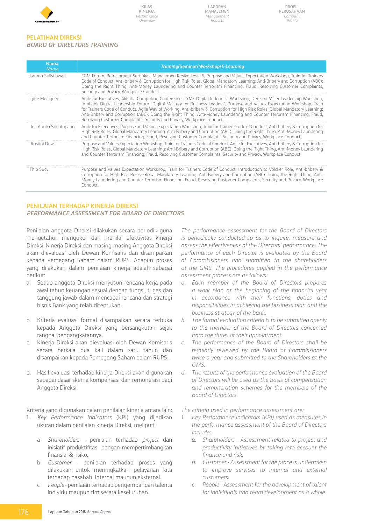

**Laporan Manajemen** *Management Reports*

#### **PELATIHAN DIREKSI** *BOARD OF DIRECTORS TRAINING*

| <b>Nama</b><br><b>Name</b> | <b>Training/Seminar/Workshop/E-Learning</b>                                                                                                                                                                                                                                                                                                                                                                                                                                                                                                                                                 |
|----------------------------|---------------------------------------------------------------------------------------------------------------------------------------------------------------------------------------------------------------------------------------------------------------------------------------------------------------------------------------------------------------------------------------------------------------------------------------------------------------------------------------------------------------------------------------------------------------------------------------------|
| Lauren Sulistiawati        | EGM Forum, Refreshment Sertifikasi Manajemen Resiko Level 5, Purpose and Values Expectation Workshop, Train for Trainers<br>Code of Conduct, Anti-bribery & Corruption for High Risk Roles, Global Mandatory Learning: Anti-Bribery and Corruption (ABC):<br>Doing the Right Thing, Anti-Money Laundering and Counter Terrorism Financing, Fraud, Resolving Customer Complaints,<br>Security and Privacy, Workplace Conduct.                                                                                                                                                                |
| Tjioe Mei Tjuen            | Agile for Executives, Alibaba Computing Conference, TYME Digital Indonesia Workshop, Denison Miller Leadership Workshop,<br>Infobank Digital Leadership Forum "Digital Mastery for Business Leaders", Purpose and Values Expectation Workshop, Train<br>for Trainers Code of Conduct, Agile Way of Working, Anti-bribery & Corruption for High Risk Roles, Global Mandatory Learning:<br>Anti-Bribery and Corruption (ABC): Doing the Right Thing, Anti-Money Laundering and Counter Terrorism Financing, Fraud,<br>Resolving Customer Complaints, Security and Privacy, Workplace Conduct. |
| Ida Apulia Simatupang      | Agile for Executives, Purpose and Values Expectation Workshop, Train for Trainers Code of Conduct, Anti-bribery & Corruption for<br>High Risk Roles, Global Mandatory Learning: Anti-Bribery and Corruption (ABC): Doing the Right Thing, Anti-Money Laundering<br>and Counter Terrorism Financing, Fraud, Resolving Customer Complaints, Security and Privacy, Workplace Conduct.                                                                                                                                                                                                          |
| Rustini Dewi               | Purpose and Values Expectation Workshop, Train for Trainers Code of Conduct, Agile for Executives, Anti-bribery & Corruption for<br>High Risk Roles, Global Mandatory Learning: Anti-Bribery and Corruption (ABC): Doing the Right Thing, Anti-Money Laundering<br>and Counter Terrorism Financing, Fraud, Resolving Customer Complaints, Security and Privacy, Workplace Conduct.                                                                                                                                                                                                          |
| Thio Sucy                  | Purpose and Values Expectation Workshop, Train for Trainers Code of Conduct, Introduction to Volcker Role, Anti-bribery &<br>Corruption for High Risk Roles, Global Mandatory Learning: Anti-Bribery and Corruption (ABC): Doing the Right Thing, Anti-<br>Money Laundering and Counter Terrorism Financing, Fraud, Resolving Customer Complaints, Security and Privacy, Workplace<br>Conduct.                                                                                                                                                                                              |

#### **PENILAIAN TERHADAP KINERJA DIREKSI** *PERFORMANCE ASSESSMENT FOR BOARD OF DIRECTORS*

Penilaian anggota Direksi dilakukan secara periodik guna mengetahui, mengukur dan menilai efektivitas kinerja Direksi. Kinerja Direksi dan masing-masing Anggota Direksi akan dievaluasi oleh Dewan Komisaris dan disampaikan kepada Pemegang Saham dalam RUPS. Adapun proses yang dilakukan dalam penilaian kinerja adalah sebagai berikut:

- a. Setiap anggota Direksi menyusun rencana kerja pada awal tahun keuangan sesuai dengan fungsi, tugas dan tanggung jawab dalam mencapai rencana dan strategi bisnis Bank yang telah ditentukan.
- b. Kriteria evaluasi formal disampaikan secara terbuka kepada Anggota Direksi yang bersangkutan sejak tanggal pengangkatannya.
- Kinerja Direksi akan dievaluasi oleh Dewan Komisaris secara berkala dua kali dalam satu tahun dan disampaikan kepada Pemegang Saham dalam RUPS.
- d. Hasil evaluasi terhadap kinerja Direksi akan digunakan sebagai dasar skema kompensasi dan remunerasi bagi Anggota Direksi.

Kriteria yang digunakan dalam penilaian kinerja antara lain:

- 1. *Key Performance Indicators* (KPI) yang dijadikan ukuran dalam penilaian kinerja Direksi, meliputi:
	- a *Shareholders* penilaian terhadap *project* dan inisiatif produktifitas dengan mempertimbangkan finansial & risiko.
	- b *Customer* penilaian terhadap proses yang dilakukan untuk meningkatkan pelayanan kita terhadap nasabah internal maupun eksternal.
	- c *People* penilaian terhadap pengembangan talenta individu maupun tim secara keseluruhan.

*The performance assessment for the Board of Directors is periodically conducted so as to inquire, measure and assess the effectiveness of the Directors' performance. The performance of each Director is evaluated by the Board of Commissioners and submitted to the shareholders at the GMS. The procedures applied in the performance assessment process are as follows:* 

- *a. Each member of the Board of Directors prepares a work plan at the beginning of the financial year in accordance with their functions, duties and responsibilities in achieving the business plan and the business strategy of the bank.*
- *b. The formal evaluation criteria is to be submitted openly to the member of the Board of Directors concerned from the dates of their appointment.*
- *c. The performance of the Board of Directors shall be regularly reviewed by the Board of Commissioners twice a year and submitted to the Shareholders at the GMS.*
- *d. The results of the performance evaluation of the Board of Directors will be used as the basis of compensation and remuneration schemes for the members of the Board of Directors.*

*The criteria used in performance assessment are:* 

- *1. Key Performance Indicators (KPI) used as measures in the performance assessment of the Board of Directors include:* 
	- *a. Shareholders Assessment related to project and productivity initiatives by taking into account the finance and risk.*
	- *b. Customer Assessment for the process undertaken to improve services to internal and external customers.*
	- *c. People Assessment for the development of talent for individuals and team development as a whole.*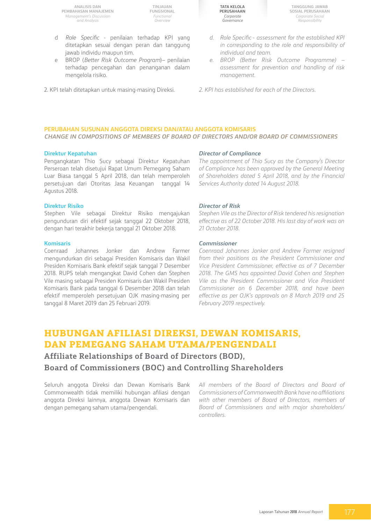**TINJAUAN FUNGSIONAL** *Functional Overview*

- d *Role Specific* penilaian terhadap KPI yang ditetapkan sesuai dengan peran dan tanggung jawab individu maupun tim.
- e BROP (*Better Risk Outcome Program*)– penilaian terhadap pencegahan dan penanganan dalam mengelola risiko.
- 2. KPI telah ditetapkan untuk masing-masing Direksi.

**Tata Kelola Perusahaan** *Corporate Governance*

**Tanggung Jawab Sosial Perusahaan** *Corporate Social Responsibility*

- *d. Role Specific* - *assessment for the established KPI in corresponding to the role and responsibility of individual and team.*
- *e. BROP (Better Risk Outcome Programme) – assessment for prevention and handling of risk management.*
- *2. KPI has established for each of the Directors.*

#### **PERUBAHAN SUSUNAN ANGGOTA DIREKSI DAN/ATAU ANGGOTA KOMISARIS** *CHANGE IN COMPOSITIONS OF MEMBERS OF BOARD OF DIRECTORS AND/OR BOARD OF COMMISSIONERS*

#### **Direktur Kepatuhan**

Pengangkatan Thio Sucy sebagai Direktur Kepatuhan Perseroan telah disetujui Rapat Umum Pemegang Saham Luar Biasa tanggal 5 April 2018, dan telah memperoleh persetujuan dari Otoritas Jasa Keuangan tanggal 14 Agustus 2018.

#### **Direktur Risiko**

Stephen Vile sebagai Direktur Risiko mengajukan pengunduran diri efektif sejak tanggal 22 Oktober 2018, dengan hari terakhir bekerja tanggal 21 Oktober 2018.

#### **Komisaris**

Coenraad Johannes Jonker dan Andrew Farmer mengundurkan diri sebagai Presiden Komisaris dan Wakil Presiden Komisaris Bank efektif sejak tanggal 7 Desember 2018. RUPS telah mengangkat David Cohen dan Stephen Vile masing sebagai Presiden Komisaris dan Wakil Presiden Komisaris Bank pada tanggal 6 Desember 2018 dan telah efektif memperoleh persetujuan OJK masing-masing per tanggal 8 Maret 2019 dan 25 Februari 2019.

#### *Director of Compliance*

*The appointment of Thio Sucy as the Company's Director of Compliance has been approved by the General Meeting of Shareholders dated 5 April 2018, and by the Financial Services Authority dated 14 August 2018.* 

#### *Director of Risk*

*Stephen Vile as the Director of Risk tendered his resignation effective as of 22 October 2018. His last day of work was on 21 October 2018.* 

#### *Commissioner*

*Coenraad Johannes Jonker and Andrew Farmer resigned from their positions as the President Commissioner and Vice President Commissioner, effective as of 7 December 2018. The GMS has appointed David Cohen and Stephen Vile as the President Commissioner and Vice President Commissioner on 6 December 2018, and have been effective as per OJK's approvals on 8 March 2019 and 25 February 2019 respectively.* 

### **Hubungan Afiliasi Direksi, Dewan Komisaris, dan Pemegang Saham Utama/Pengendali**

**Affiliate Relationships of Board of Directors (BOD), Board of Commissioners (BOC) and Controlling Shareholders**

Seluruh anggota Direksi dan Dewan Komisaris Bank Commonwealth tidak memiliki hubungan afiliasi dengan anggota Direksi lainnya, anggota Dewan Komisaris dan dengan pemegang saham utama/pengendali.

*All members of the Board of Directors and Board of Commissioners of Commonwealth Bank have no affiliations with other members of Board of Directors, members of Board of Commissioners and with major shareholders/ controllers.*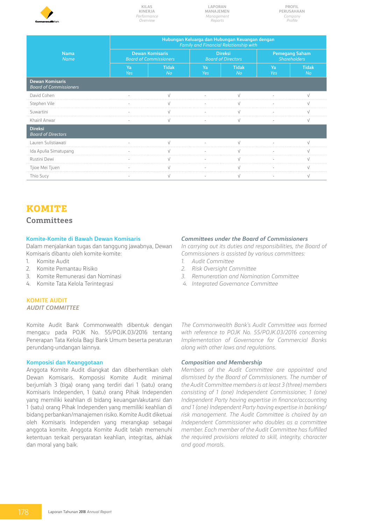

**Laporan Manajemen** *Management Reports*

**Profil Perusahaan** *Company Profile*

|                                                         |           | Hubungan Keluarga dan Hubungan Keuangan dengan<br>Family and Financial Relationship with |           |                                             |                                              |                    |  |  |  |  |  |  |
|---------------------------------------------------------|-----------|------------------------------------------------------------------------------------------|-----------|---------------------------------------------|----------------------------------------------|--------------------|--|--|--|--|--|--|
| <b>Nama</b><br><b>Name</b>                              |           | <b>Dewan Komisaris</b><br><b>Board of Commissioners</b>                                  |           | <b>Direksi</b><br><b>Board of Directors</b> | <b>Pemegang Saham</b><br><b>Shareholders</b> |                    |  |  |  |  |  |  |
|                                                         | Ya<br>Yes | <b>Tidak</b><br><b>No</b>                                                                | Ya<br>Yes | <b>Tidak</b><br><b>No</b>                   | Ya<br>Yes                                    | <b>Tidak</b><br>No |  |  |  |  |  |  |
| <b>Dewan Komisaris</b><br><b>Board of Commissioners</b> |           |                                                                                          |           |                                             |                                              |                    |  |  |  |  |  |  |
| David Cohen                                             |           |                                                                                          |           |                                             |                                              |                    |  |  |  |  |  |  |
| Stephen Vile                                            |           |                                                                                          |           |                                             |                                              |                    |  |  |  |  |  |  |
| Suwartini                                               |           |                                                                                          |           |                                             |                                              |                    |  |  |  |  |  |  |
| Khairil Anwar                                           |           |                                                                                          |           |                                             |                                              |                    |  |  |  |  |  |  |
| <b>Direksi</b><br><b>Board of Directors</b>             |           |                                                                                          |           |                                             |                                              |                    |  |  |  |  |  |  |
| Lauren Sulistiawati                                     |           |                                                                                          |           |                                             |                                              |                    |  |  |  |  |  |  |
| Ida Apulia Simatupang                                   |           |                                                                                          |           |                                             |                                              |                    |  |  |  |  |  |  |
| Rustini Dewi                                            |           |                                                                                          |           |                                             |                                              |                    |  |  |  |  |  |  |
| Tjioe Mei Tjuen                                         |           |                                                                                          |           |                                             |                                              |                    |  |  |  |  |  |  |
| Thio Sucy                                               |           |                                                                                          |           |                                             |                                              |                    |  |  |  |  |  |  |

### **Komite**

#### **Committees**

#### **Komite-Komite di Bawah Dewan Komisaris**

Dalam menjalankan tugas dan tanggung jawabnya, Dewan Komisaris dibantu oleh komite-komite:

- 1. Komite Audit
- 2. Komite Pemantau Risiko
- 3. Komite Remunerasi dan Nominasi
- 4. Komite Tata Kelola Terintegrasi

#### **KOMITE AUDIT** *AUDIT COMMITTEE*

Komite Audit Bank Commonwealth dibentuk dengan mengacu pada POJK No. 55/POJK.03/2016 tentang Penerapan Tata Kelola Bagi Bank Umum beserta peraturan perundang-undangan lainnya.

#### **Komposisi dan Keanggotaan**

Anggota Komite Audit diangkat dan diberhentikan oleh Dewan Komisaris. Komposisi Komite Audit minimal berjumlah 3 (tiga) orang yang terdiri dari 1 (satu) orang Komisaris Independen, 1 (satu) orang Pihak Independen yang memiliki keahlian di bidang keuangan/akutansi dan 1 (satu) orang Pihak Independen yang memiliki keahlian di bidang perbankan/manajemen risiko. Komite Audit diketuai oleh Komisaris Independen yang merangkap sebagai anggota komite. Anggota Komite Audit telah memenuhi ketentuan terkait persyaratan keahlian, integritas, akhlak dan moral yang baik.

#### *Committees under the Board of Commissioners*

*In carrying out its duties and responsibilities, the Board of Commissioners is assisted by various committees:* 

- *1. Audit Committee*
- *2. Risk Oversight Committee*
- *3. Remuneration and Nomination Committee*
- *4. Integrated Governance Committee*

*The Commonwealth Bank's Audit Committee was formed with reference to POJK No. 55/POJK.03/2016 concerning Implementation of Governance for Commercial Banks along with other laws and regulations.* 

#### *Composition and Membership*

*Members of the Audit Committee are appointed and dismissed by the Board of Commissioners. The number of the Audit Committee members is at least 3 (three) members consisting of 1 (one) Independent Commissioner, 1 (one) Independent Party having expertise in finance/accounting and 1 (one) Independent Party having expertise in banking/ risk management. The Audit Committee is chaired by an Independent Commissioner who doubles as a committee member. Each member of the Audit Committee has fulfilled the required provisions related to skill, integrity, character and good morals.*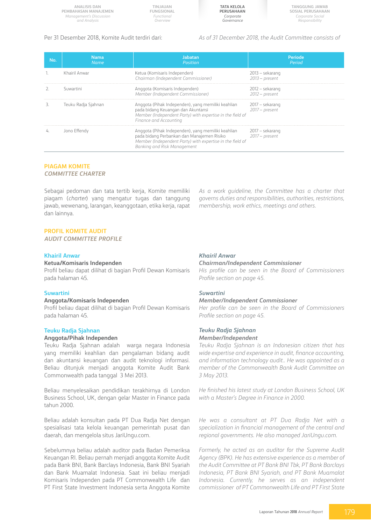**TINJAUAN FUNGSIONAL** *Functional Overview*

**Tata Kelola Perusahaan** *Corporate Governance*

**Tanggung Jawab Sosial Perusahaan** *Corporate Social Responsibility*

Per 31 Desember 2018, Komite Audit terdiri dari: *As of 31 December 2018, the Audit Committee consists of* 

| <b>No</b> | Nama<br>Name        | Jabatan<br>Position                                                                                                                                                                                                         | Periode<br>Period                   |
|-----------|---------------------|-----------------------------------------------------------------------------------------------------------------------------------------------------------------------------------------------------------------------------|-------------------------------------|
|           | Khairil Anwar       | Ketua (Komisaris Independen)<br>Chairman (Independent Commissioner)                                                                                                                                                         | 2013 – sekarang<br>$2013$ – present |
|           | Suwartini           | Anggota (Komisaris Independen)<br>Member (Independent Commissioner)                                                                                                                                                         | 2012 – sekarang<br>$2012$ – present |
|           | Teuku Radja Sjahnan | Anggota (Pihak Independen), yang memiliki keahlian<br>pada bidang Keuangan dan Akuntansi<br>Member (Independent Party) with expertise in the field of<br>Finance and Accounting                                             | 2017 – sekarang<br>2017 – present   |
|           | Jono Effendy        | Anggota (Pihak Independen), yang memiliki keahlian 2017 – sekarang<br>pada bidang Perbankan dan Manajemen Risiko 2017 – present<br>Member (Independent Party) with expertise in the field of<br>Banking and Risk Management |                                     |

#### **PIAGAM KOMITE** *COMMITTEE CHARTER*

Sebagai pedoman dan tata tertib kerja, Komite memiliki piagam (*charter*) yang mengatur tugas dan tanggung jawab, wewenang, larangan, keanggotaan, etika kerja, rapat dan lainnya.

*As a work guideline, the Committee has a charter that governs duties and responsibilities, authorities, restrictions, membership, work ethics, meetings and others.* 

#### **PROFIL KOMITE AUDIT**

*AUDIT COMMITTEE PROFILE*

#### **Khairil Anwar**

#### **Ketua/Komisaris Independen**

Profil beliau dapat dilihat di bagian Profil Dewan Komisaris pada halaman 45.

#### **Suwartini**

#### **Anggota/Komisaris Independen**

Profil beliau dapat dilihat di bagian Profil Dewan Komisaris pada halaman 45.

#### **Teuku Radja Sjahnan**

#### **Anggota/Pihak Independen**

Teuku Radja Sjahnan adalah warga negara Indonesia yang memiliki keahlian dan pengalaman bidang audit dan akuntansi keuangan dan audit teknologi informasi. Beliau ditunjuk menjadi anggota Komite Audit Bank Commonwealth pada tanggal 3 Mei 2013.

Beliau menyelesaikan pendidikan terakhirnya di London Business School, UK, dengan gelar Master in Finance pada tahun 2000.

Beliau adalah konsultan pada PT Dua Radja Net dengan spesialisasi tata kelola keuangan pemerintah pusat dan daerah, dan mengelola situs JariUngu.com.

Sebelumnya beliau adalah auditor pada Badan Pemeriksa Keuangan RI. Beliau pernah menjadi anggota Komite Audit pada Bank BNI, Bank Barclays Indonesia, Bank BNI Syariah dan Bank Muamalat Indonesia. Saat ini beliau menjadi Komisaris Independen pada PT Commonwealth Life dan PT First State Investment Indonesia serta Anggota Komite

#### *Khairil Anwar*

#### *Chairman/Independent Commissioner*

*His profile can be seen in the Board of Commissioners Profile section on page 45.*

#### *Suwartini*

#### *Member/Independent Commissioner*

*Her profile can be seen in the Board of Commissioners Profile section on page 45.*

### *Teuku Radja Sjahnan*

### *Member/Independent*

*Teuku Radja Sjahnan is an Indonesian citizen that has wide expertise and experience in audit, finance accounting, and information technology audit.. He was appointed as a member of the Commonwealth Bank Audit Committee on 3 May 2013.* 

*He finished his latest study at London Business School, UK with a Master's Degree in Finance in 2000.* 

*He was a consultant at PT Dua Radja Net with a specialization in financial management of the central and regional governments. He also managed JariUngu.com.*

*Formerly, he acted as an auditor for the Supreme Audit Agency (BPK). He has extensive experience as a member of the Audit Committee at PT Bank BNI Tbk, PT Bank Barclays Indonesia, PT Bank BNI Syariah, and PT Bank Muamalat Indonesia. Currently, he serves as an independent commissioner of PT Commonwealth Life and PT First State*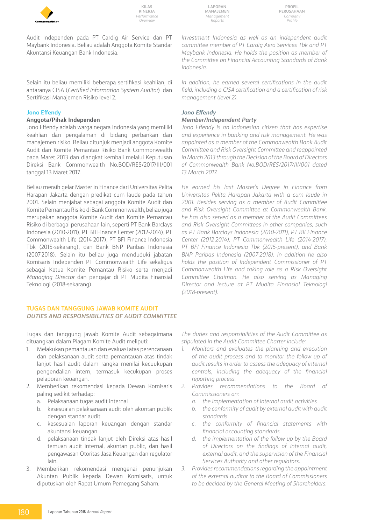

**Laporan Manajemen** *Management Reports*

**Profil Perusahaan** *Company Profile*

Audit Independen pada PT Cardig Air Service dan PT Maybank Indonesia. Beliau adalah Anggota Komite Standar Akuntansi Keuangan Bank Indonesia.

Selain itu beliau memiliki beberapa sertifikasi keahlian, di antaranya CISA (*Certified Information System Auditor*) dan Sertifikasi Manajemen Risiko level 2.

#### **Jono Effendy**

#### **Anggota/Pihak Independen**

Jono Effendy adalah warga negara Indonesia yang memiliki keahlian dan pengalaman di bidang perbankan dan manajemen risiko. Beliau ditunjuk menjadi anggota Komite Audit dan Komite Pemantau Risiko Bank Commonwealth pada Maret 2013 dan diangkat kembali melalui Keputusan Direksi Bank Commonwealth No.BOD/RES/2017/III/001 tanggal 13 Maret 2017.

Beliau meraih gelar Master in Finance dari Universitas Pelita Harapan Jakarta dengan predikat cum laude pada tahun 2001. Selain menjabat sebagai anggota Komite Audit dan Komite Pemantau Risiko di Bank Commonwealth, beliau juga merupakan anggota Komite Audit dan Komite Pemantau Risiko di berbagai perusahaan lain, seperti PT Bank Barclays Indonesia (2010-2011), PT BII Finance Center (2012-2014), PT Commonwealth Life (2014-2017), PT BFI Finance Indonesia Tbk (2015-sekarang), dan Bank BNP Paribas Indonesia (2007-2018). Selain itu beliau juga menduduki jabatan Komisaris Independen PT Commonwealth Life sekaligus sebagai Ketua Komite Pemantau Risiko serta menjadi *Managing Director* dan pengajar di PT Mudita Finansial Teknologi (2018-sekarang).

#### **TUGAS DAN TANGGUNG JAWAB KOMITE AUDIT** *DUTIES AND RESPONSIBILITIES OF AUDIT COMMITTEE*

Tugas dan tanggung jawab Komite Audit sebagaimana dituangkan dalam Piagam Komite Audit meliputi:

- 1. Melakukan pemantauan dan evaluasi atas perencanaan dan pelaksanaan audit serta pemantauan atas tindak lanjut hasil audit dalam rangka menilai kecuukupan pengendalian intern, termasuk kecukupan proses pelaporan keuangan.
- 2. Memberikan rekomendasi kepada Dewan Komisaris paling sedikit terhadap:
	- a. Pelaksanaan tugas audit internal
	- b. kesesuaian pelaksanaan audit oleh akuntan publik dengan standar audit
	- c. kesesuaian laporan keuangan dengan standar akuntansi keuangan
	- d. pelaksanaan tindak lanjut oleh Direksi atas hasil temuan audit internal, akuntan public, dan hasil pengawasan Otoritas Jasa Keuangan dan regulator lain.
- 3. Memberikan rekomendasi mengenai penunjukan Akuntan Publik kepada Dewan Komisaris, untuk diputuskan oleh Rapat Umum Pemegang Saham.

*Investment Indonesia as well as an independent audit committee member of PT Cardig Aero Services Tbk and PT Maybank Indonesia. He holds the position as member of the Committee on Financial Accounting Standards of Bank Indonesia.*

*In addition, he earned several certifications in the audit field, including a CISA certification and a certification of risk management (level 2).* 

#### *Jono Effendy*

#### *Member/Independent Party*

*Jono Effendy is an Indonesian citizen that has expertise and experience in banking and risk management. He was appointed as a member of the Commonwealth Bank Audit Committee and Risk Oversight Committee and reappointed in March 2013 through the Decision of the Board of Directors of Commonwealth Bank No.BOD/RES/2017/III/001 dated 13 March 2017.* 

*He earned his last Master's Degree in Finance from Universitas Pelita Harapan Jakarta with a cum laude in 2001. Besides serving as a member of Audit Committee and Risk Oversight Committee at Commonwealth Bank, he has also served as a member of the Audit Committees and Risk Oversight Committees in other companies, such as PT Bank Barclays Indonesia (2010-2011), PT BII Finance Center (2012-2014), PT Commonwealth Life (2014-2017), PT BFI Finance Indonesia Tbk (2015-present), and Bank BNP Paribas Indonesia (2007-2018). In addition he also holds the position of Independent Commissioner of PT Commonwealth Life and taking role as a Risk Oversight Committee Chaiman. He also serving as Managing Director and lecture at PT Mudita Finansial Teknologi (2018-present).*

*The duties and responsibilities of the Audit Committee as stipulated in the Audit Committee Charter include:* 

- *1. Monitors and evaluates the planning and execution of the audit process and to monitor the follow up of audit results in order to assess the adequacy of internal controls, including the adequacy of the financial reporting process.*
- *2. Provides recommendations to the Board of Commissioners on:*
	- *a. the implementation of internal audit activities*
	- *b. the conformity of audit by external audit with audit standards*
	- *c. the conformity of financial statements with financial accounting standards*
	- *d. the implementation of the follow-up by the Board of Directors on the findings of internal audit, external audit, and the supervision of the Financial Services Authority and other regulators.*
- *3. Provides recommendations regarding the appointment of the external auditor to the Board of Commissioners to be decided by the General Meeting of Shareholders.*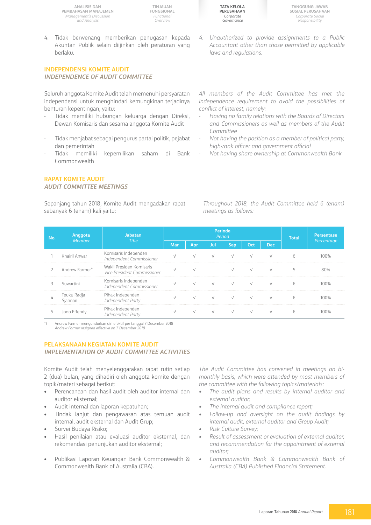**TINJAUAN FUNGSIONAL** *Functional Overview*

4. Tidak berwenang memberikan penugasan kepada Akuntan Publik selain diijinkan oleh peraturan yang berlaku.

#### **INDEPENDENSI KOMITE AUDIT** *INDEPENDENCE OF AUDIT COMMITTEE*

Seluruh anggota Komite Audit telah memenuhi persyaratan independensi untuk menghindari kemungkinan terjadinya benturan kepentingan, yaitu:

- Tidak memiliki hubungan keluarga dengan Direksi, Dewan Komisaris dan sesama anggota Komite Audit
- Tidak menjabat sebagai pengurus partai politik, pejabat dan pemerintah
- Tidak memiliki kepemilikan saham di Bank Commonwealth

#### **RAPAT KOMITE AUDIT** *AUDIT COMMITTEE MEETINGS*

Sepanjang tahun 2018, Komite Audit mengadakan rapat sebanyak 6 (enam) kali yaitu:

**Tata Kelola Perusahaan** *Corporate Governance*

**Tanggung Jawab Sosial Perusahaan** *Corporate Social Responsibility*

*4. Unauthorized to provide assignments to a Public Accountant other than those permitted by applicable laws and regulations.*

*All members of the Audit Committee has met the independence requirement to avoid the possibilities of conflict of interest, namely:* 

- *- Having no family relations with the Boards of Directors and Commissioners as well as members of the Audit Committee*
- *- Not having the position as a member of political party, high-rank officer and government official*
- *- Not having share ownership at Commonwealth Bank*

*Throughout 2018, the Audit Committee held 6 (enam) meetings as follows:* 

| No. | ' Anggota,     | Jabatan                                                 |     | Periode<br>Period |     |     | <b>Total</b> | <b>Persentase</b> |    |            |
|-----|----------------|---------------------------------------------------------|-----|-------------------|-----|-----|--------------|-------------------|----|------------|
|     | <b>Member</b>  | Title                                                   | Mar | Ann               | JUI | Sen | Oct          | Dec               |    | Percentage |
|     | Khairil Anwar  | Komisaris Independen<br>Independent Commissioner        |     |                   |     |     |              |                   | h. |            |
|     | Andrew Farmer* | Wakil Presiden Komisaris<br>Vice President Commissioner |     |                   |     |     |              |                   |    |            |
|     | Suwartini      | Komisaris Independen<br>Independent Commissioner        |     |                   |     |     |              |                   |    |            |
|     | Teuku Radja    | Pihak Independen<br>Independent Party                   |     |                   |     |     |              |                   |    |            |
|     |                | Pihak Independen                                        |     |                   |     |     |              |                   |    |            |

\*) Andrew Farmer mengundurkan diri efektif per tanggal 7 Desember 2018 Andrew Farmer resigned effective on 7 December.

#### **PELAKSANAAN KEGIATAN KOMITE AUDIT** *IMPLEMENTATION OF AUDIT COMMITTEE ACTIVITIES*

Komite Audit telah menyelenggarakan rapat rutin setiap 2 (dua) bulan, yang dihadiri oleh anggota komite dengan topik/materi sebagai berikut:

- Perencanaan dan hasil audit oleh auditor internal dan auditor eksternal;
- Audit internal dan laporan kepatuhan;
- • Tindak lanjut dan pengawasan atas temuan audit internal, audit eksternal dan Audit Grup;
- Survei Budaya Risiko;
- Hasil penilaian atau evaluasi auditor eksternal, dan rekomendasi penunjukan auditor eksternal;
- Publikasi Laporan Keuangan Bank Commonwealth & Commonwealth Bank of Australia (CBA).

*The Audit Committee has convened in meetings on bimonthly basis, which were attended by most members of the committee with the following topics/materials:*

- *• The audit plans and results by internal auditor and external auditor;*
- *• The internal audit and compliance report;*
- *• Follow-up and oversight on the audit findings by internal audit, external auditor and Group Audit;*
- *• Risk Culture Survey;*
- *• Result of assessment or evaluation of external auditor, and recommendation for the appointment of external auditor;*
- *• Commonwealth Bank & Commonwealth Bank of Australia (CBA) Published Financial Statement.*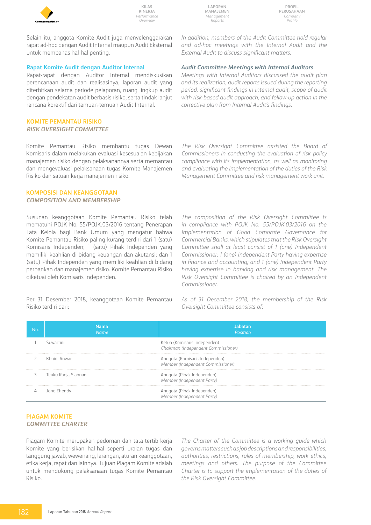

**Laporan Manajemen** *Management Reports*

**Profil Perusahaan** *Company Profile*

Selain itu, anggota Komite Audit juga menyelenggarakan rapat ad-hoc dengan Audit Internal maupun Audit Eksternal untuk membahas hal-hal penting.

#### **Rapat Komite Audit dengan Auditor Internal**

Rapat-rapat dengan Auditor Internal mendiskusikan perencanaan audit dan realisasinya, laporan audit yang diterbitkan selama periode pelaporan, ruang lingkup audit dengan pendekatan audit berbasis risiko, serta tindak lanjut rencana korektif dari temuan-temuan Audit Internal.

#### **KOMITE PEMANTAU RISIKO**

*Risk Oversight Committee*

Komite Pemantau Risiko membantu tugas Dewan Komisaris dalam melakukan evaluasi kesesuaian kebijakan manajemen risiko dengan pelaksanannya serta memantau dan mengevaluasi pelaksanaan tugas Komite Manajemen Risiko dan satuan kerja manajemen risiko.

#### **KOMPOSISI DAN KEANGGOTAAN** *COMPOSITION AND MEMBERSHIP*

Susunan keanggotaan Komite Pemantau Risiko telah mematuhi POJK No. 55/POJK.03/2016 tentang Penerapan Tata Kelola bagi Bank Umum yang mengatur bahwa Komite Pemantau Risiko paling kurang terdiri dari 1 (satu) Komisaris Independen; 1 (satu) Pihak Independen yang memiliki keahlian di bidang keuangan dan akutansi; dan 1 (satu) Pihak Independen yang memiliki keahlian di bidang perbankan dan manajemen risiko. Komite Pemantau Risiko diketuai oleh Komisaris Independen.

Per 31 Desember 2018, keanggotaan Komite Pemantau Risiko terdiri dari:

*In addition, members of the Audit Committee hold regular and ad-hoc meetings with the Internal Audit and the External Audit to discuss significant matters.*

#### *Audit Committee Meetings with Internal Auditors*

*Meetings with Internal Auditors discussed the audit plan and its realization, audit reports issued during the reporting period, significant findings in internal audit, scope of audit with risk-based audit approach, and follow-up action in the corrective plan from Internal Audit's findings.* 

*The Risk Oversight Committee assisted the Board of Commissioners in conducting the evaluation of risk policy compliance with its implementation, as well as monitoring and evaluating the implementation of the duties of the Risk Management Committee and risk management work unit.* 

*The composition of the Risk Oversight Committee is in compliance with POJK No. 55/POJK.03/2016 on the Implementation of Good Corporate Governance for Commercial Banks, which stipulates that the Risk Oversight Committee shall at least consist of 1 (one) Independent Commissioner; 1 (one) Independent Party having expertise in finance and accounting; and 1 (one) Independent Party having expertise in banking and risk management. The Risk Oversight Committee is chaired by an Independent Commissioner.* 

*As of 31 December 2018, the membership of the Risk Oversight Committee consists of:*

| No. | Nama<br><b>Name</b> | Jabatan<br>Position                                                 |
|-----|---------------------|---------------------------------------------------------------------|
|     | Suwartini           | Ketua (Komisaris Independen)<br>Chairman (Independent Commissioner) |
|     | Khairil Anwar       | Anggota (Komisaris Independen)<br>Member (Independent Commissioner) |
| 3   | Teuku Radja Sjahnan | Anggota (Pihak Independen)<br>Member (Independent Party)            |
| 4   | Jono Effendy        | Anggota (Pihak Independen)<br>Member (Independent Party)            |

### **PIAGAM KOMITE**

#### *COMMITTEE CHARTER*

Piagam Komite merupakan pedoman dan tata tertib kerja Komite yang berisikan hal-hal seperti uraian tugas dan tanggung jawab, wewenang, larangan, aturan keanggotaan, etika kerja, rapat dan lainnya. Tujuan Piagam Komite adalah untuk mendukung pelaksanaan tugas Komite Pemantau Risiko.

*The Charter of the Committee is a working guide which governs matters such as job descriptions and responsibilities, authorities, restrictions, rules of membership, work ethics, meetings and others. The purpose of the Committee Charter is to support the implementation of the duties of the Risk Oversight Committee.*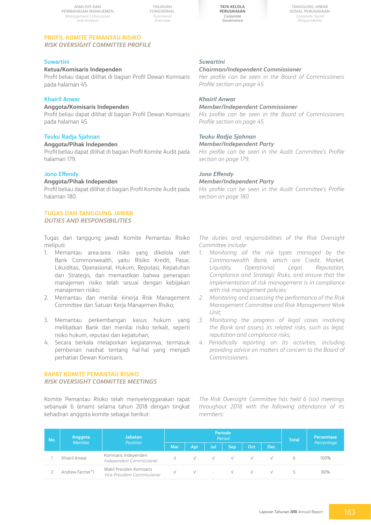**TINJAUAN FUNGSIONAL** *Functional Overview*



**Tanggung Jawab Sosial Perusahaan** *Corporate Social Responsibility*

#### **PROFIL KOMITE PEMANTAU RISIKO** *RISK Oversight COMMITTEE PROFILE*

#### **Suwartini**

#### **Ketua/Komisaris Independen**

Profil beliau dapat dilihat di bagian Profil Dewan Komisaris pada halaman 45.

#### **Khairil Anwar**

#### **Anggota/Komisaris Independen**

Profil beliau dapat dilihat di bagian Profil Dewan Komisaris pada halaman 45.

#### **Teuku Radja Sjahnan**

#### **Anggota/Pihak Independen**

Profil beliau dapat dilihat di bagian Profil Komite Audit pada halaman 179.

#### **Jono Effendy**

#### **Anggota/Pihak Independen**

Profil beliau dapat dilihat di bagian Profil Komite Audit pada halaman 180.

#### **TUGAS DAN TANGGUNG JAWAB** *DUTIES AND RESPONSIBILITIES*

Tugas dan tanggung jawab Komite Pemantau Risiko meliputi:

- 1. Memantau area-area risiko yang dikelola oleh Bank Commonwealth, yaitu Risiko Kredit, Pasar, Likuiditas, Operasional, Hukum, Reputasi, Kepatuhan dan Strategis, dan memastikan bahwa penerapan manajemen risiko telah sesuai dengan kebijakan manajemen risiko;
- 2. Memantau dan menilai kinerja Risk Management Committee dan Satuan Kerja Manajemen Risiko;
- 3. Memantau perkembangan kasus hukum yang melibatkan Bank dan menilai risiko terkait, seperti risiko hukum, reputasi dan kepatuhan;
- 4. Secara berkala melaporkan kegiatannya, termasuk pemberian nasihat tentang hal-hal yang menjadi perhatian Dewan Komisaris.

#### **RAPAT KOMITE PEMANTAU RISIKO**

#### *Risk Oversight COMMITTEE MEETINGS*

Komite Pemantau Risiko telah menyelenggarakan rapat sebanyak 6 (enam) selama tahun 2018 dengan tingkat kehadiran anggota komite sebagai berikut:

#### *Suwartini*

#### *Chairman/Independent Commissioner*

*Her profile can be seen in the Board of Commissioners Profile section on page 45.*

#### *Khairil Anwar*

#### *Member/Independent Commissioner*

*His profile can be seen in the Board of Commissioners Profile section on page 45.* 

#### *Teuku Radja Sjahnan*

#### *Member/Independent Party*

*His profile can be seen in the Audit Committee's Profile section on page 179.*

#### *Jono Effendy*

#### *Member/Independent Party*

*His profile can be seen in the Audit Committee's Profile section on page 180.*

*The duties and responsibilities of the Risk Oversight Committee include:* 

- *1. Monitoring all the risk types managed by the Commonwealth Bank, which are Credit, Market, Liquidity, Operational, Legal, Reputation, Compliance and Strategic Risks, and ensure that the implementation of risk management is in compliance with risk management policies;*
- *2. Monitoring and assessing the performance of the Risk Management Committee and Risk Management Work Unit;*
- *3. Monitoring the progress of legal cases involving the Bank and assess its related risks, such as legal, reputation and compliance risks;*
- 4. Periodically reporting on its activities, including *providing advice on matters of concern to the Board of Commissioners.*

*The Risk Oversight Committee has held 6 (six) meetings throughout 2018 with the following attendance of its members:* 

| No. | Anggota<br>Member | labatan<br><b>Position</b>                              |     | <b>Periode</b><br>Period |      | <b>Total</b> | <b>Persentase</b> |  |            |      |
|-----|-------------------|---------------------------------------------------------|-----|--------------------------|------|--------------|-------------------|--|------------|------|
|     |                   | Mar                                                     | Apr | Jul                      | Sep. | Oct          | <b>Dec</b>        |  | Percentage |      |
|     | Khairil Anwar     | Komisaris Independen<br>Independent Commissioner        |     |                          |      |              |                   |  |            | 100% |
|     | Andrew Farmer*)   | Wakil Presiden Komisaris<br>Vice President Commissioner |     |                          |      |              |                   |  |            | 80%  |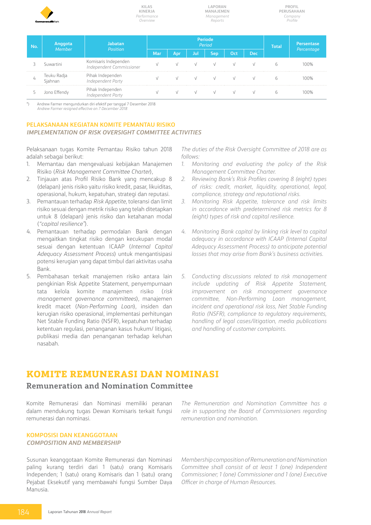

**Laporan Manajemen** *Management Reports*

| Anggota<br><b>No</b><br>Member <sup>1</sup> |                       | <b>Jabatan</b><br><b>Position</b>                |     |     |     | Periode<br>Period |            | <b>Total</b> | Persentase |      |
|---------------------------------------------|-----------------------|--------------------------------------------------|-----|-----|-----|-------------------|------------|--------------|------------|------|
|                                             |                       | <b>Mar</b>                                       | Apı | Jul | Sep | Oct               | <b>Dec</b> |              | Percentage |      |
|                                             | Suwartini             | Komisaris Independen<br>Independent Commissioner |     |     |     |                   | $\sqrt{ }$ |              |            | 100% |
|                                             | Teuku Radja<br>iahnan | Pihak Independen<br>Independent Party            |     |     |     |                   |            |              |            | 100% |
|                                             | Jono Effendy          | Pihak Independen<br>Independent Party            |     |     |     |                   |            |              |            |      |

\*) Andrew Farmer mengundurkan diri efektif per tanggal 7 Desember 2018 *Andrew Farmer resigned effective on 7 December 2018*

#### **PELAKSANAAN KEGIATAN KOMITE PEMANTAU RISIKO** *IMPLEMENTATION OF Risk Oversight COMMITTEE ACTIVITIES*

Pelaksanaan tugas Komite Pemantau Risiko tahun 2018 adalah sebagai berikut:

- 1. Memantau dan mengevaluasi kebijakan Manajemen Risiko (*Risk Management Committee Charter*),
- 2. Tinjauan atas Profil Risiko Bank yang mencakup 8 (delapan) jenis risiko yaitu risiko kredit, pasar, likuiditas, operasional, hukum, kepatuhan, strategi dan reputasi.
- 3. Pemantauan terhadap *Risk Appetite*, toleransi dan limit risiko sesuai dengan metrik risiko yang telah ditetapkan untuk 8 (delapan) jenis risiko dan ketahanan modal (*"capital resilience"*).
- 4. Pemantauan terhadap permodalan Bank dengan mengaitkan tingkat risiko dengan kecukupan modal sesuai dengan ketentuan ICAAP (*Internal Capital Adequacy Assessment Process*) untuk mengantisipasi potensi kerugian yang dapat timbul dari aktivitas usaha Bank.
- 5. Pembahasan terkait manajemen risiko antara lain pengkinian Risk Appetite Statement, penyempurnaan tata kelola komite manajemen risiko (*risk management governance committees*), manajemen kredit macet (*Non-Performing Loan*), insiden dan kerugian risiko operasional, implementasi perhitungan Net Stable Funding Ratio (NSFR), kepatuhan terhadap ketentuan regulasi, penanganan kasus hukum/ litigasi, publikasi media dan penanganan terhadap keluhan nasabah.

*The duties of the Risk Oversight Committee of 2018 are as follows:* 

- *1. Monitoring and evaluating the policy of the Risk Management Committee Charter.*
- *2. Reviewing Bank's Risk Profiles covering 8 (eight) types of risks: credit, market, liquidity, operational, legal, compliance, strategy and reputational risks.*
- *3. Monitoring Risk Appetite, tolerance and risk limits in accordance with predetermined risk metrics for 8 (eight) types of risk and capital resilience.*
- *4. Monitoring Bank capital by linking risk level to capital adequacy in accordance with ICAAP (Internal Capital Adequacy Assessment Process) to anticipate potential losses that may arise from Bank's business activities.*
- *5. Conducting discussions related to risk management include updating of Risk Appetite Statement, improvement on risk management governance committee, Non-Performing Loan management, incident and operational risk loss, Net Stable Funding Ratio (NSFR), compliance to regulatory requirements, handling of legal cases/litigation, media publications and handling of customer complaints.*

### **Komite Remunerasi dan Nominasi**

### **Remuneration and Nomination Committee**

Komite Remunerasi dan Nominasi memiliki peranan dalam mendukung tugas Dewan Komisaris terkait fungsi remunerasi dan nominasi.

**KOMPOSISI DAN KEANGGOTAAN** *COMPOSITION AND MEMBERSHIP*

Susunan keanggotaan Komite Remunerasi dan Nominasi paling kurang terdiri dari 1 (satu) orang Komisaris Independen; 1 (satu) orang Komisaris dan 1 (satu) orang Pejabat Eksekutif yang membawahi fungsi Sumber Daya Manusia.

*The Remuneration and Nomination Committee has a role in supporting the Board of Commissioners regarding remuneration and nomination.* 

*Membership composition of Remuneration and Nomination Committee shall consist of at least 1 (one) Independent Commissioner; 1 (one) Commissioner and 1 (one) Executive Officer in charge of Human Resources.*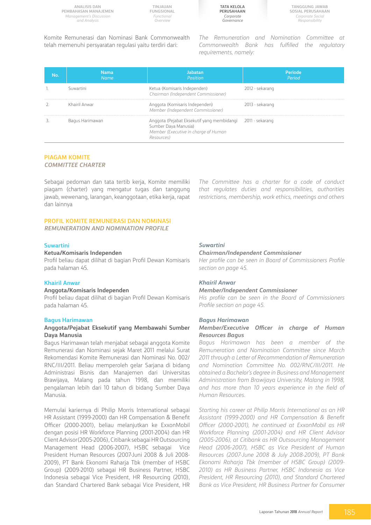**TINJAUAN FUNGSIONAL** *Functional Overview*



Komite Remunerasi dan Nominasi Bank Commonwealth telah memenuhi persyaratan regulasi yaitu terdiri dari:

*The Remuneration and Nomination Committee at Commonwealth Bank has fulfilled the regulatory requirements, namely:*

| No. | <b>Nama</b><br><b>Name</b> | Jabatan<br>Position                                                                                                                      | Periode<br>Period |
|-----|----------------------------|------------------------------------------------------------------------------------------------------------------------------------------|-------------------|
|     | Suwartini                  | Ketua (Komisaris Independen)<br>Chairman (Independent Commissioner)                                                                      | 2012 - sekarang   |
|     | Khairil Anwar              | Anggota (Komisaris Independen)<br>Member (Independent Commissioner)                                                                      | 2013 - sekarang   |
|     | Bagus Harimawan            | Anggota (Pejabat Eksekutif yang membidangi 2011 - sekarang<br>Sumber Daya Manusia)<br>Member (Executive in charge of Human<br>Resources) |                   |

### **PIAGAM KOMITE**

#### *COMMITTEE CHARTER*

Sebagai pedoman dan tata tertib kerja, Komite memiliki piagam (charter) yang mengatur tugas dan tanggung jawab, wewenang, larangan, keanggotaan, etika kerja, rapat dan lainnya

*The Committee has a charter for a code of conduct that regulates duties and responsibilities, authorities restrictions, membership, work ethics, meetings and others*

#### **PROFIL KOMITE REMUNERASI DAN NOMINASI**

*REMUNERATION AND NOMINATION PROFILE*

#### **Suwartini**

#### **Ketua/Komisaris Independen**

Profil beliau dapat dilihat di bagian Profil Dewan Komisaris pada halaman 45.

#### **Khairil Anwar**

#### **Anggota/Komisaris Independen**

Profil beliau dapat dilihat di bagian Profil Dewan Komisaris pada halaman 45.

#### **Bagus Harimawan**

#### **Anggota/Pejabat Eksekutif yang Membawahi Sumber Daya Manusia**

Bagus Harimawan telah menjabat sebagai anggota Komite Remunerasi dan Nominasi sejak Maret 2011 melalui Surat Rekomendasi Komite Remunerasi dan Nominasi No. 002/ RNC/III/2011. Beliau memperoleh gelar Sarjana di bidang Administrasi Bisnis dan Manajemen dari Universitas Brawijaya, Malang pada tahun 1998, dan memiliki pengalaman lebih dari 10 tahun di bidang Sumber Daya Manusia.

Memulai kariernya di Philip Morris International sebagai HR Assistant (1999-2000) dan HR Compensation & Benefit Officer (2000-2001), beliau melanjutkan ke ExxonMobil dengan posisi HR Workforce Planning (2001-2004) dan HR Client Advisor(2005-2006), Citibank sebagai HR Outsourcing Management Head (2006-2007), HSBC sebagai Vice President Human Resources (2007-Juni 2008 & Juli 2008- 2009), PT Bank Ekonomi Raharja Tbk (member of HSBC Group) (2009-2010) sebagai HR Business Partner, HSBC Indonesia sebagai Vice President, HR Resourcing (2010), dan Standard Chartered Bank sebagai Vice President, HR

#### *Suwartini*

#### *Chairman/Independent Commissioner*

*Her profile can be seen in Board of Commissioners Profile section on page 45.*

#### *Khairil Anwar*

#### *Member/Independent Commissioner*

*His profile can be seen in the Board of Commissioners Profile section on page 45.*

#### *Bagus Harimawan*

#### *Member/Executive Officer in charge of Human Resources Bagus*

*Bagus Harimawan has been a member of the Remuneration and Nomination Committee since March 2011 through a Letter of Recommendation of Remuneration and Nomination Committee No. 002/RNC/III/2011. He obtained a Bachelor's degree in Business and Management Administration from Brawijaya University, Malang in 1998, and has more than 10 years experience in the field of Human Resources.*

*Starting his career at Philip Morris International as an HR Assistant (1999-2000) and HR Compensation & Benefit Officer (2000-2001), he continued at ExxonMobil as HR Workforce Planning (2001-2004) and HR Client Advisor (2005-2006), at Citibank as HR Outsourcing Management Head (2006-2007), HSBC as Vice President of Human Resources (2007-June 2008 & July 2008-2009), PT Bank Ekonomi Raharja Tbk (member of HSBC Group) (2009- 2010) as HR Business Partner, HSBC Indonesia as Vice President, HR Resourcing (2010), and Standard Chartered Bank as Vice President, HR Business Partner for Consumer*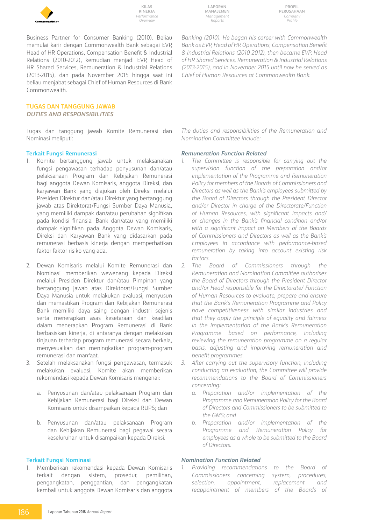

**Laporan Manajemen** *Management Reports*

**Profil Perusahaan** *Company Profile*

Business Partner for Consumer Banking (2010). Beliau memulai karir dengan Commonwealth Bank sebagai EVP, Head of HR Operations, Compensation Benefit & Industrial Relations (2010-2012), kemudian menjadi EVP, Head of HR Shared Services, Remuneration & Industrial Relations (2013-2015), dan pada November 2015 hingga saat ini beliau menjabat sebagai Chief of Human Resources di Bank Commonwealth.

#### **TUGAS DAN TANGGUNG JAWAB** *DUTIES AND RESPONSIBILITIES*

Tugas dan tanggung jawab Komite Remunerasi dan Nominasi meliputi:

#### **Terkait Fungsi Remunerasi**

- 1. Komite bertanggung jawab untuk melaksanakan fungsi pengawasan terhadap penyusunan dan/atau pelaksanaan Program dan Kebijakan Remunerasi bagi anggota Dewan Komisaris, anggota Direksi, dan karyawan Bank yang diajukan oleh Direksi melalui Presiden Direktur dan/atau Direktur yang bertanggung jawab atas Direktorat/Fungsi Sumber Daya Manusia, yang memiliki dampak dan/atau perubahan signifikan pada kondisi finansial Bank dan/atau yang memiliki dampak signifikan pada Anggota Dewan Komisaris, Direksi dan Karyawan Bank yang didasarkan pada remunerasi berbasis kinerja dengan memperhatikan faktor-faktor risiko yang ada.
- 2. Dewan Komisaris melalui Komite Remunerasi dan Nominasi memberikan wewenang kepada Direksi melalui Presiden Direktur dan/atau Pimpinan yang bertanggung jawab atas Direktorat/Fungsi Sumber Daya Manusia untuk melakukan evaluasi, menyusun dan memastikan Program dan Kebijakan Remunerasi Bank memiliki daya saing dengan industri sejenis serta menerapkan asas kesetaraan dan keadilan dalam menerapkan Program Remunerasi di Bank berbasiskan kinerja, di antaranya dengan melakukan tinjauan terhadap program remunerasi secara berkala, menyesuaikan dan meningkatkan program-program remunerasi dan manfaat.
- 3. Setelah melaksanakan fungsi pengawasan, termasuk melakukan evaluasi, Komite akan memberikan rekomendasi kepada Dewan Komisaris mengenai:
	- a. Penyusunan dan/atau pelaksanaan Program dan Kebijakan Remunerasi bagi Direksi dan Dewan Komisaris untuk disampaikan kepada RUPS; dan
	- b. Penyusunan dan/atau pelaksanaan Program dan Kebijakan Remunerasi bagi pegawai secara keseluruhan untuk disampaikan kepada Direksi.

#### **Terkait Fungsi Nominasi**

1. Memberikan rekomendasi kepada Dewan Komisaris terkait dengan sistem, prosedur, pemilihan, pengangkatan, penggantian, dan pengangkatan kembali untuk anggota Dewan Komisaris dan anggota

*Banking (2010). He began his career with Commonwealth Bank as EVP, Head of HR Operations, Compensation Benefit & Industrial Relations (2010-2012), then became EVP, Head of HR Shared Services, Remuneration & Industrial Relations (2013-2015), and in November 2015 until now he served as Chief of Human Resources at Commonwealth Bank.*

*The duties and responsibilities of the Remuneration and Nomination Committee include:* 

#### *Remuneration Function Related*

- *1. The Committee is responsible for carrying out the supervision function of the preparation and/or implementation of the Programme and Remuneration Policy for members of the Boards of Commissioners and Directors as well as the Bank's employees submitted by the Board of Directors through the President Director and/or Director in charge of the Directorate/Function of Human Resources, with significant impacts and/ or changes in the Bank's financial condition and/or with a significant impact on Members of the Boards of Commissioners and Directors as well as the Bank's Employees in accordance with performance-based remuneration by taking into account existing risk factors.*
- *2. The Board of Commissioners through the Remuneration and Nomination Committee authorises the Board of Directors through the President Director and/or Head responsible for the Directorate/ Function of Human Resources to evaluate, prepare and ensure that the Bank's Remuneration Programme and Policy have competitiveness with similar industries and that they apply the principle of equality and fairness in the implementation of the Bank's Remuneration Programme based on performance, including reviewing the remuneration programme on a regular basis, adjusting and improving remuneration and benefit programmes.*
- *3. After carrying out the supervisory function, including conducting an evaluation, the Committee will provide recommendations to the Board of Commissioners concerning:*
	- *a. Preparation and/or implementation of the Programme and Remuneration Policy for the Board of Directors and Commissioners to be submitted to the GMS; and*
	- *b. Preparation and/or implementation of the Programme and Remuneration Policy for employees as a whole to be submitted to the Board of Directors.*

#### *Nomination Function Related*

*1. Providing recommendations to the Board of Commissioners concerning system, procedures, selection, appointment, replacement and reappointment of members of the Boards of*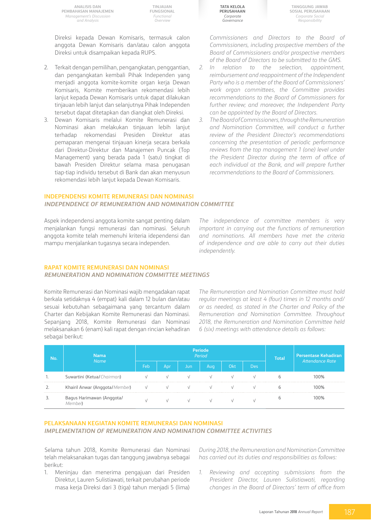**TINJAUAN FUNGSIONAL** *Functional Overview*

Direksi kepada Dewan Komisaris, termasuk calon anggota Dewan Komisaris dan/atau calon anggota Direksi untuk disampaikan kepada RUPS.

- 2. Terkait dengan pemilihan, pengangkatan, penggantian, dan pengangkatan kembali Pihak Independen yang menjadi anggota komite-komite organ kerja Dewan Komisaris, Komite memberikan rekomendasi lebih lanjut kepada Dewan Komisaris untuk dapat dilakukan tinjauan lebih lanjut dan selanjutnya Pihak Independen tersebut dapat ditetapkan dan diangkat oleh Direksi.
- 3. Dewan Komisaris melalui Komite Remunerasi dan Nominasi akan melakukan tinjauan lebih lanjut terhadap rekomendasi Presiden Direktur atas pemaparan mengenai tinjauan kinerja secara berkala dari Direktur-Direktur dan Manajemen Puncak (Top Management) yang berada pada 1 (satu) tingkat di bawah Presiden Direktur selama masa penugasan tiap-tiap individu tersebut di Bank dan akan menyusun rekomendasi lebih lanjut kepada Dewan Komisaris.

**Tata Kelola Perusahaan** *Corporate Governance*

**Tanggung Jawab Sosial Perusahaan** *Corporate Social Responsibility*

*Commissioners and Directors to the Board of Commissioners, including prospective members of the Board of Commissioners and/or prospective members of the Board of Directors to be submitted to the GMS.*

- *2. In relation to the selection, appointment, reimbursement and reappointment of the Independent Party who is a member of the Board of Commissioners' work organ committees, the Committee provides recommendations to the Board of Commissioners for further review; and moreover, the Independent Party can be appointed by the Board of Directors.*
- *3. The Board of Commissioners, through the Remuneration and Nomination Committee, will conduct a further review of the President Director's recommendations concerning the presentation of periodic performance reviews from the top management 1 (one) level under the President Director during the term of office of each individual at the Bank, and will prepare further recommendations to the Board of Commissioners.*

#### **INDEPENDENSI KOMITE REMUNERASI DAN NOMINASI** *INDEPENDENCE OF REMUNERATION AND NOMINATION COMMITTEE*

Aspek independensi anggota komite sangat penting dalam menjalankan fungsi remunerasi dan nominasi. Seluruh anggota komite telah memenuhi kriteria idependensi dan mampu menjalankan tugasnya secara independen.

*The independence of committee members is very important in carrying out the functions of remuneration and nominations. All members have met the criteria of independence and are able to carry out their duties independently.*

#### **RAPAT KOMITE REMUNERASI DAN NOMINASI** *REMUNERATION AND NOMINATION COMMITTEE MEETINGS*

Komite Remunerasi dan Nominasi wajib mengadakan rapat berkala setidaknya 4 (empat) kali dalam 12 bulan dan/atau sesuai kebutuhan sebagaimana yang tercantum dalam Charter dan Kebijakan Komite Remunerasi dan Nominasi. Sepanjang 2018, Komite Remunerasi dan Nominasi melaksanakan 6 (enam) kali rapat dengan rincian kehadiran sebagai berikut:

*The Remuneration and Nomination Committee must hold regular meetings at least 4 (four) times in 12 months and/ or as needed, as stated in the Charter and Policy of the Remuneration and Nomination Committee. Throughout 2018, the Remuneration and Nomination Committee held 6 (six) meetings with attendance details as follows:* 

| No. | Nama<br>Name                   |     |               |     | Periode<br>Period |     |     | <b>Total</b> | Persentase Kehadiran<br>Attendance Rate |
|-----|--------------------------------|-----|---------------|-----|-------------------|-----|-----|--------------|-----------------------------------------|
|     |                                | Feb | Apr           | Jun | Aug.              | Okt | Des |              |                                         |
|     | Suwartini (Ketua/Chairman)     |     |               |     |                   |     |     |              | 1በበ%                                    |
|     | Khairil Anwar (Anggota/Member) |     |               |     |                   |     |     |              | 1በበ%                                    |
|     | Bagus Harimawan (Anggota/      |     | $\mathcal{L}$ |     |                   |     |     |              |                                         |

#### **PELAKSANAAN KEGIATAN KOMITE REMUNERASI DAN NOMINASI**  *IMPLEMENTATION OF REMUNERATION AND NOMINATION COMMITTEE ACTIVITIES*

Selama tahun 2018, Komite Remunerasi dan Nominasi telah melaksanakan tugas dan tanggung jawabnya sebagai berikut:

1. Meninjau dan menerima pengajuan dari Presiden Direktur, Lauren Sulistiawati, terkait perubahan periode masa kerja Direksi dari 3 (tiga) tahun menjadi 5 (lima)

*During 2018, the Remuneration and Nomination Committee has carried out its duties and responsibilities as follows:*

*1. Reviewing and accepting submissions from the President Director, Lauren Sulistiawati, regarding changes in the Board of Directors' term of office from*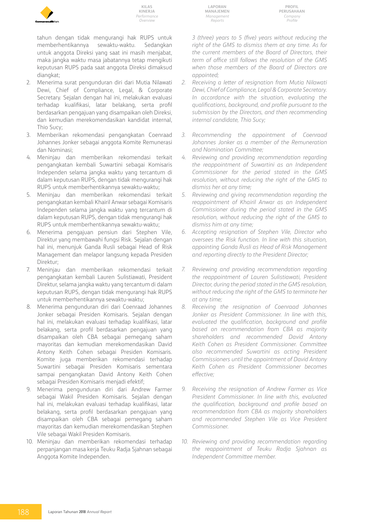

tahun dengan tidak mengurangi hak RUPS untuk memberhentikannya sewaktu-waktu. Sedangkan untuk anggota Direksi yang saat ini masih menjabat, maka jangka waktu masa jabatannya tetap mengikuti keputusan RUPS pada saat anggota Direksi dimaksud diangkat;

- 2. Menerima surat pengunduran diri dari Mutia Nilawati Dewi, Chief of Compliance, Legal, & Corporate Secretary. Sejalan dengan hal ini, melakukan evaluasi terhadap kualifikasi, latar belakang, serta profil berdasarkan pengajuan yang disampaikan oleh Direksi, dan kemudian merekomendasikan kandidat internal, Thio Sucy;
- 3. Memberikan rekomendasi pengangkatan Coenraad Johannes Jonker sebagai anggota Komite Remunerasi dan Nominasi;
- 4. Meninjau dan memberikan rekomendasi terkait pengangkatan kembali Suwartini sebagai Komisaris Independen selama jangka waktu yang tercantum di dalam keputusan RUPS, dengan tidak mengurangi hak RUPS untuk memberhentikannya sewaktu-waktu;
- 5. Meninjau dan memberikan rekomendasi terkait pengangkatan kembali Khairil Anwar sebagai Komisaris Independen selama jangka waktu yang tercantum di dalam keputusan RUPS, dengan tidak mengurangi hak RUPS untuk memberhentikannya sewaktu-waktu;
- 6. Menerima pengajuan pensiun dari Stephen Vile, Direktur yang membawahi fungsi Risk. Sejalan dengan hal ini, menunjuk Ganda Rusli sebagai Head of Risk Management dan melapor langsung kepada Presiden Direktur;
- 7. Meninjau dan memberikan rekomendasi terkait pengangkatan kembali Lauren Sulistiawati, President Direktur, selama jangka waktu yang tercantum di dalam keputusan RUPS, dengan tidak mengurangi hak RUPS untuk memberhentikannya sewaktu-waktu;
- 8. Menerima pengunduran diri dari Coenraad Johannes Jonker sebagai Presiden Komisaris. Sejalan dengan hal ini, melakukan evaluasi terhadap kualifikasi, latar belakang, serta profil berdasarkan pengajuan yang disampaikan oleh CBA sebagai pemegang saham mayoritas dan kemudian merekomendasikan David Antony Keith Cohen sebagai Presiden Komisaris. Komite juga memberikan rekomendasi terhadap Suwartini sebagai Presiden Komisaris sementara sampai pengangkatan David Antony Keith Cohen sebagai Presiden Komisaris menjadi efektif;
- 9. Menerima pengunduran diri dari Andrew Farmer sebagai Wakil Presiden Komisaris. Sejalan dengan hal ini, melakukan evaluasi terhadap kualifikasi, latar belakang, serta profil berdasarkan pengajuan yang disampaikan oleh CBA sebagai pemegang saham mayoritas dan kemudian merekomendasikan Stephen Vile sebagai Wakil Presiden Komisaris.
- 10. Meninjau dan memberikan rekomendasi terhadap perpanjangan masa kerja Teuku Radja Sjahnan sebagai Anggota Komite Independen.

**Laporan Manajemen** *Management Reports*

**Profil Perusahaan** *Company Profile*

*3 (three) years to 5 (five) years without reducing the right of the GMS to dismiss them at any time. As for the current members of the Board of Directors, their term of office still follows the resolution of the GMS when those members of the Board of Directors are appointed;*

- *2. Receiving a letter of resignation from Mutia Nilawati Dewi, Chief of Compliance, Legal & Corporate Secretary. In accordance with the situation, evaluating the qualifications, background, and profile pursuant to the submission by the Directors, and then recommending internal candidate, Thio Sucy;*
- *3. Recommending the appointment of Coenraad Johannes Jonker as a member of the Remuneration and Nomination Committee;*
- *4. Reviewing and providing recommendation regarding the reappointment of Suwartini as an Independent Commissioner for the period stated in the GMS resolution, without reducing the right of the GMS to dismiss her at any time;*
- *5. Reviewing and giving recommendation regarding the reappointment of Khairil Anwar as an Independent Commissioner during the period stated in the GMS resolution, without reducing the right of the GMS to dismiss him at any time;*
- *6. Accepting resignation of Stephen Vile, Director who oversees the Risk function. In line with this situation, appointing Ganda Rusli as Head of Risk Management and reporting directly to the President Director;*
- *7. Reviewing and providing recommendation regarding the reappointment of Lauren Sulistiawati, President Director, during the period stated in the GMS resolution, without reducing the right of the GMS to terminate her at any time;*
- *8. Receiving the resignation of Coenraad Johannes Jonker as President Commissioner. In line with this, evaluated the qualification, background and profile based on recommendation from CBA as majority shareholders and recommended David Antony Keith Cohen as President Commissioner. Committee also recommended Suwartini as acting President Commissioners until the appointment of David Antony Keith Cohen as President Commissioner becomes effective;*
- *9. Receiving the resignation of Andrew Farmer as Vice President Commissioner. In line with this, evaluated the qualification, background and profile based on recommendation from CBA as majority shareholders and recommended Stephen Vile as Vice President Commissioner.*
- *10. Reviewing and providing recommendation regarding the reappointment of Teuku Radja Sjahnan as Independent Committee member.*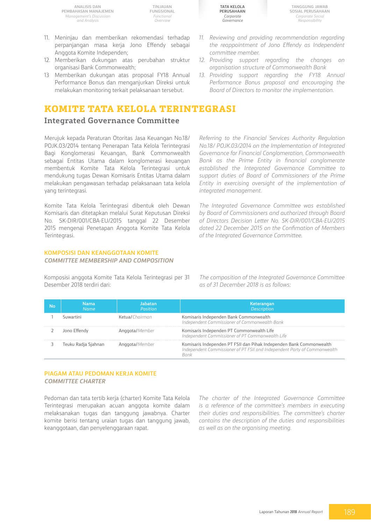**TINJAUAN FUNGSIONAL** *Functional Overview*

- 11. Meninjau dan memberikan rekomendasi terhadap perpanjangan masa kerja Jono Effendy sebagai Anggota Komite Independen;
- 12. Memberikan dukungan atas perubahan struktur organisasi Bank Commonwealth;
- 13 Memberikan dukungan atas proposal FY18 Annual Performance Bonus dan menganjurkan Direksi untuk melakukan monitoring terkait pelaksanaan tersebut.

# **Komite Tata Kelola Terintegrasi**

## **Integrated Governance Committee**

Merujuk kepada Peraturan Otoritas Jasa Keuangan No.18/ POJK.03/2014 tentang Penerapan Tata Kelola Terintegrasi Bagi Konglomerasi Keuangan, Bank Commonwealth sebagai Entitas Utama dalam konglomerasi keuangan membentuk Komite Tata Kelola Terintegrasi untuk mendukung tugas Dewan Komisaris Entitas Utama dalam melakukan pengawasan terhadap pelaksanaan tata kelola yang terintegrasi.

Komite Tata Kelola Terintegrasi dibentuk oleh Dewan Komisaris dan ditetapkan melalui Surat Keputusan Direksi No. SK-DIR/001/CBA-EU/2015 tanggal 22 Desember 2015 mengenai Penetapan Anggota Komite Tata Kelola Terintegrasi.

#### **KOMPOSISI DAN KEANGGOTAAN KOMITE** *COMMITTEE MEMBERSHIP AND COMPOSITION*

Komposisi anggota Komite Tata Kelola Terintegrasi per 31 Desember 2018 terdiri dari:

*The composition of the Integrated Governance Committee as of 31 December 2018 is as follows:* 

| No | Nama<br>Name        | Jabatan<br><b>Position</b> | Keterangan<br>Description                                                                                                                        |
|----|---------------------|----------------------------|--------------------------------------------------------------------------------------------------------------------------------------------------|
|    | Suwartini           | Ketual Chairman            | Komisaris Independen Bank Commonwealth<br>Independent Commissioner of Commonwealth Bank                                                          |
|    | Jono Effendy        | Anggota/Member             | Komisaris Independen PT Commonwealth Life<br>Independent Commissioner of PT Commonwealth Life                                                    |
|    | Teuku Radja Sjahnan | Anggota/Member             | Komisaris Independen PT FSII dan Pihak Independen Bank Commonwealth<br>Independent Commissioner of PT FSII and Independent Party of Commonwealth |

#### **PIAGAM ATAU PEDOMAN KERJA KOMITE** *COMMITTEE CHARTER*

Pedoman dan tata tertib kerja (charter) Komite Tata Kelola Terintegrasi merupakan acuan anggota komite dalam melaksanakan tugas dan tanggung jawabnya. Charter komite berisi tentang uraian tugas dan tanggung jawab, keanggotaan, dan penyelenggaraan rapat.

*The charter of the Integrated Governance Committee is a reference of the committee's members in executing their duties and responsibilities. The committee's charter contains the description of the duties and responsibilities as well as on the organising meeting.* 

*11. Reviewing and providing recommendation regarding the reappointment of Jono Effendy as Independent committee member.*

**Tata Kelola Perusahaan**

> *Corporate Governance*

- *12. Providing support regarding the changes on organisation structure of Commonwealth Bank*
- *13. Providing support regarding the FY18 Annual Performance Bonus proposal and encouraging the Board of Directors to monitor the implementation.*

*Referring to the Financial Services Authority Regulation No.18/ POJK.03/2014 on the Implementation of Integrated Governance for Financial Conglomeration, Commonwealth Bank as the Prime Entity in financial conglomerate established the Integrated Governance Committee to support duties of Board of Commissioners of the Prime Entity in exercising oversight of the implementation of integrated management.* 

*The Integrated Governance Committee was established by Board of Commissioners and authorized through Board of Directors Decision Letter No. SK-DIR/001/CBA-EU/2015 dated 22 December 2015 on the Confimation of Members of the Integrated Governance Committee.* 

**Tanggung Jawab Sosial Perusahaan** *Corporate Social Responsibility*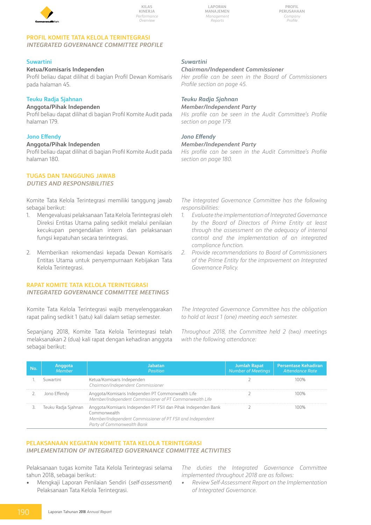

**Profil Perusahaan** *Company Profile*

#### **PROFIL KOMITE TATA KELOLA TERINTEGRASI**  *INTEGRATED GOVERNANCE COMMITTEE PROFILE*

#### **Suwartini**

#### **Ketua/Komisaris Independen**

Profil beliau dapat dilihat di bagian Profil Dewan Komisaris pada halaman 45.

### **Teuku Radja Sjahnan**

#### **Anggota/Pihak Independen**

Profil beliau dapat dilihat di bagian Profil Komite Audit pada halaman 179.

#### **Jono Effendy**

#### **Anggota/Pihak Independen**

Profil beliau dapat dilihat di bagian Profil Komite Audit pada halaman 180.

# **TUGAS DAN TANGGUNG JAWAB**

#### *DUTIES AND RESPONSIBILITIES*

Komite Tata Kelola Terintegrasi memiliki tanggung jawab sebagai berikut:

- 1. Mengevaluasi pelaksanaan Tata Kelola Terintegrasi oleh Direksi Entitas Utama paling sedikit melalui penilaian kecukupan pengendalian intern dan pelaksanaan fungsi kepatuhan secara terintegrasi.
- 2. Memberikan rekomendasi kepada Dewan Komisaris Entitas Utama untuk penyempurnaan Kebijakan Tata Kelola Terintegrasi.

### **RAPAT KOMITE TATA KELOLA TERINTEGRASI**

### *INTEGRATED GOVERNANCE COMMITTEE MEETINGS*

Komite Tata Kelola Terintegrasi wajib menyelenggarakan rapat paling sedikit 1 (satu) kali dalam setiap semester.

Sepanjang 2018, Komite Tata Kelola Terintegrasi telah melaksanakan 2 (dua) kali rapat dengan kehadiran anggota sebagai berikut:

### *Suwartini*

#### *Chairman/Independent Commissioner*

*Her profile can be seen in the Board of Commissioners Profile section on page 45.*

# *Teuku Radja Sjahnan*

### *Member/Independent Party*

*His profile can be seen in the Audit Committee's Profile section on page 179.*

### *Jono Effendy*

#### *Member/Independent Party*

*His profile can be seen in the Audit Committee's Profile section on page 180.*

*The Integrated Governance Committee has the following responsibilities:* 

- *1. Evaluate the implementation of Integrated Governance by the Board of Directors of Prime Entity at least through the assessment on the adequacy of internal control and the implementation of an integrated compliance function.*
- *2. Provide recommendations to Board of Commissioners of the Prime Entity for the improvement on Integrated Governance Policy.*

*The Integrated Governance Committee has the obligation to hold at least 1 (one) meeting each semester.* 

*Throughout 2018, the Committee held 2 (two) meetings with the following attendance:* 

| No. | Anggota<br>Member | Jabatan<br><b>Position</b>                                                                                                                                                                     | <b>Jumlah Rapat</b><br>Number of Meetings | <b>Persentase Kehadiran</b><br>Attendance Rate |
|-----|-------------------|------------------------------------------------------------------------------------------------------------------------------------------------------------------------------------------------|-------------------------------------------|------------------------------------------------|
|     | Suwartini         | Ketua/Komisaris Independen<br>Chairman/Independent Commissioner                                                                                                                                |                                           | 100%                                           |
|     | Jono Effendy      | Anggota/Komisaris Independen PT Commonwealth Life<br>Member/Independent Commissioner of PT Commonwealth Life                                                                                   |                                           | 100%                                           |
|     |                   | Teuku Radja Sjahnan Anggota/Komisaris Independen PT FSII dan Pihak Independen Bank<br>Commonwealth<br>Member/Independent Commissioner of PT FSII and Independent<br>Party of Commonwealth Bank |                                           | 100%                                           |

### **PELAKSANAAN KEGIATAN KOMITE TATA KELOLA TERINTEGRASI**  *IMPLEMENTATION OF INTEGRATED GOVERNANCE COMMITTEE ACTIVITIES*

Pelaksanaan tugas komite Tata Kelola Terintegrasi selama tahun 2018, sebagai berikut:

• Mengkaji Laporan Penilaian Sendiri (*self-assessment*) Pelaksanaan Tata Kelola Terintegrasi.

*The duties the Integrated Governance Committee implemented throughout 2018 are as follows:*

*• Review Self-Assessment Report on the Implementation of Integrated Governance.*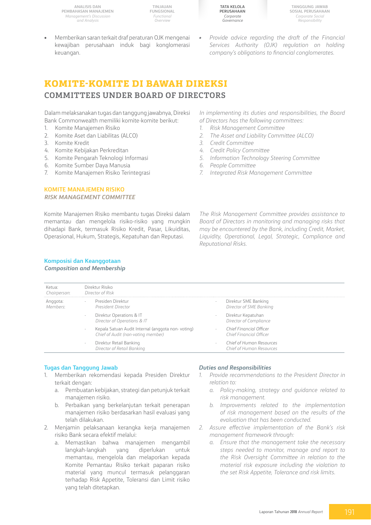**TINJAUAN FUNGSIONAL** *Functional Overview*



**Tanggung Jawab Sosial Perusahaan** *Corporate Social Responsibility*

- Memberikan saran terkait draf peraturan OJK mengenai kewajiban perusahaan induk bagi konglomerasi keuangan.
- *• Provide advice regarding the draft of the Financial Services Authority (OJK) regulation on holding company's obligations to financial conglomerates.*

# **KOMITE-KOMITE DI BAWAH DIREKSI COMMITTEES UNDER BOARD OF DIRECTORS**

Dalam melaksanakan tugas dan tanggung jawabnya, Direksi Bank Commonwealth memiliki komite-komite berikut:

- 1. Komite Manajemen Risiko
- 2. Komite Aset dan Liabilitas (ALCO)
- 3. Komite Kredit
- 4. Komite Kebijakan Perkreditan
- 5. Komite Pengarah Teknologi Informasi
- 6. Komite Sumber Daya Manusia
- 7. Komite Manajemen Risiko Terintegrasi

### **KOMITE MANAJEMEN RISIKO**  *RISK MANAGEMENT COMMITTEE*

Komite Manajemen Risiko membantu tugas Direksi dalam memantau dan mengelola risiko-risiko yang mungkin dihadapi Bank, termasuk Risiko Kredit, Pasar, Likuiditas, Operasional, Hukum, Strategis, Kepatuhan dan Reputasi.

#### **Komposisi dan Keanggotaan** *Composition and Membership*

*In implementing its duties and responsibilities, the Board of Directors has the following committees:*

- *1. Risk Management Committee*
- *2. The Asset and Liability Committee (ALCO)*
- *3. Credit Committee*
- *4. Credit Policy Committee*
- *5. Information Technology Steering Committee*
- *6. People Committee*
- *7. Integrated Risk Management Committee*

*The Risk Management Committee provides assistance to Board of Directors in monitoring and managing risks that may be encountered by the Bank, including Credit, Market, Liquidity, Operational, Legal, Strategic, Compliance and Reputational Risks.*

| Ketua:<br>Chairperson: | Direktur Risiko<br>Director of Risk                                                                                 |                                                              |
|------------------------|---------------------------------------------------------------------------------------------------------------------|--------------------------------------------------------------|
| Anggota:<br>Members:   | Presiden Direktur<br>٠<br>President Director                                                                        | Direktur SME Banking<br>Director of SME Banking              |
|                        | Direktur Operations & IT<br>$\overline{\phantom{a}}$<br>Director of Operations & IT                                 | Direktur Kepatuhan<br>$\sim$<br>Director of Compliance       |
|                        | Kepala Satuan Audit Internal (anggota non-voting)<br>$\overline{\phantom{a}}$<br>Chief of Audit (non-voting member) | Chief Financial Officer<br>$\sim$<br>Chief Financial Officer |
|                        | Direktur Retail Banking<br>$\overline{\phantom{a}}$<br>Director of Retail Banking                                   | Chief of Human Resources<br>Chief of Human Resources         |

#### **Tugas dan Tanggung Jawab**

- 1. Memberikan rekomendasi kepada Presiden Direktur terkait dengan:
	- a. Pembuatan kebijakan, strategi dan petunjuk terkait manajemen risiko.
	- b. Perbaikan yang berkelanjutan terkait penerapan manajemen risiko berdasarkan hasil evaluasi yang telah dilakukan.
- 2. Menjamin pelaksanaan kerangka kerja manajemen risiko Bank secara efektif melalui:
	- a. Memastikan bahwa manajemen mengambil langkah-langkah yang diperlukan untuk memantau, mengelola dan melaporkan kepada Komite Pemantau Risiko terkait paparan risiko material yang muncul termasuk pelanggaran terhadap Risk Appetite, Toleransi dan Limit risiko yang telah ditetapkan.

#### *Duties and Responsibilities*

- *1. Provide recommendations to the President Director in relation to:* 
	- *a. Policy-making, strategy and guidance related to risk management.*
	- *b. Improvements related to the implementation of risk management based on the results of the evaluation that has been conducted.*
- *2. Assure effective implementation of the Bank's risk management framework through:* 
	- *a. Ensure that the management take the necessary steps needed to monitor, manage and report to the Risk Oversight Committee in relation to the material risk exposure including the violation to the set Risk Appetite, Tolerance and risk limits.*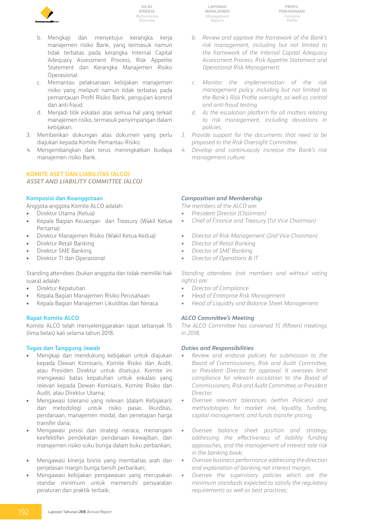

- b. Mengkaji dan menyetujui kerangka kerja manajemen risiko Bank, yang termasuk namun tidak terbatas pada kerangka Internal Capital Adequacy Assessment Process, Risk Appetite Statement dan Kerangka Manajemen Risiko Operasional.
- c. Memantau pelaksanaan kebijakan manajemen risiko yang meliputi namun tidak terbatas pada pemantauan Profil Risiko Bank, pengujian kontrol dan anti-fraud.
- d. Menjadi titik eskalasi atas semua hal yang terkait manajemen risiko, termasuk penyimpangan dalam kebijakan.
- 3. Memberikan dukungan atas dokumen yang perlu diajukan kepada Komite Pemantau Risiko.
- 4. Mengembangkan dan terus meningkatkan budaya manajemen risiko Bank.

### **KOMITE ASET DAN liabilitas (ALCO)**

#### *ASSET AND LIABILITY COMMITTEE (ALCO)*

#### **Komposisi dan Keanggotaan**

Anggota-anggota Komite ALCO adalah:

- Direktur Utama (Ketua) Kepala Bagian Keuangan dan Treasury (Wakil Ketua Pertama)
- • Direktur Manajemen Risiko (Wakil Ketua Kedua)
- Direktur Retail Banking
- Direktur SME Banking
- Direktur TI dan Operasional

Standing attendees (bukan anggota dan tidak memiliki hak suara) adalah:

- Direktur Kepatuhan
- Kepala Bagian Manajemen Risiko Perusahaan
- Kepala Bagian Manajemen Likuiditas dan Neraca

#### **Rapat Komite ALCO**

Komite ALCO telah menyelenggarakan rapat sebanyak 15 (lima belas) kali selama tahun 2018.

#### **Tugas dan Tanggung Jawab**

- Mengkaji dan mendukung kebijakan untuk diajukan kepada Dewan Komisaris, Komite Risiko dan Audit, atau Presiden Direktur untuk disetujui. Komite ini mengawasi batas kepatuhan untuk eskalasi yang relevan kepada Dewan Komisaris, Komite Risiko dan Audit, atau Direktur Utama;
- Mengawasi toleransi yang relevan (dalam Kebijakan) dan metodologi untuk risiko pasar, likuiditas, pendanaan, manajemen modal, dan penetapan harga transfer dana;
- Mengawasi posisi dan strategi neraca, menangani keefektifan pendekatan pendanaan kewajiban, dan manajemen risiko suku bunga dalam buku perbankan;
- Mengawasi kinerja bisnis yang membahas arah dan penjelasan margin bunga bersih perbankan;
- Mengawasi kebijakan pengawasan yang merupakan standar minimum untuk memenuhi persyaratan peraturan dan praktik terbaik;

**Laporan Manajemen** *Management Reports*

**Profil Perusahaan** *Company Profile*

- *b. Review and approve the framework of the Bank's risk management, including but not limited to the framework of the Internal Capital Adequacy Assessment Process, Risk Appetite Statement and Operational Risk Management.*
- *c. Monitor the implementation of the risk management policy, including but not limited to the Bank's Risk Profile oversight, as well as control and anti-fraud testing.*
- *d. As the escalation platform for all matters relating to risk management, including deviations in policies.*
- *3. Provide support for the documents that need to be proposed to the Risk Oversight Committee.*
- *4. Develop and continuously increase the Bank's risk management culture.*

#### *Composition and Membership*

*The members of the ALCO are:*

- *• President Director (Chairman)*
- *• Chief of Finance and Treasury (1st Vice Chairman)*
- *• Director of Risk Management (2nd Vice Chairman)*
- *• Director of Retail Banking*
- *• Director of SME Banking*
- *• Director of Operations & IT*

*Standing attendees (not members and without voting rights) are:*

- *• Director of Compliance*
- *• Head of Enterprise Risk Management*
- *• Head of Liquidity and Balance Sheet Management*

### *ALCO Committee's Meeting*

*The ALCO Committee has convened 15 (fifteen) meetings in 2018.*

#### *Duties and Responsibilities*

- *• Review and endorse policies for submission to the Board of Commissioners, Risk and Audit Committee, or President Director for approval. It oversees limit compliance for relevant escalation to the Board of Commissioners, Risk and Audit Committee, or President Director;*
- *• Oversee relevant tolerances (within Policies) and methodologies for market risk, liquidity, funding, capital management, and funds transfer pricing;*
- *• Oversee balance sheet position and strategy, addressing the effectiveness of liability funding approaches, and the management of interest rate risk in the banking book;*
- *• Oversee business performance addressing the direction and explanation of banking net interest margin;*
- *• Oversee the supervisory policies which are the minimum standards expected to satisfy the regulatory requirements as well as best practices;*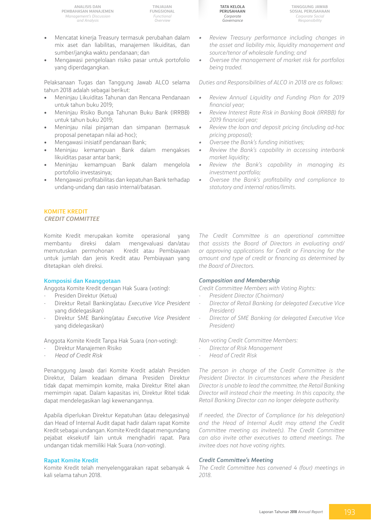- Mencatat kinerja Treasury termasuk perubahan dalam mix aset dan liabilitas, manajemen likuiditas, dan sumber/jangka waktu pendanaan; dan
- Mengawasi pengelolaan risiko pasar untuk portofolio yang diperdagangkan.

Pelaksanaan Tugas dan Tanggung Jawab ALCO selama tahun 2018 adalah sebagai berikut:

- Meninjau Likuiditas Tahunan dan Rencana Pendanaan untuk tahun buku 2019;
- • Meninjau Risiko Bunga Tahunan Buku Bank (IRRBB) untuk tahun buku 2019;
- Meninjau nilai pinjaman dan simpanan (termasuk proposal penetapan nilai ad-hoc);
- Mengawasi inisiatif pendanaan Bank;
- Meninjau kemampuan Bank dalam mengakses likuiditas pasar antar bank;
- Meninjau kemampuan Bank dalam mengelola portofolio investasinya;
- Mengawasi profitabilitas dan kepatuhan Bank terhadap undang-undang dan rasio internal/batasan.

### **KOMITE KREDIT**

#### *CREDIT COMMITTEE*

Komite Kredit merupakan komite operasional yang membantu direksi dalam mengevaluasi dan/atau memutuskan permohonan Kredit atau Pembiayaan untuk jumlah dan jenis Kredit atau Pembiayaan yang ditetapkan oleh direksi.

#### **Komposisi dan Keanggotaan**

Anggota Komite Kredit dengan Hak Suara (*voting*):

- Presiden Direktur (Ketua)
- Direktur Retail Banking(atau *Executive Vice President* yang didelegasikan)
- Direktur SME Banking(atau *Executive Vice President* yang didelegasikan)

Anggota Komite Kredit Tanpa Hak Suara (*non-voting*):

- Direktur Manajemen Risiko
- *Head of Credit Risk*

Penanggung Jawab dari Komite Kredit adalah Presiden Direktur, Dalam keadaan dimana Presiden Direktur tidak dapat memimpin komite, maka Direktur Ritel akan memimpin rapat. Dalam kapasitas ini, Direktur Ritel tidak dapat mendelegasikan lagi kewenangannya.

Apabila diperlukan Direktur Kepatuhan (atau delegasinya) dan Head of Internal Audit dapat hadir dalam rapat Komite Kredit sebagai undangan. Komite Kredit dapat mengundang pejabat eksekutif lain untuk menghadiri rapat. Para undangan tidak memiliki Hak Suara (*non-voting*).

#### **Rapat Komite Kredit**

Komite Kredit telah menyelenggarakan rapat sebanyak 4 kali selama tahun 2018.

**Tata Kelola Perusahaan** *Corporate Governance*

- *• Review Treasury performance including changes in the asset and liability mix, liquidity management and source/tenor of wholesale funding; and*
- *• Oversee the management of market risk for portfolios being traded.*

*Duties and Responsibilities of ALCO in 2018 are as follows:*

- *• Review Annual Liquidity and Funding Plan for 2019 financial year;*
- *• Review Interest Rate Risk in Banking Book (IRRBB) for 2019 financial year;*
- *• Review the loan and deposit pricing (including ad-hoc pricing proposal);*
- *• Oversee the Bank's funding initiatives;*
- *• Review the Bank's capability in accessing interbank market liquidity;*
- *• Review the Bank's capability in managing its investment portfolio;*
- *• Oversee the Bank's profitability and compliance to statutory and internal ratios/limits.*

*The Credit Committee is an operational committee that assists the Board of Directors in evaluating and/ or approving applications for Credit or Financing for the amount and type of credit or financing as determined by the Board of Directors.*

#### *Composition and Membership*

*Credit Committee Members with Voting Rights:* 

- *President Director (Chairman)*
- *Director of Retail Banking (or delegated Executive Vice President)*
- *- Director of SME Banking (or delegated Executive Vice President)*

*Non-voting Credit Committee Members:*

- *Director of Risk Management*
- *Head of Credit Risk*

*The person in charge of the Credit Committee is the President Director. In circumstances where the President Director is unable to lead the committee, the Retail Banking Director will instead chair the meeting. In this capacity, the Retail Banking Director can no longer delegate authority.*

*If needed, the Director of Compliance (or his delegation) and the Head of Internal Audit may attend the Credit Committee meeting as invitee(s). The Credit Committee can also invite other executives to attend meetings. The invitee does not have voting rights.*

#### *Credit Committee's Meeting*

*The Credit Committee has convened 4 (four) meetings in 2018.*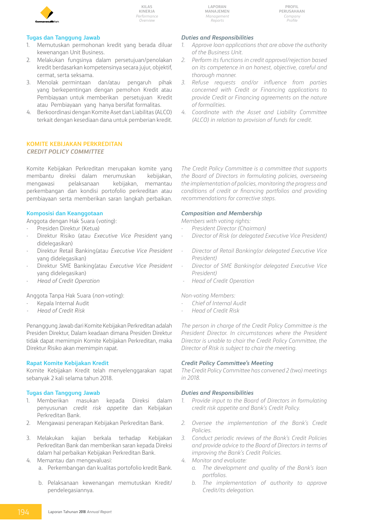

**Laporan Manajemen** *Management Reports*

**Profil Perusahaan** *Company Profile*

#### **Tugas dan Tanggung Jawab**

- 1. Memutuskan permohonan kredit yang berada diluar kewenangan Unit Business.
- 2. Melakukan fungsinya dalam persetujuan/penolakan kredit berdasarkan kompetensinya secara jujur, objektif, cermat, serta seksama.
- 3. Menolak permintaan dan/atau pengaruh pihak yang berkepentingan dengan pemohon Kredit atau Pembiayaan untuk memberikan persetujuan Kredit atau Pembiayaan yang hanya bersifat formalitas.
- 4. Berkoordinasi dengan Komite Aset dan Liabilitas (ALCO) terkait dengan kesediaan dana untuk pemberian kredit.

#### **Komite Kebijakan Perkreditan** *Credit Policy Committee*

Komite Kebijakan Perkreditan merupakan komite yang membantu direksi dalam merumuskan kebijakan, mengawasi pelaksanaan kebijakan, memantau perkembangan dan kondisi portofolio perkreditan atau pembiayaan serta memberikan saran langkah perbaikan.

#### **Komposisi dan Keanggotaan**

Anggota dengan Hak Suara (*voting*):

- Presiden Direktur (Ketua)
- Direktur Risiko (atau *Executive Vice President* yang didelegasikan)
- Direktur Retail Banking(atau *Executive Vice President* yang didelegasikan)
- Direktur SME Banking(atau *Executive Vice President* yang didelegasikan)
- *Head of Credit Operation*

Anggota Tanpa Hak Suara (*non-voting*):

- Kepala Internal Audit
- *- Head of Credit Risk*

Penanggung Jawab dari Komite Kebijakan Perkreditan adalah Presiden Direktur, Dalam keadaan dimana Presiden Direktur tidak dapat memimpin Komite Kebijakan Perkreditan, maka Direktur Risiko akan memimpin rapat.

#### **Rapat Komite Kebijakan Kredit**

Komite Kebijakan Kredit telah menyelenggarakan rapat sebanyak 2 kali selama tahun 2018.

#### **Tugas dan Tanggung Jawab**

- 1. Memberikan masukan kepada Direksi dalam penyusunan *credit risk appetite* dan Kebijakan Perkreditan Bank.
- 2. Mengawasi penerapan Kebijakan Perkreditan Bank.
- 3. Melakukan kajian berkala terhadap Kebijakan Perkreditan Bank dan memberikan saran kepada Direksi dalam hal perbaikan Kebijakan Perkreditan Bank.
- 4. Memantau dan mengevaluasi: a. Perkembangan dan kualitas portofolio kredit Bank.
	- b. Pelaksanaan kewenangan memutuskan Kredit/ pendelegasiannya.

#### *Duties and Responsibilities*

- *1. Approve loan applications that are above the authority of the Business Unit.*
- *2. Perform its functions in credit approval/rejection based on its competence in an honest, objective, careful and thorough manner.*
- *3. Refuse requests and/or influence from parties concerned with Credit or Financing applications to provide Credit or Financing agreements on the nature of formalities.*
- *4. Coordinate with the Asset and Liability Committee (ALCO) in relation to provision of funds for credit.*

*The Credit Policy Committee is a committee that supports the Board of Directors in formulating policies, overseeing the implementation of policies, monitoring the progress and conditions of credit or financing portfolios and providing recommendations for corrective steps.*

#### *Composition and Membership*

*Members with voting rights:*

- *President Director (Chairman)*
- *Director of Risk (or delegated Executive Vice President)*
- *Director of Retail Banking(or delegated Executive Vice President)*
- *Director of SME Banking(or delegated Executive Vice President)*
- **Head of Credit Operation**

*Non-voting Members:*

- *Chief of Internal Audit*
- *Head of Credit Risk*

*The person in charge of the Credit Policy Committee is the President Director. In circumstances where the President Director is unable to chair the Credit Policy Committee, the Director of Risk is subject to chair the meeting.*

#### *Credit Policy Committee's Meeting*

*The Credit Policy Committee has convened 2 (two) meetings in 2018.*

#### *Duties and Responsibilities*

- *1. Provide input to the Board of Directors in formulating credit risk appetite and Bank's Credit Policy.*
- *2. Oversee the implementation of the Bank's Credit Policies.*
- *3. Conduct periodic reviews of the Bank's Credit Policies and provide advice to the Board of Directors in terms of improving the Bank's Credit Policies.*
	- *4. Monitor and evaluate:*
		- *a. The development and quality of the Bank's loan portfolios.*
		- *b. The implementation of authority to approve Credit/its delegation.*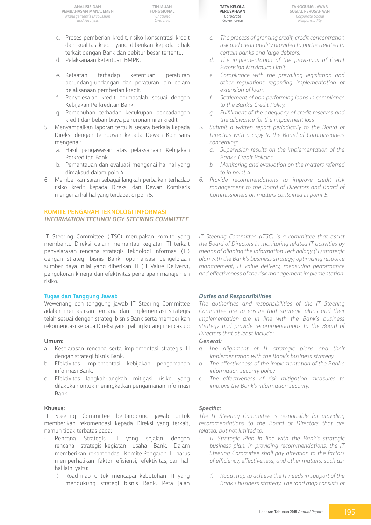**TINJAUAN FUNGSIONAL** *Functional Overview*

- c. Proses pemberian kredit, risiko konsentrasi kredit dan kualitas kredit yang diberikan kepada pihak terkait dengan Bank dan debitur besar tertentu.
- d. Pelaksanaan ketentuan BMPK.
- e. Ketaatan terhadap ketentuan peraturan perundang-undangan dan peraturan lain dalam pelaksanaan pemberian kredit.
- f. Penyelesaian kredit bermasalah sesuai dengan Kebijakan Perkreditan Bank.
- g. Pemenuhan terhadap kecukupan pencadangan kredit dan beban biaya penurunan nilai kredit
- 5. Menyampaikan laporan tertulis secara berkala kepada Direksi dengan tembusan kepada Dewan Komisaris mengenai:
	- a. Hasil pengawasan atas pelaksanaan Kebijakan Perkreditan Bank.
	- b. Pemantauan dan evaluasi mengenai hal-hal yang dimaksud dalam poin 4.
- 6. Memberikan saran sebagai langkah perbaikan terhadap risiko kredit kepada Direksi dan Dewan Komisaris mengenai hal-hal yang terdapat di poin 5.

### **KOMITE PENGARAH TEKNOLOGI INFORMASI** *INFORMATION TECHNOLOGY STEERING COMMITTEE*

IT Steering Committee (ITSC) merupakan komite yang membantu Direksi dalam memantau kegiatan TI terkait penyelarasan rencana strategis Teknologi Informasi (TI) dengan strategi bisnis Bank, optimalisasi pengelolaan sumber daya, nilai yang diberikan TI (IT Value Delivery), pengukuran kinerja dan efektivitas penerapan manajemen risiko.

#### **Tugas dan Tanggung Jawab**

Wewenang dan tanggung jawab IT Steering Committee adalah memastikan rencana dan implementasi strategis telah sesuai dengan strategi bisnis Bank serta memberikan rekomendasi kepada Direksi yang paling kurang mencakup:

#### **Umum:**

- a. Keselarasan rencana serta implementasi strategis TI dengan strategi bisnis Bank.
- b. Efektivitas implementasi kebijakan pengamanan informasi Bank.
- c. Efektivitas langkah-langkah mitigasi risiko yang dilakukan untuk meningkatkan pengamanan informasi Bank.

#### **Khusus:**

IT Steering Committee bertanggung jawab untuk memberikan rekomendasi kepada Direksi yang terkait, namun tidak terbatas pada:

- Rencana Strategis TI yang sejalan dengan rencana strategis kegiatan usaha Bank. Dalam memberikan rekomendasi, Komite Pengarah TI harus memperhatikan faktor efisiensi, efektivitas, dan halhal lain, yaitu:
	- 1) Road-map untuk mencapai kebutuhan TI yang mendukung strategi bisnis Bank. Peta jalan

**Tata Kelola Perusahaan** *Corporate Governance*

**Tanggung Jawab Sosial Perusahaan** *Corporate Social Responsibility*

- *c. The process of granting credit, credit concentration risk and credit quality provided to parties related to certain banks and large debtors.*
- *d. The implementation of the provisions of Credit Extension Maximum Limit.*
- *e. Compliance with the prevailing legislation and other regulations regarding implementation of extension of loan.*
- *f. Settlement of non-performing loans in compliance to the Bank's Credit Policy.*
- *g. Fulfillment of the adequacy of credit reserves and the allowance for the impairment loss*
- *5. Submit a written report periodically to the Board of Directors with a copy to the Board of Commissioners concerning:*
	- *a. Supervision results on the implementation of the Bank's Credit Policies.*
	- *b. Monitoring and evaluation on the matters referred to in point 4.*
- *6. Provide recommendations to improve credit risk management to the Board of Directors and Board of Commissioners on matters contained in point 5.*

*IT Steering Committee (ITSC) is a committee that assist the Board of Directors in monitoring related IT activities by means of aligning the Information Technology (IT) strategic plan with the Bank's business strategy; optimising resource management, IT value delivery, measuring performance and effectiveness of the risk management implementation.* 

#### *Duties and Responsibilities*

*The authorities and responsibilities of the IT Steering Committee are to ensure that strategic plans and their implementation are in line with the Bank's business strategy and provide recommendations to the Board of Directors that at least include:*

#### *General:*

- *a. The alignment of IT strategic plans and their implementation with the Bank's business strategy*
- *b. The effectiveness of the implementation of the Bank's information security policy*
- *c. The effectiveness of risk mitigation measures to improve the Bank's information security.*

#### *Specific:*

*The IT Steering Committee is responsible for providing recommendations to the Board of Directors that are related, but not limited to:*

- *IT Strategic Plan in line with the Bank's strategic business plan. In providing recommendations, the IT Steering Committee shall pay attention to the factors of efficiency, effectiveness, and other matters, such as:*
	- *1) Road map to achieve the IT needs in support of the Bank's business strategy. The road map consists of*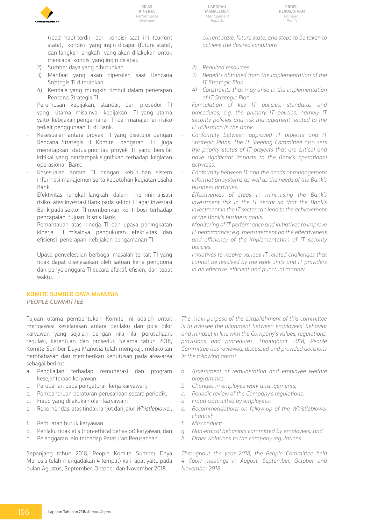

(road-map) terdiri dari kondisi saat ini (current state), kondisi yang ingin dicapai (future state), dan langkah-langkah yang akan dilakukan untuk mencapai kondisi yang ingin dicapai.

- 2) Sumber daya yang dibutuhkan.
- 3) Manfaat yang akan diperoleh saat Rencana Strategis TI diterapkan.
- 4) Kendala yang mungkin timbul dalam penerapan Rencana Strategis TI.
- Perumusan kebijakan, standar, dan prosedur TI yang utama, misalnya kebijakan TI yang utama yaitu kebijakan pengamanan TI dan manajemen risiko terkait penggunaan TI di Bank.
- Kesesuaian antara proyek TI yang disetujui dengan Rencana Strategis TI. Komite pengarah TI juga menetapkan status prioritas proyek TI yang bersifat kritikal yang berdampak signifikan terhadap kegiatan operasional Bank.
- Kesesuaian antara TI dengan kebutuhan sistem informasi manajemen serta kebutuhan kegiatan usaha Bank.
- Efektivitas langkah-langkah dalam meminimalisasi risiko atas investasi Bank pada sektor TI agar investasi Bank pada sektor TI memberikan kontribusi terhadap pencapaian tujuan bisnis Bank.
- Pemantauan atas kinerja TI dan upaya peningkatan kinerja TI, misalnya pengukuran efektivitas dan efisiensi penerapan kebijakan pengamanan TI.
- Upaya penyelesaian berbagai masalah terkait TI yang tidak dapat diselesaikan oleh satuan kerja pengguna dan penyelenggara TI secara efektif, efisien, dan tepat waktu.

#### **KOMITE SUMBER DAYA MANUSIA** *PEOPLE COMMITTEE*

Tujuan utama pembentukan Komite ini adalah untuk mengawasi keselarasan antara perilaku dan pola pikir karyawan yang sejalan dengan nilai-nilai perusahaan, regulasi, ketentuan dan prosedur. Selama tahun 2018, Komite Sumber Daya Manusia telah mengkaji, melakukan pembahasan dan memberikan keputusan pada area-area sebagai berikut:

- a. Pengkajian terhadap remunerasi dan program kesejahteraan karyawan;
- b. Perubahan pada pengaturan kerja karyawan;
- c. Pembaharuan peraturan perusahaan secara periodik;
- d. Fraud yang dilakukan oleh karyawan;
- e. Rekomendasi atas tindak lanjut dari jalur *Whistleblower*;
- f. Perbuatan buruk karyawan
- g. Perilaku tidak etis (non-ethical behavior) karyawan; dan
- h. Pelanggaran lain terhadap Peraturan Perusahaan.

Sepanjang tahun 2018, People Komite Sumber Daya Manusia telah mengadakan 4 (empat) kali rapat yaitu pada bulan Agustus, September, Oktober dan November 2018.

**Laporan Manajemen** *Management Reports*

*current state, future state, and steps to be taken to achieve the desired conditions.*

- *2) Required resources.*
- *3) Benefits obtained from the implementation of the IT Strategic Plan.*
- *4) Constraints that may arise in the implementation of IT Strategic Plan.*
- *Formulation of key IT policies, standards and procedures; e.g. the primary IT policies, namely IT security policies and risk management related to the IT utilisation in the Bank.*
- *Conformity between approved IT projects and IT Strategic Plans. The IT Steering Committee also sets the priority status of IT projects that are critical and have significant impacts to the Bank's operational activities.*
- *Conformity between IT and the needs of management information systems as well as the needs of the Bank's business activities.*
- *Effectiveness of steps in minimising the Bank's investment risk in the IT sector so that the Bank's investment in the IT sector can lead to the achievement of the Bank's business goals.*
- *Monitoring of IT performance and initiatives to improve IT performance; e.g. measurement on the effectiveness and efficiency of the implementation of IT security policies.*
- *Initiatives to resolve various IT-related challenges that cannot be resolved by the work units and IT providers in an effective, efficient and punctual manner.*

*The main purpose of the establishment of this committee is to oversee the alignment between employees' behavior and mindset in line with the Company's values, regulations, provisions and procedures. Throughout 2018, People Committee has reviewed, discussed and provided decisions in the following areas:*

- *a. Assessment of remuneration and employee welfare programmes;*
- *b. Changes in employee work arrangements;*
- *c. Periodic review of the Company's regulations;*
- *d. Fraud committed by employees;*
- *e. Recommendations on follow-up of the Whistleblower channel;*
- *f. Misconduct;*
- *g. Non-ethical behaviors committed by employees; and*
- *h. Other violations to the company regulations.*

*Throughout the year 2018, the People Committee held 4 (four) meetings in August, September, October and November 2018.*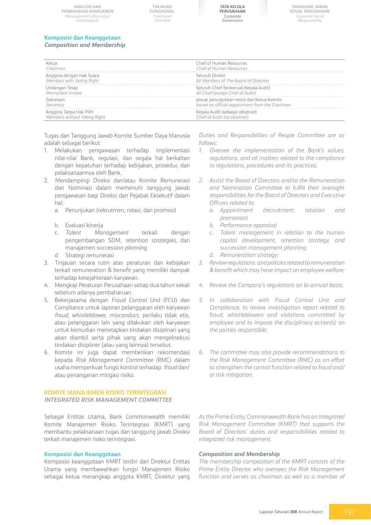**TINJAUAN FUNGSIONAL** *Functional Overview*



**Tanggung Jawab Sosial Perusahaan** *Corporate Social Responsibility*

# **Komposisi dan Keanggotaan**

#### *Composition and Membership*

| <sup>C</sup> hairmar                                    | Chief of Human Resources<br>Chief of Human Resources                                         |
|---------------------------------------------------------|----------------------------------------------------------------------------------------------|
| Anggota dengan Hak Suara<br>Members with Votina Riaht   | Seluruh Direksi<br>All Members of The Board of Directors                                     |
| Undangan Tetap<br>Permanent Invitee                     | Seluruh Chief (terkecuali Kepala Audit)<br>All Chief (except Chief of Audit)                 |
| cretaris<br>Secretary                                   | sesuai penunjukkan resmi dari Ketua Komite<br>based on official appoinment from the Chairman |
| Anggota Tanpa Hak Pilih<br>Members without Votina Riaht | Kepala Audit (sebagai <i>observer</i> )<br>hief of Audit (as observer).                      |

Tugas dan Tanggung Jawab Komite Sumber Daya Manusia adalah sebagai berikut:

- 1. Melakukan pengawasan terhadap implementasi nilai-nilai Bank, regulasi, dan segala hal berkaitan dengan kepatuhan terhadap kebijakan, prosedur, dan pelaksanaannya oleh Bank.
- 2. Mendampingi Direksi dan/atau Komite Remunerasi dan Nominasi dalam memenuhi tanggung jawab pengawasan bagi Direksi dan Pejabat Eksekutif dalam hal:
	- a. Penunjukan (rekrutmen, rotasi, dan promosi)
	- b. Evaluasi kinerja
	- c. *Talent Management* terkait dengan pengembangan SDM, *retention strategies*, dan manajemen *succession planning*
	- d. Strategi remunerasi
- 3. Tinjauan secara rutin atas peraturan dan kebijakan terkait remuneration & benefit yang memiliki dampak terhadap kesejahteraan karyawan.
- 4. Mengkaji Peraturan Perusahaan setiap dua tahun sekali sebelum adanya pembaharuan.
- 5. Bekerjasama dengan *Fraud Control Unit* (FCU) dan Compliance untuk laporan pelanggaran oleh karyawan *fraud, whistleblower, misconduct*, perilaku tidak etis, atau pelanggaran lain yang dilakukan oleh karyawan untuk kemudian menetapkan tindakan disiplinari yang akan diambil serta pihak yang akan mengeksekusi tindakan disipliner (atau yang lainnya) tersebut.
- 6. Komite ini juga dapat memberikan rekomendasi kepada *Risk Management Committee* (RMC) dalam usaha memperkuat fungsi kontrol terhadap *fraud* dan/ atau penanganan mitigasi risiko.

#### **KOMITE MANAJEMEN RISIKO TERINTEGRASI** *INTEGRATED RISK MANAGEMENT COMMITTEE*

Sebagai Entitas Utama, Bank Commonwealth memiliki Komite Manajemen Risiko Terintegrasi (KMRT) yang membantu pelaksanaan tugas dan tanggung jawab Direksi terkait manajemen risiko terintegrasi.

#### **Komposisi dan Keanggotaan**

Komposisi keanggotaan KMRT terdiri dari Direktur Entitas Utama yang membawahkan fungsi Manajemen Risiko sebagai ketua merangkap anggota KMRT, Direktur yang

*Duties and Responsibilites of People Committee are as follows:* 

- *1. Oversee the implementation of the Bank's values, regulations, and all matters related to the compliance to regulations, procedures and its practices;*
- *2. Assist the Board of Directors and/or the Remuneration and Nomination Committee to fulfill their oversight responsibilities for the Board of Directors and Executive Officers related to:*
	- *a. Appointment (recruitment, rotation and promotion)*
	- *b. Performance appraisal*
	- *c. Talent management in relation to the human capital development, retention strategy, and succession management planning.*
	- *d. Remuneration strategy;*
- *3. Review regulations and policies related to remuneration & benefit which may have impact on employee welfare;*
- *4. Review the Company's regulations on bi-annual basis;*
- *5. In collaboration with Fraud Control Unit and Compliance, to review investigation report related to fraud, whistleblowers and violations committed by employee and to impose the disciplinary action(s) on the parties responsible;*
- *6. The committee may also provide recommendations to the Risk Management Committee (RMC) as an effort to strengthen the control function related to fraud and/ or risk mitigation.*

*As the Prime Entity, Commonwealth Bank has an Integrated Risk Management Committee (KMRT) that supports the Board of Directors' duties and responsibilities related to integrated risk management.*

#### *Composition and Membership*

*The membership composition of the KMRT consists of the Prime Entity Director who oversees the Risk Management function and serves as chairman as well as a member of*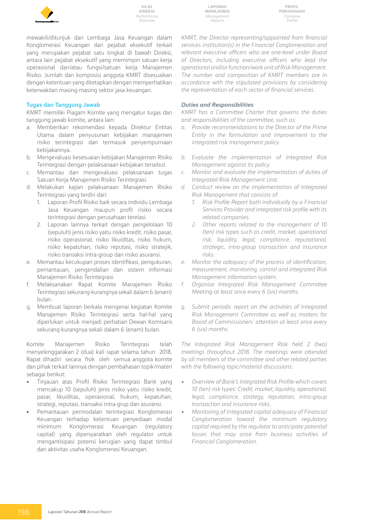

**Laporan Manajemen** *Management Reports*

**Profil Perusahaan** *Company Profile*

mewakili/ditunjuk dari Lembaga Jasa Keuangan dalam Konglomerasi Keuangan dan pejabat eksekutif terkait yang merupakan pejabat satu tingkat di bawah Direksi, antara lain pejabat eksekutif yang memimpin satuan kerja operasional dan/atau fungsi/satuan kerja Manajemen Risiko. Jumlah dan komposisi anggota KMRT disesuaikan dengan ketentuan yang ditetapkan dengan memperhatikan keterwakilan masing-masing sektor jasa keuangan.

#### **Tugas dan Tanggung Jawab**

KMRT memiliki Piagam Komite yang mengatur tugas dan tanggung jawab komite, antara lain:

- a. Memberikan rekomendasi kepada Direktur Entitas Utama dalam penyusunan kebijakan manajemen risiko terintegrasi dan termasuk penyempurnaan kebijakannya.
- b. Mengevaluasi kesesuaian kebijakan Manajemen Risiko Terintegrasi dengan pelaksanaan kebijakan tersebut.
- c. Memantau dan mengevaluasi pelaksanaan tugas Satuan Kerja Manajemen Risiko Terintegrasi.
- d. Melakukan kajian pelaksanaan Manajemen Risiko Terintegrasi yang terdiri dari:
	- 1. Laporan Profil Risiko baik secara individu Lembaga Jasa Keuangan maupun profil risiko secara terintegrasi dengan perusahaan terelasi.
	- 2. Laporan lainnya terkait dengan pengelolaan 10 (sepuluh) jenis risiko yaitu risiko kredit, risiko pasar, risiko operasional, risiko likuiditas, risiko hukum, risiko kepatuhan, risiko reputasi, risiko stratejik, risiko transaksi intra-group dan risiko asuransi.
- e. Memantau kecukupan proses identifikasi, pengukuran, pemantauan, pengendalian dan sistem informasi Manajemen Risiko Terintegrasi.
- f. Melaksanakan Rapat Komite Manajemen Risiko Terintegrasi sekurang-kurangnya sekali dalam 6 (enam) bulan.
- g. Membuat laporan berkala mengenai kegiatan Komite Manajemen Risiko Terintegrasi serta hal-hal yang diperlukan untuk menjadi perhatian Dewan Komisaris sekurang-kurangnya sekali dalam 6 (enam) bulan.

Komite Manajemen Risiko Terintegrasi telah menyelenggarakan 2 (dua) kali rapat selama tahun 2018. Rapat dihadiri secara fisik oleh semua anggota komite dan pihak terkait lainnya dengan pembahasan topik/materi sebagai berikut:

- Tinjauan atas Profil Risiko Terintegrasi Bank yang mencakup 10 (sepuluh) jenis risiko yaitu risiko kredit, pasar, likuiditas, operasional, hukum, kepatuhan, strategi, reputasi, transaksi intra-grup dan asuransi.
- Pemantauan permodalan terintegrasi Konglomerasi Keuangan terhadap ketentuan penyediaan modal minimum Konglomerasi Keuangan (regulatory capital) yang dipersyaratkan oleh regulator untuk mengantisipasi potensi kerugian yang dapat timbul dari aktivitas usaha Konglomerasi Keuangan.

*KMRT, the Director representing/appointed from financial services institution(s) in the Financial Conglomeration and relevant executive officers who are one-level under Board of Directors, including executive officers who lead the operational and/or function/work unit of Risk Management. The number and composition of KMRT members are in accordance with the stipulated provisions by considering the representation of each sector of financial services.*

#### *Duties and Responsibilities*

*KMRT has a Committee Charter that governs the duties and responsibilities of the committee, such as:* 

- *a. Provide recommendations to the Director of the Prime Entity in the formulation and improvement to the integrated risk management policy.*
- *b. Evaluate the implementation of Integrated Risk Management against its policy.*
- *c. Monitor and evaluate the implementation of duties of Integrated Risk Management Unit.*
- *d. Conduct review on the implementation of Integrated Risk Management that consists of:* 
	- *1. Risk Profile Report both individually by a Financial Services Provider and integrated risk profile with its related companies.*
	- *2. Other reports related to the management of 10 (ten) risk types such as credit, market, operational risk, liquidity, legal, compliance, reputational, strategic, intra-group transaction and insurance risks.*
- *e. Monitor the adequacy of the process of identification, measurement, monitoring, control and integrated Risk Management information system.*
- *f. Organize Integrated Risk Management Committee Meeting at least once every 6 (six) months.*
- *g. Submit periodic report on the activities of Integrated Risk Management Committee as well as matters for Board of Commissioners' attention at least once every 6 (six) months.*

*The Integrated Risk Management Risk held 2 (two) meetings throughout 2018. The meetings were attended by all members of the committee and other related parties with the following topic/material discussions:* 

- *• Overview of Bank's Integrated Risk Profile which covers 10 (ten) risk types: Credit, market, liquidity, operational, legal, compliance, strategy, reputation, intra-group transaction and insurance risks.*
- *• Monitoring of Integrated capital adequacy of Financial Conglomeration toward the minimum regulatory capital required by the regulator to anticipate potential losses that may arise from business activities of Financial Conglomeration.*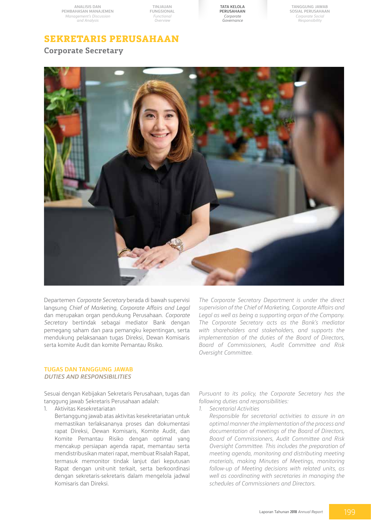**TINJAUAN FUNGSIONAL** *Functional Overview*

**Tata Kelola Perusahaan** *Corporate Governance*

**Tanggung Jawab Sosial Perusahaan** *Corporate Social Responsibility*

# **Sekretaris Perusahaan**

**Corporate Secretary**



Departemen *Corporate Secretary* berada di bawah supervisi langsung *Chief of Marketing*, *Corporate Affairs and Legal*  dan merupakan organ pendukung Perusahaan. *Corporate Secretary* bertindak sebagai mediator Bank dengan pemegang saham dan para pemangku kepentingan, serta mendukung pelaksanaan tugas Direksi, Dewan Komisaris serta komite Audit dan komite Pemantau Risiko.

*The Corporate Secretary Department is under the direct supervision of the Chief of Marketing, Corporate Affairs and Legal as well as being a supporting organ of the Company. The Corporate Secretary acts as the Bank's mediator with shareholders and stakeholders, and supports the implementation of the duties of the Board of Directors, Board of Commissioners, Audit Committee and Risk Oversight Committee.*

#### **TUGAS DAN TANGGUNG JAWAB** *DUTIES AND RESPONSIBILITIES*

Sesuai dengan Kebijakan Sekretaris Perusahaan, tugas dan tanggung jawab Sekretaris Perusahaan adalah:

- 1. Aktivitas Kesekretariatan
	- Bertanggung jawab atas aktivitas kesekretariatan untuk memastikan terlaksananya proses dan dokumentasi rapat Direksi, Dewan Komisaris, Komite Audit, dan Komite Pemantau Risiko dengan optimal yang mencakup persiapan agenda rapat, memantau serta mendistribusikan materi rapat, membuat Risalah Rapat, termasuk memonitor tindak lanjut dari keputusan Rapat dengan unit-unit terkait, serta berkoordinasi dengan sekretaris-sekretaris dalam mengelola jadwal Komisaris dan Direksi.

*Pursuant to its policy, the Corporate Secretary has the following duties and responsibilities:*

- *1. Secretarial Activities*
	- *Responsible for secretarial activities to assure in an optimal manner the implementation of the process and documentation of meetings of the Board of Directors, Board of Commissioners, Audit Committee and Risk Oversight Committee. This includes the preparation of meeting agenda, monitoring and distributing meeting materials, making Minutes of Meetings, monitoring follow-up of Meeting decisions with related units, as well as coordinating with secretaries in managing the schedules of Commissioners and Directors.*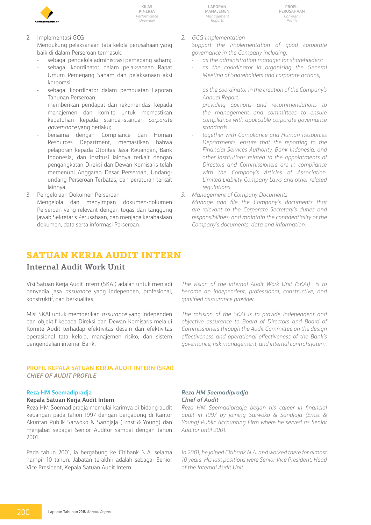

2. Implementasi GCG

Mendukung pelaksanaan tata kelola perusahaan yang baik di dalam Perseroan termasuk:

- sebagai pengelola administrasi pemegang saham;
- sebagai koordinator dalam pelaksanaan Rapat Umum Pemegang Saham dan pelaksanaan aksi korporasi;
- sebagai koordinator dalam pembuatan Laporan Tahunan Perseroan;
- memberikan pendapat dan rekomendasi kepada manajemen dan komite untuk memastikan kepatuhan kepada standar-standar *corporate governance* yang berlaku;
- bersama dengan Compliance dan Human Resources Department, memastikan bahwa pelaporan kepada Otoritas Jasa Keuangan, Bank Indonesia, dan institusi lainnya terkait dengan pengangkatan Direksi dan Dewan Komisaris telah memenuhi Anggaran Dasar Perseroan, Undangundang Perseroan Terbatas, dan peraturan terkait lainnya.
- 3. Pengelolaan Dokumen Perseroan Mengelola dan menyimpan dokumen-dokumen Perseroan yang relevant dengan tugas dan tanggung jawab Sekretaris Perusahaan, dan menjaga kerahasiaan dokumen, data serta informasi Perseroan.
- **Satuan Kerja Audit Intern**

# **Internal Audit Work Unit**

Visi Satuan Kerja Audit Intern (SKAI) adalah untuk menjadi penyedia jasa *assurance* yang independen, profesional, konstruktif, dan berkualitas.

Misi SKAI untuk memberikan *assurance* yang independen dan objektif kepada Direksi dan Dewan Komisaris melalui Komite Audit terhadap efektivitas desain dan efektivitas operasional tata kelola, manajemen risiko, dan sistem pengendalian internal Bank.

#### **PROFIL KEPALA satuan kerja audit INTERN (SKAI)** *CHIEF OF AUDIT PROFILE*

### **Reza HM Soemadipradja**

**Kepala Satuan Kerja Audit Intern**

Reza HM Soemadipradja memulai karirnya di bidang audit keuangan pada tahun 1997 dengan bergabung di Kantor Akuntan Publik Sarwoko & Sandjaja (Ernst & Young) dan menjabat sebagai Senior Auditor sampai dengan tahun 2001.

Pada tahun 2001, ia bergabung ke Citibank N.A. selama hampir 10 tahun. Jabatan terakhir adalah sebagai Senior Vice President, Kepala Satuan Audit Intern.

*2. GCG Implementation* 

*Support the implementation of good corporate governance in the Company including:*

- *as the administration manager for shareholders;*
- *as the coordinator in organising the General Meeting of Shareholders and corporate actions;*
- *as the coordinator in the creation of the Company's Annual Report.*
- *providing opinions and recommendations to the management and committees to ensure compliance with applicable corporate governance standards.*
- *together with Compliance and Human Resources Departments, ensure that the reporting to the Financial Services Authority, Bank Indonesia, and other institutions related to the appointments of Directors and Commissioners are in compliance with the Company's Articles of Association, Limited Liability Company Laws and other related regulations.*
- *3. Management of Company Documents Manage and file the Company's documents that are relevant to the Corporate Secretary's duties and responsibilities, and maintain the confidentiality of the Company's documents, data and information.*

*The vision of the Internal Audit Work Unit (SKAI) is to become an independent, professional, constructive, and qualified asssurance provider.*

*The mission of the SKAI is to provide independent and objective assurance to Board of Directors and Board of Commissioners through the Audit Committee on the design effectiveness and operational effectiveness of the Bank's governance, risk management, and internal control system.*

#### *Reza HM Soemadipradja Chief of Audit*

*Reza HM Soemadipradja began his career in financial audit in 1997 by joining Sarwoko & Sandjaja (Ernst & Young) Public Accounting Firm where he served as Senior Auditor until 2001.*

*In 2001, he joined Citibank N.A. and worked there for almost 10 years. His last positions were Senior Vice President, Head of the Internal Audit Unit.*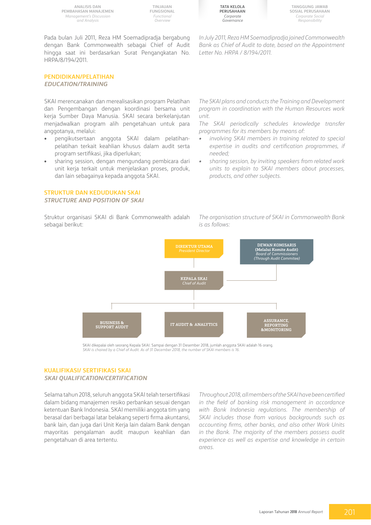**TINJAUAN FUNGSIONAL** *Functional Overview*

**Tata Kelola Perusahaan** *Corporate Governance*

*Letter No. HRPA / 8/194/2011.*

**Tanggung Jawab Sosial Perusahaan** *Corporate Social Responsibility*

Pada bulan Juli 2011, Reza HM Soemadipradja bergabung dengan Bank Commonwealth sebagai Chief of Audit hingga saat ini berdasarkan Surat Pengangkatan No. HRPA/8/194/2011.

**PENDIDIKAN/PELATIHAN**

*EDUCATION/TRAINING*

SKAI merencanakan dan merealisasikan program Pelatihan dan Pengembangan dengan koordinasi bersama unit kerja Sumber Daya Manusia. SKAI secara berkelanjutan menjadwalkan program alih pengetahuan untuk para anggotanya, melalui:

- pengikutsertaan anggota SKAI dalam pelatihanpelatihan terkait keahlian khusus dalam audit serta program sertifikasi, jika diperlukan;
- sharing session, dengan mengundang pembicara dari unit kerja terkait untuk menjelaskan proses, produk, dan lain sebagainya kepada anggota SKAI.

#### **STRUKTUR DAN KEDUDUKAN SKAI** *STRUCTURE AND POSITION OF SKAI*

Struktur organisasi SKAI di Bank Commonwealth adalah sebagai berikut:

*The SKAI plans and conducts the Training and Development program in coordination with the Human Resources work unit.* 

*In July 2011, Reza HM Soemadipradja joined Commonwealth Bank as Chief of Audit to date, based on the Appointment* 

*The SKAI periodically schedules knowledge transfer programmes for its members by means of:*

- *• involving SKAI members in training related to special expertise in audits and certification programmes, if needed;*
- *• sharing session, by inviting speakers from related work units to explain to SKAI members about processes, products, and other subjects.*

*The organisation structure of SKAI in Commonwealth Bank is as follows:* 



SKAI dikepalai oleh seorang Kepala SKAI. Sampai dengan 31 Desember 2018, jumlah anggota SKAI adalah 16 orang. *SKAI is chaired by a Chief of Audit. As of 31 December 2018, the number of SKAI members is 16.* 

#### **KUALIFIKASI/ SERTIFIKASI SKAI** *SKAI QUALIFICATION/CERTIFICATION*

Selama tahun 2018, seluruh anggota SKAI telah tersertifikasi dalam bidang manajemen resiko perbankan sesuai dengan ketentuan Bank Indonesia. SKAI memiliki anggota tim yang berasal dari berbagai latar belakang seperti firma akuntansi, bank lain, dan juga dari Unit Kerja lain dalam Bank dengan mayoritas pengalaman audit maupun keahlian dan pengetahuan di area tertentu.

*Throughout 2018, all members of the SKAI have been certified in the field of banking risk management in accordance with Bank Indonesia regulations. The membership of SKAI includes those from various backgrounds such as accounting firms, other banks, and also other Work Units in the Bank. The majority of the members possess audit experience as well as expertise and knowledge in certain areas.*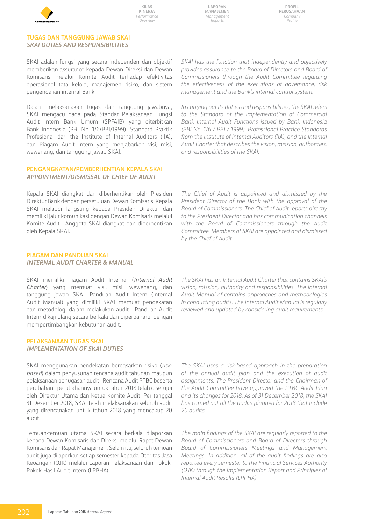

**Laporan Manajemen** *Management Reports*

**Profil Perusahaan** *Company Profile*

#### **TUGAS DAN TANGGUNG JAWAB SKAI** *SKAI DUTIES AND RESPONSIBILITIES*

SKAI adalah fungsi yang secara independen dan objektif memberikan assurance kepada Dewan Direksi dan Dewan Komisaris melalui Komite Audit terhadap efektivitas operasional tata kelola, manajemen risiko, dan sistem pengendalian internal Bank.

Dalam melaksanakan tugas dan tanggung jawabnya, SKAI mengacu pada pada Standar Pelaksanaan Fungsi Audit Intern Bank Umum (SPFAIB) yang diterbitkan Bank Indonesia (PBI No. 1/6/PBI/1999), Standard Praktik Profesional dari the Institute of Internal Auditors (IIA), dan Piagam Audit Intern yang menjabarkan visi, misi, wewenang, dan tanggung jawab SKAI.

#### **PENGANGKATAN/PEMBERHENTIAN kepala SKAI** *APPOINTMENT/DISMISSAL OF Chief of Audit*

Kepala SKAI diangkat dan diberhentikan oleh Presiden Direktur Bank dengan persetujuan Dewan Komisaris. Kepala SKAI melapor langsung kepada Presiden Direktur dan memiliki jalur komunikasi dengan Dewan Komisaris melalui Komite Audit. Anggota SKAI diangkat dan diberhentikan oleh Kepala SKAI.

*SKAI has the function that independently and objectively provides assurance to the Board of Directors and Board of Commissioners through the Audit Committee regarding the effectiveness of the executions of governance, risk management and the Bank's internal control system.* 

*In carrying out its duties and responsibilities, the SKAI refers to the Standard of the Implementation of Commercial Bank Internal Audit Functions issued by Bank Indonesia (PBI No. 1/6 / PBI / 1999), Professional Practice Standards from the Institute of Internal Auditors (IIA), and the Internal Audit Charter that describes the vision, mission, authorities, and responsibilities of the SKAI.*

*The Chief of Audit is appointed and dismissed by the President Director of the Bank with the approval of the Board of Commissioners. The Chief of Audit reports directly to the President Director and has communication channels with the Board of Commissioners through the Audit Committee. Members of SKAI are appointed and dismissed by the Chief of Audit.* 

#### **PIAGAM DAN PANDUAN SKAI** *Internal Audit Charter & Manual*

SKAI memiliki Piagam Audit Internal (*Internal Audit Charter*) yang memuat visi, misi, wewenang, dan tanggung jawab SKAI. Panduan Audit Intern (Internal Audit Manual) yang dimiliki SKAI memuat pendekatan dan metodologi dalam melakukan audit. Panduan Audit Intern dikaji ulang secara berkala dan diperbaharui dengan mempertimbangkan kebutuhan audit.

#### **PELAKSANAAN TUGAS SKAI** *IMPLEMENTATION OF SKAI DUTIES*

SKAI menggunakan pendekatan berdasarkan risiko (*riskbased*) dalam penyusunan rencana audit tahunan maupun pelaksanaan penugasan audit. Rencana Audit PTBC beserta perubahan - perubahannya untuk tahun 2018 telah disetujui oleh Direktur Utama dan Ketua Komite Audit. Per tanggal 31 Desember 2018, SKAI telah melaksanakan seluruh audit yang direncanakan untuk tahun 2018 yang mencakup 20 audit.

Temuan-temuan utama SKAI secara berkala dilaporkan kepada Dewan Komisaris dan Direksi melalui Rapat Dewan Komisaris dan Rapat Manajemen. Selain itu, seluruh temuan audit juga dilaporkan setiap semester kepada Otoritas Jasa Keuangan (OJK) melalui Laporan Pelaksanaan dan Pokok-Pokok Hasil Audit Intern (LPPHA).

*The SKAI has an Internal Audit Charter that contains SKAI's vision, mission, authority and responsibilities. The Internal Audit Manual of contains approaches and methodologies in conducting audits. The Internal Audit Manual is regularly reviewed and updated by considering audit requirements.*

*The SKAI uses a risk-based approach in the preparation of the annual audit plan and the execution of audit assignments. The President Director and the Chairman of the Audit Committee have approved the PTBC Audit Plan and its changes for 2018. As of 31 December 2018, the SKAI has carried out all the audits planned for 2018 that include 20 audits.*

*The main findings of the SKAI are regularly reported to the Board of Commissioners and Board of Directors through Board of Commissioners Meetings and Management Meetings. In addition, all of the audit findings are also reported every semester to the Financial Services Authority (OJK) through the Implementation Report and Principles of Internal Audit Results (LPPHA).*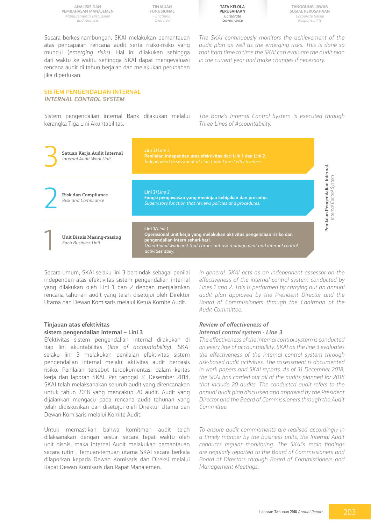**TINJAUAN FUNGSIONAL** *Functional Overview*

**Tata Kelola Perusahaan** *Corporate Governance*

**Tanggung Jawab Sosial Perusahaan** *Corporate Social Responsibility*

Secara berkesinambungan, SKAI melakukan pemantauan atas pencapaian rencana audit serta risiko-risiko yang muncul (*emerging risks*). Hal ini dilakukan sehingga dari waktu ke waktu sehingga SKAI dapat mengevaluasi rencana audit di tahun berjalan dan melakukan perubahan jika diperlukan.

#### **SISTEM PENGENDALIAN INTERNAL** *INTERNAL CONTROL SYSTEM*

Sistem pengendalian internal Bank dilakukan melalui kerangka Tiga Lini Akuntabilitas.

*The Bank's Internal Control System is executed through Three Lines of Accountability.* 

*The SKAI continuously monitors the achievement of the audit plan as well as the emerging risks. This is done so that from time to time the SKAI can evaluate the audit plan* 

*in the current year and make changes if necessary.*



Secara umum, SKAI selaku lini 3 bertindak sebagai penilai independen atas efektivitas sistem pengendalian internal yang dilakukan oleh Lini 1 dan 2 dengan menjalankan rencana tahunan audit yang telah disetujui oleh Direktur Utama dan Dewan Komisaris melalui Ketua Komite Audit.

#### **Tinjauan atas efektivitas sistem pengendalian internal – Lini 3**

Efektivitas sistem pengendalian internal dilakukan di tiap lini akuntabilitas (*line of accountabillity*). SKAI selaku lini 3 melakukan penilaian efektivitas sistem pengendalian internal melalui aktivitas audit berbasis risiko. Penilaian tersebut terdokumentasi dalam kertas kerja dan laporan SKAI. Per tanggal 31 Desember 2018, SKAI telah melaksanakan seluruh audit yang direncanakan untuk tahun 2018 yang mencakup 20 audit. Audit yang dijalankan mengacu pada rencana audit tahunan yang telah didiskusikan dan disetujui oleh Direktur Utama dan Dewan Komisaris melalui Komite Audit.

Untuk memastikan bahwa komitmen audit telah dilaksanakan dengan sesuai secara tepat waktu oleh unit bisnis, maka Internal Audit melakukan pemantauan secara rutin . Temuan-temuan utama SKAI secara berkala dilaporkan kepada Dewan Komisaris dan Direksi melalui Rapat Dewan Komisaris dan Rapat Manajemen.

*In general, SKAI acts as an independent assessor on the effectiveness of the internal control system conducted by Lines 1 and 2. This is performed by carrying out an annual audit plan approved by the President Director and the Board of Commissioners through the Chairman of the Audit Committee.*

#### *Review of effectiveness of internal control system - Line 3*

*The effectiveness of the internal control system is conducted on every line of accountabillity. SKAI as the line 3 evaluates the effectiveness of the internal control system through risk-based audit activities. The assessment is documented in work papers and SKAI reports. As of 31 December 2018, the SKAI has carried out all of the audits planned for 2018 that include 20 audits. The conducted audit refers to the annual audit plan discussed and approved by the President Director and the Board of Commissioners through the Audit Committee.*

*To ensure audit commitments are realised accordingly in a timely manner by the business units, the Internal Audit conducts regular monitoring. The SKAI's main findings are regularly reported to the Board of Commissioners and Board of Directors through Board of Commissioners and Management Meetings.*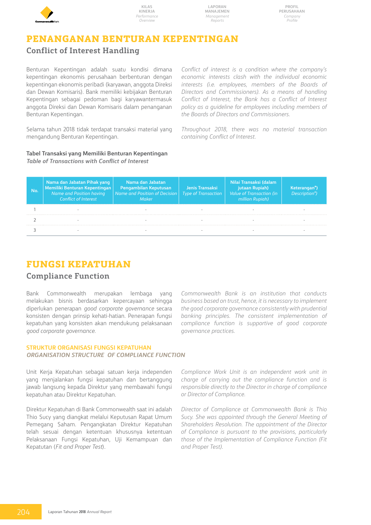

**Laporan Manajemen** *Management Reports*

**Profil Perusahaan** *Company Profile*

# **PENANGANAN BENTURAN KEPENTINGAN**

# **Conflict of Interest Handling**

Benturan Kepentingan adalah suatu kondisi dimana kepentingan ekonomis perusahaan berbenturan dengan kepentingan ekonomis peribadi (karyawan, anggota Direksi dan Dewan Komisaris). Bank memiliki kebijakan Benturan Kepentingan sebagai pedoman bagi karyawantermasuk anggota Direksi dan Dewan Komisaris dalam penanganan Benturan Kepentingan.

Selama tahun 2018 tidak terdapat transaksi material yang mengandung Benturan Kepentingan.

**Tabel Transaksi yang Memiliki Benturan Kepentingan** *Table of Transactions with Conflict of Interest* 

*Conflict of interest is a condition where the company's economic interests clash with the individual economic interests (i.e. employees, members of the Boards of Directors and Commissioners). As a means of handling Conflict of Interest, the Bank has a Conflict of Interest policy as a guideline for employees including members of the Boards of Directors and Commissioners.*

*Throughout 2018, there was no material transaction containing Conflict of Interest.*

| No. | Nama dan Jabatan Pihak yang<br>Memiliki Benturan Kepentingan<br>Name and Position having<br><b>Conflict of Interest</b> | Nama dan Jabatan<br><b>Pengambilan Keputusan</b><br>Name and Position of Decision   Type of Transaction<br>Maker | Jenis Transaksi | Nilai Transaksi (dalam<br>jutaan Rupiah)<br>Value of Transaction (in<br>million Rupiah) | Keterangan*)<br>Description*) |
|-----|-------------------------------------------------------------------------------------------------------------------------|------------------------------------------------------------------------------------------------------------------|-----------------|-----------------------------------------------------------------------------------------|-------------------------------|
|     |                                                                                                                         |                                                                                                                  |                 |                                                                                         |                               |
|     |                                                                                                                         |                                                                                                                  |                 |                                                                                         |                               |
|     |                                                                                                                         |                                                                                                                  |                 |                                                                                         |                               |

# **FUNGSI KEPATUHAN**

# **Compliance Function**

Bank Commonwealth merupakan lembaga yang melakukan bisnis berdasarkan kepercayaan sehingga diperlukan penerapan *good corporate governance* secara konsisten dengan prinsip kehati-hatian. Penerapan fungsi kepatuhan yang konsisten akan mendukung pelaksanaan *good corporate governance*.

*Commonwealth Bank is an institution that conducts business based on trust, hence, it is necessary to implement the good corporate governance consistently with prudential banking principles. The consistent implementation of compliance function is supportive of good corporate governance practices.*

#### **STRUKTUR ORGANISASI FUNGSI KEPATUHAN** *ORGANISATION STRUCTURE OF COMPLIANCE FUNCTION*

Unit Kerja Kepatuhan sebagai satuan kerja independen yang menjalankan fungsi kepatuhan dan bertanggung jawab langsung kepada Direktur yang membawahi fungsi kepatuhan atau Direktur Kepatuhan.

Direktur Kepatuhan di Bank Commonwealth saat ini adalah Thio Sucy yang diangkat melalui Keputusan Rapat Umum Pemegang Saham. Pengangkatan Direktur Kepatuhan telah sesuai dengan ketentuan khususnya ketentuan Pelaksanaan Fungsi Kepatuhan, Uji Kemampuan dan Kepatutan (*Fit and Proper Test*).

*Compliance Work Unit is an independent work unit in charge of carrying out the compliance function and is responsible directly to the Director in charge of compliance or Director of Compliance.*

*Director of Compliance at Commonwealth Bank is Thio Sucy. She was appointed through the General Meeting of Shareholders Resolution. The appointment of the Director of Compliance is pursuant to the provisions, particularly those of the Implementation of Compliance Function (Fit and Proper Test).*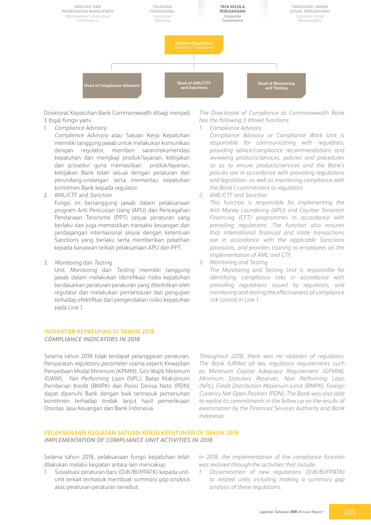

Direktorat Kepatuhan Bank Commonwealth dibagi menjadi 3 (tiga) fungsi yaitu

1. *Compliance Advisory* 

*Complience Advisory* atau Satuan Kerja Kepatuhan memiliki tanggung jawab untuk melakukan komunikasi dengan regulator, memberi saran/rekomendasi kepatuhan dan mengkaji produk/layanan, kebijakan dan prosedur guna memastikan produk/layanan, kebijakan Bank telah sesuai dengan peraturan dan perundang-undangan serta memantau kepatuhan komitmen Bank kepada regulator.

2. AML/CTF and *Sanction*

Fungsi ini bertanggung jawab dalam pelaksanaan program Anti Pencucian Uang (APU) dan Pencegahan Pendanaan Terorisme (PPT) sesuai peraturan yang berlaku dan juga memastikan transaksi keuangan dan perdagangan internasional sesuai dengan ketentuan Sanctions yang berlaku serta memberikan pelatihan kepada karyawan terkait pelaksanaan APU dan PPT.

3. *Monitoring* dan *Testing*

Unit *Monitoring* dan *Testing* memiliki tanggung jawab dalam melakukan identifikasi risiko kepatuhan berdasarkan peraturan-peraturan yang diterbitkan oleh regulator dan melakukan pemantauan dan pengujian terhadap efektifitas dari pengendalian risiko kepatuhan pada Line 1.

#### **INDIKATOR KEPATUHAN DI TAHUN 2018** *COMPLIANCE INDICATORS IN 2018*

Selama tahun 2018 tidak terdapat pelanggaran peraturan. Persyaratan *regulatory parameter* utama seperti Kewajiban Penyediaan Modal Minimum (KPMM), Giro Wajib Minimum (GWM), *Net Performing Loan* (NPL), Batas Maksimum Pemberian Kredit (BMPK) dan Posisi Devisa Neto (PDN) dapat dipenuhi Bank dengan baik termasuk pemenuhan komitmen terhadap tindak lanjut hasil pemeriksaan Otoritas Jasa Keuangan dan Bank Indonesia.

*The Directorate of Compliance at Commonwealth Bank has the following 3 (three) functions: 1. Compliance Advisory*

*Compliance Advisory or Compliance Work Unit is responsible for communicating with regulators, providing advice/compliance recommendations and reviewing products/services, policies and procedures so as to ensure products/services and the Bank's policies are in accordance with prevailing regulations and legislation, as well as monitoring compliance with the Bank's commitment to regulators.*

*2. AML/CTF and Sanction*

*This function is responsible for implementing the Anti Money Laundering (APU) and Counter Terrorism Financing (CFT) programmes in accordance with prevailing regulations. The function also ensures that international financial and trade transactions are in accordance with the applicable Sanctions provisions, and provides training to employees on the implementation of AML and CTF.*

*3. Monitoring and Testing*

*The Monitoring and Testing Unit is responsible for identifying compliance risks in accordance with prevailing regulations issued by regulators, and monitoring and testing the effectiveness of compliance risk control in Line 1.*

*Throughout 2018, there was no violation of regulation. The Bank fulfilled all key regulatory requirements such as Minimum Capital Adequacy Requirement (GPMM), Minimum Statutory Reserves, Non Performing Loan (NPL), Credit Distribution Maximum Limit (BMPK), Foreign Currency Net Open Position (PDN). The Bank was also able to realise its commitments in the follow-up on the results of examination by the Financial Services Authority and Bank Indonesia.* 

#### **PELAKSANAAN KEGIATAN SATUAN KERJA KEPATUHAN DI TAHUN 2018** *IMPLEMENTATION OF COMPLIANCE UNIT ACTIVITIES IN 2018*

Selama tahun 2018, pelaksanaan fungsi kepatuhan telah dilakukan melalui kegiatan antara lain mencakup:

1. Sosialisasi peraturan baru (OJK/BI/PPATK) kepada unitunit terkait termasuk membuat *summary gap analysis*  atas peraturan-peraturan tersebut.

*In 2018, the implementation of the compliance function was realised through the activities that include:*

*1. Dissemination of new regulations (OJK/BI/PPATK) to related units including making a summary gap analysis of these regulations.*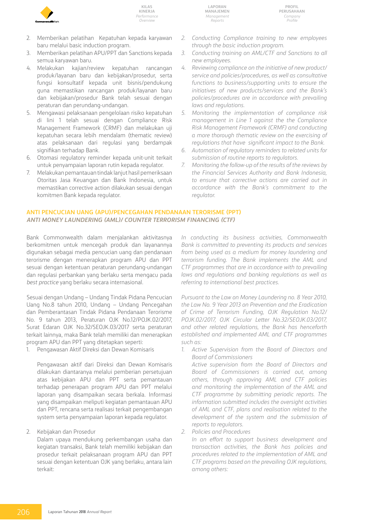

- 2. Memberikan pelatihan Kepatuhan kepada karyawan baru melalui basic induction program.
- 3. Memberikan pelatihan APU/PPT dan Sanctions kepada semua karyawan baru.
- 4. Melakukan kajian/review kepatuhan rancangan produk/layanan baru dan kebijakan/prosedur, serta fungsi konsultatif kepada unit bisnis/pendukung guna memastikan rancangan produk/layanan baru dan kebijakan/prosedur Bank telah sesuai dengan peraturan dan perundang-undangan.
- 5. Mengawasi pelaksanaan pengelolaan risiko kepatuhan di lini 1 telah sesuai dengan Compliance Risk Management Framework (CRMF) dan melakukan uji kepatuhan secara lebih mendalam (thematic review) atas pelaksanaan dari regulasi yang berdampak signifikan terhadap Bank.
- 6. Otomasi regulatory reminder kepada unit-unit terkait untuk penyampaian laporan rutin kepada regulator.
- 7. Melakukan pemantauan tindak lanjut hasil pemeriksaan Otoritas Jasa Keuangan dan Bank Indonesia, untuk memastikan corrective action dilakukan sesuai dengan komitmen Bank kepada regulator.
- *2. Conducting Compliance training to new employees through the basic induction program.*
- *3. Conducting training on AML/CTF and Sanctions to all new employees.*
- *4. Reviewing compliance on the initiative of new product/ service and policies/procedures, as well as consultative functions to business/supporting units to ensure the initiatives of new products/services and the Bank's policies/procedures are in accordance with prevailing laws and regulations.*
- *5. Monitoring the implementation of compliance risk management in Line 1 against the the Compliance Risk Management Framework (CRMF) and conducting a more thorough thematic review on the exercising of regulations that have significant impact to the Bank.*
- *6. Automation of regulatory reminders to related units for submission of routine reports to regulators.*
- *7. Monitoring the follow-up of the results of the reviews by the Financial Services Authority and Bank Indonesia, to ensure that corrective actions are carried out in accordance with the Bank's commitment to the regulator.*

### **ANTI PENCUCIAN UANG (APU)/PENCEGAHAN PENDANAAN TERORISME (PPT)** *ANTI MONEY LAUNDERING (AML)/ counter TERRORISM FINANCING (CTf)*

Bank Commonwealth dalam menjalankan aktivitasnya berkomitmen untuk mencegah produk dan layanannya digunakan sebagai media pencucian uang dan pendanaan terorisme dengan menerapkan program APU dan PPT sesuai dengan ketentuan peraturan perundang-undangan dan regulasi perbankan yang berlaku serta mengacu pada *best practice* yang berlaku secara internasional.

Sesuai dengan Undang – Undang Tindak Pidana Pencucian Uang No.8 tahun 2010, Undang – Undang Pencegahan dan Pemberantasan Tindak Pidana Pendanaan Terorisme No. 9 tahun 2013, Peraturan OJK No.12/POJK.02/2017, Surat Edaran OJK No.32/SEOJK.03/2017 serta peraturan terkait lainnya, maka Bank telah memiliki dan menerapkan program APU dan PPT yang ditetapkan seperti:

1. Pengawasan Aktif Direksi dan Dewan Komisaris

Pengawasan aktif dari Direksi dan Dewan Komisaris dilakukan diantaranya melalui pemberian persetujuan atas kebijakan APU dan PPT serta pemantauan terhadap penerapan program APU dan PPT melalui laporan yang disampaikan secara berkala. Informasi yang disampaikan meliputi kegiatan pemantauan APU dan PPT, rencana serta realisasi terkait pengembangan system serta penyampaian laporan kepada regulator.

### 2. Kebijakan dan Prosedur

Dalam upaya mendukung perkembangan usaha dan kegiatan transaksi, Bank telah memiliki kebijakan dan prosedur terkait pelaksanaan program APU dan PPT sesuai dengan ketentuan OJK yang berlaku, antara lain terkait:

*In conducting its business activities, Commonwealth Bank is committed to preventing its products and services from being used as a medium for money laundering and terrorism funding. The Bank implements the AML and CTF programmes that are in accordance with to prevailing laws and regulations and banking regulations as well as referring to international best practices.*

*Pursuant to the Law on Money Laundering no. 8 Year 2010, the Law No. 9 Year 2013 on Prevention and the Eradication of Crime of Terrorism Funding, OJK Regulation No.12/ POJK.02/2017, OJK Circular Letter No.32/SEOJK.03/2017, and other related regulations, the Bank has henceforth established and implemented AML and CTF programmes such as:*

*1. Active Supervision from the Board of Directors and Board of Commissioners*

*Active supervision from the Board of Directors and Board of Commissioners is carried out, among others, through approving AML and CTF policies and monitoring the implementation of the AML and CTF programme by submitting periodic reports. The information submitted includes the oversight activities of AML and CTF, plans and realisation related to the development of the system and the submission of reports to regulators.*

*2. Policies and Procedures*

*In an effort to support business development and transaction activities, the Bank has policies and procedures related to the implementation of AML and CTF programs based on the prevailing OJK regulations, among others:*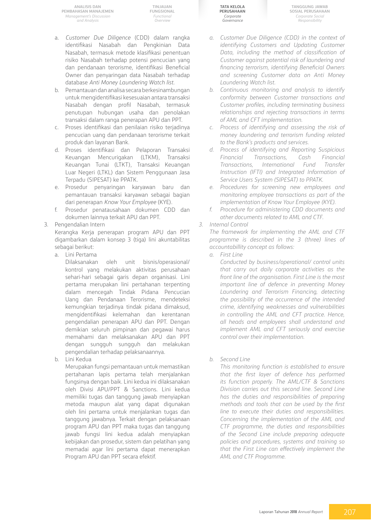**TINJAUAN FUNGSIONAL** *Functional Overview*

- a. *Customer Due Diligence* (CDD) dalam rangka identifikasi Nasabah dan Pengkinian Data Nasabah, termasuk metode klasifikasi penentuan risiko Nasabah terhadap potensi pencucian yang dan pendanaan terorisme, identifikasi Beneficial Owner dan penyaringan data Nasabah terhadap database *Anti Money Laundering Watch list*.
- b. Pemantauan dan analisa secara berkesinambungan untuk mengidentifikasi kesesuaian antara transaksi Nasabah dengan profil Nasabah, termasuk penutupan hubungan usaha dan penolakan transaksi dalam ranga penerapan APU dan PPT.
- c. Proses identifikasi dan penilaian risiko terjadinya pencucian uang dan pendanaan terorisme terkait produk dan layanan Bank.
- d. Proses identifikasi dan Pelaporan Transaksi Keuangan Mencurigakan (LTKM), Transaksi Keuangan Tunai (LTKT), Transaksi Keuangan Luar Negeri (LTKL) dan Sistem Penggunaan Jasa Terpadu (SIPESAT) ke PPATK.
- e. Prosedur penyaringan karyawan baru dan pemantauan transaksi karyawan sebagai bagian dari penerapan *Know Your Employee* (KYE).
- f. Prosedur penatausahaan dokumen CDD dan dokumen lainnya terkait APU dan PPT.
- 3. Pengendalian Intern

Kerangka Kerja penerapan program APU dan PPT digambarkan dalam konsep 3 (tiga) lini akuntabilitas sebagai berikut:

a. Lini Pertama

Dilaksanakan oleh unit bisnis/operasional/ kontrol yang melakukan aktivitas perusahaan sehari-hari sebagai garis depan organisasi. Lini pertama merupakan lini pertahanan terpenting dalam mencegah Tindak Pidana Pencucian Uang dan Pendanaan Terorisme, mendeteksi kemungkian terjadinya tindak pidana dimaksud, mengidentifikasi kelemahan dan kerentanan pengendalian penerapan APU dan PPT. Dengan demikian seluruh pimpinan dan pegawai harus memahami dan melaksanakan APU dan PPT dengan sungguh sungguh dan melakukan pengendalian terhadap pelaksanaannya.

b. Lini Kedua

Merupakan fungsi pemantauan untuk memastikan pertahanan lapis pertama telah menjalankan fungsinya dengan baik. Lini kedua ini dilaksanakan oleh Divisi APU/PPT & Sanctions. Lini kedua memiliki tugas dan tanggung jawab menyiapkan metoda maupun alat yang dapat digunakan oleh lini pertama untuk menjalankan tugas dan tanggung jawabnya. Terkait dengan pelaksanaan program APU dan PPT maka tugas dan tanggung jawab fungsi lini kedua adalah menyiapkan kebijakan dan prosedur, sistem dan pelatihan yang memadai agar lini pertama dapat menerapkan Program APU dan PPT secara efektif.

**Tata Kelola Perusahaan** *Corporate Governance*

**Tanggung Jawab Sosial Perusahaan** *Corporate Social Responsibility*

- *a. Customer Due Diligence (CDD) in the context of identifying Customers and Updating Customer Data, including the method of classification of Customer against potential risk of laundering and financing terrorism, identifying Beneficial Owners and screening Customer data on Anti Money Laundering Watch list.*
- *b. Continuous monitoring and analysis to identify conformity between Customer transactions and Customer profiles, including terminating business relationships and rejecting transactions in terms of AML and CFT implementation.*
- *c. Process of identifying and assessing the risk of money laundering and terrorism funding related to the Bank's products and services.*
- *d. Process of identifying and Reporting Suspicious Financial Transactions, Cash Financial Transactions, International Fund Transfer Instruction (IFTI) and Integrated Information of Service Users System (SIPESAT) to PPATK.*
- *e. Procedures for screening new employees and monitoring employee transactions as part of the implementation of Know Your Employee (KYE).*
- *f. Procedure for administering CDD documents and other documents related to AML and CTF.*
- *3. Internal Control*

*The framework for implementing the AML and CTF programme is described in the 3 (three) lines of accountabillity concept as follows:*

- *a. First Line*
	- *Conducted by business/operational/ control units that carry out daily corporate activities as the front line of the organisation. First Line is the most important line of defence in preventing Money Laundering and Terrorism Financing, detecting the possibility of the occurrence of the intended crime, identifying weaknesses and vulnerabilities in controlling the AML and CFT practice. Hence, all heads and employees shall understand and implement AML and CFT seriously and exercise control over their implementation.*

### *b. Second Line*

*This monitoring function is established to ensure that the first layer of defence has performed its function properly. The AML/CTF & Sanctions Division carries out this second line. Second Line has the duties and responsibilities of preparing methods and tools that can be used by the first line to execute their duties and responsibilities. Concerning the implementation of the AML and CTF programme, the duties and responsibilities of the Second Line include preparing adequate policies and procedures, systems and training so that the First Line can effectively implement the AML and CTF Programme.*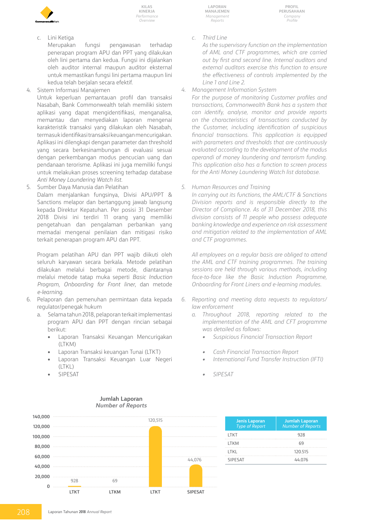

c. Lini Ketiga

Merupakan fungsi pengawasan terhadap penerapan program APU dan PPT yang dilakukan oleh lini pertama dan kedua. Fungsi ini dijalankan oleh auditor internal maupun auditor eksternal untuk memastikan fungsi lini pertama maupun lini kedua telah berjalan secara efektif.

4. Sistem Informasi Manajemen

Untuk keperluan pemantauan profil dan transaksi Nasabah, Bank Commonwealth telah memiliki sistem aplikasi yang dapat mengidentifikasi, menganalisa, memantau dan menyediakan laporan mengenai karakteristik transaksi yang dilakukan oleh Nasabah, termasuk identifikasi transaksi keuangan mencurigakan. Aplikasi ini dilengkapi dengan parameter dan threshold yang secara berkesinambungan di evaluasi sesuai dengan perkembangan modus pencucian uang dan pendanaan terorisme. Aplikasi ini juga memiliki fungsi untuk melakukan proses screening terhadap database *Anti Money Laundering Watch list*.

5. Sumber Daya Manusia dan Pelatihan Dalam menjalankan fungsinya, Divisi APU/PPT & Sanctions melapor dan bertanggung jawab langsung kepada Direktur Kepatuhan. Per posisi 31 Desember 2018 Divisi ini terdiri 11 orang yang memiliki pengetahuan dan pengalaman perbankan yang memadai mengenai penilaian dan mitigasi risiko terkait penerapan program APU dan PPT.

Program pelatihan APU dan PPT wajib diikuti oleh seluruh karyawan secara berkala. Metode pelatihan dilakukan melalui berbagai metode, diantaranya melalui metode tatap muka seperti *Basic Induction Program*, *Onboarding for Front liner*, dan metode *e-learning*.

- 6. Pelaporan dan pemenuhan permintaan data kepada regulator/penegak hukum
	- a. Selama tahun 2018, pelaporan terkait implementasi program APU dan PPT dengan rincian sebagai berikut:
		- • Laporan Transaksi Keuangan Mencurigakan (LTKM)
		- Laporan Transaksi keuangan Tunai (LTKT)
		- Laporan Transaksi Keuangan Luar Negeri  $(|TK|)$
		- **SIPESAT**

**Laporan Manajemen** *Management Reports*

*c. Third Line*

*As the supervisory function on the implementation of AML and CTF programmes, which are carried out by first and second line. Internal auditors and external auditors exercise this function to ensure the effectiveness of controls implemented by the Line 1 and Line 2.* 

*4. Management Information System*

*For the purpose of monitoring Customer profiles and transactions, Commonwealth Bank has a system that can identify, analyse, monitor and provide reports on the characteristics of transactions conducted by the Customer, including identification of suspicious financial transactions. This application is equipped with parameters and thresholds that are continuously evaluated according to the development of the modus operandi of money laundering and terrorism funding. This application also has a function to screen process for the Anti Money Laundering Watch list database.*

*5. Human Resources and Training*

*In carrying out its functions, the AML/CTF & Sanctions Division reports and is responsible directly to the Director of Compliance. As of 31 December 2018, this division consists of 11 people who possess adequate banking knowledge and experience on risk assessment and mitigation related to the implementation of AML and CTF programmes.*

*All employees on a regular basis are obliged to attend the AML and CTF training programmes. The training sessions are held through various methods, including face-to-face like the Basic Induction Programme, Onboarding for Front Liners and e-learning modules.*

- *6. Reporting and meeting data requests to regulators/ law enforcement*
	- *a. Throughout 2018, reporting related to the implementation of the AML and CFT programme was detailed as follows:*
		- *• Suspicious Financial Transaction Report*
		- *• Cash Financial Transaction Report*
		- *• International Fund Transfer Instruction (IFTI)*
		- *• SIPESAT*



| <b>Jenis Laporan</b><br><b>Type of Report</b> | <b>Jumlah Laporan</b><br><b>Number of Reports</b> |
|-----------------------------------------------|---------------------------------------------------|
| LTKT                                          | 928                                               |
| <b>LTKM</b>                                   | 69                                                |
| I TKI                                         | 120.515                                           |
| <b>SIPFSAT</b>                                | 44 076                                            |
|                                               |                                                   |

#### **Jumlah Laporan** *Number of Reports*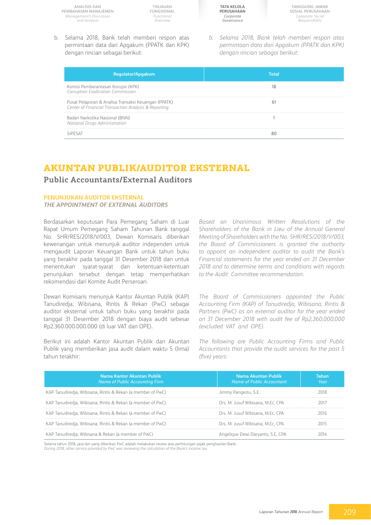**TINJAUAN FUNGSIONAL** *Functional Overview*

**Tata Kelola Perusahaan** *Corporate Governance*

**Tanggung Jawab Sosial Perusahaan** *Corporate Social Responsibility*

b. Selama 2018, Bank telah memberi respon atas permintaan data dari Apgakum (PPATK dan KPK) dengan rincian sebagai berikut:

*b. Selama 2018, Bank telah memberi respon atas permintaan data dari Apgakum (PPATK dan KPK) dengan rincian sebagai berikut:* 

| Regulator/Apgakum                                                                                            |  |
|--------------------------------------------------------------------------------------------------------------|--|
| Komisi Pemberantasan Korupsi (KPK)<br>Corruption Eradication Commission                                      |  |
| Pusat Pelaporan & Analisa Transaksi Keuangan (PPATK)<br>Center of Financial Transaction Analysis & Reporting |  |
| Badan Narkotika Nasional (BNN)<br>National Drugs Administration                                              |  |
|                                                                                                              |  |

# **AKUNTAN PUBLIK/AUDITOR EKSTERNAL**

## **Public Accountants/External Auditors**

#### **Penunjukan Auditor Eksternal**

#### *The appointment of External Auditors*

Berdasarkan keputusan Para Pemegang Saham di Luar Rapat Umum Pemegang Saham Tahunan Bank tanggal No. SHR/RES/2018/V/003, Dewan Komisaris diberikan kewenangan untuk menunjuk auditor independen untuk mengaudit Laporan Keuangan Bank untuk tahun buku yang berakhir pada tanggal 31 Desember 2018 dan untuk menentukan syarat-syarat dan ketentuan-ketentuan penunjukan tersebut dengan tetap memperhatikan rekomendasi dari Komite Audit Perseroan.

Dewan Komisaris menunjuk Kantor Akuntan Publik (KAP) Tanudiredja, Wibisana, Rintis & Rekan (PwC) sebagai auditor eksternal untuk tahun buku yang berakhir pada tanggal 31 Desember 2018 dengan biaya audit sebesar Rp2.360.000.000.000 (di luar VAT dan OPE).

Berikut ini adalah Kantor Akuntan Publik dan Akuntan Publik yang memberikan jasa audit dalam waktu 5 (lima) tahun terakhir:

*Based on Unanimous Written Resolutions of the Shareholders of the Bank in Lieu of the Annual General Meeting of Shareholders with the No. SHR/RES/2018/V/003, the Board of Commissioners is granted the authority to appoint an independent auditor to audit the Bank's Financial statements for the year ended on 31 December 2018 and to determine terms and conditions with regards to the Audit Committee recommendation.*

*The Board of Commissioners appointed the Public Accounting Firm (KAP) of Tanudiredja, Wibisana, Rintis & Partners (PwC) as an external auditor for the year ended on 31 December 2018 with audit fee of Rp2,360,000,000 (excluded VAT and OPE).* 

*The following are Public Accounting Firms and Public Accountants that provide the audit services for the past 5 (five) years:*

| Nama Kantor Akuntan Publik<br>Name of Public Accounting Firm | Nama Akuntan Publik<br>Name of Public Accountant | Tahun<br>Year |
|--------------------------------------------------------------|--------------------------------------------------|---------------|
| KAP Tanudiredja, Wibisana, Rintis & Rekan (a member of PwC)  | Jimmy Pangestu, S.E.                             |               |
| KAP Tanudiredia, Wibisana, Rintis & Rekan (a member of PwC)  | Drs. M. Jusuf Wibisana, M.Ec. CPA                | 2017          |
| KAP Tanudiredja, Wibisana, Rintis & Rekan (a member of PwC)  | Drs. M. Jusuf Wibisana, M.Ec. CPA                | 2016.         |
| KAP Tanudiredia, Wibisana, Rintis & Rekan (a member of PwC)  | Drs. M. Jusuf Wibisana, M.Ec, CPA                | 2015          |
| KAP Tanudiredja, Wibisana & Rekan (a member of PwC)          | Angelique Dewi Daryanto, S.E. CPA                |               |

Selama tahun 2018, jasa lain yang diberikan PwC adalah melakukan review atas perhitungan pajak penghasilan Bank. *During 2018, other service provided by PwC was reviewing the calculation of the Bank's income tax.*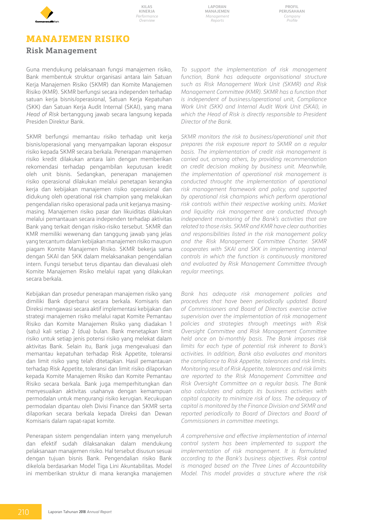

**Laporan Manajemen** *Management Reports*

**Profil Perusahaan** *Company Profile*

# **MANAJEMEN RISIKO**

# **Risk Management**

Guna mendukung pelaksanaan fungsi manajemen risiko, Bank membentuk struktur organisasi antara lain Satuan Kerja Manajemen Risiko (SKMR) dan Komite Manajemen Risiko (KMR). SKMR berfungsi secara independen terhadap satuan kerja bisnis/operasional, Satuan Kerja Kepatuhan (SKK) dan Satuan Kerja Audit Internal (SKAI), yang mana *Head of Risk* bertanggung jawab secara langsung kepada Presiden Direktur Bank.

SKMR berfungsi memantau risiko terhadap unit kerja bisnis/operasional yang menyampaikan laporan eksposur risiko kepada SKMR secara berkala. Penerapan manajemen risiko kredit dilakukan antara lain dengan memberikan rekomendasi terhadap pengambilan keputusan kredit oleh unit bisnis. Sedangkan, penerapan manajemen risiko operasional dilakukan melalui penetapan kerangka kerja dan kebijakan manajemen risiko operasional dan didukung oleh operational risk champion yang melakukan pengendalian risiko operasional pada unit kerjanya masingmasing. Manajemen risiko pasar dan likuiditas dilakukan melalui pemantauan secara independen terhadap aktivitas Bank yang terkait dengan risiko-risiko tersebut. SKMR dan KMR memiliki wewenang dan tanggung jawab yang jelas yang tercantum dalam kebijakan manajemen risiko maupun piagam Komite Manajemen Risiko. SKMR bekerja sama dengan SKAI dan SKK dalam melaksanakan pengendalian intern. Fungsi tersebut terus dipantau dan dievaluasi oleh Komite Manajemen Risiko melalui rapat yang dilakukan secara berkala.

Kebijakan dan prosedur penerapan manajemen risiko yang dimiliki Bank diperbarui secara berkala. Komisaris dan Direksi mengawasi secara aktif implementasi kebijakan dan strategi manajemen risiko melalui rapat Komite Pemantau Risiko dan Komite Manajemen Risiko yang diadakan 1 (satu) kali setiap 2 (dua) bulan. Bank menetapkan limit risiko untuk setiap jenis potensi risiko yang melekat dalam aktivitas Bank. Selain itu, Bank juga mengevaluasi dan memantau kepatuhan terhadap Risk Appetite, toleransi dan limit risiko yang telah ditetapkan. Hasil pemantauan terhadap Risk Appetite, toleransi dan limit risiko dilaporkan kepada Komite Manajemen Risiko dan Komite Pemantau Risiko secara berkala. Bank juga memperhitungkan dan menyesuaikan aktivitas usahanya dengan kemampuan permodalan untuk mengurangi risiko kerugian. Kecukupan permodalan dipantau oleh Divisi Finance dan SKMR serta dilaporkan secara berkala kepada Direksi dan Dewan Komisaris dalam rapat-rapat komite.

Penerapan sistem pengendalian intern yang menyeluruh dan efektif sudah dilaksanakan dalam mendukung pelaksanaan manajemen risiko. Hal tersebut disusun sesuai dengan tujuan bisnis Bank. Pengendalian risiko Bank dikelola berdasarkan Model Tiga Lini Akuntabilitas. Model ini memberikan struktur di mana kerangka manajemen

*To support the implementation of risk management function, Bank has adequate organisational structure such as Risk Management Work Unit (SKMR) and Risk Management Committee (KMR). SKMR has a function that is independent of business/operational unit, Compliance Work Unit (SKK) and Internal Audit Work Unit (SKAI), in which the Head of Risk is directly responsible to President Director of the Bank.*

*SKMR monitors the risk to business/operational unit that prepares the risk exposure report to SKMR on a regular basis. The implementation of credit risk management is carried out, among others, by providing recommendation on credit decision making by business unit. Meanwhile, the implementation of operational risk management is conducted throught the implementation of operational risk management framework and policy, and supported by operational risk champions which perform operational risk controls within their respective working units. Market and liquidity risk management are conducted through independent monitoring of the Bank's activities that are related to those risks. SKMR and KMR have clear authorities and responsibilities listed in the risk management policy and the Risk Management Committee Charter. SKMR cooperates with SKAI and SKK in implementing internal controls in which the function is continuously monitored and evaluated by Risk Management Committee through regular meetings.*

*Bank has adequate risk management policies and procedures that have been periodically updated. Board of Commissioners and Board of Directors exercise active supervision over the implementation of risk management policies and strategies through meetings with Risk Oversight Committee and Risk Management Committee held once on bi-monthly basis. The Bank imposes risk limits for each type of potential risk inherent to Bank's activities. In addition, Bank also evaluates and monitors the compliance to Risk Appetite, tolerances and risk limits. Monitoring result of Risk Appetite, tolerances and risk limits are reported to the Risk Management Committee and Risk Oversight Committee on a regular basis. The Bank also calculates and adapts its business activities with capital capacity to minimize risk of loss. The adequacy of capital is monitored by the Finance Division and SKMR and reported periodically to Board of Directors and Board of Commissioners in committee meetings.*

*A comprehensive and effective implementation of internal control system has been implemented to support the implementation of risk management. It is formulated according to the Bank's business objectives. Risk control is managed based on the Three Lines of Accountability Model. This model provides a structure where the risk*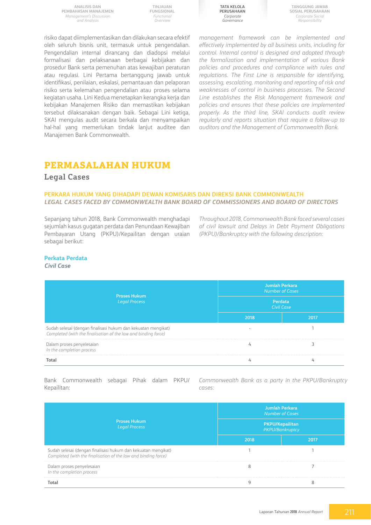**TINJAUAN FUNGSIONAL** *Functional Overview*



**Tanggung Jawab Sosial Perusahaan** *Corporate Social Responsibility*

risiko dapat diimplementasikan dan dilakukan secara efektif oleh seluruh bisnis unit, termasuk untuk pengendalian. Pengendalian internal dirancang dan diadopsi melalui formalisasi dan pelaksanaan berbagai kebijakan dan prosedur Bank serta pemenuhan atas kewajiban peraturan atau regulasi. Lini Pertama bertanggung jawab untuk identifikasi, penilaian, eskalasi, pemantauan dan pelaporan risiko serta kelemahan pengendalian atau proses selama kegiatan usaha. Lini Kedua menetapkan kerangka kerja dan kebijakan Manajemen Risiko dan memastikan kebijakan tersebut dilaksanakan dengan baik. Sebagai Lini ketiga, SKAI mengulas audit secara berkala dan menyampaikan hal-hal yang memerlukan tindak lanjut auditee dan Manajemen Bank Commonwealth.

*management framework can be implemented and effectively implemented by all business units, including for control. Internal control is designed and adopted through the formalization and implementation of various Bank policies and procedures and compliance with rules and regulations. The First Line is responsible for identifying, assessing, escalating, monitoring and reporting of risk and weaknesses of control in business processes. The Second Line establishes the Risk Management framework and policies and ensures that these policies are implemented properly. As the third line, SKAI conducts audit review regularly and reports situation that require a follow-up to auditors and the Management of Commonwealth Bank.*

# **Permasalahan Hukum**

### **Legal Cases**

### **PERKARA HUKUM YANG DIHADAPI DEWAN KOMISARIS DAN DIREKSI BANK COMMONWEALTH** *LEGAL cases FACED BY COMMONWEALTH BANK BOARD OF COMMISSIONERS AND BOARD OF DIRECTORS*

Sepanjang tahun 2018, Bank Commonwealth menghadapi sejumlah kasus gugatan perdata dan Penundaan Kewajiban Pembayaran Utang (PKPU)/Kepailitan dengan uraian sebagai berikut:

*Throughout 2018, Commonwealth Bank faced several cases of civil lawsuit and Delays in Debt Payment Obligations (PKPU)/Bankruptcy with the following description:*

## **Perkata Perdata**

#### *Civil Case*

| <b>Proses Hukum</b><br><b>Legal Process</b>                                                                                     | <b>Jumlah Perkara</b><br><b>Number of Cases</b><br>Perdata<br><b>Civil Case</b> |      |
|---------------------------------------------------------------------------------------------------------------------------------|---------------------------------------------------------------------------------|------|
|                                                                                                                                 | 2018                                                                            | 2017 |
| Sudah selesai (dengan finalisasi hukum dan kekuatan mengikat)<br>Completed (with the finalisation of the law and binding force) |                                                                                 |      |
| Dalam proses penyelesaian<br>In the completion process                                                                          |                                                                                 |      |
| Total                                                                                                                           |                                                                                 |      |

Bank Commonwealth sebagai Pihak dalam PKPU/ Kepailitan:

*Commonwealth Bank as a party in the PKPU/Bankruptcy cases:*

|                                                                                                                                 | <b>Jumlah Perkara</b><br><b>Number of Cases</b> |      |  |
|---------------------------------------------------------------------------------------------------------------------------------|-------------------------------------------------|------|--|
| <b>Proses Hukum</b><br><b>Legal Process</b>                                                                                     | PKPU/Kepailitan<br>PKPU/Bankruptcy              |      |  |
|                                                                                                                                 | 2018                                            | 2017 |  |
| Sudah selesai (dengan finalisasi hukum dan kekuatan mengikat)<br>Completed (with the finalisation of the law and binding force) |                                                 |      |  |
| Dalam proses penyelesaian<br>In the completion process                                                                          |                                                 |      |  |
|                                                                                                                                 |                                                 |      |  |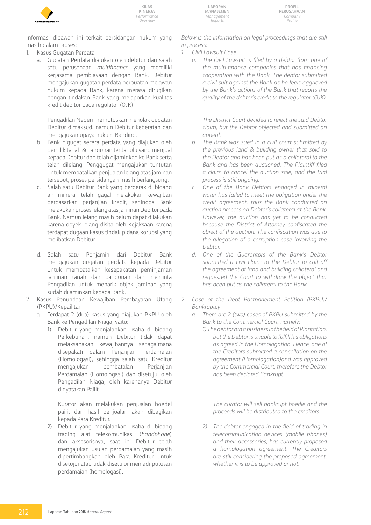

**Laporan Manajemen** *Management Reports*

**Profil Perusahaan** *Company Profile*

Informasi dibawah ini terkait persidangan hukum yang masih dalam proses:

- 1. Kasus Gugatan Perdata
	- a. Gugatan Perdata diajukan oleh debitur dari salah satu perusahaan *multifinance* yang memiliki kerjasama pembiayaan dengan Bank. Debitur mengajukan gugatan perdata perbuatan melawan hukum kepada Bank, karena merasa dirugikan dengan tindakan Bank yang melaporkan kualitas kredit debitur pada regulator (OJK).

Pengadilan Negeri memutuskan menolak gugatan Debitur dimaksud, namun Debitur keberatan dan mengajukan upaya hukum Banding.

- b. Bank digugat secara perdata yang diajukan oleh pemilik tanah & bangunan terdahulu yang menjual kepada Debitur dan telah dijaminkan ke Bank serta telah dilelang. Penggugat mengajukan tuntutan untuk membatalkan penjualan lelang atas jaminan tersebut, proses persidangan masih berlangsung.
- c. Salah satu Debitur Bank yang bergerak di bidang air mineral telah gagal melakukan kewajiban berdasarkan perjanjian kredit, sehingga Bank melakukan proses lelang atas jaminan Debitur pada Bank. Namun lelang masih belum dapat dilakukan karena obyek lelang disita oleh Kejaksaan karena terdapat dugaan kasus tindak pidana korupsi yang melibatkan Debitur.
- d. Salah satu Penjamin dari Debitur Bank mengajukan gugatan perdata kepada Debitur untuk membatalkan kesepakatan peminjaman jaminan tanah dan bangunan dan meminta Pengadilan untuk menarik objek jaminan yang sudah dijaminkan kepada Bank.
- 2. Kasus Penundaan Kewajiban Pembayaran Utang (PKPU)/Kepailitan
	- a. Terdapat 2 (dua) kasus yang diajukan PKPU oleh Bank ke Pengadilan Niaga, yaitu:
		- 1) Debitur yang menjalankan usaha di bidang Perkebunan, namun Debitur tidak dapat melaksanakan kewajibannya sebagaimana disepakati dalam Perjanjian Perdamaian (Homologasi), sehingga salah satu Kreditur mengajukan pembatalan Perjanjian Perdamaian (Homologasi) dan disetujui oleh Pengadilan Niaga, oleh karenanya Debitur dinyatakan Pailit.

Kurator akan melakukan penjualan boedel pailit dan hasil penjualan akan dibagikan kepada Para Kreditur.

2) Debitur yang menjalankan usaha di bidang trading alat telekomunikasi (*handphone*) dan aksesorisnya, saat ini Debitur telah mengajukan usulan perdamaian yang masih dipertimbangkan oleh Para Kreditur untuk disetujui atau tidak disetujui menjadi putusan perdamaian (homologasi).

*Below is the information on legal proceedings that are still in process:* 

- *1. Civil Lawsuit Case*
	- *a. The Civil Lawsuit is filed by a debtor from one of the multi-finance companies that has financing cooperation with the Bank. The debtor submitted a civil suit against the Bank as he feels aggrieved by the Bank's actions of the Bank that reports the quality of the debtor's credit to the regulator (OJK).*

*The District Court decided to reject the said Debtor claim, but the Debtor objected and submitted an appeal.*

- *b. The Bank was sued in a civil court submitted by the previous land & building owner that sold to the Debtor and has been put as a collateral to the Bank and has been auctioned. The Plaintiff filed a claim to cancel the auction sale; and the trial process is still ongoing.*
- *c. One of the Bank Debtors engaged in mineral water has failed to meet the obligation under the credit agreement, thus the Bank conducted an auction process on Debtor's collateral at the Bank. However, the auction has yet to be conducted because the District of Attorney confiscated the object of the auction. The confiscation was due to the allegation of a corruption case involving the Debtor.*
- *d. One of the Guarantors of the Bank's Debtor submitted a civil claim to the Debtor to call off the agreement of land and building collateral and requested the Court to withdraw the object that has been put as the collateral to the Bank.*
- *2. Case of the Debt Postponement Petition (PKPU)/ Bankruptcy*
	- *a. There are 2 (two) cases of PKPU submitted by the Bank to the Commercial Court, namely:*
		- *1) The debtor run a business in the field of Plantation, but the Debtor is unable to fulfill his obligations as agreed in the Homologation. Hence, one of the Creditors submitted a cancellation on the agreement (Homologation)and was approved by the Commercial Court, therefore the Debtor has been declared Bankrupt.*

*The curator will sell bankrupt boedle and the proceeds will be distributed to the creditors.*

*2) The debtor engaged in the field of trading in telecommunication devices (mobile phones) and their accessories, has currently proposed a homologation agreement. The Creditors are still considering the proposed agreement, whether it is to be approved or not.*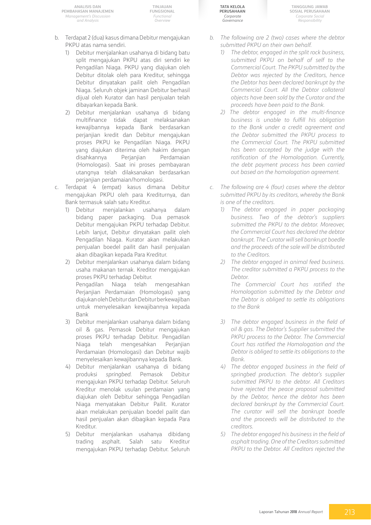**TINJAUAN FUNGSIONAL** *Functional Overview*

- b. Terdapat 2 (dua) kasus dimana Debitur mengajukan PKPU atas nama sendiri.
	- 1) Debitur menjalankan usahanya di bidang batu split mengajukan PKPU atas diri sendiri ke Pengadilan Niaga. PKPU yang diajukan oleh Debitur ditolak oleh para Kreditur, sehingga Debitur dinyatakan pailit oleh Pengadilan Niaga. Seluruh objek jaminan Debitur berhasil dijual oleh Kurator dan hasil penjualan telah dibayarkan kepada Bank.
	- 2) Debitur menjalankan usahanya di bidang multifinance tidak dapat melaksanakan kewajibannya kepada Bank berdasarkan perjanjian kredit dan Debitur mengajukan proses PKPU ke Pengadilan Niaga. PKPU yang diajukan diterima oleh hakim dengan disahkannya Perjanjian Perdamaian (Homologasi). Saat ini proses pembayaran utangnya telah dilaksanakan berdasarkan perjanjian perdamaian/homologasi.
- c. Terdapat 4 (empat) kasus dimana Debitur mengajukan PKPU oleh para Krediturnya, dan Bank termasuk salah satu Kreditur.
	- 1) Debitur menjalankan usahanya dalam bidang paper packaging. Dua pemasok Debitur mengajukan PKPU terhadap Debitur. Lebih lanjut, Debitur dinyatakan pailit oleh Pengadilan Niaga. Kurator akan melakukan penjualan boedel pailit dan hasil penjualan akan dibagikan kepada Para Kreditur.
	- 2) Debitur menjalankan usahanya dalam bidang usaha makanan ternak. Kreditor mengajukan proses PKPU terhadap Debitur. Pengadilan Niaga telah mengesahkan

Perjanjian Perdamaian (Homologasi) yang diajukan oleh Debitur dan Debitur berkewajiban untuk menyelesaikan kewajibannya kepada Bank

- 3) Debitur menjalankan usahanya dalam bidang oil & gas. Pemasok Debitur mengajukan proses PKPU terhadap Debitur. Pengadilan Niaga telah mengesahkan Perjanjian Perdamaian (Homologasi) dan Debitur wajib menyelesaikan kewajibannya kepada Bank.
- 4) Debitur menjalankan usahanya di bidang produksi *springbed*. Pemasok Debitur mengajukan PKPU terhadap Debitur. Seluruh Kreditur menolak usulan perdamaian yang diajukan oleh Debitur sehingga Pengadilan Niaga menyatakan Debitur Pailit. Kurator akan melakukan penjualan boedel pailit dan hasil penjualan akan dibagikan kepada Para Kreditur.
- 5) Debitur menjalankan usahanya dibidang trading asphalt. Salah satu Kreditur mengajukan PKPU terhadap Debitur. Seluruh

**Tata Kelola Perusahaan** *Corporate Governance*

**Tanggung Jawab Sosial Perusahaan** *Corporate Social Responsibility*

- *b. The following are 2 (two) cases where the debtor submitted PKPU on their own behalf.*
	- *1) The debtor, engaged in the split rock business, submitted PKPU on behalf of self to the Commercial Court. The PKPU submitted by the Debtor was rejected by the Creditors, hence the Debtor has been declared bankrupt by the Commercial Court. All the Debtor collateral objects have been sold by the Curator and the proceeds have been paid to the Bank.*
	- *2) The debtor engaged in the multi-finance business is unable to fulfill his obligation to the Bank under a credit agreement and the Debtor submitted the PKPU process to the Commercial Court. The PKPU submitted has been accepted by the judge with the ratification of the Homologation. Currently, the debt payment process has been carried out based on the homologation agreement.*
- *c. The following are 4 (four) cases where the debtor submitted PKPU by its creditors, whereby the Bank is one of the creditors.*
	- *1) The debtor engaged in paper packaging business. Two of the debtor's suppliers submitted the PKPU to the debtor. Moreover, the Commercial Court has declared the debtor bankrupt. The Curator will sell bankrupt boedle and the proceeds of the sale will be distributed to the Creditors.*
	- *2) The debtor engaged in animal feed business. The creditor submitted a PKPU process to the Debtor.*

*The Commercial Court has ratified the Homologation submitted by the Debtor and the Debtor is obliged to settle its obligations to the Bank*

- *3) The debtor engaged business in the field of oil & gas. The Debtor's Supplier submitted the PKPU process to the Debtor. The Commercial Court has ratified the Homologation and the Debtor is obliged to settle its obligations to the Bank.*
- *4) The debtor engaged business in the field of springbed production. The debtor's supplier submitted PKPU to the debtor. All Creditors have rejected the peace proposal submitted by the Debtor, hence the debtor has been declared bankrupt by the Commercial Court. The curator will sell the bankrupt boedle and the proceeds will be distributed to the creditors.*
- *5) The debtor engaged his business in the field of asphalt trading. One of the Creditors submitted PKPU to the Debtor. All Creditors rejected the*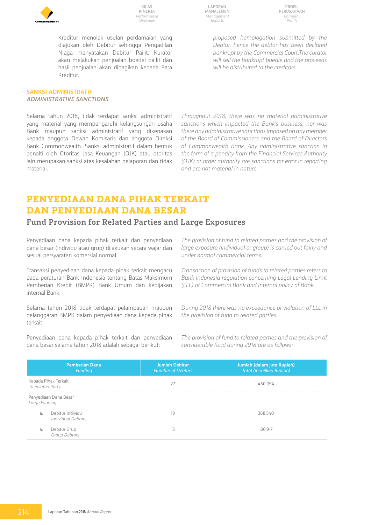

Kreditur menolak usulan perdamaian yang diajukan oleh Debitur sehingga Pengadilan Niaga menyatakan Debitur Pailit. Kurator akan melakukan penjualan boedel pailit dan hasil penjualan akan dibagikan kepada Para Kreditur.

#### **SANKSI ADMINISTRATIF** *ADMINISTRATIVE SANCTIONS*

Selama tahun 2018, tidak terdapat sanksi administratif yang material yang mempengaruhi kelangsungan usaha Bank maupun sanksi administratif yang dikenakan kepada anggota Dewan Komisaris dan anggota Direksi Bank Commonwealth. Sanksi administratif dalam bentuk penalti oleh Otoritas Jasa Keuangan (OJK) atau otoritas lain merupakan sanksi atas kesalahan pelaporan dan tidak material.

**Laporan Manajemen** *Management Reports*

**Profil Perusahaan** *Company Profile*

*proposed homologation submitted by the Debtor, hence the debtor has been declared bankrupt by the Commercial Court.The curator will sell the bankrupt boedle and the proceeds will be distributed to the creditors.*

*Throughout 2018, there was no material administrative sanctions which impacted the Bank's business; nor was there any administrative sanctions imposed on any member of the Board of Commissioners and the Board of Directors of Commonwealth Bank. Any administrative sanction in the form of a penalty from the Financial Services Authority (OJK) or other authority are sanctions for error in reporting and are not material in nature.*

# **Penyediaan Dana Pihak Terkait dan Penyediaan Dana Besar**

# **Fund Provision for Related Parties and Large Exposures**

Penyediaan dana kepada pihak terkait dan penyediaan dana besar (individu atau grup) dilakukan secara wajar dan sesuai persyaratan komersial normal

Transaksi penyediaan dana kepada pihak terkait mengacu pada peraturan Bank Indonesia tentang Batas Maksimum Pemberian Kredit (BMPK) Bank Umum dan kebijakan internal Bank.

Selama tahun 2018 tidak terdapat pelampauan maupun pelanggaran BMPK dalam penyediaan dana kepada pihak terkait.

Penyediaan dana kepada pihak terkait dan penyediaan dana besar selama tahun 2018 adalah sebagai berikut:

*The provision of fund to related parties and the provision of large exposure (individual or group) is carried out fairly and under normal commercial terms.*

*Transaction of provision of funds to related parties refers to Bank Indonesia regulation concerning Legal Lending Limit (LLL) of Commercial Bank and internal policy of Bank.*

*During 2018 there was no exceedance or violation of LLL in the provision of fund to related parties.*

*The provision of fund to related parties and the provision of considerable fund during 2018 are as follows:*

|                                                 | <b>Pemberian Dana</b><br>Funding       | <b>Jumlah Debitur</b><br>Number of Debtors | Jumlah (dalam juta Rupiah)<br>Total (in million Rupiah) |
|-------------------------------------------------|----------------------------------------|--------------------------------------------|---------------------------------------------------------|
| Kepada Pihak Terkait<br><i>To Related Party</i> |                                        |                                            |                                                         |
| Large Funding                                   | Penyediaan Dana Besar                  |                                            |                                                         |
| a.                                              | Debitur Individu<br>Individual Debtors |                                            | 368 540                                                 |
| a.                                              | Debitur Grup<br><i>Group Debtors</i>   |                                            | 136 917                                                 |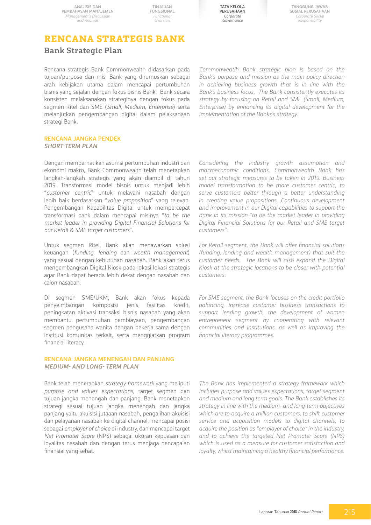**TINJAUAN FUNGSIONAL** *Functional Overview*

**Tata Kelola Perusahaan** *Corporate Governance*

**Tanggung Jawab Sosial Perusahaan** *Corporate Social Responsibility*

# **Rencana Strategis Bank**

# **Bank Strategic Plan**

Rencana strategis Bank Commonwealth didasarkan pada tujuan/purpose dan misi Bank yang dirumuskan sebagai arah kebijakan utama dalam mencapai pertumbuhan bisnis yang sejalan dengan fokus bisnis Bank. Bank secara konsisten melaksanakan strateginya dengan fokus pada segmen Ritel dan SME (*Small, Medium, Enterprise*) serta melanjutkan pengembangan digital dalam pelaksanaan strategi Bank.

**RENCANA JANGKA PENDEK** *SHORT-TERM PLAN*

Dengan memperhatikan asumsi pertumbuhan industri dan ekonomi makro, Bank Commonwealth telah menetapkan langkah-langkah strategis yang akan diambil di tahun 2019. Transformasi model bisnis untuk menjadi lebih "*customer centric*" untuk melayani nasabah dengan lebih baik berdasarkan "*value proposition*" yang relevan. Pengembangan Kapabilitas Digital untuk mempercepat transformasi bank dalam mencapai misinya "*to be the market leader in providing Digital Financial Solutions for our Retail & SME target customers*".

Untuk segmen Ritel, Bank akan menawarkan solusi keuangan (*funding, lending* dan *wealth management*) yang sesuai dengan kebutuhan nasabah. Bank akan terus mengembangkan Digital Kiosk pada lokasi-lokasi strategis agar Bank dapat berada lebih dekat dengan nasabah dan calon nasabah.

Di segmen SME/UKM, Bank akan fokus kepada penyeimbangan komposisi jenis fasilitas kredit, peningkatan aktivasi transaksi bisnis nasabah yang akan membantu pertumbuhan pembiayaan, pengembangan segmen pengusaha wanita dengan bekerja sama dengan institusi komunitas terkait, serta menggiatkan program financial literacy.

#### **RENCANA JANGKA MENENGAH DAN PANJANG** *MEDIUM- AND LONG- TERM PLAN*

Bank telah menerapkan *strategy framework* yang meliputi *purpose and values expectations*, target segmen dan tujuan jangka menengah dan panjang. Bank menetapkan strategi sesuai tujuan jangka menengah dan jangka panjang yaitu akuisisi jutaaan nasabah, pengalihan akuisisi dan pelayanan nasabah ke digital channel, mencapai posisi sebagai *employer of choice* di industry, dan mencapai target *Net Promoter Score* (NPS) sebagai ukuran kepuasan dan loyalitas nasabah dan dengan terus menjaga pencapaian finansial yang sehat.

*Commonweatlh Bank strategic plan is based on the Bank's purpose and mission as the main policy direction in achieving business growth that is in line with the Bank's business focus. The Bank consistently executes its strategy by focusing on Retail and SME (Small, Medium, Enterprise) by enhancing its digital development for the implementation of the Banks's strategy.* 

*Considering the industry growth assumption and macroeconomic conditions, Commonwealth Bank has set out strategic measures to be taken in 2019. Business model transformation to be more customer centric, to serve customers better through a better understanding in creating value propositions. Continuous development and improvement in our Digital capabilities to support the Bank in its mission "to be the market leader in providing Digital Financial Solutions for our Retail and SME target customers".*

*For Retail segment, the Bank will offer financial solutions (funding, lending and wealth management) that suit the customer needs. The Bank will also expand the Digital Kiosk at the strategic locations to be closer with potential customers.* 

*For SME segment, the Bank focuses on the credit portfolio balancing, increase customer business transactions to support lending growth, the development of women entrepreneur segment by cooperating with relevant communities and institutions, as well as improving the financial literacy programmes.*

*The Bank has implemented a strategy framework which includes purpose and values expectations, target segment and medium and long term goals. The Bank establishes its strategy in line with the medium- and long-term objectives which are to acquire a million customers, to shift customer service and acquisition models to digital channels, to acquire the position as "employer of choice" in the industry, and to achieve the targeted Net Promoter Score (NPS) which is used as a measure for customer satisfaction and loyalty, whilst maintaining a healthy financial performance.*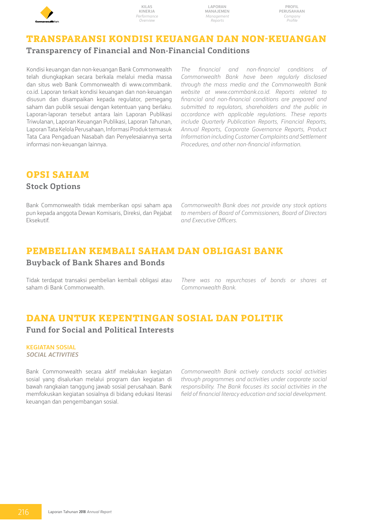

**Laporan Manajemen** *Management Reports*

# **Transparansi Kondisi Keuangan dan Non-Keuangan Transparency of Financial and Non-Financial Conditions**

Kondisi keuangan dan non-keuangan Bank Commonwealth telah diungkapkan secara berkala melalui media massa dan situs web Bank Commonwealth di www.commbank. co.id. Laporan terkait kondisi keuangan dan non-keuangan disusun dan disampaikan kepada regulator, pemegang saham dan publik sesuai dengan ketentuan yang berlaku. Laporan-laporan tersebut antara lain Laporan Publikasi Triwulanan, Laporan Keuangan Publikasi, Laporan Tahunan, Laporan Tata Kelola Perusahaan, Informasi Produk termasuk Tata Cara Pengaduan Nasabah dan Penyelesaiannya serta informasi non-keuangan lainnya.

*The financial and non-financial conditions of Commonwealth Bank have been regularly disclosed through the mass media and the Commonwealth Bank website at www.commbank.co.id. Reports related to financial and non-financial conditions are prepared and submitted to regulators, shareholders and the public in accordance with applicable regulations. These reports include Quarterly Publication Reports, Financial Reports, Annual Reports, Corporate Governance Reports, Product Information including Customer Complaints and Settlement Procedures, and other non-financial information.*

# **Opsi Saham**

# **Stock Options**

Bank Commonwealth tidak memberikan opsi saham apa pun kepada anggota Dewan Komisaris, Direksi, dan Pejabat Eksekutif.

*Commonwealth Bank does not provide any stock options to members of Board of Commissioners, Board of Directors and Executive Officers.*

# **Pembelian Kembali Saham dan Obligasi Bank**

# **Buyback of Bank Shares and Bonds**

Tidak terdapat transaksi pembelian kembali obligasi atau saham di Bank Commonwealth.

*There was no repurchases of bonds or shares at Commonwealth Bank.*

# **DANA UNTUK KEPENTINGAN SOSIAL DAN POLITIK Fund for Social and Political Interests**

#### **KEGIATAN SOSIAL** *Social activities*

Bank Commonwealth secara aktif melakukan kegiatan sosial yang disalurkan melalui program dan kegiatan di bawah rangkaian tanggung jawab sosial perusahaan. Bank memfokuskan kegiatan sosialnya di bidang edukasi literasi keuangan dan pengembangan sosial.

*Commonwealth Bank actively conducts social activities through programmes and activities under corporate social responsibility. The Bank focuses its social activities in the field of financial literacy education and social development.*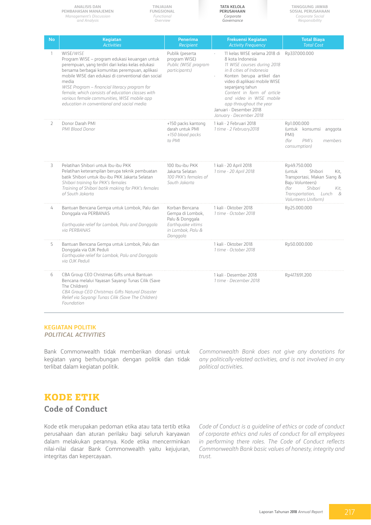|              | ANALISIS DAN<br>TINJAUAN<br>PEMBAHASAN MANAJEMEN<br><b>FUNGSIONAL</b><br>Management's Discussion<br>Functional<br>and Analysis<br>Overview                                                                                                                                                                                                                                                                                        |                                                                                                             | TATA KELOLA<br>PERUSAHAAN<br>Corporate<br>Governance                                                                                                                                                                                                                                                                                                  | TANGGUNG JAWAB<br><b>SOSIAL PERUSAHAAN</b><br>Corporate Social<br>Responsibility                                                                                               |
|--------------|-----------------------------------------------------------------------------------------------------------------------------------------------------------------------------------------------------------------------------------------------------------------------------------------------------------------------------------------------------------------------------------------------------------------------------------|-------------------------------------------------------------------------------------------------------------|-------------------------------------------------------------------------------------------------------------------------------------------------------------------------------------------------------------------------------------------------------------------------------------------------------------------------------------------------------|--------------------------------------------------------------------------------------------------------------------------------------------------------------------------------|
| No           | Kegiatan<br><b>Activities</b>                                                                                                                                                                                                                                                                                                                                                                                                     | <b>Penerima</b><br><b>Recipient</b>                                                                         | Frekuensi Kegiatan<br><b>Activity Frequency</b>                                                                                                                                                                                                                                                                                                       | <b>Total Biaya</b><br><b>Total Cost</b>                                                                                                                                        |
| 1            | WISE/WISE<br>Program WISE - program edukasi keuangan untuk<br>perempuan, yang terdiri dari kelas-kelas edukasi<br>bersama berbagai komunitas perempuan, aplikasi<br>mobile WISE dan edukasi di conventional dan social<br>media<br>WISE Program - financial literacy program for<br>female, which consists of education classes with<br>various female communities, WISE mobile app<br>education in conventional and social media | Publik (peserta<br>program WISE)<br>Public (WISE program<br>participants)                                   | 11 kelas WISE selama 2018 di Rp337.000.000<br>8 kota Indonesia<br>11 WISE courses during 2018<br>in 8 cities of Indonesia<br>Konten berupa artikel dan<br>video di aplikasi mobile WISE<br>sepanjang tahun<br>Content in form of article<br>and video in WISE mobile<br>app throughout the year<br>Januari - Desember 2018<br>January - December 2018 |                                                                                                                                                                                |
| $\mathbf{2}$ | Donor Darah PMI<br>PMI Blood Donor                                                                                                                                                                                                                                                                                                                                                                                                | +150 packs kantong<br>darah untuk PMI<br>+150 blood packs<br>to PMI                                         | 1 kali - 2 Februari 2018<br>1 time - 2 February2018                                                                                                                                                                                                                                                                                                   | Rp1.000.000<br>(untuk konsumsi anggota<br>PMI)<br>(for<br>PMI's<br>members<br>consumption)                                                                                     |
| 3            | Pelatihan Shibori untuk Ibu-ibu PKK<br>Pelatihan keterampilan berupa teknik pembuatan<br>batik Shibori untuk ibu-ibu PKK Jakarta Selatan<br>Shibori training for PKK's females<br>Training of Shibori batik making for PKK's females<br>of South Jakarta                                                                                                                                                                          | 100 Ibu-ibu PKK<br>Jakarta Selatan<br>100 PKK's females of<br>South Jakarta                                 | 1 kali - 20 April 2018<br>1 time - 20 April 2018                                                                                                                                                                                                                                                                                                      | Rp49.750.000<br>(untuk<br>Shibori<br>Kit.<br>Transportasi, Makan Siang &<br>Baju Volunteers)<br>(for<br>Shibori<br>Kit.<br>Transportation, Lunch<br>- &<br>Volunteers Uniform) |
| 4            | Bantuan Bencana Gempa untuk Lombok, Palu dan<br>Donggala via PERBANAS<br>Earthquake relief for Lombok, Palu and Donggala<br>via PERBANAS                                                                                                                                                                                                                                                                                          | Korban Bencana<br>Gempa di Lombok,<br>Palu & Donggala<br>Earthquake vitims<br>in Lombok, Palu &<br>Donggala | 1 kali - Oktober 2018<br>1 time - October 2018                                                                                                                                                                                                                                                                                                        | Rp25.000.000                                                                                                                                                                   |
| 5            | Bantuan Bencana Gempa untuk Lombok, Palu dan<br>Donggala via OJK Peduli<br>Earthquake relief for Lombok, Palu and Donggala<br>via OJK Peduli                                                                                                                                                                                                                                                                                      |                                                                                                             | 1 kali - Oktober 2018<br>1 time - October 2018                                                                                                                                                                                                                                                                                                        | Rp50.000.000                                                                                                                                                                   |
| 6            | CBA Group CEO Christmas Gifts untuk Bantuan<br>Bencana melalui Yayasan Sayangi Tunas Cilik (Save<br>The Children)<br>CBA Group CEO Christmas Gifts Natural Disaster<br>Relief via Sayangi Tunas Cilik (Save The Children)<br>Foundation                                                                                                                                                                                           |                                                                                                             | 1 kali - Desember 2018<br>1 time - December 2018                                                                                                                                                                                                                                                                                                      | Rp417.691.200                                                                                                                                                                  |

#### **KEGIATAN POLITIK** *POLITICAL ACTIVITIES*

Bank Commonwealth tidak memberikan donasi untuk kegiatan yang berhubungan dengan politik dan tidak terlibat dalam kegiatan politik.

*Commonwealth Bank does not give any donations for any politically-related activities, and is not involved in any political activities.* 

# **Kode Etik**

**Code of Conduct**

Kode etik merupakan pedoman etika atau tata tertib etika perusahaan dan aturan perilaku bagi seluruh karyawan dalam melakukan perannya. Kode etika mencerminkan nilai-nilai dasar Bank Commonwealth yaitu kejujuran, integritas dan kepercayaan.

*Code of Conduct is a guideline of ethics or code of conduct of corporate ethics and rules of conduct for all employees in performing there roles. The Code of Conduct reflects Commonwealth Bank basic values of honesty, integrity and trust.*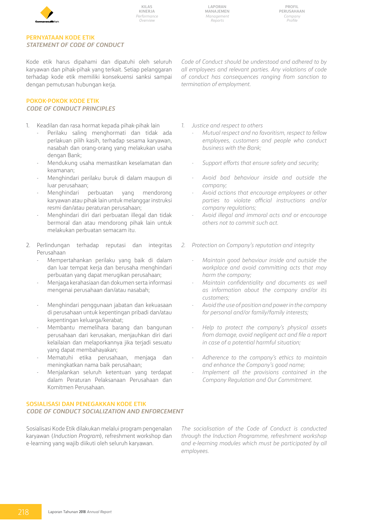

**Profil Perusahaan** *Company Profile*

### **Pernyataan Kode Etik** *Statement of Code of Conduct*

Kode etik harus dipahami dan dipatuhi oleh seluruh karyawan dan pihak-pihak yang terkait. Setiap pelanggaran terhadap kode etik memiliki konsekuensi sanksi sampai dengan pemutusan hubungan kerja.

### **POKOK-POKOK KODE ETIK** *Code of conduct Principles*

- 1. Keadilan dan rasa hormat kepada pihak-pihak lain
	- Perilaku saling menghormati dan tidak ada perlakuan pilih kasih, terhadap sesama karyawan, nasabah dan orang-orang yang melakukan usaha dengan Bank;
	- Mendukung usaha memastikan keselamatan dan keamanan;
	- Menghindari perilaku buruk di dalam maupun di luar perusahaan;
	- Menghindari perbuatan yang mendorong karyawan atau pihak lain untuk melanggar instruksi resmi dan/atau peraturan perusahaan;
	- Menghindari diri dari perbuatan illegal dan tidak bermoral dan atau mendorong pihak lain untuk melakukan perbuatan semacam itu.
- 2. Perlindungan terhadap reputasi dan integritas Perusahaan
	- Mempertahankan perilaku yang baik di dalam dan luar tempat kerja dan berusaha menghindari perbuatan yang dapat merugikan perusahaan;
	- Menjaga kerahasiaan dan dokumen serta informasi mengenai perusahaan dan/atau nasabah;
	- Menghindari penggunaan jabatan dan kekuasaan di perusahaan untuk kepentingan pribadi dan/atau kepentingan keluarga/kerabat;
	- Membantu memelihara barang dan bangunan perusahaan dari kerusakan, menjauhkan diri dari kelailaian dan melaporkannya jika terjadi sesuatu yang dapat membahayakan;
	- Mematuhi etika perusahaan, menjaga dan meningkatkan nama baik perusahaan;
	- Menjalankan seluruh ketentuan yang terdapat dalam Peraturan Pelaksanaan Perusahaan dan Komitmen Perusahaan.

#### **SOSIALISASI DAN PENEGAKKAN KODE ETIK** *Code of Conduct Socialization and Enforcement*

Sosialisasi Kode Etik dilakukan melalui program pengenalan karyawan (*Induction Program*), refreshment workshop dan e-learning yang wajib diikuti oleh seluruh karyawan.

*Code of Conduct should be understood and adhered to by all employees and relevant parties. Any violations of code of conduct has consequences ranging from sanction to termination of employment.*

- *1. Justice and respect to others*
	- *Mutual respect and no favoritism, respect to fellow employees, customers and people who conduct business with the Bank;*
	- *Support efforts that ensure safety and security;*
	- *Avoid bad behaviour inside and outside the company;*
	- *Avoid actions that encourage employees or other parties to violate official instructions and/or company regulations;*
	- *Avoid illegal and immoral acts and or encourage others not to commit such act.*
- *2. Protection on Company's reputation and integrity*
	- *Maintain good behaviour inside and outside the workplace and avoid committing acts that may harm the company;*
	- *Maintain confidentiality and documents as well as information about the company and/or its customers;*
	- *Avoid the use of position and power in the company for personal and/or family/family interests;*
	- *Help to protect the company's physical assets from damage, avoid negligent act and file a report in case of a potential harmful situation;*
	- *Adherence to the company's ethics to maintain and enhance the Company's good name;*
	- *Implement all the provisions contained in the Company Regulation and Our Commitment.*

*The socialisation of the Code of Conduct is conducted through the Induction Programme, refreshment workshop and e-learning modules which must be participated by all employees.*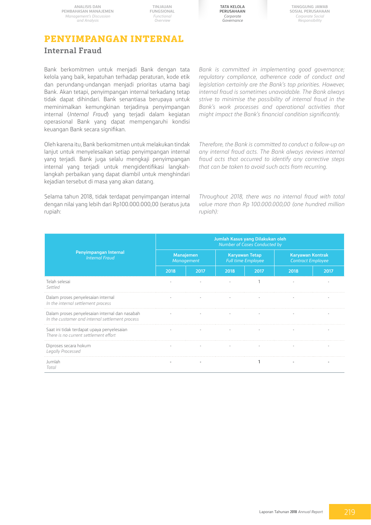**TINJAUAN FUNGSIONAL** *Functional Overview*



**Tanggung Jawab Sosial Perusahaan** *Corporate Social Responsibility*

# **Penyimpangan Internal Internal Fraud**

Bank berkomitmen untuk menjadi Bank dengan tata kelola yang baik, kepatuhan terhadap peraturan, kode etik dan perundang-undangan menjadi prioritas utama bagi Bank. Akan tetapi, penyimpangan internal terkadang tetap tidak dapat dihindari. Bank senantiasa berupaya untuk meminimalkan kemungkinan terjadinya penyimpangan internal (*Internal Fraud*) yang terjadi dalam kegiatan operasional Bank yang dapat mempengaruhi kondisi keuangan Bank secara signifikan.

Oleh karena itu, Bank berkomitmen untuk melakukan tindak lanjut untuk menyelesaikan setiap penyimpangan internal yang terjadi. Bank juga selalu mengkaji penyimpangan internal yang terjadi untuk mengidentifikasi langkahlangkah perbaikan yang dapat diambil untuk menghindari kejadian tersebut di masa yang akan datang.

Selama tahun 2018, tidak terdapat penyimpangan internal dengan nilai yang lebih dari Rp100.000.000,00 (seratus juta rupiah:

*Bank is committed in implementing good governance; regulatory compliance, adherence code of conduct and legislation certainly are the Bank's top priorities. However, internal fraud is sometimes unavoidable. The Bank always strive to minimise the possibility of internal fraud in the Bank's work processes and operational activities that might impact the Bank's financial condition significantly.* 

*Therefore, the Bank is committed to conduct a follow-up on any internal fraud acts. The Bank always reviews internal fraud acts that occurred to identify any corrective steps that can be taken to avoid such acts from recurring.*

*Throughout 2018, there was no internal fraud with total value more than Rp 100.000.000,00 (one hundred million rupiah):*

|                                                                                                   | Jumlah Kasus yang Dilakukan oleh<br>Number of Cases Conducted by |      |                                                    |      |                                                     |      |  |  |
|---------------------------------------------------------------------------------------------------|------------------------------------------------------------------|------|----------------------------------------------------|------|-----------------------------------------------------|------|--|--|
| Penyimpangan Internal<br><b>Internal Fraud</b>                                                    | Manajemen<br>Management                                          |      | <b>Karyawan Tetap</b><br><b>Full time Employee</b> |      | <b>Karyawan Kontrak</b><br><b>Contract Employee</b> |      |  |  |
|                                                                                                   | 2018                                                             | 2017 | 2018                                               | 2017 | 2018                                                | 2017 |  |  |
| Telah selesai<br>Settled                                                                          |                                                                  |      |                                                    |      |                                                     |      |  |  |
| Dalam proses penyelesaian internal<br>In the internal settlement process                          |                                                                  |      |                                                    |      |                                                     |      |  |  |
| Dalam proses penyelesaian internal dan nasabah<br>In the customer and internal settlement process |                                                                  |      |                                                    |      |                                                     |      |  |  |
| Saat ini tidak terdapat upaya penyelesaian<br>There is no current settlement effort               |                                                                  |      |                                                    |      |                                                     |      |  |  |
| Diproses secara hokum<br>Legally Processed                                                        |                                                                  |      |                                                    |      |                                                     |      |  |  |
| Jumlah<br>Total                                                                                   |                                                                  |      |                                                    |      |                                                     |      |  |  |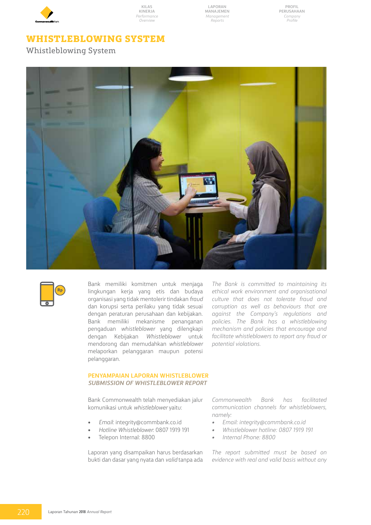

**Laporan Manajemen** *Management Reports*

**Profil Perusahaan** *Company Profile*

# **Whistleblowing System**

Whistleblowing System





Bank memiliki komitmen untuk menjaga lingkungan kerja yang etis dan budaya organisasi yang tidak mentolerir tindakan *fraud* dan korupsi serta perilaku yang tidak sesuai dengan peraturan perusahaan dan kebijakan. Bank memiliki mekanisme penanganan pengaduan *whistleblower* yang dilengkapi dengan Kebijakan *Whistleblower* untuk mendorong dan memudahkan *whistleblower* melaporkan pelanggaran maupun potensi pelanggaran.

*The Bank is committed to maintaining its ethical work environment and organisational culture that does not tolerate fraud and corruption as well as behaviours that are against the Company's regulations and policies. The Bank has a whistleblowing mechanism and policies that encourage and facilitate whistleblowers to report any fraud or potential violations.* 

#### **PENYAMPAIAN LAPORAN WHISTLEBLOWER** *SUBMISSION OF WHISTLEBLOWER REPORT*

Bank Commonwealth telah menyediakan jalur komunikasi untuk *whistleblower* yaitu:

- • *Email*: integrity@commbank.co.id
- • *Hotline Whistleblower*: 0807 1919 191
- Telepon Internal: 8800

Laporan yang disampaikan harus berdasarkan bukti dan dasar yang nyata dan *valid* tanpa ada

*Commonwealth Bank has facilitated communication channels for whistleblowers, namely:*

- *• Email: integrity@commbank.co.id*
- *• Whistleblower hotline: 0807 1919 191*
- *• Internal Phone: 8800*

*The report submitted must be based on evidence with real and valid basis without any*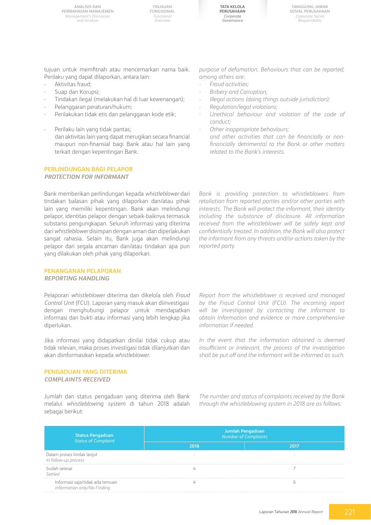**TINJAUAN FUNGSIONAL** *Functional Overview*

**Tata Kelola Perusahaan** *Corporate Governance*

**Tanggung Jawab Sosial Perusahaan** *Corporate Social Responsibility*

tujuan untuk memfitnah atau mencemarkan nama baik. Perilaku yang dapat dilaporkan, antara lain:

- Aktivitas fraud:
- Suap dan Korupsi;
- Tindakan ilegal (melakukan hal di luar kewenangan);
- Pelanggaran peraturan/hukum;
- Perilakukan tidak etis dan pelanggaran kode etik;
- Perilaku lain yang tidak pantas; dan aktivitas lain yang dapat merugikan secara financial maupun non-finansial bagi Bank atau hal lain yang terkait dengan kepentingan Bank.

#### **PERLINDUNGAN BAGI PELAPOR** *PROTECTION FOR INFORMANT*

Bank memberikan perlindungan kepada *whistleblower* dari tindakan balasan pihak yang dilaporkan dan/atau pihak lain yang memiliki kepentingan. Bank akan melindungi pelapor, identitas pelapor dengan sebaik-baiknya termasuk substansi pengungkapan. Seluruh informasi yang diterima dari *whistleblower* disimpan dengan aman dan diperlakukan sangat rahasia. Selain itu, Bank juga akan melindungi pelapor dari segala ancaman dan/atau tindakan apa pun yang dilakukan oleh pihak yang dilaporkan.

#### **PENANGANAN PELAPORAN** *REPORTING HANDLING*

Pelaporan *whistleblower* diterima dan dikelola oleh *Fraud Control Unit* (FCU). Laporan yang masuk akan diinvestigasi dengan menghubungi pelapor untuk mendapatkan informasi dan bukti atau informasi yang lebih lengkap jika diperlukan.

Jika informasi yang didapatkan dinilai tidak cukup atau tidak relevan, maka proses investigasi tidak dilanjutkan dan akan diinformasikan kepada *whistleblower*.

#### **PENGADUAN YANG DITERIMA** *COMPLAINTS RECEIVED*

Jumlah dan status pengaduan yang diterima oleh Bank melalui *whistleblowing system* di tahun 2018 adalah sebagai berikut:

*purpose of defamation. Behaviours that can be reported, among others are:*

- *- Fraud activities;*
- *Bribery and Corruption;*
- *Illegal actions (doing things outside jurisdiction);*
- *Regulation/legal violations;*
- *Unethical behaviour and violation of the code of conduct;*
- *Other inappropriate behaviours; and other activities that can be financially or nonfinancially detrimental to the Bank or other matters related to the Bank's interests.*

*Bank is providing protection to whistleblowers from retaliation from reported parties and/or other parties with interests. The Bank will protect the informant, their identity including the substance of disclosure. All information received from the whistleblower will be safely kept and confidentially treated. In addition, the Bank will also protect the informant from any threats and/or actions taken by the reported party.*

*Report from the whistleblower is received and managed by the Fraud Control Unit (FCU). The incoming report will be investigated by contacting the informant to obtain information and evidence or more comprehensive information if needed.*

In the event that the information obtained is deemed *insufficient or irrelevant, the process of the investigation shall be put off and the informant will be informed as such.* 

*The number and status of complaints received by the Bank through the whistleblowing system in 2018 are as follows:*

| <b>Status Pengaduan</b><br>Status of Complaint                 | <b>Jumlah Pengaduan</b><br>Number of Complaints |  |  |  |  |
|----------------------------------------------------------------|-------------------------------------------------|--|--|--|--|
|                                                                |                                                 |  |  |  |  |
| Dalam proses tindak lanjut<br>In follow-up process             | $\overline{\phantom{a}}$                        |  |  |  |  |
| Sudah selesai<br>Settled                                       |                                                 |  |  |  |  |
| Informasi saja/tidak ada temuan<br>Information only/No Finding |                                                 |  |  |  |  |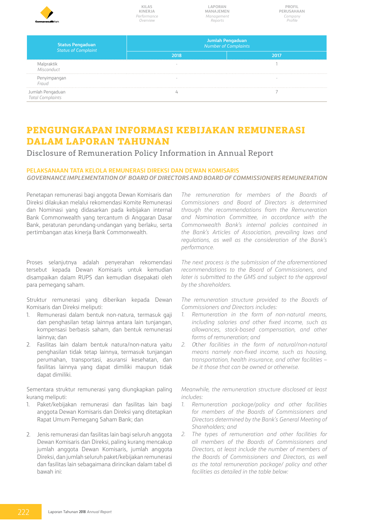| <b>CommonwealthBark</b>                               | <b>KILAS</b><br><b>KINERJA</b><br>Performance<br>Overview | MANAJEMEN<br>Management<br>Reports | PROFII<br>PERUSAHAAN<br>Company<br>Profile |  |  |
|-------------------------------------------------------|-----------------------------------------------------------|------------------------------------|--------------------------------------------|--|--|
| <b>Status Pengaduan</b><br><b>Status of Complaint</b> | Jumlah Pengaduan<br><b>Number of Complaints</b>           |                                    |                                            |  |  |
|                                                       | 2018                                                      |                                    | 2017                                       |  |  |
| Malpraktik<br>Misconduct                              | $\overline{\phantom{a}}$                                  |                                    |                                            |  |  |
| Penyimpangan<br>Fraud                                 |                                                           |                                    |                                            |  |  |
| Jumlah Pengaduan<br><b>Total Complaints</b>           |                                                           |                                    |                                            |  |  |

# **PENGUNGKAPAN INFORMASI KEBIJAKAN REMUNERASI DALAM LAPORAN TAHUNAN**

Disclosure of Remuneration Policy Information in Annual Report

### **PELAKSANAAN TATA KELOLA REMUNERASI DIREKSI DAN DEWAN KOMISARIS** *GOVERNANCE IMPLEMENTATION OF BOARD OF DIRECTORS AND BOARD OF COMMISSIONERS REMUNERATION*

Penetapan remunerasi bagi anggota Dewan Komisaris dan Direksi dilakukan melalui rekomendasi Komite Remunerasi dan Nominasi yang didasarkan pada kebijakan internal Bank Commonwealth yang tercantum di Anggaran Dasar Bank, peraturan perundang-undangan yang berlaku, serta pertimbangan atas kinerja Bank Commonwealth.

Proses selanjutnya adalah penyerahan rekomendasi tersebut kepada Dewan Komisaris untuk kemudian disampaikan dalam RUPS dan kemudian disepakati oleh para pemegang saham.

Struktur remunerasi yang diberikan kepada Dewan Komisaris dan Direksi meliputi:

- 1. Remunerasi dalam bentuk non-natura, termasuk gaji dan penghasilan tetap lainnya antara lain tunjangan, kompensasi berbasis saham, dan bentuk remunerasi lainnya; dan
- 2. Fasilitas lain dalam bentuk natura/non-natura yaitu penghasilan tidak tetap lainnya, termasuk tunjangan perumahan, transportasi, asuransi kesehatan, dan fasilitas lainnya yang dapat dimiliki maupun tidak dapat dimiliki.

Sementara struktur remunerasi yang diungkapkan paling kurang meliputi:

- 1. Paket/kebijakan remunerasi dan fasilitas lain bagi anggota Dewan Komisaris dan Direksi yang ditetapkan Rapat Umum Pemegang Saham Bank; dan
- 2. Jenis remunerasi dan fasilitas lain bagi seluruh anggota Dewan Komisaris dan Direksi, paling kurang mencakup jumlah anggota Dewan Komisaris, jumlah anggota Direksi, dan jumlah seluruh paket/kebijakan remunerasi dan fasilitas lain sebagaimana dirincikan dalam tabel di bawah ini:

*The remuneration for members of the Boards of Commissioners and Board of Directors is determined through the recommendations from the Remuneration and Nomination Committee, in accordance with the Commonwealth Bank's internal policies contained in the Bank's Articles of Association, prevailing laws and regulations, as well as the consideration of the Bank's performance.* 

*The next process is the submission of the aforementioned recommendations to the Board of Commissioners, and later is submitted to the GMS and subject to the approval by the shareholders.* 

*The remuneration structure provided to the Boards of Commissioners and Directors includes:*

- *1. Remuneration in the form of non-natural means, including salaries and other fixed income, such as allowances, stock-based compensation, and other forms of remuneration; and*
- *2. O*t*her facilities in the form of natural/non-natural means namely non-fixed income, such as housing, transportation, health insurance, and other facilities – be it those that can be owned or otherwise.*

*Meanwhile, the remuneration structure disclosed at least includes:*

- *1. Remuneration package/policy and other facilities for members of the Boards of Commissioners and Directors determined by the Bank's General Meeting of Shareholders; and*
- *2. The types of remuneration and other facilities for all members of the Boards of Commissioners and Directors, at least include the number of members of the Boards of Commissioners and Directors, as well as the total remuneration package/ policy and other facilities as detailed in the table below:*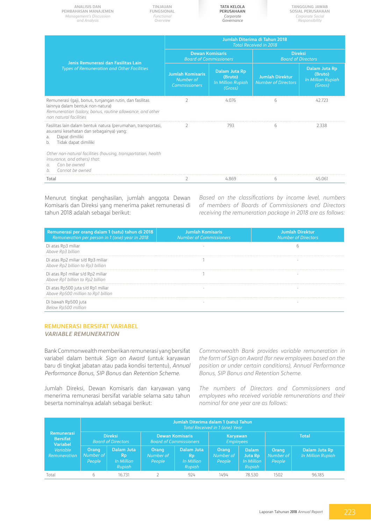| <b>ANALISIS DAN</b><br>PEMBAHASAN MANAJEMEN<br>Management's Discussion<br>and Analysis                                                                                             | TINJAUAN<br>FUNGSIONAL<br>Functional<br>Overview | <b>TATA KELOLA</b><br><b>PERUSAHAAN</b><br>Corporate<br>Governance |                                                                        | <b>TANGGUNG JAWAB</b><br>SOSIAL PERUSAHAAN<br>Corporate Social<br>Responsibility |                                                                        |  |  |  |
|------------------------------------------------------------------------------------------------------------------------------------------------------------------------------------|--------------------------------------------------|--------------------------------------------------------------------|------------------------------------------------------------------------|----------------------------------------------------------------------------------|------------------------------------------------------------------------|--|--|--|
| Jenis Remunerasi dan Fasilitas Lain                                                                                                                                                |                                                  | Jumlah Diterima di Tahun 2018<br><b>Total Received in 2018</b>     |                                                                        |                                                                                  |                                                                        |  |  |  |
|                                                                                                                                                                                    |                                                  | <b>Dewan Komisaris</b><br><b>Board of Commissioners</b>            |                                                                        | <b>Direksi</b><br><b>Board of Directors</b>                                      |                                                                        |  |  |  |
| <b>Types of Remuneration and Other Facilities</b>                                                                                                                                  |                                                  | <b>Jumlah Komisaris</b><br>Number of<br><b>Commissioners</b>       | <b>Dalam Juta Rp</b><br>(Bruto)<br><b>In Million Rupiah</b><br>(Gross) | <b>Jumlah Direktur</b><br><b>Number of Directors</b>                             | <b>Dalam Juta Rp</b><br>(Bruto)<br><b>In Million Rupiah</b><br>(Gross) |  |  |  |
| Remunerasi (gaji, bonus, tunjangan rutin, dan fasilitas<br>lainnya dalam bentuk non-natura)<br>Remuneration (salary, bonus, routine allowance, and other<br>non natural facilities |                                                  | $\overline{2}$                                                     | 4.076                                                                  | 6                                                                                | 42.723                                                                 |  |  |  |
| Fasilitas lain dalam bentuk natura (perumahan, transportasi,<br>asuransi kesehatan dan sebagainya) yang:<br>Dapat dimiliki<br>a.<br>Tidak dapat dimiliki<br>b.                     |                                                  | 2                                                                  | 793                                                                    | 6                                                                                | 2.338                                                                  |  |  |  |
| Other non-natural facilities (housing, transportation, health<br>insurance, and others) that:<br>Can be owned<br>$\sigma$<br>Cannot be owned<br>b.                                 |                                                  |                                                                    |                                                                        |                                                                                  |                                                                        |  |  |  |
| Total                                                                                                                                                                              |                                                  | 2                                                                  | 4.869                                                                  | 6                                                                                | 45.061                                                                 |  |  |  |

Menurut tingkat penghasilan, jumlah anggota Dewan Komisaris dan Direksi yang menerima paket remunerasi di tahun 2018 adalah sebagai berikut:

*Based on the classifications by income level, numbers of members of Boards of Commissioners and Directors receiving the remuneration package in 2018 are as follows:* 

| Remunerasi per orang dalam 1 (satu) tahun di 2018<br>Remuneration per person in 1 (one) year in 2018 | <b>Jumlah Komisaris</b><br><b>Number of Commissioners</b> | <b>Jumlah Direktur</b><br><b>Number of Directors</b> |
|------------------------------------------------------------------------------------------------------|-----------------------------------------------------------|------------------------------------------------------|
| Di atas Rp3 miliar<br>Above Rp3 billion                                                              |                                                           |                                                      |
| Di atas Rp2 miliar s/d Rp3 miliar<br>Above Rp2 billion to Rp3 billion                                |                                                           |                                                      |
| Di atas Rp1 miliar s/d Rp2 miliar<br>Above Rp1 billion to Rp2 billion                                |                                                           |                                                      |
| Di atas Rp500 juta s/d Rp1 miliar<br>Above Rp500 million to Rp1 billion                              |                                                           |                                                      |
| Di bawah Rp500 juta                                                                                  |                                                           |                                                      |

### **REMUNERASI BERSIFAT VARIABEL** *VARIABLE REMUNERATION*

Bank Commonwealth memberikan remunerasi yang bersifat variabel dalam bentuk *Sign on Award* (untuk karyawan baru di tingkat jabatan atau pada kondisi tertentu), *Annual Performance Bonus*, *SIP Bonus* dan *Retention Scheme*.

Jumlah Direksi, Dewan Komisaris dan karyawan yang menerima remunerasi bersifat variable selama satu tahun beserta nominalnya adalah sebagai berikut:

*Commonwealth Bank provides variable remuneration in the form of Sign on Award (for new employees based on the position or under certain conditions), Annual Performance Bonus, SIP Bonus and Retention Scheme.*

*The numbers of Directors and Commissioners and employees who received variable remunerations and their nominal for one year are as follows:*

|                                                         | Jumlah Diterima dalam 1 (satu) Tahun<br>Total Received in 1 (one) Year |                                                 |                              |                                                         |                              |                                                        |                              |                                           |
|---------------------------------------------------------|------------------------------------------------------------------------|-------------------------------------------------|------------------------------|---------------------------------------------------------|------------------------------|--------------------------------------------------------|------------------------------|-------------------------------------------|
| <b>Remunerasi</b><br><b>Bersifat</b><br><b>Variabel</b> |                                                                        | <b>Direksi</b><br><b>Board of Directors</b>     |                              | <b>Dewan Komisaris</b><br><b>Board of Commissioners</b> | Karyawan<br><b>Employees</b> |                                                        | <b>Total</b>                 |                                           |
| Variable<br>Remuneration                                | <b>Orang</b><br>Number of<br>People                                    | Dalam Juta<br><b>Rp</b><br>In Million<br>Rupiah | Orang<br>Number of<br>People | Dalam Juta<br><b>Rp</b><br>In Million<br>Rupiah         | Orang<br>Number of<br>People | <b>Dalam</b><br><b>Juta Rp</b><br>In Million<br>Rupiah | Orang<br>Number of<br>People | Dalam Juta Rp<br><b>In Million Rupiah</b> |
| Total                                                   | 6                                                                      | 16.731                                          |                              | 924                                                     | 1494                         | 78.530                                                 | 1502                         | 96.185                                    |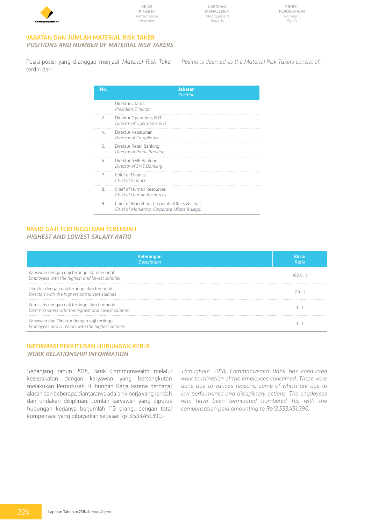

#### **JABATAN DAN JUMLAH MATERIAL RISK TAKER** *POSITIONS AND NUMBER OF MATERIAL RISK TAKERS*

Posisi-posisi yang dianggap menjadi *Material Risk Taker* terdiri dari: *Positions deemed as the Material Risk Takers consist of:* 

| No.              | <b>Jabatan</b><br>Position                                                                     |
|------------------|------------------------------------------------------------------------------------------------|
| 1                | Direktur Utama<br>President Director                                                           |
| $\overline{2}$ . | Direktur Operations & IT<br>Director of Operations & IT                                        |
| 4                | Direktur Kepatuhan<br>Director of Compliance                                                   |
| 5.               | Direktur Retail Banking<br>Director of Retail Banking                                          |
| 6.               | Direktur SME Banking<br>Director of SME Banking                                                |
| 7                | Chief of Finance<br>Chief of Finance                                                           |
| 8                | Chief of Human Resources<br>Chief of Human Resources                                           |
| 9.               | Chief of Marketing, Corporate Affairs & Legal<br>Chief of Marketing, Corporate Affairs & Legal |

# **RASIO GAJI TERTINGGI DAN TERENDAH**

# *HIGHEST AND LOWEST SALARY RATIO*

| Keterangan<br><b>Description</b>                                                                   | Rasio<br>Ratio |
|----------------------------------------------------------------------------------------------------|----------------|
| Karyawan dengan gaji tertinggi dan terendah<br>Employees with the highest and lowest salaries      | 163 4 · 1      |
| Direktur dengan gaji tertinggi dan terendah<br>Directors with the highest and lowest salaries      | フ 5・1          |
| Komisaris dengan gaji tertinggi dan terendah<br>Commissioners with the highest and lowest salaries |                |
| Karyawan dan Direktur dengan gaji tertinggi<br>Employees and Directors with the highest salaries   |                |

#### **INFORMASI PEMUTUSAN HUBUNGAN KERJA** *WORK RELATIONSHIP INFORMATION*

Sepanjang tahun 2018, Bank Commonwealth melalui kesepakatan dengan karyawan yang bersangkutan melakukan Pemutusan Hubungan Kerja karena berbagai alasan dan beberapa diantaranya adalah kinerja yang rendah dan tindakan disiplinari. Jumlah karyawan yang diputus hubungan kerjanya berjumlah 113 orang, dengan total kompensasi yang dibayarkan sebesar Rp13.533.451.390,-

*Throughout 2018, Commonwealth Bank has conducted work termination of the employees concerned. These were done due to various reasons, some of which are due to low performance and disciplinary actions. The employees who have been terminated numbered 113, with the compensation paid amounting to Rp13,533,451,390.*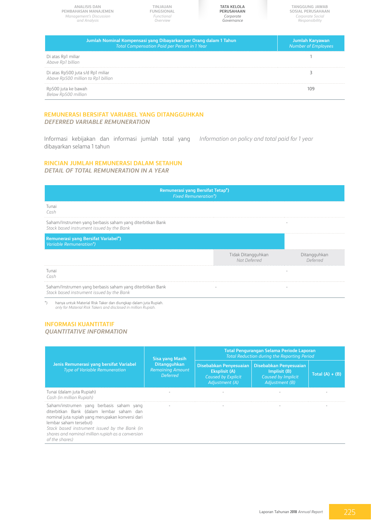**Tanggung Jawab Sosial Perusahaan** *Corporate Social Responsibility* **Tata Kelola Perusahaan TINJAUAN FUNGSIONAL** *Corporate Governance Functional Overview* **Analisis dan Pembahasan Manajemen** *Management's Discussion and Analysis* **Jumlah Nominal Kompensasi yang Dibayarkan per Orang dalam 1 Tahun** *Total Compensation Paid per Person in 1 Year*  **Jumlah Karyawan**

Di atas Rp1 miliar *Above Rp1 billion* 1 Di atas Rp500 juta s/d Rp1 miliar *Above Rp500 million to Rp1 billion* 3 Rp500 juta ke bawah *Below Rp500 million* 109

## **REMUNERASI BERSIFAT VARIABEL YANG DITANGGUHKAN** *DEFERRED VARIABLE REMUNERATION*

Informasi kebijakan dan informasi jumlah total yang dibayarkan selama 1 tahun *Information on policy and total paid for 1 year* 

## **RINCIAN JUMLAH REMUNERASI DALAM SETAHUN**

*DETAIL OF TOTAL REMUNERATION IN A YEAR*

| Remunerasi yang Bersifat Tetap <sup>*</sup> )<br><b>Fixed Remuneration*)</b>                           |                                    |                          |  |
|--------------------------------------------------------------------------------------------------------|------------------------------------|--------------------------|--|
| Tunai<br>Cash                                                                                          |                                    |                          |  |
| Saham/Instrumen yang berbasis saham yang diterbitkan Bank<br>Stock based instrument issued by the Bank |                                    |                          |  |
| <b>Remunerasi yang Bersifat Variabel*)</b><br>Variable Remuneration*)                                  |                                    |                          |  |
|                                                                                                        | Tidak Ditangguhkan<br>Not Deferred | Ditangguhkan<br>Deferred |  |
| Tunai<br>Cash                                                                                          |                                    |                          |  |
| Saham/Instrumen yang berbasis saham yang diterbitkan Bank<br>Stock based instrument issued by the Bank |                                    |                          |  |
| hanya untuk Material Risk Taker dan diungkan dalam juta Runjah                                         |                                    |                          |  |

\*) hanya untuk Material Risk Taker dan diungkap dalam juta Rupiah. *only for Material Risk Takers and disclosed in million Rupiah.* 

## **INFORMASI KUANTITATIF** *QUANTITATIVE INFORMATION*

#### **Jenis Remunerasi yang bersifat Variabel** *Type of Variable Remuneration* **Sisa yang Masih Ditangguhkan** *Remaining Amount Deferred* **Total Pengurangan Selama Periode Laporan** *Total Reduction during the Reporting Period*  **Disebabkan Penyesuaian Eksplisit (A)** *Caused by Explicit*  **Disebabkan Penyesuaian Implisit (B)** *Caused by Implicit Adjustment (B)* **Total (A) + (B)** Tunai (dalam juta Rupiah) *Cash (in million Rupiah)* - - - - Saham/instrumen yang berbasis saham yang diterbitkan Bank (dalam lembar saham dan nominal juta rupiah yang merupakan konversi dari lembar saham tersebut) *Stock based instrument issued by the Bank (in shares and nominal million rupiah as a conversion of the shares)*  - - - -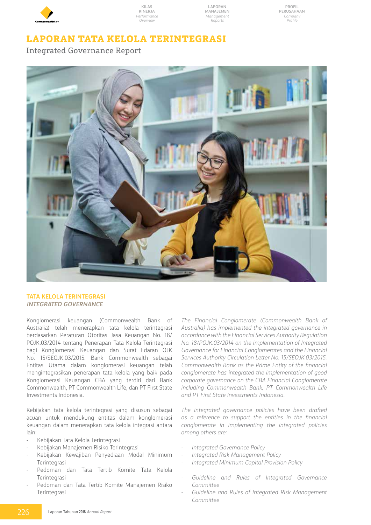

**Laporan Manajemen** *Management Reports*

# **LAPORAN TATA KELOLA TERINTEGRASI**

Integrated Governance Report



## **Tata Kelola Terintegrasi** *Integrated Governance*

Konglomerasi keuangan (Commonwealth Bank of Australia) telah menerapkan tata kelola terintegrasi berdasarkan Peraturan Otoritas Jasa Keuangan No. 18/ POJK.03/2014 tentang Penerapan Tata Kelola Terintegrasi bagi Konglomerasi Keuangan dan Surat Edaran OJK No. 15/SEOJK.03/2015. Bank Commonwealth sebagai Entitas Utama dalam konglomerasi keuangan telah mengintegrasikan penerapan tata kelola yang baik pada Konglomerasi Keuangan CBA yang terdiri dari Bank Commonwealth, PT Commonwealth Life, dan PT First State Investments Indonesia.

Kebijakan tata kelola terintegrasi yang disusun sebagai acuan untuk mendukung entitas dalam konglomerasi keuangan dalam menerapkan tata kelola integrasi antara lain:

- Kebijakan Tata Kelola Terintegrasi
- Kebijakan Manajemen Risiko Terintegrasi
- Kebijakan Kewajiban Penyediaan Modal Minimum Terintegrasi
- Pedoman dan Tata Tertib Komite Tata Kelola Terintegrasi
- Pedoman dan Tata Tertib Komite Manajemen Risiko Terintegrasi

*The Financial Conglomerate (Commonwealth Bank of Australia) has implemented the integrated governance in accordance with the Financial Services Authority Regulation No. 18/POJK.03/2014 on the Implementation of Integrated Governance for Financial Conglomerates and the Financial Services Authority Circulation Letter No. 15/SEOJK.03/2015. Commonwealth Bank as the Prime Entity of the financial conglomerate has integrated the implementation of good corporate governance on the CBA Financial Conglomerate including Commonwealth Bank, PT Commonwealth Life and PT First State Investments Indonesia.* 

*The integrated governance policies have been drafted as a reference to support the entities in the financial conglomerate in implementing the integrated policies among others are:* 

- *- Integrated Governance Policy*
- *- Integrated Risk Management Policy*
- *- Integrated Minimum Capital Provision Policy*
- *- Guideline and Rules of Integrated Governance Committee*
- *- Guideline and Rules of Integrated Risk Management Committee*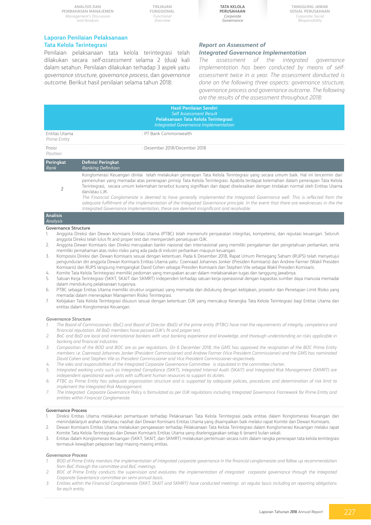**TINJAUAN FUNGSIONAL** *Functional Overview*



**Tanggung Jawab Sosial Perusahaan** *Corporate Social Responsibility*

#### **Laporan Penilaian Pelaksanaan Tata Kelola Terintegrasi**

Penilaian pelaksanaan tata kelola terintegrasi telah dilakukan secara *self-assessment* selama 2 (dua) kali dalam setahun. Penilaian dilakukan terhadap 3 aspek yaitu *governance structure, governance process*, dan *governance outcome*. Berikut hasil penilaian selama tahun 2018:

## *Report on Assessment of Integrated Governance Implementation*

*The assessment of the integrated governance implementation has been conducted by means of selfassessment twice in a year. The assessment donducted is* 

*done on the following three aspects: governance structure, governance process and governance outcome. The following are the results of the assessment throughout 2018:* 

|                                    | <b>Hasil Penilaian Sendiri</b><br><b>Self Assessment Result</b><br>Pelaksanaan Tata Kelola Terintegrasi<br><b>Integrated Governance Implementation</b>                                                                                                                                                                                                                                                                                                                                                                                                                                                                                                                                                                                                                                |
|------------------------------------|---------------------------------------------------------------------------------------------------------------------------------------------------------------------------------------------------------------------------------------------------------------------------------------------------------------------------------------------------------------------------------------------------------------------------------------------------------------------------------------------------------------------------------------------------------------------------------------------------------------------------------------------------------------------------------------------------------------------------------------------------------------------------------------|
| Entitas Utama<br>Prime Entity      | : PT Bank Commonwealth                                                                                                                                                                                                                                                                                                                                                                                                                                                                                                                                                                                                                                                                                                                                                                |
| Posisi<br>Position                 | : Desember 2018/December 2018                                                                                                                                                                                                                                                                                                                                                                                                                                                                                                                                                                                                                                                                                                                                                         |
| <b>Peringkat</b><br>Rank           | Definisi Peringkat<br><b>Ranking Definition</b>                                                                                                                                                                                                                                                                                                                                                                                                                                                                                                                                                                                                                                                                                                                                       |
|                                    | Konglomerasi Keuangan dinilai telah melakukan penerapan Tata Kelola Terintegrasi yang secara umum baik. Hal ini tercermin dari<br>pemenuhan yang memadai atas penerapan prinsip Tata Kelola Terintegrasi. Apabila terdapat kelemahan dalam penerapan Tata Kelola<br>Terintegrasi, secara umum kelemahan tersebut kurang signifikan dan dapat diselesaikan dengan tindakan normal oleh Entitas Utama<br>dan/atau LJK.<br>The Financial Conglomerate is deemed to have generally implemented the Integrated Governance well. This is reflected from the<br>adequate fulfillment of the implementation of the Integrated Governance principle. In the event that there are weaknesses in the the<br>Integrated Governance implementation, these are deemed insignificant and resolvable. |
| <b>Analisis</b><br><b>Analysis</b> |                                                                                                                                                                                                                                                                                                                                                                                                                                                                                                                                                                                                                                                                                                                                                                                       |

#### **Governance Structure**

- 1. Anggota Direksi dan Dewan Komisaris Entitas Utama (PTBC) telah memenuhi persyaratan integritas, kompetensi, dan reputasi keuangan. Seluruh anggota Direksi telah lulus fit and proper test dan memperoleh persetujuan OJK.
- 2. Anggota Dewan Komisaris dan Direksi merupakan bankir nasional dan internasional yang memiliki pengalaman dan pengetahuan perbankan, serta memiliki pemahaman atas risiko-risiko yang ada pada di industri perbankan maupun keuangan.
- 3. Komposisi Direksi dan Dewan Komisaris sesuai dengan ketentuan. Pada 6 Desember 2018, Rapat Umum Pemegang Saham (RUPS) telah menyetujui pengunduran diri anggota Dewan Komisaris Entitas Utama yaitu Coenraad Johannes Jonker (Presiden Komisaris) dan Andrew Farmer (Wakil Presiden Komisaris) dan RUPS langsung mengangkat David Cohen sebagai Presiden Komisaris dan Stephen Vile sebagai Wakil Presiden Komisaris.
- 4. Komite Tata Kelola Terintegrasi memiliki pedoman yang merupakan acuan dalam melaksanakan tugas dan tanggung jawabnya.
- 5. Satuan Kerja Terintegrasi (SKKT, SKAIT dan SKMRT) independen terhadap satuan kerja operasional dengan kapasitas sumber daya manusia memadai dalam mendukung pelaksanaan tugasnya.
- 6. PTBC sebagai Entitas Utama memiliki struktur organisasi yang memadai dan didukung dengan kebijakan, prosedur dan Penetapan Limit Risiko yang memadai dalam menerapkan Manajemen Risiko Terintegrasi.
- 7. Kebijakan Tata Kelola Terintegrasi disusun sesuai dengan ketentuan OJK yang mencakup Kerangka Tata Kelola Terintegrasi bagi Entitas Utama dan entitas dalam Konglomerasi Keuangan.

#### *Governance Structure*

- *1. The Board of Commissioners (BoC) and Board of Director (BoD) of the prime entity (PTBC) have met the requirements of integrity, competence and financial reputation. All BoD members have passed OJK's fit and proper test.*
- *2. BoC and BoD are local and international bankers with vast banking experience and knowledge, and thorough understanding on risks applicable in banking and financial industries.*
- *3. Composition of the BOD and BOC are as per regulations. On 6 December 2018, the GMS has approved the resignation of the BOC Prime Entity members i.e. Coenraad Johannes Jonker (President Commissioner) and Andrew Farmer (Vice President Commissioner) and the GMS has nominated David Cohen and Stephen Vile as President Commissioner and Vice President Commissioner respectively.*
- *4. The roles and responsibilities of the Integrated Corporate Governance Committee is stipulated in the committee charter.*
- *5. Integrated working units such as Integrated Compliance (SKKT), Integrated Internal Audit (SKAIT) and Integrated Risk Management (SKMRT) are independent operational work units with sufficient human resources to support its duties.*
- *6. PTBC as Prime Entity has adequate organisation structure and is supported by adequate policies, procedures and determination of risk limit to implement the Integrated Risk Management.*
- *7. The Integrated Corporate Governance Policy is formulated as per OJK regulations including Integrated Governance Framework for Prime Entity and entities within Financial Conglomerate.*

#### **Governance Process**

- 1. Direksi Entitas Utama melakukan pemantauan terhadap Pelaksanaan Tata Kelola Terintegrasi pada entitas dalam Konglomerasi Keuangan dan menindaklanjuti arahan dan/atau nasihat dari Dewan Komisaris Entitas Utama yang disampaikan baik melalui rapat Komite dan Dewan Komisaris.
- 2. Dewan Komisaris Entitas Utama melakukan pengawasan terhadap Pelaksanaan Tata Kelola Terintegrasi dalam Konglomerasi Keuangan melalui rapat Komite Tata Kelola Terintegrasi dan Dewan Komisaris Entitas Utama yang diselenggarakan setiap 6 (enam) bulan sekali.
- 3. Entitas dalam Konglomerasi Keuangan (SKKT, SKAIT, dan SKMRT) melakukan pertemuan secara rutin dalam rangka penerapan tata kelola terintegrasi termasuk kewajiban pelaporan bagi masing-masing entitas.

#### *Governance Process*

- *1. BOD of Prime Entity monitors the implementation of integrated corporate governance in the financial conglomerate and follow up recommendation from BoC through the committee and BoC meetings.*
- *2. BOC of Prime Entity conducts the supervision and evaluates the implementation of integrated corporate governance through the Integrated Corporate Governance committee on semi-annual basis.*
- *3. Entities within the Financial Conglomerate (SKKT, SKAIT and SKMRT) have conducted meetings on regular basis including on reporting obligations for each entity.*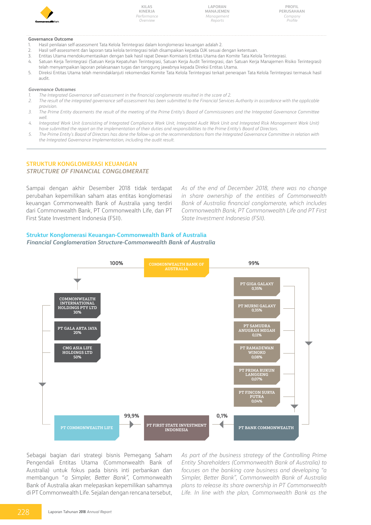

**Laporan Manajemen** *Management Reports*

**Profil Perusahaan** *Company Profile*

#### **Governance Outcome**

- 1. Hasil penilaian self-assessment Tata Kelola Terintegrasi dalam konglomerasi keuangan adalah 2.
- 2. Hasil self-assessment dan laporan tata kelola terintegrasi telah disampaikan kepada OJK sesuai dengan ketentuan.
- 3. Entitas Utama mendokumentasikan dengan baik hasil rapat Dewan Komisaris Entitas Utama dan Komite Tata Kelola Terintegrasi.
- 4. Satuan Kerja Terintegrasi (Satuan Kerja Kepatuhan Terintegrasi, Satuan Kerja Audit Terintegrasi, dan Satuan Kerja Manajemen Risiko Terintegrasi) telah menyampaikan laporan pelaksanaan tugas dan tanggung jawabnya kepada Direksi Entitas Utama.
- 5. Direksi Entitas Utama telah menindaklanjuti rekomendasi Komite Tata Kelola Terintegrasi terkait penerapan Tata Kelola Terintegrasi termasuk hasil audit.

#### *Governance Outcomes*

- *1. The Integrated Governance self-assessment in the financial conglomerate resulted in the score of 2.*
- *2. The result of the integrated governance self-assessment has been submitted to the Financial Services Authority in accordance with the applicable provision.*
- *3. The Prime Entity docements the result of the meeting of the Prime Entity's Board of Commissioners and the Integrated Governance Committee well.*
- *4. Integrated Work Unit (consisting of Integrated Compliance Work Unit, Integrated Audit Work Unit and Integrated Risk Management Work Unit) have submitted the report on the implementation of their duties and responsibilities to the Prime Entity's Board of Directors.*
- *5. The Prime Entity's Board of Directors has done the follow-up on the recommendations from the Integrated Governance Committee in relation with the Integrated Governance Implementation, including the audit result.*

## **Struktur Konglomerasi Keuangan**

#### *Structure of Financial Conglomerate*

Sampai dengan akhir Desember 2018 tidak terdapat perubahan kepemilikan saham atas entitas konglomerasi keuangan Commonwealth Bank of Australia yang terdiri dari Commonwealth Bank, PT Commonwealth Life, dan PT First State Investment Indonesia (FSII).

*As of the end of December 2018, there was no change in share ownership of the entities of Commonwealth Bank of Australia financial conglomerate, which includes Commonwealth Bank, PT Commonwealth Life and PT First State Investment Indonesia (FSII).* 

## **Struktur Konglomerasi Keuangan-Commonwealth Bank of Australia** *Financial Conglomeration Structure-Commonwealth Bank of Australia*



Sebagai bagian dari strategi bisnis Pemegang Saham Pengendali Entitas Utama (Commonwealth Bank of Australia) untuk fokus pada bisnis inti perbankan dan membangun "*a Simpler, Better Bank"*, Commonwealth Bank of Australia akan melepaskan kepemilikan sahamnya di PT Commonwealth Life. Sejalan dengan rencana tersebut, *As part of the business strategy of the Controlling Prime Entity Shareholders (Commonwealth Bank of Australia) to focuses on the banking core business and developing "a Simpler, Better Bank", Commonwealth Bank of Australia plans to release its share ownership in PT Commonwealth Life. In line with the plan, Commonwealth Bank as the*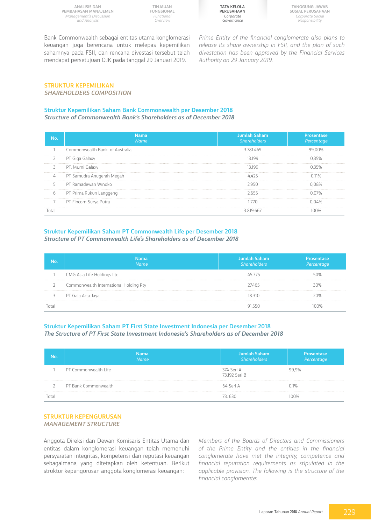**Analisis dan Pembahasan Manajemen** *Management's Discussion and Analysis*

**TINJAUAN FUNGSIONAL** *Functional Overview*

**Tata Kelola Perusahaan** *Corporate Governance*

**Tanggung Jawab Sosial Perusahaan** *Corporate Social Responsibility*

Bank Commonwealth sebagai entitas utama konglomerasi keuangan juga berencana untuk melepas kepemilikan sahamnya pada FSII, dan rencana divestasi tersebut telah mendapat persetujuan OJK pada tanggal 29 Januari 2019.

*Prime Entity of the financial conglomerate also plans to release its share ownership in FSII, and the plan of such divestation has been approved by the Financial Services Authority on 29 January 2019.* 

#### **Struktur Kepemilikan** *SHAREHOLDERS COMPOSITION*

## **Struktur Kepemilikan Saham Bank Commonwealth per Desember 2018**

*Structure of Commonwealth Bank's Shareholders as of December 2018*

|    | Nama<br>Name                   | Jumlah Saham<br><b>Shareholders</b> | Prosentase<br>Percentage |
|----|--------------------------------|-------------------------------------|--------------------------|
|    | Commonwealth Bank of Australia | 3781469                             |                          |
|    | PT Giga Galaxy                 |                                     |                          |
|    | PT. Murni Galaxy               |                                     |                          |
| 4  | PT Samudra Anugerah Megah      |                                     |                          |
| 5. | PT Ramadewan Winoko            |                                     |                          |
| 6  | PT Prima Rukun Langgeng        |                                     |                          |
|    | PT Fincom Surya Putra          |                                     |                          |
|    |                                |                                     |                          |

## **Struktur Kepemilikan Saham PT Commonwealth Life per Desember 2018** *Structure of PT Commonwealth Life's Shareholders as of December 2018*

| Nama<br>Name                           | Jumlah Saham<br>Shareholders | Prosentase<br>Percentage |
|----------------------------------------|------------------------------|--------------------------|
| CMG Asia Life Holdings Ltd             |                              |                          |
| Commonwealth International Holding Pty | 7465                         |                          |
| PT Gala Arta Jaya                      | 18310                        |                          |
|                                        |                              |                          |

## **Struktur Kepemilikan Saham PT First State Investment Indonesia per Desember 2018** *The Structure of PT First State Investment Indonesia's Shareholders as of December 2018*

| No    | <b>Nama</b><br><b>Name</b> | Jumlah Saham<br>Shareholders | Prosentase<br>Percentage |
|-------|----------------------------|------------------------------|--------------------------|
|       | PT Commonwealth Life       | 374 Seri A<br>73.192 Seri B  | 99 9%                    |
|       | PT Bank Commonwealth       | 64 Seri A                    | 0.1%                     |
| Total |                            | 73 630                       | 1በበ%                     |

#### **Struktur Kepengurusan** *Management Structure*

Anggota Direksi dan Dewan Komisaris Entitas Utama dan entitas dalam konglomerasi keuangan telah memenuhi persyaratan integritas, kompetensi dan reputasi keuangan sebagaimana yang ditetapkan oleh ketentuan. Berikut struktur kepengurusan anggota konglomerasi keuangan:

*Members of the Boards of Directors and Commissioners of the Prime Entity and the entities in the financial conglomerate have met the integrity, competence and financial reputation requirements as stipulated in the applicable provision. The following is the structure of the financial conglomerate:*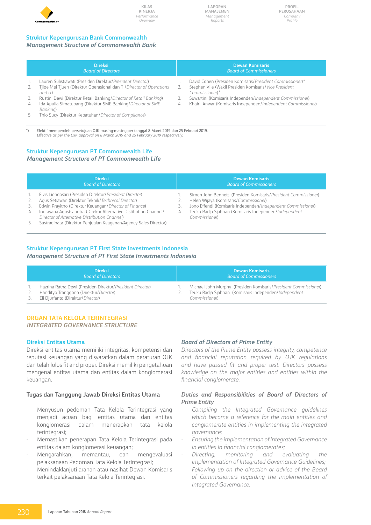

**Profil Perusahaan** *Company Profile*

## **Struktur Kepengurusan Bank Commonwealth**

## *Management Structure of Commonwealth Bank*

|           | <b>Direksi</b><br><b>Board of Directors</b>                                                                                                                                                                        |    | <b>Dewan Komisaris</b><br><b>Board of Commissioners</b>                                                                                                                                          |
|-----------|--------------------------------------------------------------------------------------------------------------------------------------------------------------------------------------------------------------------|----|--------------------------------------------------------------------------------------------------------------------------------------------------------------------------------------------------|
| 2.<br>3.  | Lauren Sulistiawati (Presiden Direktur/President Director)<br>Tijoe Mei Tjuen (Direktur Operasional dan TI/Director of Operations<br>and $ID$<br>Rustini Dewi (Direktur Retail Banking/Director of Retail Banking) |    | David Cohen (Presiden Komisaris/President Commissioner)*<br>Stephen Vile (Wakil Presiden Komisaris/Vice President<br>Commissioner)*<br>Suwartini (Komisaris Independen/Independent Commissioner) |
| 4.<br>-5. | Ida Apulia Simatupang (Direktur SME Banking/Director of SME<br>Banking)<br>Thio Sucy (Direktur Kepatuhan/Director of Compliance)                                                                                   | 4. | Khairil Anwar (Komisaris Independen/Independent Commissioner)                                                                                                                                    |

\*) Efektif memperoleh persetujuan OJK masing-masing per tanggal 8 Maret 2019 dan 25 Februari 2019. *Effective as per the OJK approval on 8 March 2019 and 25 February 2019 respectively.*

## **Struktur Kepengurusan PT Commonwealth Life** *Management Structure of PT Commonwealth Life*

|                | <b>Direksi</b><br><b>Board of Directors</b>                                                                                                                                                                                                                                                                                                                      |    | <b>Dewan Komisaris</b><br><b>Board of Commissioners</b>                                                                                                                                                                                           |
|----------------|------------------------------------------------------------------------------------------------------------------------------------------------------------------------------------------------------------------------------------------------------------------------------------------------------------------------------------------------------------------|----|---------------------------------------------------------------------------------------------------------------------------------------------------------------------------------------------------------------------------------------------------|
| 3.<br>4.<br>5. | Elvis Liongosari (Presiden Direktur/President Director)<br>Agus Setiawan (Direktur Teknik/Technical Director)<br>Edwin Prayitno (Direktur Keuangan/Director of Finance)<br>Indrayana Aqustsaputra (Direkur Alternative Distibution Channel/<br>Director of Alternative Distribution Channel)<br>Sastradinata (Direktur Penjualan Keagenan/Agency Sales Director) | 4. | Simon John Bennett (Presiden Komisaris/President Commissioner)<br>Helen Wijaya (Komisaris/Commissioner)<br>Jono Effendi (Komisaris Independen/Independent Commissioner)<br>Teuku Radja Sjahnan (Komisaris Independen/Independent<br>Commissioner) |

## **Struktur Kepengurusan PT First State Investments Indonesia**

*Management Structure of PT First State Investments Indonesia* 

| <b>Direksi</b><br><b>Board of Directors</b>                                                                                              | <b>Dewan Komisaris</b><br><b>Board of Commissioners</b>                                                                                           |
|------------------------------------------------------------------------------------------------------------------------------------------|---------------------------------------------------------------------------------------------------------------------------------------------------|
| Hazrina Ratna Dewi (Presiden Direktur/President Director)<br>Handityo Tranggono (Direktur/Director)<br>Eli Djurfanto (Direktur/Director) | Michael John Murphy (Presiden Komisaris/President Commissioner)<br>Teuku Radja Sjahnan (Komisaris Independen/Independent<br><i>Commissioner</i> ) |

## **Organ Tata Kelola Terintegrasi**

*INTEGRATED GOVERNANCE STRUCTURE*

## **Direksi Entitas Utama**

Direksi entitas utama memiliki integritas, kompetensi dan reputasi keuangan yang disyaratkan dalam peraturan OJK dan telah lulus fit and proper. Direksi memiliki pengetahuan mengenai entitas utama dan entitas dalam konglomerasi keuangan.

## **Tugas dan Tanggung Jawab Direksi Entitas Utama**

- Menyusun pedoman Tata Kelola Terintegrasi yang menjadi acuan bagi entitas utama dan entitas konglomerasi dalam menerapkan tata kelola terintegrasi;
- Memastikan penerapan Tata Kelola Terintegrasi pada entitas dalam konglomerasi keuangan;
- Mengarahkan, memantau, dan mengevaluasi pelaksanaan Pedoman Tata Kelola Terintegrasi;
- Menindaklanjuti arahan atau nasihat Dewan Komisaris terkait pelaksanaan Tata Kelola Terintegrasi.

## *Board of Directors of Prime Entity*

*Directors of the Prime Entity possess integrity, competence and financial reputation required by OJK regulations and have passed fit and proper test. Directors possess knowledge on the major entities and entities within the financial conglomerate.*

## *Duties and Responsibilities of Board of Directors of Prime Entity*

- *- Compiling the Integrated Governance guidelines which become a reference for the main entities and conglomerate entities in implementing the integrated governance;*
- *Ensuring the implementation of Integrated Governance in entities in financial conglomerates;*
- *Directing, monitoring and evaluating the implementation of Integrated Governance Guidelines;*
- *Following up on the direction or advice of the Board of Commissioners regarding the implementation of Integrated Governance.*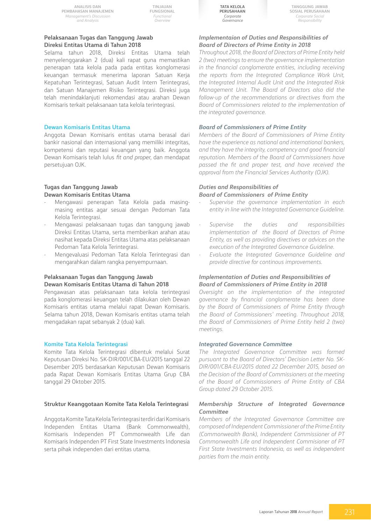**Analisis dan Pembahasan Manajemen** *Management's Discussion and Analysis*

**TINJAUAN FUNGSIONAL** *Functional Overview*

## **Pelaksanaan Tugas dan Tanggung Jawab Direksi Entitas Utama di Tahun 2018**

Selama tahun 2018, Direksi Entitas Utama telah menyelenggarakan 2 (dua) kali rapat guna memastikan penerapan tata kelola pada pada entitas konglomerasi keuangan termasuk menerima laporan Satuan Kerja Kepatuhan Terintegrasi, Satuan Audit Intern Terintegrasi, dan Satuan Manajemen Risiko Terintegrasi. Direksi juga telah menindaklanjuti rekomendasi atau arahan Dewan Komisaris terkait pelaksanaan tata kelola terintegrasi.

#### **Dewan Komisaris Entitas Utama**

Anggota Dewan Komisaris entitas utama berasal dari bankir nasional dan internasional yang memiliki integritas, kompetensi dan reputasi keuangan yang baik. Anggota Dewan Komisaris telah lulus *fit and proper*, dan mendapat persetujuan OJK.

## **Tugas dan Tanggung Jawab Dewan Komisaris Entitas Utama**

- Mengawasi penerapan Tata Kelola pada masingmasing entitas agar sesuai dengan Pedoman Tata Kelola Terintegrasi.
- Mengawasi pelaksanaan tugas dan tanggung jawab Direksi Entitas Utama, serta memberikan arahan atau nasihat kepada Direksi Entitas Utama atas pelaksanaan Pedoman Tata Kelola Terintegrasi.
- Mengevaluasi Pedoman Tata Kelola Terintegrasi dan mengarahkan dalam rangka penyempurnaan.

## **Pelaksanaan Tugas dan Tanggung Jawab Dewan Komisaris Entitas Utama di Tahun 2018**

Pengawasan atas pelaksanaan tata kelola terintegrasi pada konglomerasi keuangan telah dilakukan oleh Dewan Komisaris entitas utama melalui rapat Dewan Komisaris. Selama tahun 2018, Dewan Komisaris entitas utama telah mengadakan rapat sebanyak 2 (dua) kali.

#### **Komite Tata Kelola Terintegrasi**

Komite Tata Kelola Terintegrasi dibentuk melalui Surat Keputusan Direksi No. SK-DIR/001/CBA-EU/2015 tanggal 22 Desember 2015 berdasarkan Keputusan Dewan Komisaris pada Rapat Dewan Komisaris Entitas Utama Grup CBA tanggal 29 Oktober 2015.

#### **Struktur Keanggotaan Komite Tata Kelola Terintegrasi**

Anggota Komite Tata Kelola Terintegrasi terdiri dari Komisaris Independen Entitas Utama (Bank Commonwealth), Komisaris Independen PT Commonwealth Life dan Komisaris Independen PT First State Investments Indonesia serta pihak independen dari entitas utama.



**Tanggung Jawab Sosial Perusahaan** *Corporate Social Responsibility*

## *Implementaion of Duties and Responsibilities of Board of Directors of Prime Entity in 2018*

*Throughout 2018, the Board of Directors of Prime Entity held 2 (two) meetings to ensure the governance implementation in the financial conglomerate entities, including receiving the reports from the Integrated Compliance Work Unit, the Integrated Internal Audit Unit and the Integrated Risk Management Unit. The Board of Directors also did the follow-up of the recommendations or directives from the Board of Commissioners related to the implementation of the integrated governance.* 

#### *Board of Commissioners of Prime Entity*

*Members of the Board of Commissioners of Prime Entity have the experience as national and international bankers, and they have the integrity, competency and good financial reputation. Members of the Board of Commissioners have passed the fit and proper test, and have received the approval from the Financial Services Authority (OJK).* 

#### *Duties and Responsibilities of Board of Commissioners of Prime Entity*

- *- Supervise the governance implementation in each entity in line with the Integrated Governance Guideline.*
- *- Supervise the duties and responsibilities implementation of the Board of Directors of Prime Entity, as well as providing directives or advices on the execution of the Integrated Governance Guideline.*
- *- Evaluate the Integrated Governance Guideline and provide directive for continous improvements.*

## *Implementation of Duties and Responsibilities of Board of Commissioners of Prime Entity in 2018*

*Oversight on the implementation of the integrated governance by financial conglomerate has been done by the Board of Commissioners of Prime Entity through the Board of Commissioners' meeting. Throughout 2018, the Board of Commissioners of Prime Entity held 2 (two) meetings.* 

#### *Integrated Governance Committee*

*The Integrated Governance Committee was formed pursuant to the Board of Directors' Decision Letter No. SK-DIR/001/CBA-EU/2015 dated 22 December 2015, based on the Decision of the Board of Commissioners at the meeting of the Board of Commissioners of Prime Entity of CBA Group dated 29 October 2015.* 

#### *Membership Structure of Integrated Governance Committee*

*Members of the Integrated Governance Committee are composed of Independent Commissioner of the Prime Entity (Commonwealth Bank), Independent Commissioner of PT Commonwealth Life and Independent Commisioner of PT First State Investments Indonesia, as well as independent parties from the main entity.*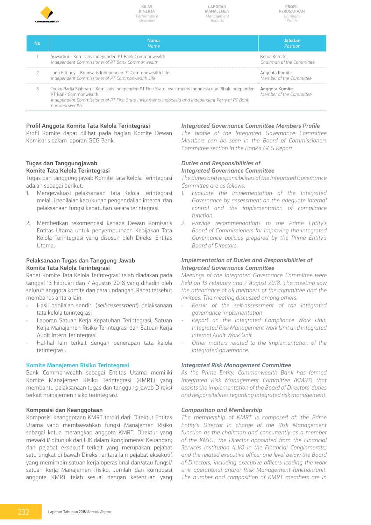

*Name*

**Laporan Manajemen** *Management Reports*

**Profil Perusahaan** *Company Profile*

| <b>Jabatan</b> |  |
|----------------|--|
|                |  |
| Position       |  |

Ketua Komite *Chairman of the Committee* 

Anggota Komite *Member of the Committee* 

3 Teuku Radja Sjahnan – Komisaris Independen PT First State Investments Indonesia dan Pihak Independen PT Bank Commonwealth *Independent Commissioner of PT First State Investments Indonesia and Independent Party of PT Bank Commonwealth*  Anggota Komite *Member of the Committee* 

## **Profil Anggota Komite Tata Kelola Terintegrasi**

Profil Komite dapat dilihat pada bagian Komite Dewan Komisaris dalam laporan GCG Bank.

**No Nama**

1 Suwartini – Komisaris Independen PT Bank Commonwealth *Independent Commissioner of PT Bank Commonwealth* 

2 Jono Effendy – Komisaris Independen PT Commonwealth Life *Independent Commissioner of PT Commonwealth Life* 

## **Tugas dan Tanggungjawab Komite Tata Kelola Terintegrasi**

Tugas dan tanggung jawab Komite Tata Kelola Terintegrasi adalah sebagai berikut:

- 1. Mengevaluasi pelaksanaan Tata Kelola Terintegrasi melalui penilaian kecukupan pengendalian internal dan pelaksanaan fungsi kepatuhan secara terintegrasi.
- 2. Memberikan rekomendasi kepada Dewan Komisaris Entitas Utama untuk penyempurnaan Kebijakan Tata Kelola Terintegrasi yang disusun oleh Direksi Entitas Utama.

## **Pelaksanaan Tugas dan Tanggung Jawab Komite Tata Kelola Terintegrasi**

Rapat Komite Tata Kelola Terintegrasi telah diadakan pada tanggal 13 Februari dan 7 Agustus 2018 yang dihadiri oleh seluruh anggota komite dan para undangan. Rapat tersebut membahas antara lain:

- Hasil penilaian sendiri (*self-assessment*) pelaksanaan tata kelola terintegrasi
- Laporan Satuan Kerja Kepatuhan Terintegrasi, Satuan Kerja Manajemen Risiko Terintegrasi dan Satuan Kerja Audit Intern Terintegrasi
- Hal-hal lain terkait dengan penerapan tata kelola terintegrasi.

## **Komite Manajemen Risiko Terintegrasi**

Bank Commonwealth sebagai Entitas Utama memiliki Komite Manajemen Risiko Terintegrasi (KMRT) yang membantu pelaksanaan tugas dan tanggung jawab Direksi terkait manajemen risiko terintegrasi.

## **Komposisi dan Keanggotaan**

Komposisi keanggotaan KMRT terdiri dari: Direktur Entitas Utama yang membawahkan fungsi Manajemen Risiko sebagai ketua merangkap anggota KMRT; Direktur yang mewakili/ ditunjuk dari LJK dalam Konglomerasi Keuangan; dan pejabat eksekutif terkait yang merupakan pejabat satu tingkat di bawah Direksi, antara lain pejabat eksekutif yang memimpin satuan kerja operasional dan/atau fungsi/ satuan kerja Manajemen Risiko. Jumlah dan komposisi anggota KMRT telah sesuai dengan ketentuan yang

## *Integrated Governance Committee Members Profile*

*The profile of the Integrated Governance Committee Members can be seen in the Board of Commissioners Committee section in the Bank's GCG Report.* 

## *Duties and Responsibilities of Integrated Governance Committee*

*The duties and responsibilities of the Integrated Governance Committee are as follows:* 

- *1. Evaluate the implementation of the Integrated Governance by assessment on the adequate internal control and the implementation of compliance function.*
- *2. Provide recommendations to the Prime Entity's Board of Commissioners for improving the Integrated Governance policies prepared by the Prime Entity's Board of Directors.*

## *Implementation of Duties and Responsibilities of Integrated Governance Committee*

*Meetings of the Integrated Governance Committee were held on 13 February and 7 August 2018. The meeting saw the attendance of all members of the committee and the invitees. The meeting discussed among others:* 

- *- Result of the self-assessment of the integrated governance implementation*
- *- Report on the Integrated Compliance Work Unit, Integrated Risk Management Work Unit and Integrated Internal Audit Work Unit*
- *- Other matters related to the implementation of the integrated governance.*

## *Integrated Risk Management Committee*

*As the Prime Entity, Commonwealth Bank has formed Integrated Risk Management Committee (KMRT) that assists the implementation of the Board of Directors' duties and responsibilities regarding integrated risk management.*

## *Composition and Membership*

*The membership of KMRT is composed of: the Prime Entity's Director in charge of the Risk Management function as the chairman and concurrently as a member of the KMRT; the Director appointed from the Financial Services Institution (LJK) in the Financial Conglomerate; and the related executive officer one level below the Board of Directors, including executive officers leading the work unit operational and/or Risk Management function/unit. The number and composition of KMRT members are in*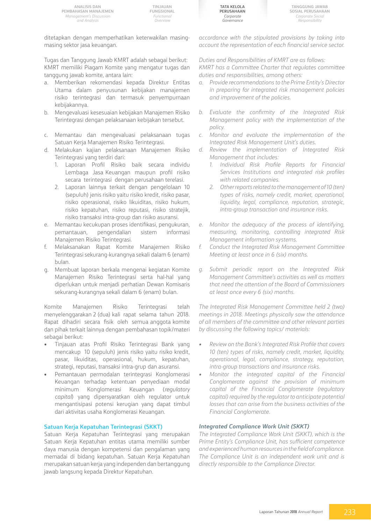

**Tanggung Jawab Sosial Perusahaan** *Corporate Social Responsibility*

ditetapkan dengan memperhatikan keterwakilan masingmasing sektor jasa keuangan.

Tugas dan Tanggung Jawab KMRT adalah sebagai berikut: KMRT memiliki Piagam Komite yang mengatur tugas dan tanggung jawab komite, antara lain:

- a. Memberikan rekomendasi kepada Direktur Entitas Utama dalam penyusunan kebijakan manajemen risiko terintegrasi dan termasuk penyempurnaan kebijakannya.
- b. Mengevaluasi kesesuaian kebijakan Manajemen Risiko Terintegrasi dengan pelaksanaan kebijakan tersebut.
- c. Memantau dan mengevaluasi pelaksanaan tugas Satuan Kerja Manajemen Risiko Terintegrasi.
- d. Melakukan kajian pelaksanaan Manajemen Risiko Terintegrasi yang terdiri dari:
	- 1. Laporan Profil Risiko baik secara individu Lembaga Jasa Keuangan maupun profil risiko secara terintegrasi dengan perusahaan terelasi.
	- 2. Laporan lainnya terkait dengan pengelolaan 10 (sepuluh) jenis risiko yaitu risiko kredit, risiko pasar, risiko operasional, risiko likuiditas, risiko hukum, risiko kepatuhan, risiko reputasi, risiko stratejik, risiko transaksi intra-group dan risiko asuransi.
- e. Memantau kecukupan proses identifikasi, pengukuran, pemantauan, pengendalian sistem informasi Manajemen Risiko Terintegrasi.
- f. Melaksanakan Rapat Komite Manajemen Risiko Terintegrasi sekurang-kurangnya sekali dalam 6 (enam) bulan.
- g. Membuat laporan berkala mengenai kegiatan Komite Manajemen Risiko Terintegrasi serta hal-hal yang diperlukan untuk menjadi perhatian Dewan Komisaris sekurang-kurangnya sekali dalam 6 (enam) bulan.

Komite Manajemen Risiko Terintegrasi telah menyelenggarakan 2 (dua) kali rapat selama tahun 2018. Rapat dihadiri secara fisik oleh semua anggota komite dan pihak terkait lainnya dengan pembahasan topik/materi sebagai berikut:

- Tinjauan atas Profil Risiko Terintegrasi Bank yang mencakup 10 (sepuluh) jenis risiko yaitu risiko kredit, pasar, likuiditas, operasional, hukum, kepatuhan, strategi, reputasi, transaksi intra-grup dan asuransi.
- Pemantauan permodalan terintegrasi Konglomerasi Keuangan terhadap ketentuan penyediaan modal minimum Konglomerasi Keuangan (*regulatory capital*) yang dipersyaratkan oleh regulator untuk mengantisipasi potensi kerugian yang dapat timbul dari aktivitas usaha Konglomerasi Keuangan.

## **Satuan Kerja Kepatuhan Terintegrasi (SKKT)**

Satuan Kerja Kepatuhan Terintegrasi yang merupakan Satuan Kerja Kepatuhan entitas utama memiliki sumber daya manusia dengan kompetensi dan pengalaman yang memadai di bidang kepatuhan. Satuan Kerja Kepatuhan merupakan satuan kerja yang independen dan bertanggung jawab langsung kepada Direktur Kepatuhan.

*accordance with the stipulated provisions by taking into account the representation of each financial service sector.*

*Duties and Responsibilities of KMRT are as follows: KMRT has a Committee Charter that regulates committee duties and responsibilities, among others:*

- *a. Provide recommendations to the Prime Entity's Director in preparing for integrated risk management policies and improvement of the policies.*
- *b. Evaluate the confirmity of the Integrated Risk Management policy with the implementation of the policy.*
- *c. Monitor and evaluate the implementation of the Integrated Risk Management Unit's duties.*
- *d. Review the implementation of Integrated Risk Management that includes:* 
	- *1. Individual Risk Profile Reports for Financial Services Institutions and integrated risk profiles with related companies.*
	- *2. Other reports related to the management of 10 (ten) types of risks, namely credit, market, operational, liquidity, legal, compliance, reputation, strategic, intra-group transaction and insurance risks.*
- *e. Monitor the adequacy of the process of identifying, measuring, monitoring, controlling integrated Risk Management information systems.*
- *f. Conduct the Integrated Risk Management Committee Meeting at least once in 6 (six) months.*
- *g. Submit periodic report on the Integrated Risk Management Committee's activities as well as matters that need the attention of the Board of Commissioners at least once every 6 (six) months.*

*The Integrated Risk Management Committee held 2 (two) meetings in 2018. Meetings physically saw the attendance of all members of the committee and other relevant parties by discussing the following topics/ materials:*

- *• Review on the Bank's Integrated Risk Profile that covers 10 (ten) types of risks, namely credit, market, liquidity, operational, legal, compliance, strategy, reputation, intra-group transactions and insurance risks.*
- *• Monitor the integrated capital of the Financial Conglomerate against the provision of minimum capital of the Financial Conglomerate (regulatory capital) required by the regulator to anticipate potential losses that can arise from the business activities of the Financial Conglomerate.*

## *Integrated Compliance Work Unit (SKKT)*

*The Integrated Compliance Work Unit (SKKT), which is the Prime Entity's Compliance Unit, has sufficient competence and experienced human resources in the field of compliance. The Compliance Unit is an independent work unit and is directly responsible to the Compliance Director.*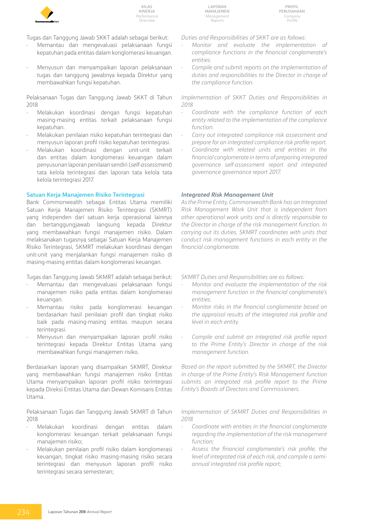

**Laporan Manajemen** *Management Reports*

Tugas dan Tanggung Jawab SKKT adalah sebagai berikut:

- Memantau dan mengevaluasi pelaksanaan fungsi kepatuhan pada entitas dalam konglomerasi keuangan.
- Menyusun dan menyampaikan laporan pelaksanaan tugas dan tanggung jawabnya kepada Direktur yang membawahkan fungsi kepatuhan.

Pelaksanaan Tugas dan Tanggung Jawab SKKT di Tahun 2018

- Melakukan koordinasi dengan fungsi kepatuhan masing-masing entitas terkait pelaksanaan fungsi kepatuhan.
- Melakukan penilaian risiko kepatuhan terintegrasi dan menyusun laporan profil risiko kepatuhan terintegrasi.
- Melakukan koordinasi dengan unit-unit terkait dan entitas dalam konglomerasi keuangan dalam penyusunan laporan penilaian sendiri (*self-assessment*) tata kelola terintegrasi dan laporan tata kelola tata kelola terintegrasi 2017.

## **Satuan Kerja Manajemen Risiko Terintegrasi**

Bank Commonwealth sebagai Entitas Utama memiliki Satuan Kerja Manajemen Risiko Terintegrasi (SKMRT) yang independen dari satuan kerja operasional lainnya dan bertanggungjawab langsung kepada Direktur yang membawahkan fungsi manajemen risiko. Dalam melaksanakan tugasnya sebagai Satuan Kerja Manajemen Risiko Terintegrasi, SKMRT melakukan koordinasi dengan unit-unit yang menjalankan fungsi manajemen risiko di masing-masing entitas dalam konglomerasi keuangan.

Tugas dan Tanggung Jawab SKMRT adalah sebagai berikut:

- Memantau dan mengevaluasi pelaksanaan fungsi manajemen risiko pada entitas dalam konglomerasi keuangan.
- Memantau risiko pada konglomerasi keuangan berdasarkan hasil penilaian profil dan tingkat risiko baik pada masing-masing entitas maupun secara terintegrasi.
- Menyusun dan menyampaikan laporan profil risiko terintegrasi kepada Direktur Entitas Utama yang membawahkan fungsi manajemen risiko.

Berdasarkan laporan yang disampaikan SKMRT, Direktur yang membawahkan fungsi manajemen risiko Entitas Utama menyampaikan laporan profil risiko terintegrasi kepada Direksi Entitas Utama dan Dewan Komisaris Entitas Utama.

Pelaksanaan Tugas dan Tanggung Jawab SKMRT di Tahun 2018

- Melakukan koordinasi dengan entitas dalam konglomerasi keuangan terkait pelaksanaan fungsi manajemen risiko;
- Melakukan penilaian profil risiko dalam konglomerasi keuangan, tingkat risiko masing-masing risiko secara terintegrasi dan menyusun laporan profil risiko terintegrasi secara semesteran;

*Duties and Responsibilities of SKKT are as follows:* 

- *Monitor and evaluate the implementation of compliance functions in the financial conglomerate's entities.*
- *Compile and submit reports on the implementation of duties and responsibilities to the Director in charge of the compliance function.*

*Implementation of SKKT Duties and Responsibilities in 2018*

- *Coordinate with the compliance function of each entity related to the implementation of the compliance function.*
- *Carry out integrated compliance risk assessment and prepare for an integrated compliance risk profile report.*
- *Coordinate with related units and entities in the financial conglomerate in terms of preparing integrated governance self-assessment report and integrated governance governance report 2017.*

### *Integrated Risk Management Unit*

*As the Prime Entity, Commonwealth Bank has an Integrated Risk Management Work Unit that is independent from other operational work units and is directly responsible to the Director in charge of the risk management function. In carrying out its duties, SKMRT coordinates with units that conduct risk management functions in each entity in the financial conglomerate.*

*SKMRT Duties and Responsibilities are as follows:* 

- *Monitor and evaluate the implementation of the risk management function in the financial conglomerate's entities.*
- *Monitor risks in the financial conglomerate based on the appraisal results of the integrated risk profile and level in each entity.*
- *Compile and submit an integrated risk profile report to the Prime Entity's Director in charge of the risk management function.*

*Based on the report submitted by the SKMRT, the Director in charge of the Prime Entity's Risk Management function submits an integrated risk profile report to the Prime Entity's Boards of Directors and Commissioners.* 

*Implementation of SKMRT Duties and Responsibilities in 2018*

- *Coordinate with entities in the financial conglomerate regarding the implementation of the risk management function;*
- *Assess the financial conglomerate's risk profile, the level of integrated risk of each risk, and compile a semiannual integrated risk profile report;*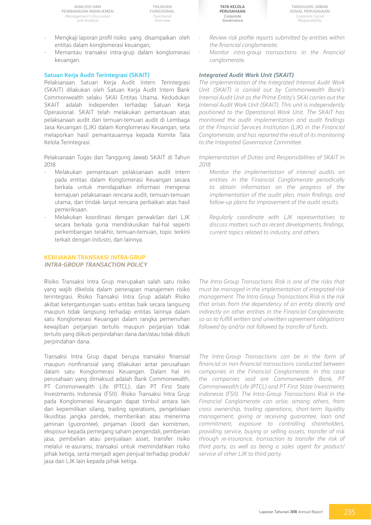**Analisis dan Pembahasan Manajemen** *Management's Discussion and Analysis*

**TINJAUAN FUNGSIONAL** *Functional Overview*

- Mengkaji laporan profil risiko yang disampaikan oleh entitas dalam konglomerasi keuangan;
- Memantau transaksi intra-grup dalam konglomerasi keuangan.

#### **Satuan Kerja Audit Terintegrasi (SKAIT)**

Pelaksanaan Satuan Kerja Audit Intern Terintegrasi (SKAIT) dilakukan oleh Satuan Kerja Audit Intern Bank Commonwealth selaku SKAI Entitas Utama. Kedudukan SKAIT adalah independen terhadap Satuan Kerja Operasional. SKAIT telah melakukan pemantauan atas pelaksanaan audit dan temuan-temuan audit di Lembaga Jasa Keuangan (LJK) dalam Konglomerasi Keuangan, seta melaporkan hasil pemantauannya kepada Komite Tata Kelola Terintegrasi.

Pelaksanaan Tugas dan Tanggung Jawab SKAIT di Tahun 2018

- Melakukan pemantauan pelaksanaan audit intern pada entitas dalam Konglomerasi Keuangan secara berkala untuk mendapatkan informasi mengenai kemajuan pelaksanaan rencana audit, temuan-temuan utama, dan tindak lanjut rencana perbaikan atas hasil pemeriksaan.
- Melakukan koordinasi dengan perwakilan dari LJK secara berkala guna mendiskusikan hal-hal seperti perkembangan terakhir, temuan-temuan, topic terkini terkait dengan industri, dan lainnya.

## **KEBIJAKAN TRANSAKSI INTRA-GRUP** *INTRA-GROUP TRANSACTION POLICY*

Risiko Transaksi Intra Grup merupakan salah satu risiko yang wajib dikelola dalam penerapan manajemen risiko terintegrasi. Risiko Transaksi Intra Grup adalah Risiko akibat ketergantungan suatu entitas baik secara langsung maupun tidak langsung terhadap entitas lainnya dalam satu Konglomerasi Keuangan dalam rangka pemenuhan kewajiban perjanjian tertulis maupun perjanjian tidak tertulis yang diikuti perpindahan dana dan/atau tidak diikuti perpindahan dana.

Transaksi Intra Grup dapat berupa transaksi finansial maupun nonfinansial yang dilakukan antar perusahaan dalam satu Konglomerasi Keuangan. Dalam hal ini perusahaan yang dimaksud adalah Bank Commonwealth, PT Commonwealth Life (PTCL), dan PT First State Investments Indonesia (FSII). Risiko Transaksi Intra Grup pada Konglomerasi Keuangan dapat timbul antara lain dari kepemilikan silang, trading operations, pengelolaan likuiditas jangka pendek, memberikan atau menerima jaminan (*guarantee*), pinjaman (*loan*) dan komitmen, eksposur kepada pemegang saham pengendali, pemberian jasa, pembelian atau penjualaan asset, transfer risiko melalui re-asuransi, transaksi untuk memindahkan risiko pihak ketiga, serta menjadi agen penjual terhadap produk/ jasa dari LJK lain kepada pihak ketiga.

**Tata Kelola Perusahaan** *Corporate Governance*

**Tanggung Jawab Sosial Perusahaan** *Corporate Social Responsibility*

- *Review risk profile reports submitted by entities within the financial conglomerate;*
- *Monitor intra-group transactions in the financial conglomerate.*

#### *Integrated Audit Work Unit (SKAIT)*

*The implementation of the Integrated Internal Audit Work Unit (SKAIT) is carried out by Commonwealth Bank's Internal Audit Unit as the Prime Entity's SKAI carries out the Internal Audit Work Unit (SKAIT). This unit is independently positioned to the Operational Work Unit. The SKAIT has monitored the audit implementation and audit findings at the Financial Services Institution (LJK) in the Financial Conglomerate, and has reported the result of its monitoring to the Integrated Governance Committee.*

*Implementation of Duties and Responsibilities of SKAIT in 2018*

- *Monitor the implementation of internal audits on entities in the Financial Conglomerate periodically to obtain information on the progress of the implementation of the audit plan, main findings, and follow-up plans for improvement of the audit results.*
- *Regularly coordinate with LJK representatives to discuss matters such as recent developments, findings, current topics related to industry, and others.*

*The Intra-Group Transactions Risk is one of the risks that must be managed in the implementation of integrated risk management. The Intra-Group Transactions Risk is the risk that arises from the dependency of an entity directly and indirectly on other entities in the Financial Conglomerate, so as to fulfill written and unwritten agreement obligations followed by and/or not followed by transfer of funds.*

*The Intra-Group Transactions can be in the form of financial or non-financial transactions conducted between companies in the Financial Conglomerate. In this case the companies said are Commonwealth Bank, PT Commonwealth Life (PTCL) and PT First State Investments Indonesia (FSII). The Intra-Group Transactions Risk in the Financial Conglomerate can arise, among others, from cross ownership, trading operations, short-term liquidity management, giving or receiving guarantee, loan and commitment, exposure to controlling shareholders, providing service, buying or selling assets, transfer of risk through re-insurance, transaction to transfer the risk of third party, as well as being a sales agent for product/ service of other LJK to third party.*